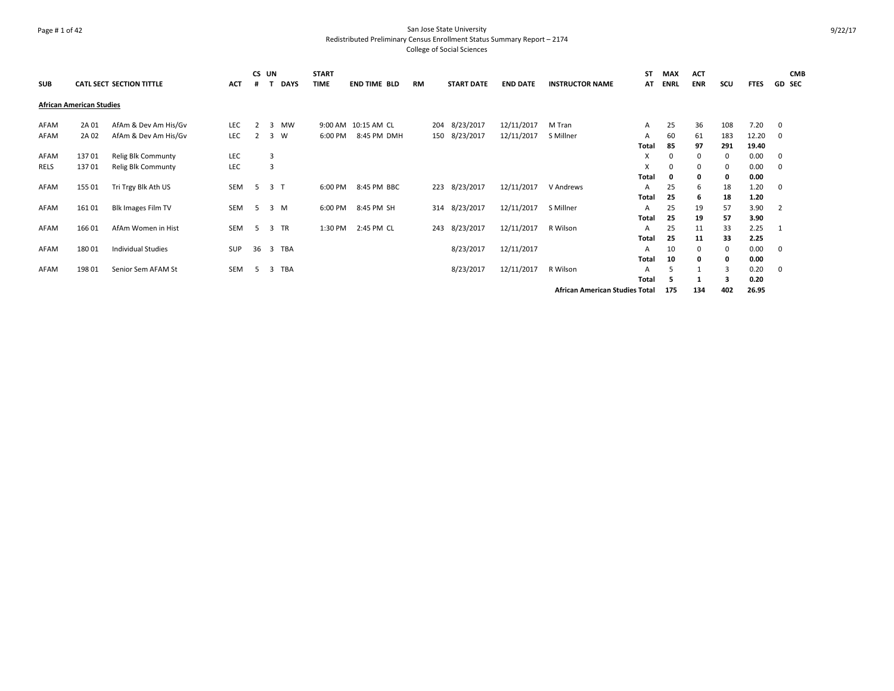# Page # 1 of 42 San Jose State University Redistributed Preliminary Census Enrollment Status Summary Report – 2174 College of Social Sciences

|            |                                 |                           |            | CS UN |     |             | <b>START</b> |                     |           |                   |                 |                                       | ST           | <b>MAX</b>  | <b>ACT</b> |     |             | <b>CMB</b>    |
|------------|---------------------------------|---------------------------|------------|-------|-----|-------------|--------------|---------------------|-----------|-------------------|-----------------|---------------------------------------|--------------|-------------|------------|-----|-------------|---------------|
| <b>SUB</b> |                                 | CATL SECT SECTION TITTLE  | <b>ACT</b> |       |     | <b>DAYS</b> | <b>TIME</b>  | <b>END TIME BLD</b> | <b>RM</b> | <b>START DATE</b> | <b>END DATE</b> | <b>INSTRUCTOR NAME</b>                | AT           | <b>ENRL</b> | <b>ENR</b> | scu | <b>FTES</b> | <b>GD SEC</b> |
|            | <b>African American Studies</b> |                           |            |       |     |             |              |                     |           |                   |                 |                                       |              |             |            |     |             |               |
| AFAM       | 2A 01                           | AfAm & Dev Am His/Gv      | <b>LEC</b> |       | 3   | <b>MW</b>   |              | 9:00 AM 10:15 AM CL |           | 204 8/23/2017     | 12/11/2017      | M Tran                                | $\mathsf{A}$ | 25          | 36         | 108 | 7.20        | $\mathbf 0$   |
| AFAM       | 2A 02                           | AfAm & Dev Am His/Gv      | LEC        | 2     | 3   | W           | 6:00 PM      | 8:45 PM DMH         |           | 150 8/23/2017     | 12/11/2017      | S Millner                             | Α            | 60          | 61         | 183 | 12.20       | 0             |
|            |                                 |                           |            |       |     |             |              |                     |           |                   |                 |                                       | Total        | 85          | 97         | 291 | 19.40       |               |
| AFAM       | 13701                           | <b>Relig Blk Communty</b> | <b>LEC</b> |       | 3   |             |              |                     |           |                   |                 |                                       | X            | 0           | 0          | 0   | 0.00        | 0             |
| RELS       | 13701                           | Relig Blk Communty        | LEC        |       | 3   |             |              |                     |           |                   |                 |                                       | X            | 0           | 0          | 0   | 0.00        | 0             |
|            |                                 |                           |            |       |     |             |              |                     |           |                   |                 |                                       | Total        | 0           | 0          | 0   | 0.00        |               |
| AFAM       | 155 01                          | Tri Trgy Blk Ath US       | SEM        | 5     | 3 T |             | 6:00 PM      | 8:45 PM BBC         |           | 223 8/23/2017     | 12/11/2017      | V Andrews                             | $\mathsf{A}$ | 25          | 6          | 18  | 1.20        | 0             |
|            |                                 |                           |            |       |     |             |              |                     |           |                   |                 |                                       | <b>Total</b> | 25          | 6          | 18  | 1.20        |               |
| AFAM       | 16101                           | <b>Blk Images Film TV</b> | SEM        | -5    |     | 3 M         | 6:00 PM      | 8:45 PM SH          |           | 314 8/23/2017     | 12/11/2017      | S Millner                             | A            | 25          | 19         | 57  | 3.90        | 2             |
|            |                                 |                           |            |       |     |             |              |                     |           |                   |                 |                                       | Total        | 25          | 19         | 57  | 3.90        |               |
| AFAM       | 166 01                          | AfAm Women in Hist        | SEM        | 5     |     | 3 TR        | 1:30 PM      | 2:45 PM CL          |           | 243 8/23/2017     | 12/11/2017      | R Wilson                              | $\mathsf{A}$ | 25          | 11         | 33  | 2.25        |               |
|            |                                 |                           |            |       |     |             |              |                     |           |                   |                 |                                       | Total        | 25          | 11         | 33  | 2.25        |               |
| AFAM       | 180 01                          | <b>Individual Studies</b> | SUP        | 36    |     | 3 TBA       |              |                     |           | 8/23/2017         | 12/11/2017      |                                       | A            | 10          | 0          | 0   | 0.00        | 0             |
|            |                                 |                           |            |       |     |             |              |                     |           |                   |                 |                                       | <b>Total</b> | 10          | 0          | 0   | 0.00        |               |
| AFAM       | 198 01                          | Senior Sem AFAM St        | <b>SEM</b> | .5.   | 3   | TBA         |              |                     |           | 8/23/2017         | 12/11/2017      | R Wilson                              | A            |             |            |     | 0.20        | 0             |
|            |                                 |                           |            |       |     |             |              |                     |           |                   |                 |                                       | <b>Total</b> | 5           |            | з   | 0.20        |               |
|            |                                 |                           |            |       |     |             |              |                     |           |                   |                 | <b>African American Studies Total</b> |              | 175         | 134        | 402 | 26.95       |               |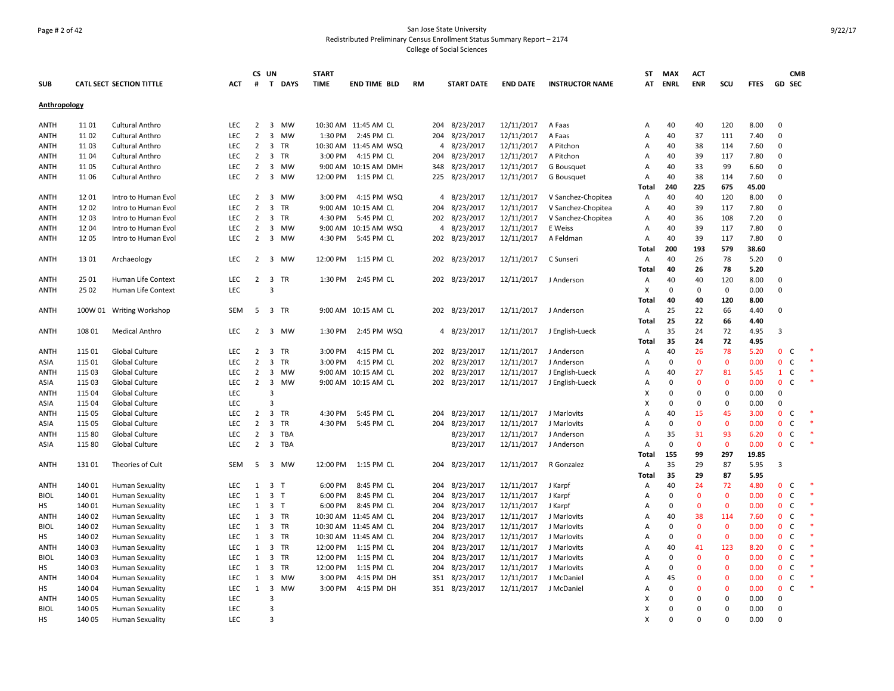# Page # 2 of 42 San Jose State University Redistributed Preliminary Census Enrollment Status Summary Report – 2174 College of Social Sciences

|              |        |                                 |            |                | CS UN                   |                | <b>START</b> |                       |           |                   |                 |                        | ST           | <b>MAX</b>  | <b>ACT</b>     |              |             |              | <b>CMB</b>    |         |
|--------------|--------|---------------------------------|------------|----------------|-------------------------|----------------|--------------|-----------------------|-----------|-------------------|-----------------|------------------------|--------------|-------------|----------------|--------------|-------------|--------------|---------------|---------|
| <b>SUB</b>   |        | <b>CATL SECT SECTION TITTLE</b> | ACT        | #              |                         | T DAYS         | <b>TIME</b>  | <b>END TIME BLD</b>   | <b>RM</b> | <b>START DATE</b> | <b>END DATE</b> | <b>INSTRUCTOR NAME</b> | AT           | <b>ENRL</b> | <b>ENR</b>     | SCU          | <b>FTES</b> |              | <b>GD SEC</b> |         |
| Anthropology |        |                                 |            |                |                         |                |              |                       |           |                   |                 |                        |              |             |                |              |             |              |               |         |
| ANTH         | 1101   | <b>Cultural Anthro</b>          | <b>LEC</b> | $\overline{2}$ |                         | 3 MW           |              | 10:30 AM 11:45 AM CL  | 204       | 8/23/2017         | 12/11/2017      | A Faas                 | Α            | 40          | 40             | 120          | 8.00        | 0            |               |         |
| <b>ANTH</b>  | 1102   | Cultural Anthro                 | <b>LEC</b> | $\overline{2}$ | 3                       | MW             | 1:30 PM      | 2:45 PM CL            | 204       | 8/23/2017         | 12/11/2017      | A Faas                 | Α            | 40          | 37             | 111          | 7.40        | $\mathbf 0$  |               |         |
| ANTH         | 1103   | <b>Cultural Anthro</b>          | LEC        | $\overline{2}$ |                         | 3 TR           |              | 10:30 AM 11:45 AM WSQ |           | 4 8/23/2017       | 12/11/2017      | A Pitchon              | Α            | 40          | 38             | 114          | 7.60        | $\Omega$     |               |         |
| <b>ANTH</b>  | 1104   | <b>Cultural Anthro</b>          | <b>LEC</b> | $\overline{2}$ |                         | 3 TR           | 3:00 PM      | 4:15 PM CL            |           | 204 8/23/2017     | 12/11/2017      | A Pitchon              | Α            | 40          | 39             | 117          | 7.80        | $\mathbf 0$  |               |         |
| ANTH         | 11 05  | <b>Cultural Anthro</b>          | <b>LEC</b> | $\overline{2}$ | 3                       | MW             |              | 9:00 AM 10:15 AM DMH  |           | 348 8/23/2017     | 12/11/2017      | G Bousquet             | Α            | 40          | 33             | 99           | 6.60        | $\mathbf 0$  |               |         |
| ANTH         | 1106   | <b>Cultural Anthro</b>          | <b>LEC</b> | $\overline{2}$ | 3                       | <b>MW</b>      | 12:00 PM     | 1:15 PM CL            | 225       | 8/23/2017         | 12/11/2017      | G Bousquet             | Α            | 40          | 38             | 114          | 7.60        | 0            |               |         |
|              |        |                                 |            |                |                         |                |              |                       |           |                   |                 |                        | Total        | 240         | 225            | 675          | 45.00       |              |               |         |
| <b>ANTH</b>  | 1201   | Intro to Human Evol             | <b>LEC</b> | $\overline{2}$ |                         | 3 MW           | 3:00 PM      | 4:15 PM WSQ           |           | 4 8/23/2017       | 12/11/2017      | V Sanchez-Chopitea     | Α            | 40          | 40             | 120          | 8.00        | $\mathbf 0$  |               |         |
| <b>ANTH</b>  | 1202   | Intro to Human Evol             | LEC        | $\overline{2}$ | 3                       | TR             | 9:00 AM      | 10:15 AM CL           | 204       | 8/23/2017         | 12/11/2017      | V Sanchez-Chopitea     | Α            | 40          | 39             | 117          | 7.80        | $\mathbf 0$  |               |         |
| ANTH         | 1203   | Intro to Human Evol             | LEC        | $\overline{2}$ |                         | 3 TR           | 4:30 PM      | 5:45 PM CL            |           | 202 8/23/2017     | 12/11/2017      | V Sanchez-Chopitea     | Α            | 40          | 36             | 108          | 7.20        | $\mathbf 0$  |               |         |
| <b>ANTH</b>  | 1204   | Intro to Human Evol             | <b>LEC</b> | $\overline{2}$ | 3                       | <b>MW</b>      |              | 9:00 AM 10:15 AM WSQ  |           | 4 8/23/2017       | 12/11/2017      | E Weiss                | Α            | 40          | 39             | 117          | 7.80        | $\Omega$     |               |         |
| ANTH         | 1205   | Intro to Human Evol             | <b>LEC</b> | $\overline{2}$ | 3                       | MW             | 4:30 PM      | 5:45 PM CL            |           | 202 8/23/2017     | 12/11/2017      | A Feldman              | Α            | 40          | 39             | 117          | 7.80        | $\mathbf 0$  |               |         |
|              |        |                                 |            |                |                         |                |              |                       |           |                   |                 |                        | Total        | 200         | 193            | 579          | 38.60       |              |               |         |
| <b>ANTH</b>  | 1301   | Archaeology                     | <b>LEC</b> | $\overline{2}$ | 3                       | MW             | 12:00 PM     | 1:15 PM CL            |           | 202 8/23/2017     | 12/11/2017      | C Sunseri              | Α            | 40          | 26             | 78           | 5.20        | $\mathbf 0$  |               |         |
|              |        |                                 |            |                |                         |                |              |                       |           |                   |                 |                        | Total        | 40          | 26             | 78           | 5.20        |              |               |         |
| ANTH         | 25 01  | Human Life Context              | <b>LEC</b> |                |                         | 2 3 TR         | 1:30 PM      | 2:45 PM CL            |           | 202 8/23/2017     | 12/11/2017      | J Anderson             | Α            | 40          | 40             | 120          | 8.00        | 0            |               |         |
| ANTH         | 25 02  | Human Life Context              | <b>LEC</b> |                | $\overline{3}$          |                |              |                       |           |                   |                 |                        | X            | $\mathbf 0$ | 0              | $\mathbf 0$  | 0.00        | $\mathbf 0$  |               |         |
|              |        |                                 |            |                |                         |                |              |                       |           |                   |                 |                        | Total        | 40          | 40             | 120          | 8.00        |              |               |         |
| ANTH         |        | 100W 01 Writing Workshop        | SEM        | 5              |                         | 3 TR           |              | 9:00 AM 10:15 AM CL   |           | 202 8/23/2017     | 12/11/2017      | J Anderson             | Α            | 25          | 22             | 66           | 4.40        | $\mathbf 0$  |               |         |
|              |        |                                 |            |                |                         |                |              |                       |           |                   |                 |                        | Total        | 25          | 22             | 66           | 4.40        |              |               |         |
| <b>ANTH</b>  | 108 01 | <b>Medical Anthro</b>           | <b>LEC</b> |                |                         | 2 3 MW         | 1:30 PM      | 2:45 PM WSQ           |           | 4 8/23/2017       | 12/11/2017      | J English-Lueck        | Α            | 35          | 24             | 72           | 4.95        | 3            |               |         |
|              |        |                                 |            |                |                         |                |              |                       |           |                   |                 |                        | Total        | 35          | 24             | 72           | 4.95        |              |               |         |
| <b>ANTH</b>  | 115 01 | Global Culture                  | LEC        | $\overline{2}$ |                         | 3 TR           | 3:00 PM      | 4:15 PM CL            |           | 202 8/23/2017     | 12/11/2017      | J Anderson             | Α            | 40          | 26             | 78           | 5.20        | $\mathbf{0}$ | $\mathsf{C}$  |         |
| ASIA         | 115 01 | Global Culture                  | <b>LEC</b> | $\overline{2}$ |                         | 3 TR           | 3:00 PM      | 4:15 PM CL            | 202       | 8/23/2017         | 12/11/2017      | J Anderson             | Α            | 0           | $\mathbf 0$    | $\mathbf 0$  | 0.00        | $\mathbf 0$  | $\mathsf{C}$  | $\ast$  |
| ANTH         | 115 03 | Global Culture                  | <b>LEC</b> | $\overline{2}$ |                         | 3 MW           |              | 9:00 AM 10:15 AM CL   |           | 202 8/23/2017     | 12/11/2017      | J English-Lueck        | Α            | 40          | 27             | 81           | 5.45        | $\mathbf{1}$ | C             |         |
| ASIA         | 115 03 | <b>Global Culture</b>           | <b>LEC</b> | $\overline{2}$ | $\overline{\mathbf{3}}$ | <b>MW</b>      |              | 9:00 AM 10:15 AM CL   |           | 202 8/23/2017     | 12/11/2017      | J English-Lueck        | Α            | $\Omega$    | $\Omega$       | $\mathbf{0}$ | 0.00        | $\mathbf{0}$ | C             |         |
| <b>ANTH</b>  | 115 04 | Global Culture                  | LEC        |                | $\overline{3}$          |                |              |                       |           |                   |                 |                        | X            | $\Omega$    | $\Omega$       | $\mathbf 0$  | 0.00        | $\mathbf 0$  |               |         |
| ASIA         | 115 04 | Global Culture                  | LEC        |                | $\overline{3}$          |                |              |                       |           |                   |                 |                        | X            | $\Omega$    | $\Omega$       | $\mathbf 0$  | 0.00        | $\Omega$     |               |         |
| ANTH         | 115 05 | Global Culture                  | <b>LEC</b> | $2^{\circ}$    |                         | 3 TR           | 4:30 PM      | 5:45 PM CL            | 204       | 8/23/2017         | 12/11/2017      | J Marlovits            | A            | 40          | 15             | 45           | 3.00        | $\mathbf{0}$ | C             |         |
| ASIA         | 115 05 | Global Culture                  | <b>LEC</b> | $\overline{2}$ | 3                       | <b>TR</b>      | 4:30 PM      | 5:45 PM CL            | 204       | 8/23/2017         | 12/11/2017      | J Marlovits            | Α            | 0           | $\mathbf{0}$   | $\mathbf{0}$ | 0.00        | $\mathbf{0}$ | C             | $\star$ |
| <b>ANTH</b>  | 115 80 | Global Culture                  | <b>LEC</b> | $\overline{2}$ |                         | 3 TBA          |              |                       |           | 8/23/2017         | 12/11/2017      | J Anderson             | Α            | 35          | 31             | 93           | 6.20        | $\mathbf{0}$ | $\mathsf{C}$  |         |
| ASIA         | 115 80 | Global Culture                  | LEC.       | $\overline{2}$ |                         | 3 TBA          |              |                       |           | 8/23/2017         | 12/11/2017      | J Anderson             | A            | 0           | $\Omega$       | $\mathbf{0}$ | 0.00        | $\mathbf{0}$ | C             | $\ast$  |
|              |        |                                 |            |                |                         |                |              |                       |           |                   |                 |                        | <b>Total</b> | 155         | 99             | 297          | 19.85       |              |               |         |
| <b>ANTH</b>  | 13101  | Theories of Cult                | <b>SEM</b> | 5              |                         | 3 MW           | 12:00 PM     | 1:15 PM CL            |           | 204 8/23/2017     | 12/11/2017      | R Gonzalez             | Α            | 35          | 29             | 87           | 5.95        | 3            |               |         |
|              |        |                                 |            |                |                         |                |              |                       |           |                   |                 |                        | Total        | 35          | 29             | 87           | 5.95        |              |               |         |
| <b>ANTH</b>  | 140 01 | <b>Human Sexuality</b>          | <b>LEC</b> | 1              | 3 <sub>T</sub>          |                | 6:00 PM      | 8:45 PM CL            |           | 204 8/23/2017     | 12/11/2017      | J Karpf                | Α            | 40          | 24             | 72           | 4.80        | $\mathbf{0}$ | C             |         |
| <b>BIOL</b>  | 140 01 | <b>Human Sexuality</b>          | <b>LEC</b> | $\mathbf{1}$   | 3 <sub>T</sub>          |                | 6:00 PM      | 8:45 PM CL            | 204       | 8/23/2017         | 12/11/2017      | J Karpf                | Α            | $\mathbf 0$ | $\mathbf{0}$   | $\mathbf{0}$ | 0.00        | $\mathbf{0}$ | $\mathsf{C}$  |         |
| HS           | 140 01 | <b>Human Sexuality</b>          | LEC        | $\mathbf{1}$   |                         | 3 <sub>7</sub> | 6:00 PM      | 8:45 PM CL            | 204       | 8/23/2017         | 12/11/2017      | J Karpf                | Α            | 0           | $\Omega$       | $\mathbf 0$  | 0.00        | $\mathbf{0}$ | C             |         |
| ANTH         | 140 02 | <b>Human Sexuality</b>          | <b>LEC</b> | 1              |                         | 3 TR           |              | 10:30 AM 11:45 AM CL  | 204       | 8/23/2017         | 12/11/2017      | J Marlovits            | Α            | 40          | 38             | 114          | 7.60        | $\mathbf{0}$ | $\mathsf{C}$  |         |
| <b>BIOL</b>  | 140 02 | <b>Human Sexuality</b>          | <b>LEC</b> | 1              |                         | 3 TR           |              | 10:30 AM 11:45 AM CL  | 204       | 8/23/2017         | 12/11/2017      | J Marlovits            | Α            | 0           | $\Omega$       | $\mathbf{0}$ | 0.00        | $\mathbf 0$  | C             |         |
| нs           | 140 02 | <b>Human Sexuality</b>          | <b>LEC</b> | 1              |                         | 3 TR           |              | 10:30 AM 11:45 AM CL  |           | 204 8/23/2017     | 12/11/2017      | J Marlovits            | Α            | 0           | $\Omega$       | $\mathbf{0}$ | 0.00        | $\mathbf{0}$ | $\mathsf{C}$  |         |
| <b>ANTH</b>  | 140 03 | <b>Human Sexuality</b>          | LEC        | $\mathbf{1}$   |                         | 3 TR           | 12:00 PM     | 1:15 PM CL            | 204       | 8/23/2017         | 12/11/2017      | J Marlovits            | Α            | 40          | 41             | 123          | 8.20        | $\mathbf{0}$ | $\mathsf{C}$  |         |
| <b>BIOL</b>  | 140 03 | <b>Human Sexuality</b>          | <b>LEC</b> | $\mathbf{1}$   | 3                       | TR             | 12:00 PM     | 1:15 PM CL            | 204       | 8/23/2017         | 12/11/2017      | J Marlovits            | Α            | $\mathbf 0$ | $\overline{0}$ | $\mathbf 0$  | 0.00        | $\mathbf{0}$ | C             |         |
| НS           | 140 03 | <b>Human Sexuality</b>          | LEC        | 1              |                         | 3 TR           | 12:00 PM     | 1:15 PM CL            |           | 204 8/23/2017     | 12/11/2017      | J Marlovits            | Α            | 0           | $\mathbf{0}$   | $\mathbf 0$  | 0.00        | $\mathbf{0}$ | $\mathsf{C}$  |         |
| <b>ANTH</b>  | 140 04 | <b>Human Sexuality</b>          | <b>LEC</b> | 1              | $\overline{3}$          | <b>MW</b>      | 3:00 PM      | 4:15 PM DH            |           | 351 8/23/2017     | 12/11/2017      | J McDaniel             | Α            | 45          | $\Omega$       | $\mathbf{0}$ | 0.00        | $\mathbf{0}$ | C             | $\ast$  |
| HS           | 140 04 | <b>Human Sexuality</b>          | LEC        | 1              | $\overline{\mathbf{3}}$ | <b>MW</b>      | 3:00 PM      | 4:15 PM DH            |           | 351 8/23/2017     | 12/11/2017      | J McDaniel             | Α            | $\mathbf 0$ | $\Omega$       | $\mathbf{0}$ | 0.00        | $\mathbf{0}$ | C             | $\ast$  |
| <b>ANTH</b>  | 140 05 | <b>Human Sexuality</b>          | LEC        |                | $\overline{3}$          |                |              |                       |           |                   |                 |                        | X            | $\Omega$    | $\Omega$       | 0            | 0.00        | 0            |               |         |
| <b>BIOL</b>  | 140 05 | <b>Human Sexuality</b>          | <b>LEC</b> |                | $\overline{3}$          |                |              |                       |           |                   |                 |                        | X            | 0           | $\Omega$       | 0            | 0.00        | 0            |               |         |
| НS           | 140 05 | <b>Human Sexuality</b>          | <b>LEC</b> |                | $\overline{3}$          |                |              |                       |           |                   |                 |                        | X            | $\Omega$    | $\Omega$       | $\Omega$     | 0.00        | $\Omega$     |               |         |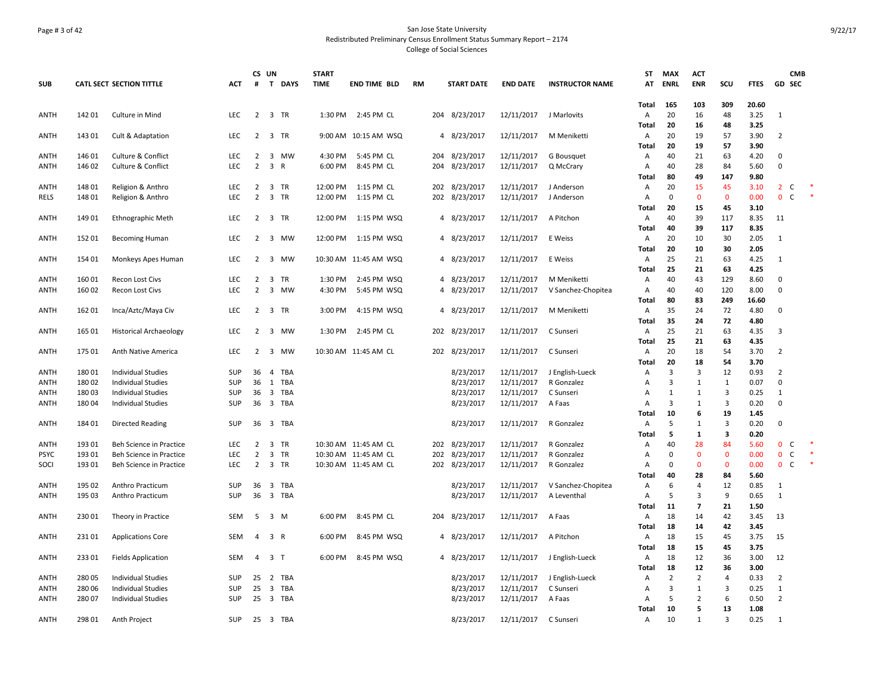# Page # 3 of 42 San Jose State University Redistributed Preliminary Census Enrollment Status Summary Report – 2174 College of Social Sciences

|             |        |                                 |            | CS UN          |                         |             | <b>START</b> |                       |           |                   |                 |                        | ST           | <b>MAX</b>     | <b>ACT</b>         |                              |              |                | <b>CMB</b>   |  |
|-------------|--------|---------------------------------|------------|----------------|-------------------------|-------------|--------------|-----------------------|-----------|-------------------|-----------------|------------------------|--------------|----------------|--------------------|------------------------------|--------------|----------------|--------------|--|
| <b>SUB</b>  |        | <b>CATL SECT SECTION TITTLE</b> | <b>ACT</b> | $\pmb{\sharp}$ | T                       | <b>DAYS</b> | <b>TIME</b>  | END TIME BLD          | <b>RM</b> | <b>START DATE</b> | <b>END DATE</b> | <b>INSTRUCTOR NAME</b> | AT           | <b>ENRL</b>    | <b>ENR</b>         | scu                          | <b>FTES</b>  | GD SEC         |              |  |
|             |        |                                 |            |                |                         |             |              |                       |           |                   |                 |                        | Total        | 165            | 103                | 309                          | 20.60        |                |              |  |
| <b>ANTH</b> | 142 01 | Culture in Mind                 | <b>LEC</b> | $\overline{2}$ | 3 TR                    |             | 1:30 PM      | 2:45 PM CL            |           | 204 8/23/2017     | 12/11/2017      | J Marlovits            | Α            | 20             | 16                 | 48                           | 3.25         | $\mathbf{1}$   |              |  |
|             |        |                                 |            |                |                         |             |              |                       |           |                   |                 |                        | Total        | 20             | 16                 | 48                           | 3.25         |                |              |  |
| ANTH        | 143 01 | Cult & Adaptation               | <b>LEC</b> | $\overline{2}$ | 3 TR                    |             |              | 9:00 AM 10:15 AM WSQ  |           | 4 8/23/2017       | 12/11/2017      | M Meniketti            | A            | 20             | 19                 | 57                           | 3.90         | $\overline{2}$ |              |  |
|             |        |                                 |            |                |                         |             |              |                       |           |                   |                 |                        | Total        | 20             | 19                 | 57                           | 3.90         |                |              |  |
| ANTH        | 146 01 | <b>Culture &amp; Conflict</b>   | <b>LEC</b> | $\overline{2}$ | 3                       | <b>MW</b>   | 4:30 PM      | 5:45 PM CL            | 204       | 8/23/2017         | 12/11/2017      | G Bousquet             | Α            | 40             | 21                 | 63                           | 4.20         | $\Omega$       |              |  |
| <b>ANTH</b> | 146 02 | Culture & Conflict              | LEC        | $\overline{2}$ | 3 R                     |             | 6:00 PM      | 8:45 PM CL            |           | 204 8/23/2017     | 12/11/2017      | Q McCrary              | Α            | 40             | 28                 | 84                           | 5.60         | $\Omega$       |              |  |
|             |        |                                 |            |                |                         |             |              |                       |           |                   |                 |                        | Total        | 80             | 49                 | 147                          | 9.80         |                |              |  |
| ANTH        | 148 01 | Religion & Anthro               | LEC        | 2              | 3 TR                    |             | 12:00 PM     | 1:15 PM CL            | 202       | 8/23/2017         | 12/11/2017      | J Anderson             | Α            | 20             | 15                 | 45                           | 3.10         | $\overline{2}$ | C            |  |
| RELS        | 148 01 | Religion & Anthro               | <b>LEC</b> | $\overline{2}$ | 3 TR                    |             | 12:00 PM     | 1:15 PM CL            |           | 202 8/23/2017     | 12/11/2017      | J Anderson             | Α            | $\mathbf 0$    | $\mathbf{0}$       | $\mathbf 0$                  | 0.00         | $\overline{0}$ | C            |  |
|             |        |                                 |            |                |                         |             |              |                       |           |                   |                 |                        | Total        | 20             | 15                 | 45                           | 3.10         |                |              |  |
| <b>ANTH</b> | 149 01 | <b>Ethnographic Meth</b>        | LEC        | $\overline{2}$ | 3 TR                    |             | 12:00 PM     | 1:15 PM WSQ           |           | 4 8/23/2017       | 12/11/2017      | A Pitchon              | Α            | 40             | 39                 | 117                          | 8.35         | 11             |              |  |
|             |        |                                 |            |                |                         |             |              |                       |           |                   |                 |                        | Total        | 40             | 39                 | 117                          | 8.35         |                |              |  |
| ANTH        | 152 01 | <b>Becoming Human</b>           | LEC        | $\overline{2}$ | $\overline{\mathbf{3}}$ | MW          | 12:00 PM     | 1:15 PM WSQ           |           | 4 8/23/2017       | 12/11/2017      | E Weiss                | Α            | 20             | 10                 | 30                           | 2.05         | 1              |              |  |
|             |        |                                 |            |                |                         |             |              |                       |           |                   |                 |                        | <b>Total</b> | 20             | 10                 | 30                           | 2.05         |                |              |  |
| <b>ANTH</b> | 154 01 | Monkeys Apes Human              | LEC        | $\overline{2}$ |                         | 3 MW        |              | 10:30 AM 11:45 AM WSQ |           | 4 8/23/2017       | 12/11/2017      | E Weiss                | Α            | 25             | 21                 | 63                           | 4.25         | 1              |              |  |
|             |        |                                 |            |                |                         |             |              |                       |           |                   |                 |                        | Total        | 25             | 21                 | 63                           | 4.25         |                |              |  |
| ANTH        | 16001  | Recon Lost Civs                 | LEC        | 2              | 3 TR                    |             | 1:30 PM      | 2:45 PM WSQ           |           | 4 8/23/2017       | 12/11/2017      | M Meniketti            | А            | 40             | 43                 | 129                          | 8.60         | 0              |              |  |
| ANTH        | 16002  | <b>Recon Lost Civs</b>          | LEC        | $\overline{2}$ | $\overline{3}$          | <b>MW</b>   | 4:30 PM      | 5:45 PM WSQ           |           | 4 8/23/2017       | 12/11/2017      | V Sanchez-Chopitea     | Α            | 40             | 40                 | 120                          | 8.00         | $\mathbf 0$    |              |  |
|             |        |                                 |            |                |                         |             |              |                       |           |                   |                 |                        | Total        | 80             | 83                 | 249                          | 16.60        |                |              |  |
| ANTH        | 162 01 | Inca/Aztc/Maya Civ              | LEC        | $\overline{2}$ | 3 TR                    |             | 3:00 PM      | 4:15 PM WSQ           |           | 4 8/23/2017       | 12/11/2017      | M Meniketti            | Α            | 35             | 24                 | 72                           | 4.80         | 0              |              |  |
|             |        |                                 |            |                |                         |             |              |                       |           |                   |                 |                        | Total        | 35             | 24                 | 72                           | 4.80         |                |              |  |
| <b>ANTH</b> | 165 01 | <b>Historical Archaeology</b>   | LEC        | $\overline{2}$ |                         | 3 MW        | 1:30 PM      | 2:45 PM CL            |           | 202 8/23/2017     | 12/11/2017      | C Sunseri              | Α            | 25             | 21                 | 63                           | 4.35         | $\overline{3}$ |              |  |
|             |        |                                 |            |                |                         |             |              |                       |           |                   |                 |                        | Total        | 25             | 21                 | 63                           | 4.35         |                |              |  |
| ANTH        | 175 01 | Anth Native America             | LEC        | 2              | 3                       | MW          |              | 10:30 AM 11:45 AM CL  |           | 202 8/23/2017     | 12/11/2017      | C Sunseri              | Α            | 20             | 18                 | 54                           | 3.70         | $\overline{2}$ |              |  |
|             |        |                                 |            |                |                         |             |              |                       |           |                   |                 |                        | Total        | 20             | 18                 | 54                           | 3.70         |                |              |  |
| <b>ANTH</b> | 180 01 | <b>Individual Studies</b>       | SUP        | 36             | $\overline{4}$          | TBA         |              |                       |           | 8/23/2017         | 12/11/2017      | J English-Lueck        | А            | 3              | 3                  | 12                           | 0.93         | $\overline{2}$ |              |  |
| <b>ANTH</b> | 18002  | <b>Individual Studies</b>       | <b>SUP</b> | 36             | 1                       | TBA         |              |                       |           | 8/23/2017         | 12/11/2017      | R Gonzalez             | А            | 3              | 1                  | $\mathbf{1}$                 | 0.07         | $\Omega$       |              |  |
| ANTH        | 18003  | Individual Studies              | SUP        | 36             |                         | 3 TBA       |              |                       |           | 8/23/2017         | 12/11/2017      | C Sunseri              | А            | $\mathbf{1}$   | $\mathbf{1}$       | 3                            | 0.25         | 1              |              |  |
| ANTH        | 18004  | <b>Individual Studies</b>       | SUP        | 36             |                         | 3 TBA       |              |                       |           | 8/23/2017         | 12/11/2017      | A Faas                 | А            | 3              | 1                  | 3                            | 0.20         | $\mathbf 0$    |              |  |
|             |        |                                 |            |                |                         |             |              |                       |           |                   |                 |                        | Total        | 10             | 6                  | 19                           | 1.45         |                |              |  |
| <b>ANTH</b> | 184 01 | <b>Directed Reading</b>         | <b>SUP</b> | 36             |                         | 3 TBA       |              |                       |           | 8/23/2017         | 12/11/2017      | R Gonzalez             | Α            | 5              | 1                  | 3<br>$\overline{\mathbf{3}}$ | 0.20         | $\mathbf 0$    |              |  |
|             |        |                                 |            |                |                         |             |              |                       |           |                   |                 |                        | Total        | 5              | 1                  |                              | 0.20         |                |              |  |
| ANTH        | 193 01 | Beh Science in Practice         | LEC        | $\overline{2}$ | 3 TR                    |             |              | 10:30 AM 11:45 AM CL  | 202       | 8/23/2017         | 12/11/2017      | R Gonzalez             | Α            | 40             | 28                 | 84                           | 5.60         | $\mathbf{0}$   | $\mathsf{C}$ |  |
| PSYC        | 193 01 | Beh Science in Practice         | LEC        | $\overline{2}$ | 3 TR                    |             |              | 10:30 AM 11:45 AM CL  | 202       | 8/23/2017         | 12/11/2017      | R Gonzalez             | А            | $\mathbf 0$    | $\mathbf{0}$       | $\mathbf 0$                  | 0.00         | $\mathbf{0}$   | C            |  |
| SOCI        | 193 01 | Beh Science in Practice         | <b>LEC</b> | $\overline{2}$ | 3 TR                    |             |              | 10:30 AM 11:45 AM CL  |           | 202 8/23/2017     | 12/11/2017      | R Gonzalez             | А            | 0<br>40        | $\mathbf{0}$<br>28 | $\mathbf 0$<br>84            | 0.00<br>5.60 | $0-$           |              |  |
|             |        |                                 |            |                |                         |             |              |                       |           |                   |                 |                        | Total        |                | $\overline{a}$     |                              |              |                |              |  |
| ANTH        | 195 02 | Anthro Practicum                | SUP        | 36<br>36       | $\overline{3}$          | TBA         |              |                       |           | 8/23/2017         | 12/11/2017      | V Sanchez-Chopitea     | Α            | 6<br>5         | 3                  | 12<br>9                      | 0.85         | $\mathbf{1}$   |              |  |
| ANTH        | 195 03 | Anthro Practicum                | SUP        |                |                         | 3 TBA       |              |                       |           | 8/23/2017         | 12/11/2017      | A Leventhal            | А<br>Total   | 11             | $\overline{7}$     | 21                           | 0.65<br>1.50 | 1              |              |  |
|             |        |                                 | <b>SEM</b> |                |                         |             | 6:00 PM      | 8:45 PM CL            |           |                   |                 |                        |              |                | 14                 | 42                           | 3.45         | 13             |              |  |
| ANTH        | 230 01 | Theory in Practice              |            | 5              | 3 M                     |             |              |                       |           | 204 8/23/2017     | 12/11/2017      | A Faas                 | Α            | 18<br>18       | 14                 | 42                           | 3.45         |                |              |  |
|             |        |                                 |            |                |                         |             |              |                       |           |                   | 12/11/2017      |                        | <b>Total</b> |                |                    | 45                           |              |                |              |  |
| ANTH        | 231 01 | <b>Applications Core</b>        | SEM        | 4              | 3 R                     |             | 6:00 PM      | 8:45 PM WSQ           |           | 4 8/23/2017       |                 | A Pitchon              | Α            | 18             | 15<br>15           | 45                           | 3.75<br>3.75 | 15             |              |  |
| <b>ANTH</b> | 233 01 |                                 | <b>SEM</b> | $\overline{4}$ | 3 <sub>T</sub>          |             | 6:00 PM      | 8:45 PM WSQ           |           |                   | 12/11/2017      |                        | Total        | 18<br>18       | 12                 | 36                           | 3.00         | 12             |              |  |
|             |        | <b>Fields Application</b>       |            |                |                         |             |              |                       |           | 4 8/23/2017       |                 | J English-Lueck        | A            | 18             | 12                 | 36                           | 3.00         |                |              |  |
| ANTH        | 28005  | <b>Individual Studies</b>       | SUP        | 25             |                         | 2 TBA       |              |                       |           | 8/23/2017         | 12/11/2017      | J English-Lueck        | Total<br>Α   | $\overline{2}$ | $\overline{2}$     | $\overline{4}$               | 0.33         | $\overline{2}$ |              |  |
| ANTH        | 28006  | Individual Studies              | SUP        | 25             | $\overline{\mathbf{3}}$ | TBA         |              |                       |           | 8/23/2017         | 12/11/2017      | C Sunseri              | А            | 3              | 1                  | 3                            | 0.25         | 1              |              |  |
| <b>ANTH</b> | 28007  | Individual Studies              | <b>SUP</b> | 25             | 3 TBA                   |             |              |                       |           | 8/23/2017         | 12/11/2017      | A Faas                 | A            | 5              | $\overline{2}$     | 6                            | 0.50         | $\overline{2}$ |              |  |
|             |        |                                 |            |                |                         |             |              |                       |           |                   |                 |                        | Total        | 10             | 5                  | 13                           | 1.08         |                |              |  |
| ANTH        | 298 01 | Anth Project                    | <b>SUP</b> | 25             | 3 TBA                   |             |              |                       |           | 8/23/2017         | 12/11/2017      | C Sunseri              | Α            | 10             | 1                  | $\overline{3}$               | 0.25         | 1              |              |  |
|             |        |                                 |            |                |                         |             |              |                       |           |                   |                 |                        |              |                |                    |                              |              |                |              |  |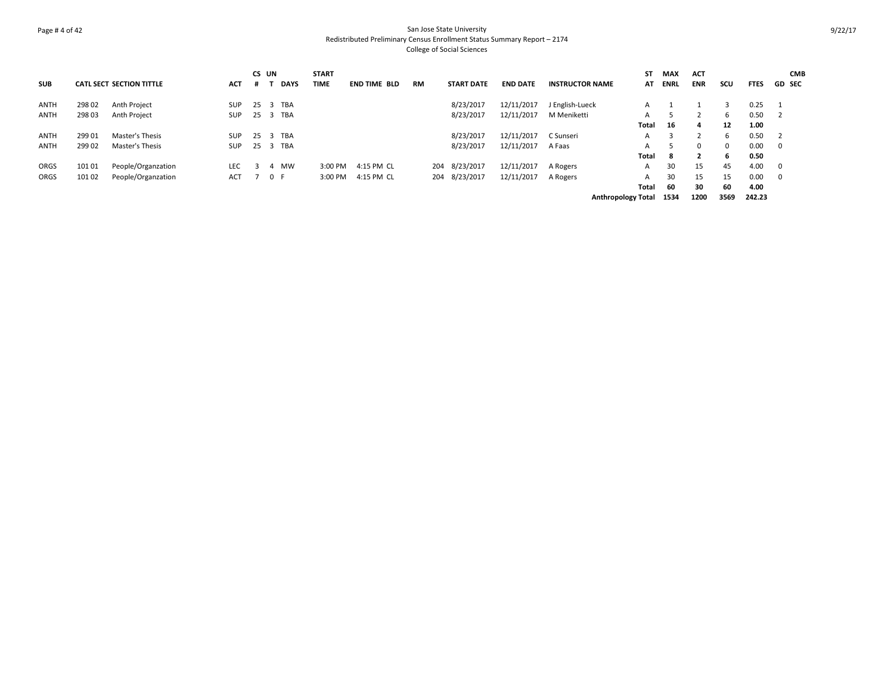# Page # 4 of 42 San Jose State University Redistributed Preliminary Census Enrollment Status Summary Report – 2174 College of Social Sciences

|            |        |                                 |            | CS UN |     |             | <b>START</b> |                     |    |                   |                 |                        | SΤ                        | <b>MAX</b>  | <b>ACT</b>   |              |             | <b>CMB</b>     |
|------------|--------|---------------------------------|------------|-------|-----|-------------|--------------|---------------------|----|-------------------|-----------------|------------------------|---------------------------|-------------|--------------|--------------|-------------|----------------|
| <b>SUB</b> |        | <b>CATL SECT SECTION TITTLE</b> | <b>ACT</b> | .#    |     | <b>DAYS</b> | <b>TIME</b>  | <b>END TIME BLD</b> | RM | <b>START DATE</b> | <b>END DATE</b> | <b>INSTRUCTOR NAME</b> | AT                        | <b>ENRL</b> | <b>ENR</b>   | scu          | <b>FTES</b> | <b>GD SEC</b>  |
| ANTH       | 298 02 | Anth Project                    | <b>SUP</b> | 25    | -3  | TBA         |              |                     |    | 8/23/2017         | 12/11/2017      | J English-Lueck        | A                         |             |              |              | 0.25        |                |
| ANTH       | 298 03 | Anth Project                    | SUP        | 25 3  |     | TBA         |              |                     |    | 8/23/2017         | 12/11/2017      | M Meniketti            | A                         |             |              | 6.           | 0.50        |                |
|            |        |                                 |            |       |     |             |              |                     |    |                   |                 |                        | Total                     | 16          | 4            | 12           | 1.00        |                |
| ANTH       | 299 01 | Master's Thesis                 | <b>SUP</b> | 25 3  |     | TBA         |              |                     |    | 8/23/2017         | 12/11/2017      | C Sunseri              | A                         |             |              | 6            | 0.50        |                |
| ANTH       | 299 02 | Master's Thesis                 | <b>SUP</b> | 25    | -3  | TBA         |              |                     |    | 8/23/2017         | 12/11/2017      | A Faas                 | A                         |             | $\mathbf{0}$ | $\mathbf{0}$ | 0.00        | $\mathbf 0$    |
|            |        |                                 |            |       |     |             |              |                     |    |                   |                 |                        | Total                     | -8          | $\mathbf{2}$ | 6            | 0.50        |                |
| ORGS       | 10101  | People/Organzation              | <b>LEC</b> |       | 4   | <b>MW</b>   | 3:00 PM      | 4:15 PM CL          |    | 204 8/23/2017     | 12/11/2017      | A Rogers               | A                         | 30          | 15           | 45           | 4.00        | $\overline{0}$ |
| ORGS       | 10102  | People/Organzation              | ACT        |       | 0 F |             | 3:00 PM      | 4:15 PM CL          |    | 204 8/23/2017     | 12/11/2017      | A Rogers               | A                         | 30          | 15           | 15           | 0.00        | 0              |
|            |        |                                 |            |       |     |             |              |                     |    |                   |                 |                        | Total                     | 60          | 30           | 60           | 4.00        |                |
|            |        |                                 |            |       |     |             |              |                     |    |                   |                 |                        | <b>Anthropology Total</b> | 1534        | 1200         | 3569         | 242.23      |                |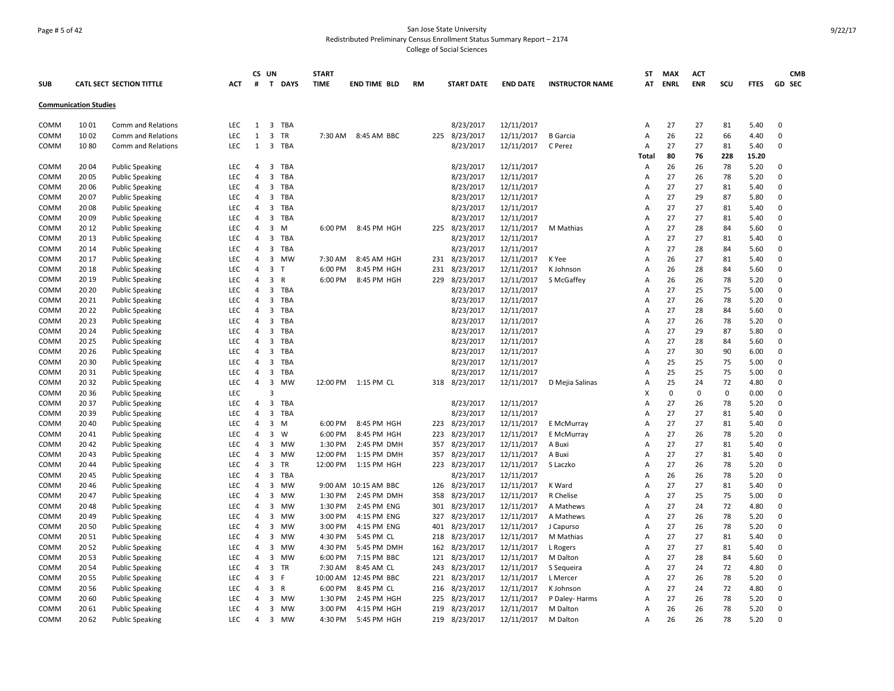# Page # 5 of 42 San Jose State University Redistributed Preliminary Census Enrollment Status Summary Report – 2174 College of Social Sciences

|             |                              |                                 |            |                         | CS UN          |              | <b>START</b> |                      |           |     |                   |                 |                        | <b>ST</b>      | <b>MAX</b>  | <b>ACT</b> |             |             | <b>CMB</b>  |
|-------------|------------------------------|---------------------------------|------------|-------------------------|----------------|--------------|--------------|----------------------|-----------|-----|-------------------|-----------------|------------------------|----------------|-------------|------------|-------------|-------------|-------------|
| <b>SUB</b>  |                              | <b>CATL SECT SECTION TITTLE</b> | <b>ACT</b> | #                       | T              | <b>DAYS</b>  | <b>TIME</b>  | <b>END TIME BLD</b>  | <b>RM</b> |     | <b>START DATE</b> | <b>END DATE</b> | <b>INSTRUCTOR NAME</b> | AT             | <b>ENRL</b> | <b>ENR</b> | scu         | <b>FTES</b> | GD SEC      |
|             | <b>Communication Studies</b> |                                 |            |                         |                |              |              |                      |           |     |                   |                 |                        |                |             |            |             |             |             |
| COMM        | 1001                         | Comm and Relations              | <b>LEC</b> | 1                       | 3              | TBA          |              |                      |           |     | 8/23/2017         | 12/11/2017      |                        | $\overline{A}$ | 27          | 27         | 81          | 5.40        | 0           |
| COMM        | 1002                         | Comm and Relations              | <b>LEC</b> | $\mathbf{1}$            | 3              | TR           | 7:30 AM      | 8:45 AM BBC          |           | 225 | 8/23/2017         | 12/11/2017      | <b>B</b> Garcia        | Α              | 26          | 22         | 66          | 4.40        | $\mathbf 0$ |
| COMM        | 1080                         | Comm and Relations              | <b>LEC</b> | 1                       |                | 3 TBA        |              |                      |           |     | 8/23/2017         | 12/11/2017      | C Perez                | $\overline{A}$ | 27          | 27         | 81          | 5.40        | 0           |
|             |                              |                                 |            |                         |                |              |              |                      |           |     |                   |                 |                        | Total          | 80          | 76         | 228         | 15.20       |             |
| COMM        | 2004                         | <b>Public Speaking</b>          | <b>LEC</b> | 4                       | 3              | <b>TBA</b>   |              |                      |           |     | 8/23/2017         | 12/11/2017      |                        | $\overline{A}$ | 26          | 26         | 78          | 5.20        | 0           |
| COMM        | 2005                         | <b>Public Speaking</b>          | <b>LEC</b> | $\overline{4}$          | 3              | <b>TBA</b>   |              |                      |           |     | 8/23/2017         | 12/11/2017      |                        | A              | 27          | 26         | 78          | 5.20        | 0           |
| COMM        | 20 06                        | <b>Public Speaking</b>          | LEC        | 4                       | 3              | TBA          |              |                      |           |     | 8/23/2017         | 12/11/2017      |                        | A              | 27          | 27         | 81          | 5.40        | 0           |
| <b>COMM</b> | 20 07                        | <b>Public Speaking</b>          | <b>LEC</b> | $\overline{4}$          | 3              | <b>TBA</b>   |              |                      |           |     | 8/23/2017         | 12/11/2017      |                        | A              | 27          | 29         | 87          | 5.80        | 0           |
| COMM        | 2008                         | <b>Public Speaking</b>          | <b>LEC</b> | $\overline{4}$          | 3              | TBA          |              |                      |           |     | 8/23/2017         | 12/11/2017      |                        | $\overline{A}$ | 27          | 27         | 81          | 5.40        | 0           |
| COMM        | 2009                         | <b>Public Speaking</b>          | <b>LEC</b> | $\overline{4}$          | 3              | TBA          |              |                      |           |     | 8/23/2017         | 12/11/2017      |                        | A              | 27          | 27         | 81          | 5.40        | 0           |
| COMM        | 20 12                        | <b>Public Speaking</b>          | <b>LEC</b> | $\overline{4}$          | 3              | M            | 6:00 PM      | 8:45 PM HGH          |           |     | 225 8/23/2017     | 12/11/2017      | M Mathias              | A              | 27          | 28         | 84          | 5.60        | 0           |
| COMM        | 20 13                        | <b>Public Speaking</b>          | <b>LEC</b> | $\overline{4}$          | 3              | TBA          |              |                      |           |     | 8/23/2017         | 12/11/2017      |                        | A              | 27          | 27         | 81          | 5.40        | 0           |
| COMM        | 20 14                        | <b>Public Speaking</b>          | <b>LEC</b> | 4                       | 3              | TBA          |              |                      |           |     | 8/23/2017         | 12/11/2017      |                        | A              | 27          | 28         | 84          | 5.60        | 0           |
| COMM        | 20 17                        | <b>Public Speaking</b>          | <b>LEC</b> | $\overline{4}$          | 3              | <b>MW</b>    | 7:30 AM      | 8:45 AM HGH          |           |     | 231 8/23/2017     | 12/11/2017      | K Yee                  | $\overline{A}$ | 26          | 27         | 81          | 5.40        | $\mathbf 0$ |
| COMM        | 20 18                        | <b>Public Speaking</b>          | <b>LEC</b> | $\overline{4}$          | $\overline{3}$ | $\mathsf{T}$ | 6:00 PM      | 8:45 PM HGH          |           | 231 | 8/23/2017         | 12/11/2017      | K Johnson              | $\overline{A}$ | 26          | 28         | 84          | 5.60        | 0           |
| COMM        | 20 19                        | <b>Public Speaking</b>          | LEC        | $\overline{4}$          | 3              | $\mathsf{R}$ | 6:00 PM      | 8:45 PM HGH          |           | 229 | 8/23/2017         | 12/11/2017      | S McGaffey             | $\overline{A}$ | 26          | 26         | 78          | 5.20        | 0           |
| COMM        | 20 20                        | <b>Public Speaking</b>          | <b>LEC</b> | 4                       | 3              | TBA          |              |                      |           |     | 8/23/2017         | 12/11/2017      |                        | A              | 27          | 25         | 75          | 5.00        | 0           |
| COMM        | 20 21                        | <b>Public Speaking</b>          | <b>LEC</b> | $\overline{4}$          | 3              | TBA          |              |                      |           |     | 8/23/2017         | 12/11/2017      |                        | $\overline{A}$ | 27          | 26         | 78          | 5.20        | 0           |
| COMM        | 20 22                        | <b>Public Speaking</b>          | <b>LEC</b> | $\overline{4}$          | 3              | TBA          |              |                      |           |     | 8/23/2017         | 12/11/2017      |                        | A              | 27          | 28         | 84          | 5.60        | 0           |
| COMM        | 20 23                        | <b>Public Speaking</b>          | <b>LEC</b> | 4                       | 3              | TBA          |              |                      |           |     | 8/23/2017         | 12/11/2017      |                        | $\overline{A}$ | 27          | 26         | 78          | 5.20        | 0           |
| COMM        | 20 24                        | <b>Public Speaking</b>          | <b>LEC</b> | $\overline{4}$          | 3              | <b>TBA</b>   |              |                      |           |     | 8/23/2017         | 12/11/2017      |                        | $\overline{A}$ | 27          | 29         | 87          | 5.80        | 0           |
| COMM        | 20 25                        | <b>Public Speaking</b>          | LEC        | 4                       | 3              | <b>TBA</b>   |              |                      |           |     | 8/23/2017         | 12/11/2017      |                        | A              | 27          | 28         | 84          | 5.60        | 0           |
| COMM        | 20 26                        | <b>Public Speaking</b>          | LEC        | $\overline{4}$          | 3              | TBA          |              |                      |           |     | 8/23/2017         | 12/11/2017      |                        | $\overline{A}$ | 27          | 30         | 90          | 6.00        | 0           |
| COMM        | 20 30                        | <b>Public Speaking</b>          | <b>LEC</b> | $\overline{4}$          | 3              | <b>TBA</b>   |              |                      |           |     | 8/23/2017         | 12/11/2017      |                        | A              | 25          | 25         | 75          | 5.00        | 0           |
| COMM        | 20 31                        | <b>Public Speaking</b>          | LEC        | 4                       | 3              | <b>TBA</b>   |              |                      |           |     | 8/23/2017         | 12/11/2017      |                        | $\overline{A}$ | 25          | 25         | 75          | 5.00        | 0           |
| COMM        | 2032                         | <b>Public Speaking</b>          | <b>LEC</b> | $\overline{4}$          | 3              | MW           |              | 12:00 PM 1:15 PM CL  |           |     | 318 8/23/2017     | 12/11/2017      | D Mejia Salinas        | A              | 25          | 24         | 72          | 4.80        | 0           |
| COMM        | 20 36                        | <b>Public Speaking</b>          | LEC        |                         | 3              |              |              |                      |           |     |                   |                 |                        | X              | $\mathbf 0$ | 0          | $\mathbf 0$ | 0.00        | 0           |
| <b>COMM</b> | 2037                         | <b>Public Speaking</b>          | <b>LEC</b> | $\overline{4}$          | 3              | TBA          |              |                      |           |     | 8/23/2017         | 12/11/2017      |                        | A              | 27          | 26         | 78          | 5.20        | 0           |
| COMM        | 2039                         | <b>Public Speaking</b>          | <b>LEC</b> | 4                       | 3              | <b>TBA</b>   |              |                      |           |     | 8/23/2017         | 12/11/2017      |                        | A              | 27          | 27         | 81          | 5.40        | $\mathbf 0$ |
| COMM        | 20 40                        | <b>Public Speaking</b>          | <b>LEC</b> | $\overline{4}$          | 3              | M            | 6:00 PM      | 8:45 PM HGH          |           | 223 | 8/23/2017         | 12/11/2017      | E McMurray             | A              | 27          | 27         | 81          | 5.40        | 0           |
| COMM        | 2041                         | <b>Public Speaking</b>          | LEC        | $\overline{4}$          | 3              | W            | 6:00 PM      | 8:45 PM HGH          |           | 223 | 8/23/2017         | 12/11/2017      | E McMurray             | A              | 27          | 26         | 78          | 5.20        | 0           |
| COMM        | 2042                         | <b>Public Speaking</b>          | <b>LEC</b> | $\overline{4}$          | 3              | <b>MW</b>    | 1:30 PM      | 2:45 PM DMH          |           | 357 | 8/23/2017         | 12/11/2017      | A Buxi                 | A              | 27          | 27         | 81          | 5.40        | $\mathbf 0$ |
| COMM        | 2043                         | <b>Public Speaking</b>          | <b>LEC</b> | $\overline{4}$          | 3              | <b>MW</b>    | 12:00 PM     | 1:15 PM DMH          |           | 357 | 8/23/2017         | 12/11/2017      | A Buxi                 | $\overline{A}$ | 27          | 27         | 81          | 5.40        | $\Omega$    |
| COMM        | 2044                         | <b>Public Speaking</b>          | LEC        | 4                       | 3              | TR           | 12:00 PM     | 1:15 PM HGH          |           | 223 | 8/23/2017         | 12/11/2017      | S Laczko               | $\overline{A}$ | 27          | 26         | 78          | 5.20        | 0           |
| <b>COMM</b> | 2045                         | <b>Public Speaking</b>          | <b>LEC</b> | 4                       | 3              | TBA          |              |                      |           |     | 8/23/2017         | 12/11/2017      |                        | $\overline{A}$ | 26          | 26         | 78          | 5.20        | 0           |
| COMM        | 2046                         | <b>Public Speaking</b>          | <b>LEC</b> | 4                       | 3              | MW           |              | 9:00 AM 10:15 AM BBC |           |     | 126 8/23/2017     | 12/11/2017      | K Ward                 | $\overline{A}$ | 27          | 27         | 81          | 5.40        | 0           |
| <b>COMM</b> | 2047                         | <b>Public Speaking</b>          | <b>LEC</b> | 4                       | 3              | <b>MW</b>    | 1:30 PM      | 2:45 PM DMH          |           | 358 | 8/23/2017         | 12/11/2017      | R Chelise              | A              | 27          | 25         | 75          | 5.00        | 0           |
| COMM        | 2048                         | <b>Public Speaking</b>          | LEC        | 4                       | 3              | MW           | 1:30 PM      | 2:45 PM ENG          |           |     | 301 8/23/2017     | 12/11/2017      | A Mathews              | $\overline{A}$ | 27          | 24         | 72          | 4.80        | 0           |
| COMM        | 2049                         | <b>Public Speaking</b>          | <b>LEC</b> | $\overline{4}$          | 3              | <b>MW</b>    | 3:00 PM      | 4:15 PM ENG          |           | 327 | 8/23/2017         | 12/11/2017      | A Mathews              | A              | 27          | 26         | 78          | 5.20        | 0           |
| COMM        | 20 50                        | <b>Public Speaking</b>          | LEC        | 4                       | 3              | <b>MW</b>    | 3:00 PM      | 4:15 PM ENG          |           | 401 | 8/23/2017         | 12/11/2017      | J Capurso              | A              | 27          | 26         | 78          | 5.20        | $\mathbf 0$ |
| COMM        | 2051                         | <b>Public Speaking</b>          | <b>LEC</b> | $\overline{4}$          | 3              | <b>MW</b>    | 4:30 PM      | 5:45 PM CL           |           | 218 | 8/23/2017         | 12/11/2017      | M Mathias              | $\overline{A}$ | 27          | 27         | 81          | 5.40        | 0           |
| COMM        | 2052                         | <b>Public Speaking</b>          | <b>LEC</b> | $\overline{4}$          | $\overline{3}$ | <b>MW</b>    | 4:30 PM      | 5:45 PM DMH          |           |     | 162 8/23/2017     | 12/11/2017      | L Rogers               | A              | 27          | 27         | 81          | 5.40        | $\Omega$    |
| COMM        | 2053                         | <b>Public Speaking</b>          | LEC        | $\overline{4}$          | 3              | <b>MW</b>    | 6:00 PM      | 7:15 PM BBC          |           |     | 121 8/23/2017     | 12/11/2017      | M Dalton               | $\overline{A}$ | 27          | 28         | 84          | 5.60        | 0           |
| <b>COMM</b> | 2054                         | <b>Public Speaking</b>          | LEC        | 4                       | 3              | TR           | 7:30 AM      | 8:45 AM CL           |           | 243 | 8/23/2017         | 12/11/2017      | S Sequeira             | $\overline{A}$ | 27          | 24         | 72          | 4.80        | 0           |
| COMM        | 2055                         | <b>Public Speaking</b>          | <b>LEC</b> | 4                       | 3              | F            | 10:00 AM     | 12:45 PM BBC         |           | 221 | 8/23/2017         | 12/11/2017      | L Mercer               | $\overline{A}$ | 27          | 26         | 78          | 5.20        | 0           |
| COMM        | 2056                         | <b>Public Speaking</b>          | <b>LEC</b> | 4                       | 3              | $\mathsf{R}$ | 6:00 PM      | 8:45 PM CL           |           |     | 216 8/23/2017     | 12/11/2017      | K Johnson              | A              | 27          | 24         | 72          | 4.80        | 0           |
| COMM        | 20 60                        | <b>Public Speaking</b>          | <b>LEC</b> | $\overline{\mathbf{4}}$ |                | 3 MW         | 1:30 PM      | 2:45 PM HGH          |           | 225 | 8/23/2017         | 12/11/2017      | P Daley-Harms          | A              | 27          | 26         | 78          | 5.20        | 0           |
| COMM        | 20 61                        | <b>Public Speaking</b>          | <b>LEC</b> | $\overline{4}$          |                | 3 MW         | 3:00 PM      | 4:15 PM HGH          |           | 219 | 8/23/2017         | 12/11/2017      | M Dalton               | A              | 26          | 26         | 78          | 5.20        | 0           |
| COMM        | 20 62                        | <b>Public Speaking</b>          | <b>LEC</b> | 4                       | 3              | <b>MW</b>    | 4:30 PM      | 5:45 PM HGH          |           | 219 | 8/23/2017         | 12/11/2017      | M Dalton               | A              | 26          | 26         | 78          | 5.20        | $\Omega$    |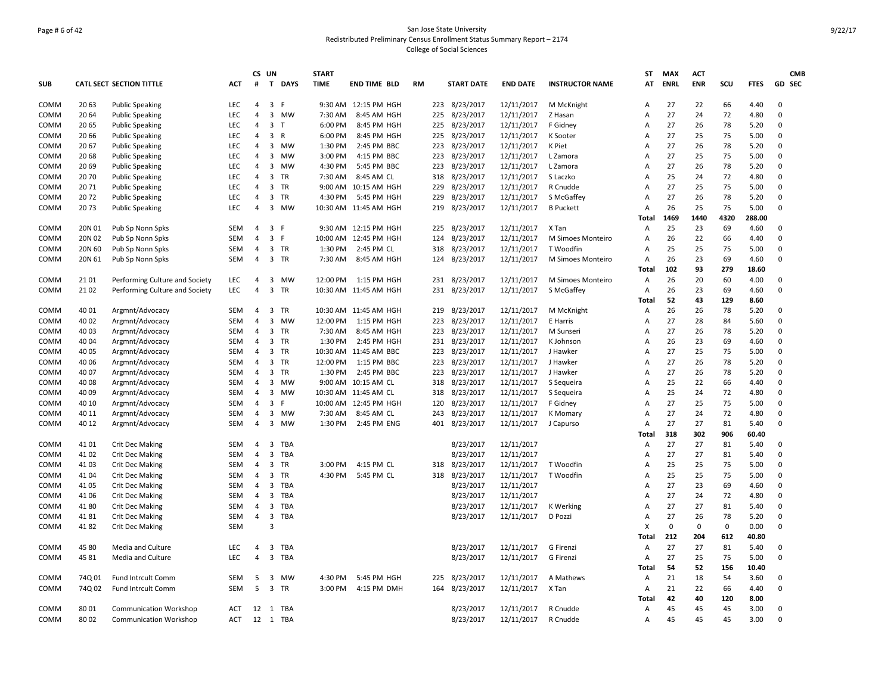# Page # 6 of 42 San Jose State University Redistributed Preliminary Census Enrollment Status Summary Report – 2174 College of Social Sciences

|                     |                |                                    |                   |                     | CS UN          |                 | <b>START</b>       |                            |           |            |                        |                          |                        | ST                      | <b>MAX</b>  | <b>ACT</b> |            |                | <b>CMB</b>  |  |
|---------------------|----------------|------------------------------------|-------------------|---------------------|----------------|-----------------|--------------------|----------------------------|-----------|------------|------------------------|--------------------------|------------------------|-------------------------|-------------|------------|------------|----------------|-------------|--|
| <b>SUB</b>          |                | <b>CATL SECT SECTION TITTLE</b>    | <b>ACT</b>        | #                   | T              | <b>DAYS</b>     | <b>TIME</b>        | <b>END TIME BLD</b>        | <b>RM</b> |            | <b>START DATE</b>      | <b>END DATE</b>          | <b>INSTRUCTOR NAME</b> | AT                      | <b>ENRL</b> | <b>ENR</b> | SCU        | <b>FTES</b>    | GD SEC      |  |
| COMM                | 20 63          | <b>Public Speaking</b>             | <b>LEC</b>        | 4                   | 3              | -F              |                    | 9:30 AM 12:15 PM HGH       |           |            | 223 8/23/2017          | 12/11/2017               | M McKnight             | A                       | 27          | 22         | 66         | 4.40           | $\mathbf 0$ |  |
| <b>COMM</b>         | 20 64          | <b>Public Speaking</b>             | <b>LEC</b>        | $\overline{4}$      | 3              | <b>MW</b>       | 7:30 AM            | 8:45 AM HGH                |           | 225        | 8/23/2017              | 12/11/2017               | Z Hasan                | $\overline{A}$          | 27          | 24         | 72         | 4.80           | $\Omega$    |  |
| COMM                | 20 65          | <b>Public Speaking</b>             | <b>LEC</b>        | 4                   | 3              | $\mathsf{T}$    | 6:00 PM            | 8:45 PM HGH                |           | 225        | 8/23/2017              | 12/11/2017               | F Gidney               | A                       | 27          | 26         | 78         | 5.20           | $\Omega$    |  |
| COMM                | 20 66          | <b>Public Speaking</b>             | <b>LEC</b>        | $\overline{4}$      | 3              | $\mathsf{R}$    | 6:00 PM            | 8:45 PM HGH                |           | 225        | 8/23/2017              | 12/11/2017               | K Sooter               | $\overline{A}$          | 27          | 25         | 75         | 5.00           | $\Omega$    |  |
| COMM                | 20 67          | <b>Public Speaking</b>             | LEC               | 4                   | 3              | MW              | 1:30 PM            | 2:45 PM BBC                |           | 223        | 8/23/2017              | 12/11/2017               | K Piet                 | A                       | 27          | 26         | 78         | 5.20           | $\mathbf 0$ |  |
| COMM                | 20 68          | <b>Public Speaking</b>             | <b>LEC</b>        | 4                   | 3              | <b>MW</b>       | 3:00 PM            | 4:15 PM BBC                |           | 223        | 8/23/2017              | 12/11/2017               | L Zamora               | A                       | 27          | 25         | 75         | 5.00           | $\mathbf 0$ |  |
| COMM                | 20 69          | <b>Public Speaking</b>             | <b>LEC</b>        | 4                   | 3              | <b>MW</b>       | 4:30 PM            | 5:45 PM BBC                |           | 223        | 8/23/2017              | 12/11/2017               | L Zamora               | A                       | 27          | 26         | 78         | 5.20           | $\Omega$    |  |
| COMM                | 2070           | <b>Public Speaking</b>             | <b>LEC</b>        | $\overline{4}$      | 3              | TR              | 7:30 AM            | 8:45 AM CL                 |           | 318        | 8/23/2017              | 12/11/2017               | S Laczko               | $\overline{A}$          | 25          | 24         | 72         | 4.80           | 0           |  |
| COMM                | 2071           | <b>Public Speaking</b>             | <b>LEC</b>        | $\overline{4}$      | 3              | <b>TR</b>       |                    | 9:00 AM 10:15 AM HGH       |           | 229        | 8/23/2017              | 12/11/2017               | R Cnudde               | $\overline{A}$          | 27          | 25         | 75         | 5.00           | $\Omega$    |  |
| COMM                | 2072           | <b>Public Speaking</b>             | LEC               | 4                   | 3              | TR              | 4:30 PM            | 5:45 PM HGH                |           | 229        | 8/23/2017              | 12/11/2017               | S McGaffey             | A                       | 27          | 26         | 78         | 5.20           | $\mathbf 0$ |  |
| COMM                | 2073           | <b>Public Speaking</b>             | <b>LEC</b>        | 4                   | 3              | <b>MW</b>       |                    | 10:30 AM 11:45 AM HGH      |           | 219        | 8/23/2017              | 12/11/2017               | <b>B</b> Puckett       | Α                       | 26          | 25         | 75         | 5.00           | $\Omega$    |  |
| COMM                | 20N 01         | Pub Sp Nonn Spks                   | <b>SEM</b>        | $\overline{4}$      | 3              | -F              |                    | 9:30 AM 12:15 PM HGH       |           | 225        | 8/23/2017              | 12/11/2017               | X Tan                  | Total<br>$\overline{A}$ | 1469<br>25  | 1440<br>23 | 4320<br>69 | 288.00<br>4.60 | $\Omega$    |  |
| COMM                | 20N 02         | Pub Sp Nonn Spks                   | <b>SEM</b>        | $\overline{4}$      | 3              | -F              |                    | 10:00 AM 12:45 PM HGH      |           | 124        | 8/23/2017              | 12/11/2017               | M Simoes Monteiro      | A                       | 26          | 22         | 66         | 4.40           | $\mathbf 0$ |  |
| COMM                | 20N 60         | Pub Sp Nonn Spks                   | SEM               | 4                   | 3              | TR              | 1:30 PM            | 2:45 PM CL                 |           | 318        | 8/23/2017              | 12/11/2017               | T Woodfin              | A                       | 25          | 25         | 75         | 5.00           | $\Omega$    |  |
|                     | 20N 61         |                                    | SEM               |                     | 3 TR           |                 |                    |                            |           |            |                        |                          |                        |                         | 26          | 23         | 69         | 4.60           | $\mathbf 0$ |  |
| COMM                |                | Pub Sp Nonn Spks                   |                   | 4                   |                |                 | 7:30 AM            | 8:45 AM HGH                |           | 124        | 8/23/2017              | 12/11/2017               | M Simoes Monteiro      | Α<br>Total              | 102         | 93         | 279        |                |             |  |
| COMM                | 2101           | Performing Culture and Society     | LEC               | $\overline{4}$      | 3              | MW              | 12:00 PM           | 1:15 PM HGH                |           | 231        | 8/23/2017              | 12/11/2017               | M Simoes Monteiro      | A                       | 26          | 20         | 60         | 18.60<br>4.00  | $\mathbf 0$ |  |
|                     | 2102           |                                    | <b>LEC</b>        | $\overline{4}$      | 3              | <b>TR</b>       |                    |                            |           | 231        |                        |                          |                        |                         | 26          | 23         |            |                | $\Omega$    |  |
| COMM                |                | Performing Culture and Society     |                   |                     |                |                 |                    | 10:30 AM 11:45 AM HGH      |           |            | 8/23/2017              | 12/11/2017               | S McGaffey             | Α                       | 52          | 43         | 69<br>129  | 4.60<br>8.60   |             |  |
|                     | 40 01          | Argmnt/Advocacy                    | SEM               | $\overline{4}$      | 3              | TR              |                    | 10:30 AM 11:45 AM HGH      |           |            | 8/23/2017              | 12/11/2017               |                        | Total                   | 26          | 26         | 78         |                | $\Omega$    |  |
| COMM                |                |                                    |                   |                     |                |                 |                    |                            |           | 219        | 8/23/2017              |                          | M McKnight             | A                       | 27          |            |            | 5.20           | $\Omega$    |  |
| COMM                | 40 02          | Argmnt/Advocacy                    | SEM<br><b>SEM</b> | 4<br>$\overline{4}$ | 3              | MW<br><b>TR</b> | 12:00 PM           | 1:15 PM HGH                |           | 223        |                        | 12/11/2017               | E Harris               | Α                       | 27          | 28         | 84         | 5.60           | $\Omega$    |  |
| COMM                | 40 03          | Argmnt/Advocacy<br>Argmnt/Advocacy | <b>SEM</b>        | 4                   | 3<br>3 TR      |                 | 7:30 AM<br>1:30 PM | 8:45 AM HGH                |           | 223<br>231 | 8/23/2017<br>8/23/2017 | 12/11/2017               | M Sunseri              | A<br>$\overline{A}$     | 26          | 26<br>23   | 78<br>69   | 5.20<br>4.60   | $\Omega$    |  |
| COMM                | 40 04<br>40 05 |                                    | SEM               | $\overline{4}$      | 3              | <b>TR</b>       |                    | 2:45 PM HGH                |           | 223        |                        | 12/11/2017               | K Johnson<br>J Hawker  |                         | 27          |            | 75         |                | $\Omega$    |  |
| COMM                |                | Argmnt/Advocacy                    | SEM               | 4                   | 3              | <b>TR</b>       | 12:00 PM           | 10:30 AM 11:45 AM BBC      |           |            | 8/23/2017<br>8/23/2017 | 12/11/2017<br>12/11/2017 |                        | A                       | 27          | 25<br>26   | 78         | 5.00           | $\Omega$    |  |
| COMM                | 40 06<br>40 07 | Argmnt/Advocacy<br>Argmnt/Advocacy | SEM               | 4                   | 3              | TR              | 1:30 PM            | 1:15 PM BBC<br>2:45 PM BBC |           | 223<br>223 | 8/23/2017              | 12/11/2017               | J Hawker<br>J Hawker   | Α<br>A                  | 27          | 26         | 78         | 5.20<br>5.20   | $\mathbf 0$ |  |
| COMM<br><b>COMM</b> | 40 08          | Argmnt/Advocacy                    | <b>SEM</b>        | $\overline{4}$      | 3              | <b>MW</b>       |                    | 9:00 AM 10:15 AM CL        |           | 318        | 8/23/2017              |                          |                        | $\overline{A}$          | 25          | 22         | 66         | 4.40           | $\Omega$    |  |
| COMM                | 40 09          |                                    | SEM               | $\overline{4}$      |                | 3 MW            |                    | 10:30 AM 11:45 AM CL       |           | 318        | 8/23/2017              | 12/11/2017               | S Sequeira             | A                       | 25          | 24         | 72         | 4.80           | $\Omega$    |  |
| COMM                | 40 10          | Argmnt/Advocacy<br>Argmnt/Advocacy | <b>SEM</b>        | $\overline{4}$      | 3              | E               |                    | 10:00 AM 12:45 PM HGH      |           | 120        | 8/23/2017              | 12/11/2017<br>12/11/2017 | S Sequeira<br>F Gidney | $\overline{A}$          | 27          | 25         | 75         | 5.00           | $\Omega$    |  |
| COMM                | 40 11          | Argmnt/Advocacy                    | SEM               | $\overline{4}$      | 3              | MW              | 7:30 AM            | 8:45 AM CL                 |           | 243        | 8/23/2017              | 12/11/2017               |                        | $\overline{A}$          | 27          | 24         | 72         | 4.80           | $\mathbf 0$ |  |
| COMM                | 40 12          | Argmnt/Advocacy                    | <b>SEM</b>        | $\overline{4}$      | 3              | <b>MW</b>       | 1:30 PM            | 2:45 PM ENG                |           | 401        | 8/23/2017              | 12/11/2017               | K Momary               | $\overline{A}$          | 27          | 27         | 81         | 5.40           | $\Omega$    |  |
|                     |                |                                    |                   |                     |                |                 |                    |                            |           |            |                        |                          | J Capurso              | Total                   | 318         | 302        | 906        | 60.40          |             |  |
| COMM                | 4101           | <b>Crit Dec Making</b>             | <b>SEM</b>        | $\overline{4}$      | 3              | TBA             |                    |                            |           |            | 8/23/2017              | 12/11/2017               |                        | $\overline{A}$          | 27          | 27         | 81         | 5.40           | $\Omega$    |  |
| COMM                | 41 02          | <b>Crit Dec Making</b>             | SEM               | 4                   | 3              | <b>TBA</b>      |                    |                            |           |            | 8/23/2017              | 12/11/2017               |                        | Α                       | 27          | 27         | 81         | 5.40           | $\Omega$    |  |
| COMM                | 4103           | <b>Crit Dec Making</b>             | SEM               | $\overline{4}$      | 3              | TR              | 3:00 PM            | 4:15 PM CL                 |           | 318        | 8/23/2017              | 12/11/2017               | T Woodfin              | A                       | 25          | 25         | 75         | 5.00           | $\mathbf 0$ |  |
| COMM                | 4104           | <b>Crit Dec Making</b>             | SEM               | 4                   | 3              | TR              | 4:30 PM            | 5:45 PM CL                 |           | 318        | 8/23/2017              | 12/11/2017               | T Woodfin              | $\overline{A}$          | 25          | 25         | 75         | 5.00           | $\Omega$    |  |
| COMM                | 41 05          | <b>Crit Dec Making</b>             | SEM               | 4                   | 3              | <b>TBA</b>      |                    |                            |           |            | 8/23/2017              | 12/11/2017               |                        | $\overline{A}$          | 27          | 23         | 69         | 4.60           | $\Omega$    |  |
| COMM                | 41 06          | <b>Crit Dec Making</b>             | SEM               | $\overline{4}$      | 3              | <b>TBA</b>      |                    |                            |           |            | 8/23/2017              | 12/11/2017               |                        | A                       | 27          | 24         | 72         | 4.80           | $\Omega$    |  |
| COMM                | 4180           | <b>Crit Dec Making</b>             | <b>SEM</b>        | $\overline{4}$      | 3              | TBA             |                    |                            |           |            | 8/23/2017              | 12/11/2017               | K Werking              | $\overline{A}$          | 27          | 27         | 81         | 5.40           | $\Omega$    |  |
| COMM                | 4181           | <b>Crit Dec Making</b>             | SEM               | 4                   | $\overline{3}$ | TBA             |                    |                            |           |            | 8/23/2017              | 12/11/2017               | D Pozzi                | A                       | 27          | 26         | 78         | 5.20           | $\mathbf 0$ |  |
| COMM                | 4182           | <b>Crit Dec Making</b>             | SEM               |                     | 3              |                 |                    |                            |           |            |                        |                          |                        | X                       | 0           | 0          | 0          | 0.00           | $\Omega$    |  |
|                     |                |                                    |                   |                     |                |                 |                    |                            |           |            |                        |                          |                        | Total                   | 212         | 204        | 612        | 40.80          |             |  |
| COMM                | 45 80          | Media and Culture                  | LEC               | 4                   | 3              | <b>TBA</b>      |                    |                            |           |            | 8/23/2017              | 12/11/2017               | G Firenzi              | A                       | 27          | 27         | 81         | 5.40           | $\mathbf 0$ |  |
| COMM                | 4581           | Media and Culture                  | LEC               | $\overline{4}$      | 3              | TBA             |                    |                            |           |            | 8/23/2017              | 12/11/2017               | G Firenzi              | $\overline{A}$          | 27          | 25         | 75         | 5.00           | $\Omega$    |  |
|                     |                |                                    |                   |                     |                |                 |                    |                            |           |            |                        |                          |                        | Total                   | 54          | 52         | 156        | 10.40          |             |  |
| COMM                | 74Q 01         | Fund Intrcult Comm                 | <b>SEM</b>        | 5                   | 3              | MW              | 4:30 PM            | 5:45 PM HGH                |           | 225        | 8/23/2017              | 12/11/2017               | A Mathews              | A                       | 21          | 18         | 54         | 3.60           | $\Omega$    |  |
| COMM                | 74Q 02         | Fund Intrcult Comm                 | SEM               | 5                   | 3              | TR              | 3:00 PM            | 4:15 PM DMH                |           | 164        | 8/23/2017              | 12/11/2017               | X Tan                  | A                       | 21          | 22         | 66         | 4.40           | $\mathbf 0$ |  |
|                     |                |                                    |                   |                     |                |                 |                    |                            |           |            |                        |                          |                        | Total                   | 42          | 40         | 120        | 8.00           |             |  |
| COMM                | 8001           | <b>Communication Workshop</b>      | <b>ACT</b>        |                     | 12 1 TBA       |                 |                    |                            |           |            | 8/23/2017              | 12/11/2017               | R Cnudde               | A                       | 45          | 45         | 45         | 3.00           | $\Omega$    |  |
| COMM                | 8002           | <b>Communication Workshop</b>      | ACT               |                     | 12 1 TBA       |                 |                    |                            |           |            | 8/23/2017              | 12/11/2017               | R Cnudde               | Α                       | 45          | 45         | 45         | 3.00           | $\Omega$    |  |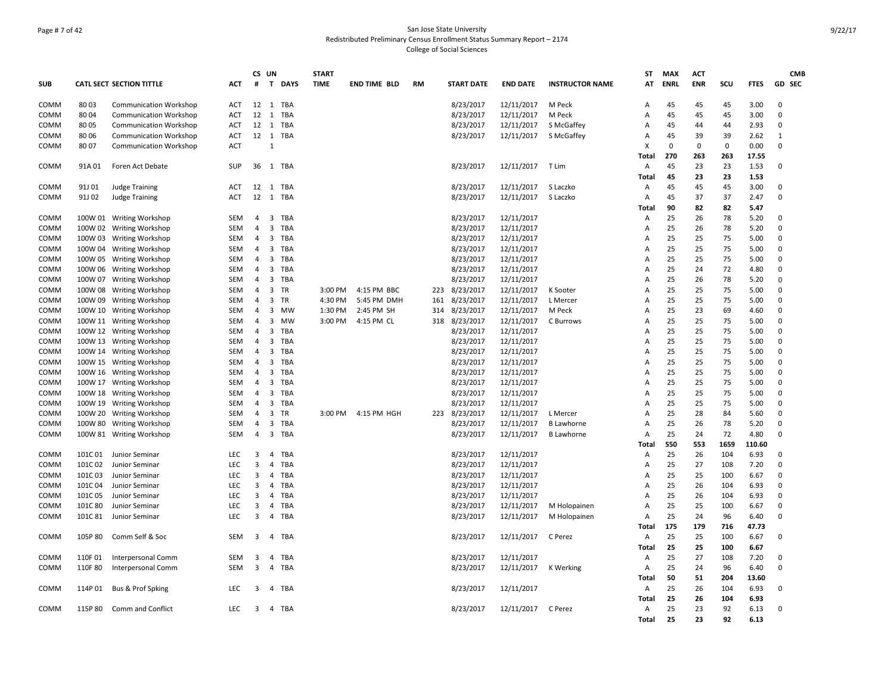# Page # 7 of 42 San Jose State University Redistributed Preliminary Census Enrollment Status Summary Report – 2174 College of Social Sciences

|             |         |                                 |            |                | CS UN                   |            | <b>START</b> |                     |    |     |                   |                    |                        | ST             | <b>MAX</b>  | <b>ACT</b> |      |             |             | <b>CMB</b> |
|-------------|---------|---------------------------------|------------|----------------|-------------------------|------------|--------------|---------------------|----|-----|-------------------|--------------------|------------------------|----------------|-------------|------------|------|-------------|-------------|------------|
| <b>SUB</b>  |         | <b>CATL SECT SECTION TITTLE</b> | <b>ACT</b> | #              |                         | T DAYS     | <b>TIME</b>  | <b>END TIME BLD</b> | RM |     | <b>START DATE</b> | <b>END DATE</b>    | <b>INSTRUCTOR NAME</b> | AT             | <b>ENRL</b> | <b>ENR</b> | SCU  | <b>FTES</b> | GD SEC      |            |
| COMM        | 8003    | <b>Communication Workshop</b>   | ACT        | 12             | 1                       | TBA        |              |                     |    |     | 8/23/2017         | 12/11/2017         | M Peck                 | A              | 45          | 45         | 45   | 3.00        | $\Omega$    |            |
| COMM        | 8004    | <b>Communication Workshop</b>   | <b>ACT</b> | 12             | $\overline{1}$          | <b>TBA</b> |              |                     |    |     | 8/23/2017         | 12/11/2017         | M Peck                 | $\overline{A}$ | 45          | 45         | 45   | 3.00        | $\Omega$    |            |
| COMM        | 80 05   | <b>Communication Workshop</b>   | ACT        | 12 1           |                         | TBA        |              |                     |    |     | 8/23/2017         | 12/11/2017         | S McGaffey             | Α              | 45          | 44         | 44   | 2.93        | $\mathbf 0$ |            |
| COMM        | 8006    | <b>Communication Workshop</b>   | ACT        |                |                         | 12 1 TBA   |              |                     |    |     | 8/23/2017         | 12/11/2017         | S McGaffey             | Α              | 45          | 39         | 39   | 2.62        | 1           |            |
| <b>COMM</b> | 8007    | <b>Communication Workshop</b>   | ACT        |                | $\mathbf{1}$            |            |              |                     |    |     |                   |                    |                        | X              | 0           | 0          | 0    | 0.00        | $\Omega$    |            |
|             |         |                                 |            |                |                         |            |              |                     |    |     |                   |                    |                        | Total          | 270         | 263        | 263  | 17.55       |             |            |
| COMM        | 91A 01  | Foren Act Debate                | <b>SUP</b> |                |                         | 36 1 TBA   |              |                     |    |     | 8/23/2017         | 12/11/2017         | T Lim                  | Α              | 45          | 23         | 23   | 1.53        | $\Omega$    |            |
|             |         |                                 |            |                |                         |            |              |                     |    |     |                   |                    |                        | Total          | 45          | 23         | 23   | 1.53        |             |            |
| COMM        | 91J 01  | Judge Training                  | ACT        | $12 \quad 1$   |                         | TBA        |              |                     |    |     | 8/23/2017         | 12/11/2017         | S Laczko               | $\overline{A}$ | 45          | 45         | 45   | 3.00        | $\Omega$    |            |
| <b>COMM</b> | 91J 02  | Judge Training                  | ACT        |                |                         | 12 1 TBA   |              |                     |    |     | 8/23/2017         | 12/11/2017         | S Laczko               | A              | 45          | 37         | 37   | 2.47        | $\Omega$    |            |
|             |         |                                 |            |                |                         |            |              |                     |    |     |                   |                    |                        | Total          | 90          | 82         | 82   | 5.47        |             |            |
| COMM        |         | 100W 01 Writing Workshop        | <b>SEM</b> | 4              | 3                       | TBA        |              |                     |    |     | 8/23/2017         | 12/11/2017         |                        | Α              | 25          | 26         | 78   | 5.20        | $\Omega$    |            |
| COMM        |         | 100W 02 Writing Workshop        | <b>SEM</b> | $\overline{4}$ | 3                       | <b>TBA</b> |              |                     |    |     | 8/23/2017         | 12/11/2017         |                        | A              | 25          | 26         | 78   | 5.20        | $\Omega$    |            |
| COMM        |         | 100W 03 Writing Workshop        | <b>SEM</b> | $\overline{4}$ | 3                       | <b>TBA</b> |              |                     |    |     | 8/23/2017         | 12/11/2017         |                        | $\overline{A}$ | 25          | 25         | 75   | 5.00        | $\Omega$    |            |
| COMM        |         | 100W 04 Writing Workshop        | SEM        | 4              | $\overline{3}$          | TBA        |              |                     |    |     | 8/23/2017         | 12/11/2017         |                        | A              | 25          | 25         | 75   | 5.00        | $\Omega$    |            |
| COMM        |         | 100W 05 Writing Workshop        | SEM        | 4              | 3                       | <b>TBA</b> |              |                     |    |     | 8/23/2017         | 12/11/2017         |                        | A              | 25          | 25         | 75   | 5.00        | $\Omega$    |            |
| COMM        |         | 100W 06 Writing Workshop        | SEM        | 4              | 3                       | <b>TBA</b> |              |                     |    |     | 8/23/2017         | 12/11/2017         |                        | Α              | 25          | 24         | 72   | 4.80        | $\Omega$    |            |
| <b>COMM</b> |         | 100W 07 Writing Workshop        | SEM        | 4              | $\overline{\mathbf{3}}$ | <b>TBA</b> |              |                     |    |     | 8/23/2017         | 12/11/2017         |                        | $\overline{A}$ | 25          | 26         | 78   | 5.20        | $\Omega$    |            |
| COMM        |         | 100W 08 Writing Workshop        | <b>SEM</b> | 4              | 3                       | TR         | 3:00 PM      | 4:15 PM BBC         |    | 223 | 8/23/2017         | 12/11/2017         | K Sooter               | Α              | 25          | 25         | 75   | 5.00        | $\Omega$    |            |
| COMM        |         | 100W 09 Writing Workshop        | SEM        | 4              | 3                       | TR         | 4:30 PM      | 5:45 PM DMH         |    |     | 161 8/23/2017     | 12/11/2017         | L Mercer               | A              | 25          | 25         | 75   | 5.00        | $\mathbf 0$ |            |
| COMM        |         | 100W 10 Writing Workshop        | <b>SEM</b> | 4              | 3                       | MW         | 1:30 PM      | 2:45 PM SH          |    | 314 | 8/23/2017         | 12/11/2017         | M Peck                 | Α              | 25          | 23         | 69   | 4.60        | $\Omega$    |            |
| <b>COMM</b> |         | 100W 11 Writing Workshop        | SEM        | 4              | 3                       | <b>MW</b>  | 3:00 PM      | 4:15 PM CL          |    |     | 318 8/23/2017     | 12/11/2017         | C Burrows              | A              | 25          | 25         | 75   | 5.00        | $\Omega$    |            |
| <b>COMM</b> |         | 100W 12 Writing Workshop        | <b>SEM</b> | $\overline{4}$ | 3                       | TBA        |              |                     |    |     | 8/23/2017         | 12/11/2017         |                        | $\overline{A}$ | 25          | 25         | 75   | 5.00        | $\Omega$    |            |
| COMM        |         | 100W 13 Writing Workshop        | <b>SEM</b> | 4              | 3                       | TBA        |              |                     |    |     | 8/23/2017         | 12/11/2017         |                        | A              | 25          | 25         | 75   | 5.00        | $\mathbf 0$ |            |
| COMM        |         | 100W 14 Writing Workshop        | <b>SEM</b> | $\overline{4}$ | 3                       | TBA        |              |                     |    |     | 8/23/2017         | 12/11/2017         |                        | $\overline{A}$ | 25          | 25         | 75   | 5.00        | $\Omega$    |            |
| COMM        |         | 100W 15 Writing Workshop        | <b>SEM</b> | 4              | 3                       | TBA        |              |                     |    |     | 8/23/2017         | 12/11/2017         |                        | $\overline{A}$ | 25          | 25         | 75   | 5.00        | $\Omega$    |            |
| COMM        |         | 100W 16 Writing Workshop        | <b>SEM</b> | 4              | 3                       | TBA        |              |                     |    |     | 8/23/2017         | 12/11/2017         |                        | A              | 25          | 25         | 75   | 5.00        | $\Omega$    |            |
| COMM        |         | 100W 17 Writing Workshop        | SEM        | 4              | 3                       | TBA        |              |                     |    |     | 8/23/2017         | 12/11/2017         |                        | A              | 25          | 25         | 75   | 5.00        | $\Omega$    |            |
| COMM        |         | 100W 18 Writing Workshop        | SEM        | 4              | 3                       | TBA        |              |                     |    |     | 8/23/2017         | 12/11/2017         |                        | A              | 25          | 25         | 75   | 5.00        | $\Omega$    |            |
| <b>COMM</b> |         | 100W 19 Writing Workshop        | SEM        | 4              | 3                       | TBA        |              |                     |    |     | 8/23/2017         | 12/11/2017         |                        | Α              | 25          | 25         | 75   | 5.00        | $\mathbf 0$ |            |
| COMM        |         | 100W 20 Writing Workshop        | SEM        | 4              | $\overline{3}$          | TR         | 3:00 PM      | 4:15 PM HGH         |    |     | 223 8/23/2017     | 12/11/2017         | L Mercer               | A              | 25          | 28         | 84   | 5.60        | $\Omega$    |            |
| <b>COMM</b> |         | 100W 80 Writing Workshop        | <b>SEM</b> | 4              | 3                       | TBA        |              |                     |    |     | 8/23/2017         | 12/11/2017         | <b>B</b> Lawhorne      | A              | 25          | 26         | 78   | 5.20        | $\Omega$    |            |
| COMM        |         | 100W 81 Writing Workshop        | SEM        | 4              |                         | 3 TBA      |              |                     |    |     | 8/23/2017         | 12/11/2017         | <b>B</b> Lawhorne      | A              | 25          | 24         | 72   | 4.80        | $\mathbf 0$ |            |
|             |         |                                 |            |                |                         |            |              |                     |    |     |                   |                    |                        | Total          | 550         | 553        | 1659 | 110.60      |             |            |
| COMM        | 101C 01 | Junior Seminar                  | <b>LEC</b> | 3              | 4                       | <b>TBA</b> |              |                     |    |     | 8/23/2017         | 12/11/2017         |                        | Α              | 25          | 26         | 104  | 6.93        | $\Omega$    |            |
| COMM        | 101C 02 | Junior Seminar                  | <b>LEC</b> | 3              | $\overline{4}$          | <b>TBA</b> |              |                     |    |     | 8/23/2017         | 12/11/2017         |                        | Α              | 25          | 27         | 108  | 7.20        | $\Omega$    |            |
| COMM        | 101C03  | Junior Seminar                  | LEC        | 3              | 4                       | <b>TBA</b> |              |                     |    |     | 8/23/2017         | 12/11/2017         |                        | Α              | 25          | 25         | 100  | 6.67        | $\Omega$    |            |
| COMM        | 101C04  | Junior Seminar                  | LEC        | 3              | $\overline{4}$          | <b>TBA</b> |              |                     |    |     | 8/23/2017         | 12/11/2017         |                        | A              | 25          | 26         | 104  | 6.93        | $\Omega$    |            |
| <b>COMM</b> | 101C05  | Junior Seminar                  | <b>LEC</b> | 3              | $\overline{4}$          | TBA        |              |                     |    |     | 8/23/2017         | 12/11/2017         |                        | $\overline{A}$ | 25          | 26         | 104  | 6.93        | $\Omega$    |            |
| COMM        | 101C 80 | Junior Seminar                  | <b>LEC</b> | 3              | $\overline{4}$          | <b>TBA</b> |              |                     |    |     | 8/23/2017         | 12/11/2017         | M Holopainen           | A              | 25          | 25         | 100  | 6.67        | $\Omega$    |            |
| COMM        | 101C 81 | Junior Seminar                  | <b>LEC</b> | 3              |                         | 4 TBA      |              |                     |    |     | 8/23/2017         | 12/11/2017         | M Holopainen           | A              | 25          | 24         | 96   | 6.40        | $\Omega$    |            |
|             |         |                                 |            |                |                         |            |              |                     |    |     |                   |                    |                        | Total          | 175         | 179        | 716  | 47.73       |             |            |
| COMM        | 105P 80 | Comm Self & Soc                 | <b>SEM</b> | 3              |                         | 4 TBA      |              |                     |    |     | 8/23/2017         | 12/11/2017         | C Perez                | A              | 25          | 25         | 100  | 6.67        | $\mathbf 0$ |            |
|             |         |                                 |            |                |                         |            |              |                     |    |     |                   |                    |                        | Total          | 25          | 25         | 100  | 6.67        |             |            |
| COMM        | 110F 01 | Interpersonal Comm              | <b>SEM</b> | 3              | 4                       | <b>TBA</b> |              |                     |    |     | 8/23/2017         | 12/11/2017         |                        | Α              | 25          | 27         | 108  | 7.20        | $\mathbf 0$ |            |
| COMM        | 110F 80 | Interpersonal Comm              | <b>SEM</b> | 3              |                         | 4 TBA      |              |                     |    |     | 8/23/2017         | 12/11/2017         | K Werking              | A              | 25          | 24         | 96   | 6.40        | $\Omega$    |            |
|             |         |                                 |            |                |                         |            |              |                     |    |     |                   |                    |                        | Total          | 50          | 51         | 204  | 13.60       |             |            |
| COMM        | 114P 01 | Bus & Prof Spking               | <b>LEC</b> | 3              |                         | 4 TBA      |              |                     |    |     | 8/23/2017         | 12/11/2017         |                        | Α              | 25          | 26         | 104  | 6.93        | $\Omega$    |            |
|             |         |                                 |            |                |                         |            |              |                     |    |     |                   |                    |                        | Total          | 25          | 26         | 104  | 6.93        |             |            |
| COMM        |         | 115P 80 Comm and Conflict       | <b>LEC</b> | 3              |                         | 4 TBA      |              |                     |    |     | 8/23/2017         | 12/11/2017 C Perez |                        | $\overline{A}$ | 25          | 23         | 92   | 6.13        | $\Omega$    |            |
|             |         |                                 |            |                |                         |            |              |                     |    |     |                   |                    |                        | Total          | 25          | 23         | 92   | 6.13        |             |            |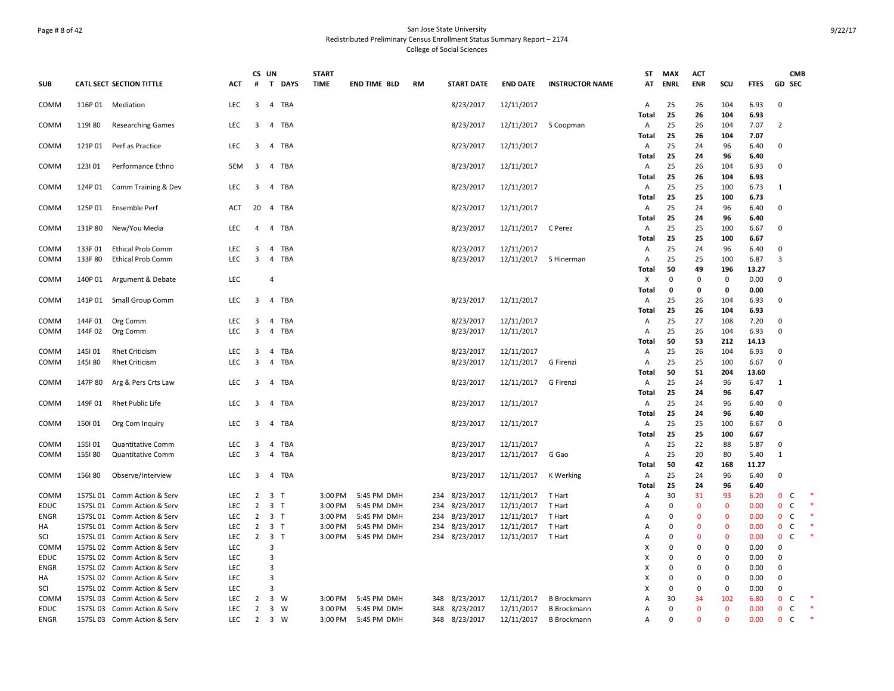# Page # 8 of 42 San Jose State University Redistributed Preliminary Census Enrollment Status Summary Report – 2174 College of Social Sciences

|             |         |                                                            |                          |                                  | CS UN                            | <b>START</b>       |                            |           |                                |                          |                        | ST                        | MAX                     | ACT                     |                            |              |                             | <b>CMB</b>                  |
|-------------|---------|------------------------------------------------------------|--------------------------|----------------------------------|----------------------------------|--------------------|----------------------------|-----------|--------------------------------|--------------------------|------------------------|---------------------------|-------------------------|-------------------------|----------------------------|--------------|-----------------------------|-----------------------------|
| <b>SUB</b>  |         | <b>CATL SECT SECTION TITTLE</b>                            | ACT                      | #                                | T DAYS                           | <b>TIME</b>        | <b>END TIME BLD</b>        | <b>RM</b> | <b>START DATE</b>              | <b>END DATE</b>          | <b>INSTRUCTOR NAME</b> | AT                        | <b>ENRL</b>             | <b>ENR</b>              | SCU                        | <b>FTES</b>  | <b>GD SEC</b>               |                             |
|             |         |                                                            |                          |                                  |                                  |                    |                            |           |                                |                          |                        |                           |                         |                         |                            |              |                             |                             |
| COMM        |         | 116P 01 Mediation                                          | <b>LEC</b>               | 3                                | 4 TBA                            |                    |                            |           | 8/23/2017                      | 12/11/2017               |                        | Α<br>Total                | 25<br>25                | 26<br>26                | 104<br>104                 | 6.93<br>6.93 | $\mathbf 0$                 |                             |
| COMM        | 119180  | <b>Researching Games</b>                                   | <b>LEC</b>               | 3                                | 4 TBA                            |                    |                            |           | 8/23/2017                      |                          | 12/11/2017 S Coopman   | Α                         | 25                      | 26                      | 104                        | 7.07         | $\overline{2}$              |                             |
|             |         |                                                            |                          |                                  |                                  |                    |                            |           |                                |                          |                        | Total                     | 25                      | 26                      | 104                        | 7.07         |                             |                             |
| COMM        |         | 121P 01 Perf as Practice                                   | <b>LEC</b>               | 3                                | 4 TBA                            |                    |                            |           | 8/23/2017                      | 12/11/2017               |                        | A                         | 25                      | 24                      | 96                         | 6.40         | $\mathbf 0$                 |                             |
|             |         |                                                            |                          |                                  |                                  |                    |                            |           |                                |                          |                        | Total                     | 25                      | 24                      | 96                         | 6.40         |                             |                             |
| COMM        | 123101  | Performance Ethno                                          | SEM                      | $\overline{\mathbf{3}}$          | 4 TBA                            |                    |                            |           | 8/23/2017                      | 12/11/2017               |                        | A                         | 25                      | 26                      | 104                        | 6.93         | $\mathbf 0$                 |                             |
|             |         |                                                            |                          |                                  |                                  |                    |                            |           |                                |                          |                        | Total                     | 25                      | 26                      | 104                        | 6.93         |                             |                             |
| COMM        | 124P 01 | Comm Training & Dev                                        | <b>LEC</b>               | 3                                | 4 TBA                            |                    |                            |           | 8/23/2017                      | 12/11/2017               |                        | Α                         | 25                      | 25                      | 100                        | 6.73         | 1                           |                             |
|             |         |                                                            |                          |                                  |                                  |                    |                            |           |                                |                          |                        | <b>Total</b>              | 25                      | 25                      | 100                        | 6.73         |                             |                             |
| COMM        |         | 125P 01 Ensemble Perf                                      | ACT                      |                                  | 20 4 TBA                         |                    |                            |           | 8/23/2017                      | 12/11/2017               |                        | Α                         | 25                      | 24                      | 96                         | 6.40         | $\mathbf 0$                 |                             |
|             |         |                                                            |                          |                                  |                                  |                    |                            |           |                                |                          |                        | Total                     | 25                      | 24                      | 96                         | 6.40         |                             |                             |
| COMM        | 131P 80 | New/You Media                                              | LEC                      | 4                                | 4 TBA                            |                    |                            |           | 8/23/2017                      | 12/11/2017 C Perez       |                        | A<br>Total                | 25<br>25                | 25<br>25                | 100<br>100                 | 6.67<br>6.67 | $\mathbf 0$                 |                             |
| COMM        | 133F 01 | <b>Ethical Prob Comm</b>                                   | <b>LEC</b>               | 3                                | 4<br>TBA                         |                    |                            |           | 8/23/2017                      | 12/11/2017               |                        | A                         | 25                      | 24                      | 96                         | 6.40         | $\mathbf 0$                 |                             |
| COMM        | 133F 80 | <b>Ethical Prob Comm</b>                                   | <b>LEC</b>               | $\overline{3}$                   | 4 TBA                            |                    |                            |           | 8/23/2017                      |                          | 12/11/2017 S Hinerman  | $\mathsf{A}$              | 25                      | 25                      | 100                        | 6.87         | 3                           |                             |
|             |         |                                                            |                          |                                  |                                  |                    |                            |           |                                |                          |                        | Total                     | 50                      | 49                      | 196                        | 13.27        |                             |                             |
| COMM        |         | 140P 01 Argument & Debate                                  | LEC                      |                                  | $\overline{4}$                   |                    |                            |           |                                |                          |                        | $\boldsymbol{\mathsf{X}}$ | 0                       | $\mathbf 0$             | $\mathbf 0$                | 0.00         | $\mathbf 0$                 |                             |
|             |         |                                                            |                          |                                  |                                  |                    |                            |           |                                |                          |                        | Total                     | 0                       | 0                       | 0                          | 0.00         |                             |                             |
| COMM        |         | 141P 01 Small Group Comm                                   | <b>LEC</b>               | 3                                | 4 TBA                            |                    |                            |           | 8/23/2017                      | 12/11/2017               |                        | A                         | 25                      | 26                      | 104                        | 6.93         | $\mathbf 0$                 |                             |
|             |         |                                                            |                          |                                  |                                  |                    |                            |           |                                |                          |                        | Total                     | 25                      | 26                      | 104                        | 6.93         |                             |                             |
| COMM        | 144F 01 | Org Comm                                                   | <b>LEC</b>               | 3                                | TBA<br>4                         |                    |                            |           | 8/23/2017                      | 12/11/2017               |                        | A                         | 25                      | 27                      | 108                        | 7.20         | $\mathbf 0$                 |                             |
| COMM        | 144F 02 | Org Comm                                                   | <b>LEC</b>               | 3                                | 4 TBA                            |                    |                            |           | 8/23/2017                      | 12/11/2017               |                        | A                         | 25                      | 26                      | 104                        | 6.93         | $\mathbf 0$                 |                             |
|             |         |                                                            |                          |                                  |                                  |                    |                            |           |                                |                          |                        | Total                     | 50                      | 53                      | 212                        | 14.13        |                             |                             |
| COMM        | 145101  | <b>Rhet Criticism</b>                                      | <b>LEC</b>               | 3                                | <b>TBA</b><br>$\overline{4}$     |                    |                            |           | 8/23/2017                      | 12/11/2017               |                        | Α                         | 25                      | 26                      | 104                        | 6.93         | $\Omega$                    |                             |
| COMM        | 145180  | <b>Rhet Criticism</b>                                      | LEC                      | $\overline{3}$                   | 4 TBA                            |                    |                            |           | 8/23/2017                      | 12/11/2017               | G Firenzi              | $\mathsf{A}$              | 25                      | 25                      | 100                        | 6.67         | $\mathbf 0$                 |                             |
|             |         |                                                            |                          |                                  |                                  |                    |                            |           |                                |                          |                        | Total                     | 50                      | 51                      | 204                        | 13.60        |                             |                             |
| COMM        | 147P 80 | Arg & Pers Crts Law                                        | <b>LEC</b>               | 3                                | 4 TBA                            |                    |                            |           | 8/23/2017                      | 12/11/2017               | G Firenzi              | A<br>Total                | 25<br>25                | 24<br>24                | 96<br>96                   | 6.47<br>6.47 | $\mathbf{1}$                |                             |
| COMM        | 149F 01 | Rhet Public Life                                           | <b>LEC</b>               | 3                                | 4 TBA                            |                    |                            |           | 8/23/2017                      | 12/11/2017               |                        | $\mathsf{A}$              | 25                      | 24                      | 96                         | 6.40         | $\mathbf 0$                 |                             |
|             |         |                                                            |                          |                                  |                                  |                    |                            |           |                                |                          |                        | Total                     | 25                      | 24                      | 96                         | 6.40         |                             |                             |
| COMM        | 150101  | Org Com Inquiry                                            | <b>LEC</b>               | 3                                | $\overline{4}$<br>TBA            |                    |                            |           | 8/23/2017                      | 12/11/2017               |                        | A                         | 25                      | 25                      | 100                        | 6.67         | $\mathbf 0$                 |                             |
|             |         |                                                            |                          |                                  |                                  |                    |                            |           |                                |                          |                        | Total                     | 25                      | 25                      | 100                        | 6.67         |                             |                             |
| COMM        | 155101  | <b>Quantitative Comm</b>                                   | <b>LEC</b>               | 3                                | 4 TBA                            |                    |                            |           | 8/23/2017                      | 12/11/2017               |                        | Α                         | 25                      | 22                      | 88                         | 5.87         | $\mathbf 0$                 |                             |
| COMM        | 155180  | <b>Quantitative Comm</b>                                   | <b>LEC</b>               | 3                                | TBA<br>4                         |                    |                            |           | 8/23/2017                      | 12/11/2017               | G Gao                  | A                         | 25                      | 20                      | 80                         | 5.40         | $\mathbf{1}$                |                             |
|             |         |                                                            |                          |                                  |                                  |                    |                            |           |                                |                          |                        | <b>Total</b>              | 50                      | 42                      | 168                        | 11.27        |                             |                             |
| COMM        | 156180  | Observe/Interview                                          | <b>LEC</b>               | 3                                | 4 TBA                            |                    |                            |           | 8/23/2017                      | 12/11/2017               | K Werking              | A                         | 25                      | 24                      | 96                         | 6.40         | $\mathbf 0$                 |                             |
|             |         |                                                            |                          |                                  |                                  |                    |                            |           |                                |                          |                        | Total                     | 25                      | 24                      | 96                         | 6.40         |                             |                             |
| COMM        |         | 157SL 01 Comm Action & Serv                                | <b>LEC</b>               | $\overline{2}$                   | 3 <sub>T</sub>                   | 3:00 PM            | 5:45 PM DMH                |           | 234 8/23/2017                  | 12/11/2017               | T Hart                 | A                         | 30                      | 31                      | 93                         | 6.20         | $\mathbf{0}$                | C                           |
| <b>EDUC</b> |         | 157SL 01 Comm Action & Serv                                | <b>LEC</b>               | $\overline{2}$                   | 3 <sub>T</sub>                   | 3:00 PM            | 5:45 PM DMH                | 234       | 8/23/2017                      | 12/11/2017               | T Hart                 | Α                         | 0                       | $\mathbf{0}$            | $\mathbf{0}$               | 0.00         | $\mathbf 0$                 | $\mathsf{C}$                |
| <b>ENGR</b> |         | 157SL 01 Comm Action & Serv                                | <b>LEC</b>               | $\overline{2}$<br>$\overline{2}$ | 3 <sub>T</sub><br>3 <sub>7</sub> | 3:00 PM            | 5:45 PM DMH                |           | 234 8/23/2017<br>234 8/23/2017 | 12/11/2017<br>12/11/2017 | T Hart                 | A                         | $\Omega$<br>$\mathbf 0$ | $\Omega$<br>$\mathbf 0$ | $\mathbf 0$<br>$\mathbf 0$ | 0.00<br>0.00 | $\mathbf{0}$<br>$\mathbf 0$ | $\mathsf C$<br>$\mathsf{C}$ |
| HA<br>SCI   |         | 157SL 01 Comm Action & Serv<br>157SL 01 Comm Action & Serv | <b>LEC</b><br><b>LEC</b> | $\overline{2}$                   | 3 <sub>7</sub>                   | 3:00 PM<br>3:00 PM | 5:45 PM DMH<br>5:45 PM DMH |           | 234 8/23/2017                  | 12/11/2017 T Hart        | T Hart                 | Α<br>A                    | $\Omega$                | $\Omega$                | 0                          | 0.00         | $\mathbf 0$                 | C                           |
| COMM        |         | 157SL 02 Comm Action & Serv                                | <b>LEC</b>               |                                  | 3                                |                    |                            |           |                                |                          |                        | x                         | $\Omega$                | $\Omega$                | 0                          | 0.00         | $\mathbf 0$                 |                             |
| <b>EDUC</b> |         | 157SL 02 Comm Action & Serv                                | <b>LEC</b>               |                                  | $\overline{\mathbf{3}}$          |                    |                            |           |                                |                          |                        | X                         | $\Omega$                | $\Omega$                | 0                          | 0.00         | 0                           |                             |
| <b>ENGR</b> |         | 157SL 02 Comm Action & Serv                                | <b>LEC</b>               |                                  | $\overline{3}$                   |                    |                            |           |                                |                          |                        | X                         | $\Omega$                | $\Omega$                | 0                          | 0.00         | $\mathbf 0$                 |                             |
| HA          |         | 157SL 02 Comm Action & Serv                                | <b>LEC</b>               |                                  | 3                                |                    |                            |           |                                |                          |                        | X                         | $\Omega$                | 0                       | $\mathbf 0$                | 0.00         | $\mathbf 0$                 |                             |
| SCI         |         | 157SL 02 Comm Action & Serv                                | <b>LEC</b>               |                                  | 3                                |                    |                            |           |                                |                          |                        | X                         | $\Omega$                | 0                       | $\mathbf 0$                | 0.00         | $\mathbf 0$                 |                             |
| COMM        |         | 157SL 03 Comm Action & Serv                                | LEC                      | 2                                | 3 W                              | 3:00 PM            | 5:45 PM DMH                |           | 348 8/23/2017                  | 12/11/2017               | <b>B</b> Brockmann     | Α                         | 30                      | 34                      | 102                        | 6.80         | $\bf{0}$                    | C                           |
| EDUC        |         | 157SL 03 Comm Action & Serv                                | <b>LEC</b>               | 2                                | 3 W                              | 3:00 PM            | 5:45 PM DMH                |           | 348 8/23/2017                  | 12/11/2017               | B Brockmann            | Α                         | $\mathbf 0$             | $\Omega$                | $\mathbf{0}$               | 0.00         | $\mathbf 0$                 | $\mathsf{C}$                |
| <b>ENGR</b> |         | 157SL 03 Comm Action & Serv                                | LEC                      | $\overline{2}$                   | $3 \quad W$                      | 3:00 PM            | 5:45 PM DMH                |           | 348 8/23/2017                  | 12/11/2017               | <b>B</b> Brockmann     | Α                         | $\Omega$                | $\mathbf{0}$            | $\mathbf{0}$               | 0.00         | $\mathbf 0$                 | $\mathsf C$                 |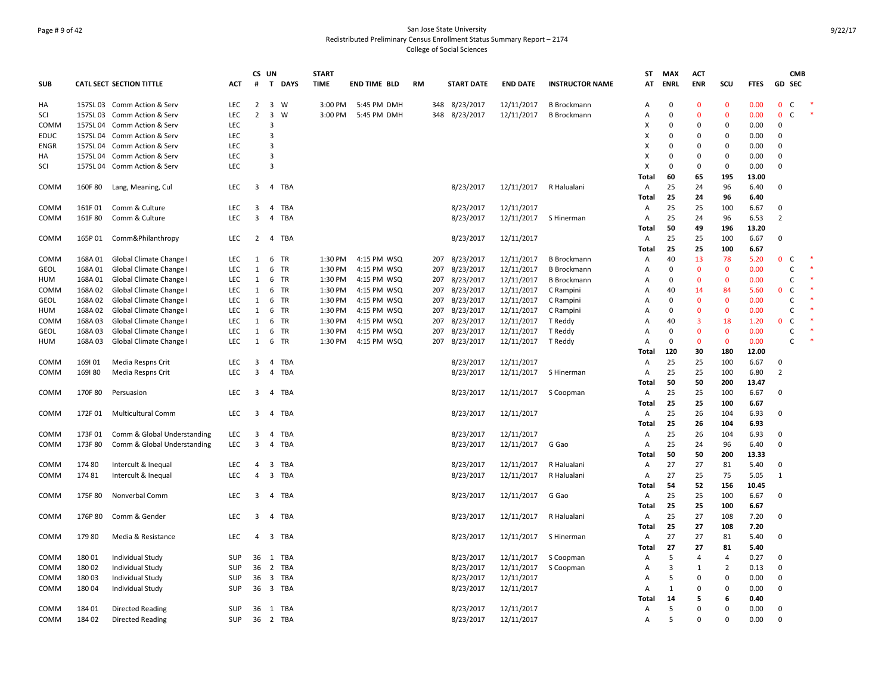# Page # 9 of 42 San Jose State University Redistributed Preliminary Census Enrollment Status Summary Report – 2174 College of Social Sciences

|             |          |                                 |            |                | CS UN                            |             | <b>START</b> |                     |           |     |                   |                 |                        | ST         | <b>MAX</b>     | ACT            |                |              |                | <b>CMB</b>   |  |
|-------------|----------|---------------------------------|------------|----------------|----------------------------------|-------------|--------------|---------------------|-----------|-----|-------------------|-----------------|------------------------|------------|----------------|----------------|----------------|--------------|----------------|--------------|--|
| <b>SUB</b>  |          | <b>CATL SECT SECTION TITTLE</b> | <b>ACT</b> | #              | T.                               | <b>DAYS</b> | <b>TIME</b>  | <b>END TIME BLD</b> | <b>RM</b> |     | <b>START DATE</b> | <b>END DATE</b> | <b>INSTRUCTOR NAME</b> | AT         | <b>ENRL</b>    | <b>ENR</b>     | SCU            | <b>FTES</b>  | GD SEC         |              |  |
| HA          |          | 157SL 03 Comm Action & Serv     | LEC        | $\overline{2}$ | $\overline{3}$                   | W           | 3:00 PM      | 5:45 PM DMH         |           |     | 348 8/23/2017     | 12/11/2017      | <b>B</b> Brockmann     | A          | $\Omega$       | $\mathbf{0}$   | $\mathbf 0$    | 0.00         | $\mathbf 0$    | $\mathsf{C}$ |  |
| SCI         |          | 157SL 03 Comm Action & Serv     | LEC        | $\overline{2}$ | $\overline{\mathbf{3}}$          | W           | 3:00 PM      | 5:45 PM DMH         |           | 348 | 8/23/2017         | 12/11/2017      | <b>B</b> Brockmann     | A          | $\Omega$       | $\Omega$       | $\mathbf 0$    | 0.00         | $\mathbf 0$    | $\mathsf{C}$ |  |
| COMM        |          | 157SL 04 Comm Action & Serv     | LEC        |                | 3                                |             |              |                     |           |     |                   |                 |                        | x          | $\Omega$       | $\Omega$       | $\mathbf 0$    | 0.00         | $\mathbf 0$    |              |  |
| <b>EDUC</b> | 157SL 04 | Comm Action & Serv              | <b>LEC</b> |                | 3                                |             |              |                     |           |     |                   |                 |                        | x          | $\Omega$       | $\Omega$       | $\Omega$       | 0.00         | $\mathbf 0$    |              |  |
| <b>ENGR</b> |          | 157SL 04 Comm Action & Serv     | LEC        |                | $\overline{3}$                   |             |              |                     |           |     |                   |                 |                        | x          | $\Omega$       | 0              | $\mathbf 0$    | 0.00         | $\mathbf 0$    |              |  |
| HA          |          | 157SL 04 Comm Action & Serv     | <b>LEC</b> |                | $\overline{3}$                   |             |              |                     |           |     |                   |                 |                        | X          | $\Omega$       | $\Omega$       | $\Omega$       | 0.00         | $\mathbf 0$    |              |  |
| SCI         |          | 157SL 04 Comm Action & Serv     | LEC        |                | $\overline{3}$                   |             |              |                     |           |     |                   |                 |                        | X          | $\Omega$       | 0              | 0              | 0.00         | $\mathbf 0$    |              |  |
|             |          |                                 |            |                |                                  |             |              |                     |           |     |                   |                 |                        | Total      | 60             | 65             | 195            | 13.00        |                |              |  |
| COMM        | 160F 80  | Lang, Meaning, Cul              | <b>LEC</b> | 3              | $\overline{4}$                   | TBA         |              |                     |           |     | 8/23/2017         | 12/11/2017      | R Halualani            | Α          | 25             | 24             | 96             | 6.40         | $\mathbf 0$    |              |  |
|             |          |                                 |            |                |                                  |             |              |                     |           |     |                   |                 |                        | Total      | 25             | 24             | 96             | 6.40         |                |              |  |
| COMM        | 161F01   | Comm & Culture                  | <b>LEC</b> | $\overline{3}$ | $\overline{4}$                   | TBA         |              |                     |           |     | 8/23/2017         | 12/11/2017      |                        | Α          | 25             | 25             | 100            | 6.67         | $\mathbf 0$    |              |  |
| COMM        | 161F 80  | Comm & Culture                  | LEC        | 3              | $\overline{4}$                   | <b>TBA</b>  |              |                     |           |     | 8/23/2017         | 12/11/2017      | S Hinerman             | A          | 25             | 24             | 96             | 6.53         | $\overline{2}$ |              |  |
|             |          |                                 |            |                |                                  |             |              |                     |           |     |                   |                 |                        | Total      | 50             | 49             | 196            | 13.20        |                |              |  |
| COMM        | 165P 01  | Comm&Philanthropy               | LEC        | $\overline{2}$ | $\overline{4}$                   | TBA         |              |                     |           |     | 8/23/2017         | 12/11/2017      |                        | Α          | 25             | 25             | 100            | 6.67         | 0              |              |  |
|             |          |                                 |            |                |                                  |             |              |                     |           |     |                   |                 |                        | Total      | 25             | 25             | 100            | 6.67         |                |              |  |
| COMM        | 168A01   | Global Climate Change I         | LEC        | 1              |                                  | 6 TR        | 1:30 PM      | 4:15 PM WSQ         |           | 207 | 8/23/2017         | 12/11/2017      | <b>B</b> Brockmann     | A          | 40             | 13             | 78             | 5.20         | $\mathbf{0}$   | $\mathsf{C}$ |  |
| <b>GEOL</b> | 168A01   | Global Climate Change I         | LEC        | $\mathbf{1}$   | 6                                | <b>TR</b>   | 1:30 PM      | 4:15 PM WSQ         |           | 207 | 8/23/2017         | 12/11/2017      | <b>B</b> Brockmann     | A          | $\Omega$       | $\Omega$       | $\Omega$       | 0.00         |                | $\mathsf{C}$ |  |
| HUM         | 168A01   | Global Climate Change I         | LEC        | $\mathbf{1}$   |                                  | 6 TR        | 1:30 PM      | 4:15 PM WSQ         |           | 207 | 8/23/2017         | 12/11/2017      | <b>B</b> Brockmann     | A          | $\Omega$       | $\mathbf{0}$   | $\mathbf 0$    | 0.00         |                | $\mathsf{C}$ |  |
| COMM        | 168A02   | Global Climate Change I         | <b>LEC</b> | $\mathbf{1}$   | 6                                | <b>TR</b>   | 1:30 PM      | 4:15 PM WSQ         |           | 207 | 8/23/2017         | 12/11/2017      | C Rampini              | А          | 40             | 14             | 84             | 5.60         | 0              | $\mathsf{C}$ |  |
| GEOL        | 168A 02  | Global Climate Change I         | LEC        | $\mathbf{1}$   |                                  | 6 TR        | 1:30 PM      | 4:15 PM WSQ         |           | 207 | 8/23/2017         | 12/11/2017      | C Rampini              | A          | 0              | $\mathbf{0}$   | $\mathbf{0}$   | 0.00         |                | $\mathsf{C}$ |  |
| HUM         | 168A 02  | Global Climate Change I         | <b>LEC</b> | 1              | 6                                | <b>TR</b>   | 1:30 PM      | 4:15 PM WSQ         |           | 207 | 8/23/2017         | 12/11/2017      | C Rampini              | А          | $\Omega$       | $\Omega$       | $\mathbf{0}$   | 0.00         |                | C            |  |
| COMM        | 168A03   | Global Climate Change I         | LEC        | $\mathbf{1}$   | 6                                | <b>TR</b>   | 1:30 PM      | 4:15 PM WSQ         |           | 207 | 8/23/2017         | 12/11/2017      | T Reddy                | A          | 40             | $\overline{3}$ | 18             | 1.20         | $\mathbf{0}$   | $\mathsf{C}$ |  |
| <b>GEOL</b> | 168A03   | Global Climate Change I         | LEC        | $\mathbf{1}$   |                                  | 6 TR        | 1:30 PM      | 4:15 PM WSQ         |           | 207 | 8/23/2017         | 12/11/2017      | T Reddy                | A          | $\Omega$       | $\mathbf{0}$   | $\mathbf 0$    | 0.00         |                | $\mathsf{C}$ |  |
| HUM         | 168A03   | Global Climate Change I         | LEC        | $\mathbf{1}$   |                                  | 6 TR        | 1:30 PM      | 4:15 PM WSQ         |           | 207 | 8/23/2017         | 12/11/2017      | T Reddy                | A          | $\Omega$       | $\mathbf 0$    | $\mathbf 0$    | 0.00         |                | $\mathsf{C}$ |  |
|             |          |                                 |            |                |                                  |             |              |                     |           |     |                   |                 |                        | Total      | 120            | 30             | 180            | 12.00        |                |              |  |
| COMM        | 169101   | Media Respns Crit               | LEC        | 3              | $\overline{4}$                   | TBA         |              |                     |           |     | 8/23/2017         | 12/11/2017      |                        | A          | 25             | 25             | 100            | 6.67         | 0              |              |  |
| COMM        | 169180   | Media Respns Crit               | LFC.       | 3              | $\overline{4}$                   | TBA         |              |                     |           |     | 8/23/2017         | 12/11/2017      | S Hinerman             | A          | 25             | 25             | 100            | 6.80         | $\overline{2}$ |              |  |
|             |          |                                 |            |                |                                  |             |              |                     |           |     |                   |                 |                        | Total      | 50             | 50             | 200            | 13.47        |                |              |  |
| COMM        | 170F 80  | Persuasion                      | LEC        | $\overline{3}$ | 4                                | TBA         |              |                     |           |     | 8/23/2017         | 12/11/2017      | S Coopman              | Α          | 25             | 25             | 100            | 6.67         | $\mathbf 0$    |              |  |
|             |          |                                 |            |                |                                  |             |              |                     |           |     |                   |                 |                        | Total      | 25             | 25             | 100            | 6.67         |                |              |  |
| COMM        | 172F 01  | <b>Multicultural Comm</b>       | LEC        | 3              |                                  | 4 TBA       |              |                     |           |     | 8/23/2017         | 12/11/2017      |                        | Α          | 25<br>25       | 26             | 104            | 6.93         | $\mathbf 0$    |              |  |
|             | 173F01   |                                 |            | 3              |                                  | TBA         |              |                     |           |     | 8/23/2017         | 12/11/2017      |                        | Total      | 25             | 26<br>26       | 104            | 6.93<br>6.93 | $\mathbf 0$    |              |  |
| COMM        | 173F 80  | Comm & Global Understanding     | LEC<br>LEC | 3              | $\overline{4}$<br>$\overline{4}$ | TBA         |              |                     |           |     | 8/23/2017         |                 | G Gao                  | A<br>A     | 25             | 24             | 104<br>96      | 6.40         | $\mathbf 0$    |              |  |
| COMM        |          | Comm & Global Understanding     |            |                |                                  |             |              |                     |           |     |                   | 12/11/2017      |                        |            | 50             | 50             | 200            | 13.33        |                |              |  |
| COMM        | 174 80   | Intercult & Inequal             | LEC        | 4              | $\overline{\mathbf{3}}$          | TBA         |              |                     |           |     | 8/23/2017         | 12/11/2017      | R Halualani            | Total<br>Α | 27             | 27             | 81             | 5.40         | 0              |              |  |
| COMM        | 17481    | Intercult & Inequal             | LEC        | $\overline{4}$ | $\overline{3}$                   | TBA         |              |                     |           |     | 8/23/2017         | 12/11/2017      | R Halualani            | A          | 27             | 25             | 75             | 5.05         | $\mathbf{1}$   |              |  |
|             |          |                                 |            |                |                                  |             |              |                     |           |     |                   |                 |                        | Total      | 54             | 52             | 156            | 10.45        |                |              |  |
| COMM        | 175F 80  | Nonverbal Comm                  | <b>LEC</b> | $\overline{3}$ |                                  | 4 TBA       |              |                     |           |     | 8/23/2017         | 12/11/2017      | G Gao                  | Α          | 25             | 25             | 100            | 6.67         | $\mathbf 0$    |              |  |
|             |          |                                 |            |                |                                  |             |              |                     |           |     |                   |                 |                        | Total      | 25             | 25             | 100            | 6.67         |                |              |  |
| COMM        | 176P 80  | Comm & Gender                   | LEC        | 3              | 4                                | TBA         |              |                     |           |     | 8/23/2017         | 12/11/2017      | R Halualani            | Α          | 25             | 27             | 108            | 7.20         | 0              |              |  |
|             |          |                                 |            |                |                                  |             |              |                     |           |     |                   |                 |                        | Total      | 25             | 27             | 108            | 7.20         |                |              |  |
| COMM        | 179 80   | Media & Resistance              | <b>LEC</b> | 4              | $\overline{\mathbf{3}}$          | TBA         |              |                     |           |     | 8/23/2017         | 12/11/2017      | S Hinerman             | А          | 27             | 27             | 81             | 5.40         | $\mathbf 0$    |              |  |
|             |          |                                 |            |                |                                  |             |              |                     |           |     |                   |                 |                        | Total      | 27             | 27             | 81             | 5.40         |                |              |  |
| COMM        | 18001    | Individual Study                | SUP        | 36             | 1                                | TBA         |              |                     |           |     | 8/23/2017         | 12/11/2017      | S Coopman              | Α          | 5              | $\overline{a}$ | 4              | 0.27         | $\mathbf 0$    |              |  |
| COMM        | 18002    | <b>Individual Study</b>         | SUP        | 36             |                                  | 2 TBA       |              |                     |           |     | 8/23/2017         | 12/11/2017      | S Coopman              | A          | $\overline{3}$ | $\mathbf{1}$   | $\overline{2}$ | 0.13         | $\mathbf 0$    |              |  |
| COMM        | 180 03   | Individual Study                | SUP        | 36             | $\overline{\mathbf{3}}$          | TBA         |              |                     |           |     | 8/23/2017         | 12/11/2017      |                        | А          | 5              | $\Omega$       | $\Omega$       | 0.00         | $\mathbf 0$    |              |  |
| COMM        | 180 04   | Individual Study                | SUP        | 36             | $\overline{\mathbf{3}}$          | TBA         |              |                     |           |     | 8/23/2017         | 12/11/2017      |                        | A          | $\mathbf{1}$   | 0              | $\Omega$       | 0.00         | $\mathbf 0$    |              |  |
|             |          |                                 |            |                |                                  |             |              |                     |           |     |                   |                 |                        | Total      | 14             | 5              | 6              | 0.40         |                |              |  |
| COMM        | 184 01   | <b>Directed Reading</b>         | <b>SUP</b> | 36             |                                  | 1 TBA       |              |                     |           |     | 8/23/2017         | 12/11/2017      |                        | Α          | 5              | $\Omega$       | $\Omega$       | 0.00         | $\mathbf 0$    |              |  |
| COMM        | 184 02   | <b>Directed Reading</b>         | SUP        | 36             |                                  | 2 TBA       |              |                     |           |     | 8/23/2017         | 12/11/2017      |                        | А          | 5              | $\Omega$       | $\Omega$       | 0.00         | $\mathbf 0$    |              |  |
|             |          |                                 |            |                |                                  |             |              |                     |           |     |                   |                 |                        |            |                |                |                |              |                |              |  |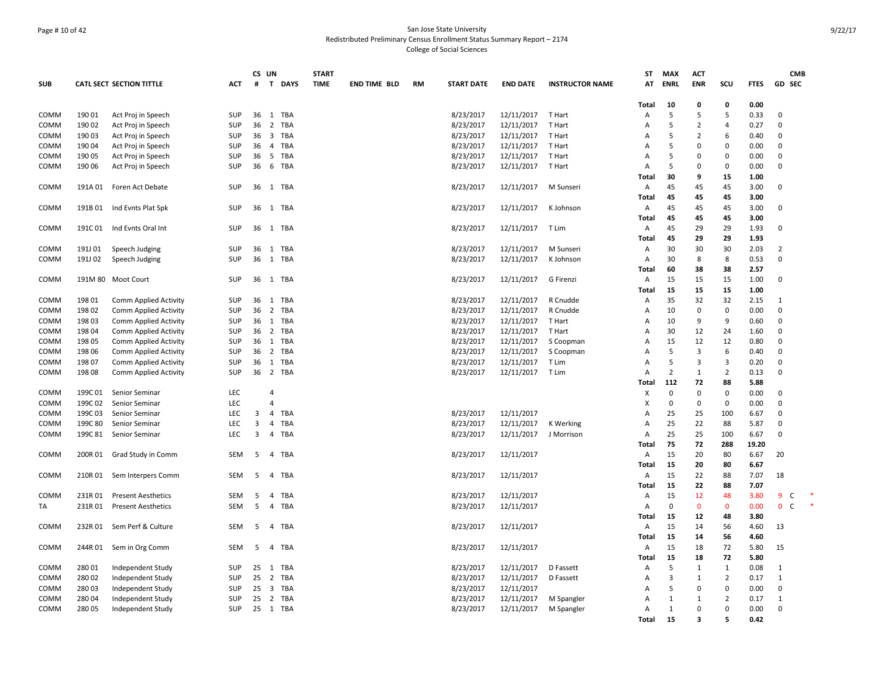# Page # 10 of 42 San Jose State University Redistributed Preliminary Census Enrollment Status Summary Report – 2174 College of Social Sciences

|             |         |                                 |            |    | CS UN          |             | <b>START</b> |                     |           |                   |                 |                        | <b>ST</b>      | <b>MAX</b>     | <b>ACT</b>     |                |             |                | <b>CMB</b> |
|-------------|---------|---------------------------------|------------|----|----------------|-------------|--------------|---------------------|-----------|-------------------|-----------------|------------------------|----------------|----------------|----------------|----------------|-------------|----------------|------------|
| <b>SUB</b>  |         | <b>CATL SECT SECTION TITTLE</b> | <b>ACT</b> | #  | T              | <b>DAYS</b> | <b>TIME</b>  | <b>END TIME BLD</b> | <b>RM</b> | <b>START DATE</b> | <b>END DATE</b> | <b>INSTRUCTOR NAME</b> | AT             | <b>ENRL</b>    | <b>ENR</b>     | SCU            | <b>FTES</b> | GD SEC         |            |
|             |         |                                 |            |    |                |             |              |                     |           |                   |                 |                        |                |                |                |                |             |                |            |
|             |         |                                 |            |    |                |             |              |                     |           |                   |                 |                        | Total          | 10<br>5        | 0<br>5         | 0<br>5         | 0.00        |                |            |
| COMM        | 190 01  | Act Proj in Speech              | SUP        | 36 |                | 1 TBA       |              |                     |           | 8/23/2017         | 12/11/2017      | T Hart                 | Α              |                |                |                | 0.33        | 0              |            |
| COMM        | 190 02  | Act Proj in Speech              | <b>SUP</b> | 36 | $\overline{2}$ | TBA         |              |                     |           | 8/23/2017         | 12/11/2017      | T Hart                 | A              | 5              | $\overline{2}$ | $\overline{4}$ | 0.27        | $\Omega$       |            |
| COMM        | 190 03  | Act Proj in Speech              | SUP        | 36 |                | 3 TBA       |              |                     |           | 8/23/2017         | 12/11/2017      | T Hart                 | A              | 5              | $\overline{2}$ | 6              | 0.40        | $\mathbf 0$    |            |
| COMM        | 190 04  | Act Proj in Speech              | <b>SUP</b> | 36 |                | 4 TBA       |              |                     |           | 8/23/2017         | 12/11/2017      | T Hart                 | A              | 5              | $\Omega$       | $\Omega$       | 0.00        | $\mathbf 0$    |            |
| COMM        | 190 05  | Act Proj in Speech              | SUP        | 36 | 5              | <b>TBA</b>  |              |                     |           | 8/23/2017         | 12/11/2017      | T Hart                 | A              | 5              | $\Omega$       | $\Omega$       | 0.00        | $\mathbf 0$    |            |
| COMM        | 190 06  | Act Proj in Speech              | <b>SUP</b> | 36 |                | 6 TBA       |              |                     |           | 8/23/2017         | 12/11/2017      | T Hart                 | A              | -5             | $\mathbf 0$    | $\Omega$       | 0.00        | $\mathbf 0$    |            |
|             |         |                                 |            |    |                |             |              |                     |           |                   |                 |                        | Total          | 30             | 9              | 15             | 1.00        |                |            |
| COMM        |         | 191A 01 Foren Act Debate        | SUP        | 36 |                | 1 TBA       |              |                     |           | 8/23/2017         | 12/11/2017      | M Sunseri              | Α              | 45             | 45             | 45             | 3.00        | $\mathbf 0$    |            |
|             |         |                                 |            |    |                |             |              |                     |           |                   |                 |                        | Total          | 45             | 45             | 45             | 3.00        |                |            |
| COMM        | 191B 01 | Ind Evnts Plat Spk              | SUP        |    |                | 36 1 TBA    |              |                     |           | 8/23/2017         | 12/11/2017      | K Johnson              | Α              | 45             | 45             | 45             | 3.00        | 0              |            |
|             |         |                                 |            |    |                |             |              |                     |           |                   |                 |                        | Total          | 45             | 45             | 45             | 3.00        |                |            |
| COMM        |         | 191C 01 Ind Evnts Oral Int      | SUP        |    |                | 36 1 TBA    |              |                     |           | 8/23/2017         | 12/11/2017      | T Lim                  | Α              | 45             | 29             | 29             | 1.93        | $\mathbf 0$    |            |
|             |         |                                 |            |    |                |             |              |                     |           |                   |                 |                        | <b>Total</b>   | 45             | 29             | 29             | 1.93        |                |            |
| COMM        | 191J 01 | Speech Judging                  | SUP        | 36 |                | 1 TBA       |              |                     |           | 8/23/2017         | 12/11/2017      | M Sunseri              | Α              | 30             | 30             | 30             | 2.03        | $\overline{2}$ |            |
| COMM        | 191J 02 | Speech Judging                  | SUP        | 36 |                | 1 TBA       |              |                     |           | 8/23/2017         | 12/11/2017      | K Johnson              | A              | 30             | 8              | 8              | 0.53        | $\overline{0}$ |            |
|             |         |                                 |            |    |                |             |              |                     |           |                   |                 |                        | Total          | 60             | 38             | 38             | 2.57        |                |            |
| COMM        |         | 191M 80 Moot Court              | SUP        |    |                | 36 1 TBA    |              |                     |           | 8/23/2017         | 12/11/2017      | G Firenzi              | Α              | 15             | 15             | 15             | 1.00        | 0              |            |
|             |         |                                 |            |    |                |             |              |                     |           |                   |                 |                        | Total          | 15             | 15             | 15             | 1.00        |                |            |
| COMM        | 198 01  | <b>Comm Applied Activity</b>    | SUP        | 36 |                | 1 TBA       |              |                     |           | 8/23/2017         | 12/11/2017      | R Cnudde               | Α              | 35             | 32             | 32             | 2.15        | 1              |            |
| COMM        | 198 02  | <b>Comm Applied Activity</b>    | SUP        | 36 |                | 2 TBA       |              |                     |           | 8/23/2017         | 12/11/2017      | R Cnudde               | A              | 10             | $\mathbf 0$    | $\Omega$       | 0.00        | $\mathbf 0$    |            |
| COMM        | 198 03  | <b>Comm Applied Activity</b>    | SUP        | 36 |                | 1 TBA       |              |                     |           | 8/23/2017         | 12/11/2017      | T Hart                 | $\overline{A}$ | 10             | 9              | 9              | 0.60        | $\mathbf 0$    |            |
| COMM        | 198 04  | <b>Comm Applied Activity</b>    | SUP        | 36 | $\overline{2}$ | TBA         |              |                     |           | 8/23/2017         | 12/11/2017      | T Hart                 | $\overline{A}$ | 30             | 12             | 24             | 1.60        | 0              |            |
| COMM        | 198 05  | Comm Applied Activity           | SUP        | 36 |                | 1 TBA       |              |                     |           | 8/23/2017         | 12/11/2017      | S Coopman              | Α              | 15             | 12             | 12             | 0.80        | $\mathbf 0$    |            |
| COMM        | 198 06  | <b>Comm Applied Activity</b>    | SUP        | 36 |                | 2 TBA       |              |                     |           | 8/23/2017         | 12/11/2017      | S Coopman              | A              | 5              | 3              | 6              | 0.40        | 0              |            |
| COMM        | 198 07  | <b>Comm Applied Activity</b>    | SUP        | 36 |                | 1 TBA       |              |                     |           | 8/23/2017         | 12/11/2017      | T Lim                  | $\overline{A}$ | 5              | 3              | $\overline{3}$ | 0.20        | $\mathbf 0$    |            |
| COMM        | 198 08  | <b>Comm Applied Activity</b>    | <b>SUP</b> | 36 |                | 2 TBA       |              |                     |           | 8/23/2017         | 12/11/2017      | T Lim                  | $\overline{A}$ | $\overline{2}$ | $\mathbf{1}$   | $\overline{2}$ | 0.13        | $\mathbf 0$    |            |
|             |         |                                 |            |    |                |             |              |                     |           |                   |                 |                        | Total          | 112            | 72             | 88             | 5.88        |                |            |
| COMM        | 199C01  | Senior Seminar                  | <b>LEC</b> |    | 4              |             |              |                     |           |                   |                 |                        | X              | $\mathbf 0$    | $\mathbf 0$    | $\Omega$       | 0.00        | 0              |            |
| COMM        | 199C 02 | Senior Seminar                  | <b>LEC</b> |    | $\overline{4}$ |             |              |                     |           |                   |                 |                        | X              | $\overline{0}$ | $\mathbf 0$    | $\mathbf 0$    | 0.00        | $\mathbf 0$    |            |
| COMM        | 199C03  | Senior Seminar                  | LEC        | 3  |                | 4 TBA       |              |                     |           | 8/23/2017         | 12/11/2017      |                        | $\overline{A}$ | 25             | 25             | 100            | 6.67        | $\mathbf 0$    |            |
| COMM        | 199C 80 | Senior Seminar                  | <b>LEC</b> | 3  | 4              | TBA         |              |                     |           | 8/23/2017         | 12/11/2017      | K Werking              | Α              | 25             | 22             | 88             | 5.87        | $\mathbf 0$    |            |
| <b>COMM</b> | 199C 81 | Senior Seminar                  | <b>LEC</b> | 3  |                | 4 TBA       |              |                     |           | 8/23/2017         | 12/11/2017      | J Morrison             | Α              | 25             | 25             | 100            | 6.67        | 0              |            |
|             |         |                                 |            |    |                |             |              |                     |           |                   |                 |                        |                | 75             | 72             | 288            | 19.20       |                |            |
|             |         |                                 | SEM        | 5  | $\overline{4}$ | TBA         |              |                     |           |                   |                 |                        | Total<br>Α     | 15             | 20             | 80             | 6.67        | 20             |            |
| COMM        | 200R 01 | Grad Study in Comm              |            |    |                |             |              |                     |           | 8/23/2017         | 12/11/2017      |                        | <b>Total</b>   | 15             | 20             | 80             | 6.67        |                |            |
| COMM        |         |                                 | SEM        | 5  |                | 4 TBA       |              |                     |           | 8/23/2017         | 12/11/2017      |                        | Α              | 15             | 22             | 88             | 7.07        | 18             |            |
|             |         | 210R 01 Sem Interpers Comm      |            |    |                |             |              |                     |           |                   |                 |                        |                |                |                |                |             |                |            |
|             |         |                                 |            |    |                |             |              |                     |           |                   |                 |                        | Total          | 15             | 22             | 88             | 7.07        |                |            |
| COMM        | 231R01  | <b>Present Aesthetics</b>       | SEM        | 5  | 4              | TBA         |              |                     |           | 8/23/2017         | 12/11/2017      |                        | Α              | 15             | 12             | 48             | 3.80        | $\overline{9}$ | C          |
| TA          | 231R01  | <b>Present Aesthetics</b>       | SEM        | 5  |                | 4 TBA       |              |                     |           | 8/23/2017         | 12/11/2017      |                        | Α              | $\mathbf 0$    | $\mathbf 0$    | $\mathbf 0$    | 0.00        | $\mathbf{0}$   | C          |
|             |         |                                 |            |    |                |             |              |                     |           |                   |                 |                        | Total          | 15             | 12             | 48             | 3.80        |                |            |
| COMM        | 232R01  | Sem Perf & Culture              | SEM        | -5 |                | 4 TBA       |              |                     |           | 8/23/2017         | 12/11/2017      |                        | Α              | 15             | 14             | 56             | 4.60        | 13             |            |
|             |         |                                 |            |    |                |             |              |                     |           |                   |                 |                        | Total          | 15             | 14             | 56             | 4.60        |                |            |
| COMM        | 244R 01 | Sem in Org Comm                 | SEM        | 5  |                | 4 TBA       |              |                     |           | 8/23/2017         | 12/11/2017      |                        | Α              | 15             | 18             | 72             | 5.80        | 15             |            |
|             |         |                                 |            |    |                |             |              |                     |           |                   |                 |                        | Total          | 15             | 18             | 72             | 5.80        |                |            |
| COMM        | 28001   | Independent Study               | SUP        |    |                | 25 1 TBA    |              |                     |           | 8/23/2017         | 12/11/2017      | D Fassett              | Α              | 5              | $\mathbf{1}$   | $\mathbf{1}$   | 0.08        | 1              |            |
| COMM        | 28002   | Independent Study               | SUP        | 25 |                | 2 TBA       |              |                     |           | 8/23/2017         | 12/11/2017      | D Fassett              | Α              | $\overline{3}$ | $\mathbf{1}$   | $\overline{2}$ | 0.17        | $\mathbf{1}$   |            |
| COMM        | 28003   | Independent Study               | SUP        | 25 |                | 3 TBA       |              |                     |           | 8/23/2017         | 12/11/2017      |                        | A              | 5              | $\mathbf 0$    | $\mathbf 0$    | 0.00        | $\mathbf 0$    |            |
| COMM        | 280 04  | Independent Study               | SUP        | 25 |                | 2 TBA       |              |                     |           | 8/23/2017         | 12/11/2017      | M Spangler             | A              | 1              | 1              | 2              | 0.17        | 1              |            |
| COMM        | 280 05  | Independent Study               | SUP        | 25 |                | 1 TBA       |              |                     |           | 8/23/2017         | 12/11/2017      | M Spangler             | Α              | $\mathbf{1}$   | 0              | $\Omega$       | 0.00        | $\mathbf 0$    |            |
|             |         |                                 |            |    |                |             |              |                     |           |                   |                 |                        | Total          | 15             | 3              | 5              | 0.42        |                |            |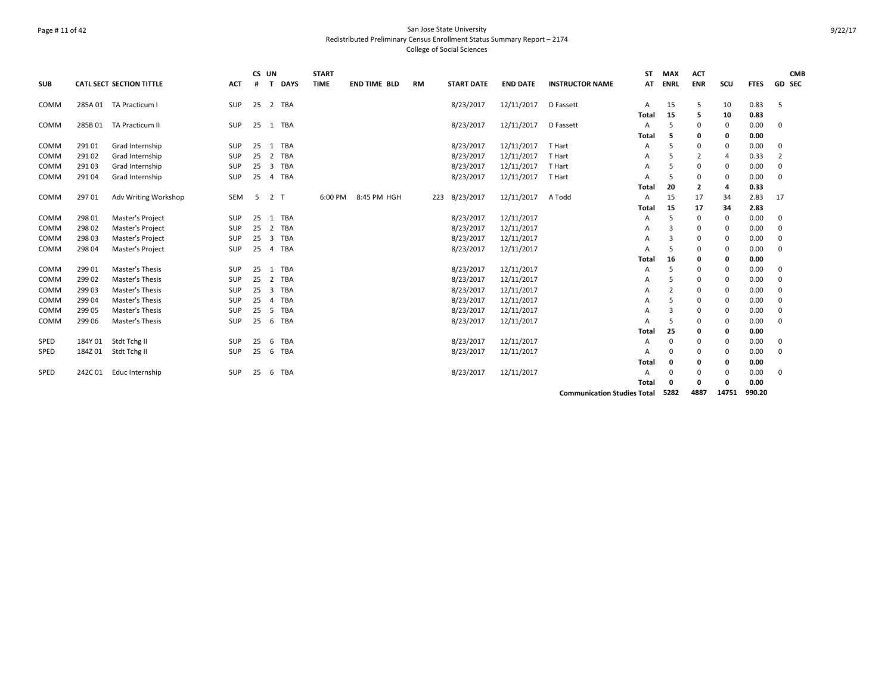# Page # 11 of 42 San Jose State University Redistributed Preliminary Census Enrollment Status Summary Report – 2174 College of Social Sciences

|            |         |                                 |            |    | CS UN          |             | <b>START</b> |                     |           |                   |                 |                                    | SΤ             | <b>MAX</b>  | <b>ACT</b>     |       |             | <b>CMB</b>     |
|------------|---------|---------------------------------|------------|----|----------------|-------------|--------------|---------------------|-----------|-------------------|-----------------|------------------------------------|----------------|-------------|----------------|-------|-------------|----------------|
| <b>SUB</b> |         | <b>CATL SECT SECTION TITTLE</b> | <b>ACT</b> | #  | T              | <b>DAYS</b> | <b>TIME</b>  | <b>END TIME BLD</b> | <b>RM</b> | <b>START DATE</b> | <b>END DATE</b> | <b>INSTRUCTOR NAME</b>             | AT             | <b>ENRL</b> | <b>ENR</b>     | SCU   | <b>FTES</b> | <b>GD SEC</b>  |
| COMM       |         | 285A 01 TA Practicum I          | SUP        |    |                | 25 2 TBA    |              |                     |           | 8/23/2017         | 12/11/2017      | D Fassett                          | Α              | 15          | 5              | 10    | 0.83        | 5              |
|            |         |                                 |            |    |                |             |              |                     |           |                   |                 |                                    | Total          | 15          | 5              | 10    | 0.83        |                |
| COMM       | 285B 01 | TA Practicum II                 | SUP        | 25 |                | 1 TBA       |              |                     |           | 8/23/2017         | 12/11/2017      | D Fassett                          | Α              | .5          | 0              | 0     | 0.00        | 0              |
|            |         |                                 |            |    |                |             |              |                     |           |                   |                 |                                    | Total          | 5           | 0              | 0     | 0.00        |                |
| COMM       | 291 01  | Grad Internship                 | <b>SUP</b> | 25 |                | 1 TBA       |              |                     |           | 8/23/2017         | 12/11/2017      | T Hart                             | A              | 5           | 0              | 0     | 0.00        | 0              |
| COMM       | 291 02  | Grad Internship                 | <b>SUP</b> | 25 | 2              | <b>TBA</b>  |              |                     |           | 8/23/2017         | 12/11/2017      | T Hart                             | Α              | 5           | $\overline{2}$ | 4     | 0.33        | $\overline{2}$ |
| COMM       | 29103   | Grad Internship                 | <b>SUP</b> | 25 | 3              | <b>TBA</b>  |              |                     |           | 8/23/2017         | 12/11/2017      | T Hart                             | A              | 5           | 0              | 0     | 0.00        | 0              |
| COMM       | 29104   | Grad Internship                 | SUP        | 25 | $\overline{4}$ | <b>TBA</b>  |              |                     |           | 8/23/2017         | 12/11/2017      | T Hart                             | A              | 5           | 0              | 0     | 0.00        | $\Omega$       |
|            |         |                                 |            |    |                |             |              |                     |           |                   |                 |                                    | Total          | 20          | $\overline{2}$ | 4     | 0.33        |                |
| COMM       | 29701   | Adv Writing Workshop            | SEM        | 5  | 2 T            |             | 6:00 PM      | 8:45 PM HGH         | 223       | 8/23/2017         | 12/11/2017      | A Todd                             | A              | 15          | 17             | 34    | 2.83        | 17             |
|            |         |                                 |            |    |                |             |              |                     |           |                   |                 |                                    | Total          | 15          | 17             | 34    | 2.83        |                |
| COMM       | 298 01  | Master's Project                | <b>SUP</b> | 25 |                | 1 TBA       |              |                     |           | 8/23/2017         | 12/11/2017      |                                    | A              | 5           | 0              | 0     | 0.00        | 0              |
| COMM       | 298 02  | Master's Project                | SUP        | 25 |                | 2 TBA       |              |                     |           | 8/23/2017         | 12/11/2017      |                                    | А              | 3           | 0              | 0     | 0.00        | $\Omega$       |
| COMM       | 298 03  | Master's Project                | <b>SUP</b> | 25 | 3              | <b>TBA</b>  |              |                     |           | 8/23/2017         | 12/11/2017      |                                    | A              | 3           | 0              | 0     | 0.00        | $\mathbf 0$    |
| COMM       | 298 04  | Master's Project                | SUP        | 25 |                | 4 TBA       |              |                     |           | 8/23/2017         | 12/11/2017      |                                    | $\overline{A}$ | 5           | 0              | 0     | 0.00        | $\Omega$       |
|            |         |                                 |            |    |                |             |              |                     |           |                   |                 |                                    | Total          | 16          | 0              | 0     | 0.00        |                |
| COMM       | 299 01  | Master's Thesis                 | SUP        | 25 |                | 1 TBA       |              |                     |           | 8/23/2017         | 12/11/2017      |                                    | A              | 5           | 0              | 0     | 0.00        | 0              |
| COMM       | 299 02  | Master's Thesis                 | <b>SUP</b> | 25 | 2              | <b>TBA</b>  |              |                     |           | 8/23/2017         | 12/11/2017      |                                    | A              | 5           | 0              | 0     | 0.00        | 0              |
| COMM       | 29903   | Master's Thesis                 | SUP        | 25 | 3              | <b>TBA</b>  |              |                     |           | 8/23/2017         | 12/11/2017      |                                    | A              | 2           | 0              | 0     | 0.00        | $\Omega$       |
| COMM       | 299 04  | Master's Thesis                 | <b>SUP</b> | 25 | $\overline{a}$ | TBA         |              |                     |           | 8/23/2017         | 12/11/2017      |                                    | A              | 5           | 0              | 0     | 0.00        | $\Omega$       |
| COMM       | 299 05  | Master's Thesis                 | <b>SUP</b> | 25 | 5              | <b>TBA</b>  |              |                     |           | 8/23/2017         | 12/11/2017      |                                    | A              | 3           | 0              | 0     | 0.00        | $\Omega$       |
| COMM       | 299 06  | Master's Thesis                 | SUP        | 25 | -6             | <b>TBA</b>  |              |                     |           | 8/23/2017         | 12/11/2017      |                                    | A              | 5           | 0              | 0     | 0.00        | $\Omega$       |
|            |         |                                 |            |    |                |             |              |                     |           |                   |                 |                                    | Total          | 25          | 0              | 0     | 0.00        |                |
| SPED       | 184Y 01 | Stdt Tchg II                    | SUP        | 25 | 6              | <b>TBA</b>  |              |                     |           | 8/23/2017         | 12/11/2017      |                                    | Α              | 0           | 0              | 0     | 0.00        | 0              |
| SPED       | 184Z 01 | Stdt Tchg II                    | SUP        | 25 | -6             | TBA         |              |                     |           | 8/23/2017         | 12/11/2017      |                                    | Α              | 0           | 0              | 0     | 0.00        | $\Omega$       |
|            |         |                                 |            |    |                |             |              |                     |           |                   |                 |                                    | Total          | 0           | 0              | 0     | 0.00        |                |
| SPED       | 242C01  | Educ Internship                 | SUP        | 25 | 6              | <b>TBA</b>  |              |                     |           | 8/23/2017         | 12/11/2017      |                                    | A              | $\Omega$    | 0              | 0     | 0.00        | $\Omega$       |
|            |         |                                 |            |    |                |             |              |                     |           |                   |                 |                                    | Total          | 0           | 0              | 0     | 0.00        |                |
|            |         |                                 |            |    |                |             |              |                     |           |                   |                 | <b>Communication Studies Total</b> |                | 5282        | 4887           | 14751 | 990.20      |                |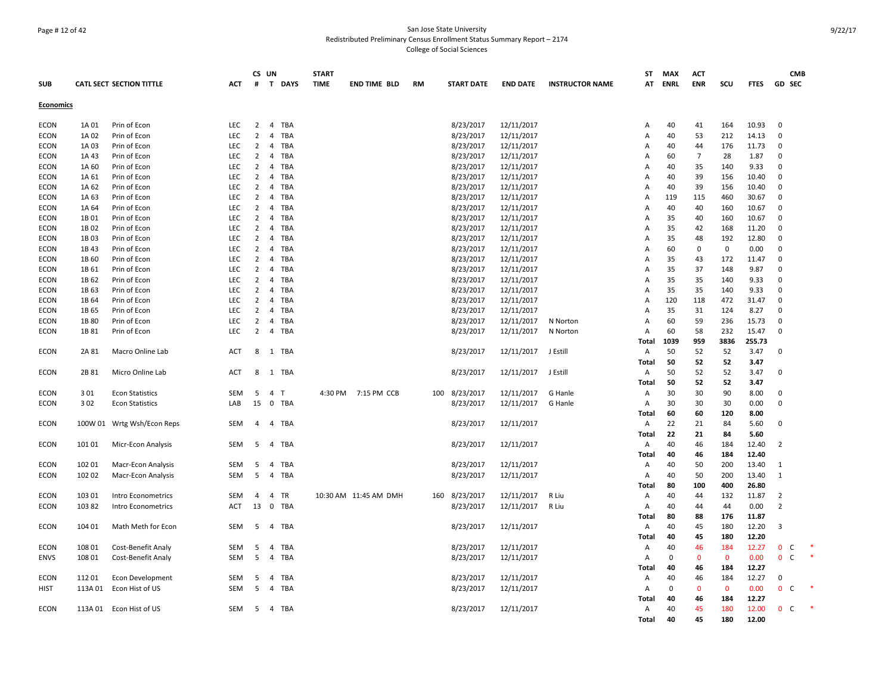# Page # 12 of 42 San Jose State University Redistributed Preliminary Census Enrollment Status Summary Report – 2174 College of Social Sciences

|             |         |                                 |            | CS UN          |                              | <b>START</b> |                       |     |                   |                 |                        | ST             | <b>MAX</b>  | <b>ACT</b>   |              |                 |                              | <b>CMB</b> |
|-------------|---------|---------------------------------|------------|----------------|------------------------------|--------------|-----------------------|-----|-------------------|-----------------|------------------------|----------------|-------------|--------------|--------------|-----------------|------------------------------|------------|
| <b>SUB</b>  |         | <b>CATL SECT SECTION TITTLE</b> | ACT        | #              | T DAYS                       | <b>TIME</b>  | <b>END TIME BLD</b>   | RM  | <b>START DATE</b> | <b>END DATE</b> | <b>INSTRUCTOR NAME</b> |                | AT ENRL     | <b>ENR</b>   | scu          | <b>FTES</b>     | <b>GD SEC</b>                |            |
| Economics   |         |                                 |            |                |                              |              |                       |     |                   |                 |                        |                |             |              |              |                 |                              |            |
| <b>ECON</b> | 1A 01   | Prin of Econ                    | LEC        | $\overline{2}$ | TBA<br>$\overline{4}$        |              |                       |     | 8/23/2017         | 12/11/2017      |                        | Α              | 40          | 41           | 164          | 10.93           | $\overline{0}$               |            |
| <b>ECON</b> | 1A 02   | Prin of Econ                    | LEC        | $\overline{2}$ | <b>TBA</b><br>$\overline{4}$ |              |                       |     | 8/23/2017         | 12/11/2017      |                        | Α              | 40          | 53           | 212          | 14.13           | $\mathbf 0$                  |            |
| <b>ECON</b> | 1A 03   | Prin of Econ                    | LEC        | $\overline{2}$ | $\overline{4}$<br><b>TBA</b> |              |                       |     | 8/23/2017         | 12/11/2017      |                        | A              | 40          | 44           | 176          | 11.73           | $\mathbf 0$                  |            |
| ECON        | 1A 43   | Prin of Econ                    | <b>LEC</b> | 2              | TBA<br>$\overline{4}$        |              |                       |     | 8/23/2017         | 12/11/2017      |                        | A              | 60          | 7            | 28           | 1.87            | $\mathbf 0$                  |            |
| <b>ECON</b> | 1A 60   | Prin of Econ                    | LEC        | $\overline{2}$ | $\overline{4}$<br>TBA        |              |                       |     | 8/23/2017         | 12/11/2017      |                        | Α              | 40          | 35           | 140          | 9.33            | $\mathbf 0$                  |            |
| <b>ECON</b> | 1A 61   | Prin of Econ                    | <b>LEC</b> | $\overline{2}$ | $\overline{4}$<br>TBA        |              |                       |     | 8/23/2017         | 12/11/2017      |                        | A              | 40          | 39           | 156          | 10.40           | 0                            |            |
| <b>ECON</b> | 1A 62   | Prin of Econ                    | LEC        | $\overline{2}$ | $\overline{4}$<br><b>TBA</b> |              |                       |     | 8/23/2017         | 12/11/2017      |                        | A              | 40          | 39           | 156          | 10.40           | $\mathbf 0$                  |            |
| <b>ECON</b> | 1A 63   | Prin of Econ                    | <b>LEC</b> | $\overline{2}$ | $\overline{4}$<br><b>TBA</b> |              |                       |     | 8/23/2017         | 12/11/2017      |                        | $\overline{A}$ | 119         | 115          | 460          | 30.67           | $\mathbf 0$                  |            |
| <b>ECON</b> | 1A 64   | Prin of Econ                    | LEC        | $\overline{2}$ | <b>TBA</b><br>$\overline{4}$ |              |                       |     | 8/23/2017         | 12/11/2017      |                        | A              | 40          | 40           | 160          | 10.67           | $\mathbf 0$                  |            |
| ECON        | 1B 01   | Prin of Econ                    | LEC        | $\overline{2}$ | $\overline{4}$<br>TBA        |              |                       |     | 8/23/2017         | 12/11/2017      |                        | A              | 35          | 40           | 160          | 10.67           | 0                            |            |
| ECON        | 1B 02   | Prin of Econ                    | LEC        | $\overline{2}$ | $\overline{4}$<br>TBA        |              |                       |     | 8/23/2017         | 12/11/2017      |                        | A              | 35          | 42           | 168          | 11.20           | $\mathbf 0$                  |            |
| <b>ECON</b> | 1B 03   | Prin of Econ                    | LEC        | 2              | $\overline{4}$<br>TBA        |              |                       |     | 8/23/2017         | 12/11/2017      |                        | A              | 35          | 48           | 192          | 12.80           | $\mathbf 0$                  |            |
| <b>ECON</b> | 1B 43   | Prin of Econ                    | <b>LEC</b> | $\overline{2}$ | $\overline{4}$<br>TBA        |              |                       |     | 8/23/2017         | 12/11/2017      |                        | A              | 60          | $\mathbf 0$  | $\mathbf 0$  | 0.00            | $\mathbf 0$                  |            |
| <b>ECON</b> | 1B 60   | Prin of Econ                    | <b>LEC</b> | $\overline{2}$ | <b>TBA</b><br>$\overline{4}$ |              |                       |     | 8/23/2017         | 12/11/2017      |                        | A              | 35          | 43           | 172          | 11.47           | $\mathbf 0$                  |            |
| <b>ECON</b> | 1B 61   | Prin of Econ                    | LEC        | $\overline{2}$ | <b>TBA</b><br>4              |              |                       |     | 8/23/2017         | 12/11/2017      |                        | Α              | 35          | 37           | 148          | 9.87            | $\Omega$                     |            |
| ECON        | 1B 62   | Prin of Econ                    | LEC        | $\overline{2}$ | $\overline{4}$<br><b>TBA</b> |              |                       |     | 8/23/2017         | 12/11/2017      |                        | Α              | 35          | 35           | 140          | 9.33            | $\mathbf 0$                  |            |
| ECON        | 1B 63   | Prin of Econ                    | <b>LEC</b> | 2              | $\overline{4}$<br>TBA        |              |                       |     | 8/23/2017         | 12/11/2017      |                        | A              | 35          | 35           | 140          | 9.33            | $\mathbf 0$                  |            |
| <b>ECON</b> | 1B 64   | Prin of Econ                    | LEC        | $\overline{2}$ | <b>TBA</b><br>$\overline{4}$ |              |                       |     | 8/23/2017         | 12/11/2017      |                        | $\overline{A}$ | 120         | 118          | 472          | 31.47           | $\mathbf 0$                  |            |
| ECON        | 1B 65   | Prin of Econ                    | LEC        | $\overline{2}$ | $\overline{4}$<br>TBA        |              |                       |     | 8/23/2017         | 12/11/2017      |                        | A              | 35          | 31           | 124          | 8.27            | $\Omega$                     |            |
| ECON        | 1B 80   |                                 | LEC        | $\overline{2}$ | <b>TBA</b><br>$\overline{4}$ |              |                       |     | 8/23/2017         | 12/11/2017      |                        | A              | 60          | 59           | 236          | 15.73           | $\mathbf 0$                  |            |
|             | 1B 81   | Prin of Econ                    | LFC.       | $\overline{2}$ | $\overline{4}$<br>TBA        |              |                       |     |                   |                 | N Norton               | Α              | 60          | 58           | 232          |                 | $\Omega$                     |            |
| <b>ECON</b> |         | Prin of Econ                    |            |                |                              |              |                       |     | 8/23/2017         | 12/11/2017      | N Norton               |                | 1039        | 959          | 3836         | 15.47<br>255.73 |                              |            |
|             |         |                                 |            |                |                              |              |                       |     |                   |                 |                        | Total          |             |              |              |                 | $\Omega$                     |            |
| <b>ECON</b> | 2A 81   | Macro Online Lab                | <b>ACT</b> | 8              | 1 TBA                        |              |                       |     | 8/23/2017         | 12/11/2017      | J Estill               | Α              | 50          | 52           | 52           | 3.47            |                              |            |
|             |         |                                 |            |                |                              |              |                       |     |                   |                 |                        | Total          | 50          | 52           | 52           | 3.47            |                              |            |
| <b>ECON</b> | 2B 81   | Micro Online Lab                | <b>ACT</b> | 8              | 1 TBA                        |              |                       |     | 8/23/2017         | 12/11/2017      | J Estill               | Α              | 50          | 52           | 52           | 3.47            | $\mathbf 0$                  |            |
|             |         |                                 |            |                |                              |              |                       |     |                   |                 |                        | <b>Total</b>   | 50          | 52           | 52           | 3.47            |                              |            |
| ECON        | 301     | <b>Econ Statistics</b>          | <b>SEM</b> | 5              | $\overline{4}$<br>T          |              | 4:30 PM 7:15 PM CCB   | 100 | 8/23/2017         | 12/11/2017      | G Hanle                | Α              | 30          | 30           | 90           | 8.00            | $\mathbf 0$                  |            |
| ECON        | 302     | <b>Econ Statistics</b>          | LAB        | 15             | 0 TBA                        |              |                       |     | 8/23/2017         | 12/11/2017      | G Hanle                | Α              | 30          | 30           | 30           | 0.00            | $\mathbf 0$                  |            |
|             |         |                                 |            |                |                              |              |                       |     |                   |                 |                        | Total          | 60          | 60           | 120          | 8.00            |                              |            |
| ECON        | 100W 01 | Wrtg Wsh/Econ Reps              | <b>SEM</b> | $\overline{4}$ | $\overline{4}$<br>TBA        |              |                       |     | 8/23/2017         | 12/11/2017      |                        | $\mathsf{A}$   | 22          | 21           | 84           | 5.60            | $\mathbf 0$                  |            |
|             |         |                                 |            |                |                              |              |                       |     |                   |                 |                        | Total          | 22          | 21           | 84           | 5.60            |                              |            |
| <b>ECON</b> | 10101   | Micr-Econ Analysis              | SEM        | 5              | $\overline{4}$<br>TBA        |              |                       |     | 8/23/2017         | 12/11/2017      |                        | Α              | 40          | 46           | 184          | 12.40           | $\overline{2}$               |            |
|             |         |                                 |            |                |                              |              |                       |     |                   |                 |                        | Total          | 40          | 46           | 184          | 12.40           |                              |            |
| <b>ECON</b> | 102 01  | Macr-Econ Analysis              | SEM        | 5              | <b>TBA</b><br>$\overline{4}$ |              |                       |     | 8/23/2017         | 12/11/2017      |                        | Α              | 40          | 50           | 200          | 13.40           | $\mathbf{1}$                 |            |
| ECON        | 102 02  | Macr-Econ Analysis              | <b>SEM</b> | 5              | 4<br>TBA                     |              |                       |     | 8/23/2017         | 12/11/2017      |                        | Α              | 40          | 50           | 200          | 13.40           | $\mathbf{1}$                 |            |
|             |         |                                 |            |                |                              |              |                       |     |                   |                 |                        | Total          | 80          | 100          | 400          | 26.80           |                              |            |
| ECON        | 103 01  | Intro Econometrics              | <b>SEM</b> | 4              | TR<br>$\overline{4}$         |              | 10:30 AM 11:45 AM DMH | 160 | 8/23/2017         | 12/11/2017      | R Liu                  | Α              | 40          | 44           | 132          | 11.87           | 2                            |            |
| <b>ECON</b> | 10382   | Intro Econometrics              | <b>ACT</b> | 13             | $\mathbf 0$<br>TBA           |              |                       |     | 8/23/2017         | 12/11/2017      | R Liu                  | Α              | 40          | 44           | 44           | 0.00            | $\overline{2}$               |            |
|             |         |                                 |            |                |                              |              |                       |     |                   |                 |                        | <b>Total</b>   | 80          | 88           | 176          | 11.87           |                              |            |
| <b>ECON</b> | 104 01  | Math Meth for Econ              | SEM        | 5              | TBA<br>$\overline{4}$        |              |                       |     | 8/23/2017         | 12/11/2017      |                        | Α              | 40          | 45           | 180          | 12.20           | 3                            |            |
|             |         |                                 |            |                |                              |              |                       |     |                   |                 |                        | Total          | 40          | 45           | 180          | 12.20           |                              |            |
| <b>ECON</b> | 108 01  | Cost-Benefit Analy              | SEM        | 5              | TBA<br>4                     |              |                       |     | 8/23/2017         | 12/11/2017      |                        | Α              | 40          | 46           | 184          | 12.27           | $\mathbf{0}$<br>C.           |            |
| <b>ENVS</b> | 108 01  | Cost-Benefit Analy              | SEM        | 5              | $\overline{4}$<br>TBA        |              |                       |     | 8/23/2017         | 12/11/2017      |                        | $\mathsf{A}$   | $\mathbf 0$ | $\mathbf{0}$ | $\mathbf{0}$ | 0.00            | $\mathbf{0}$<br>C            | $\ast$     |
|             |         |                                 |            |                |                              |              |                       |     |                   |                 |                        | Total          | 40          | 46           | 184          | 12.27           |                              |            |
| <b>ECON</b> | 112 01  | <b>Econ Development</b>         | SEM        | 5              | TBA<br>$\overline{4}$        |              |                       |     | 8/23/2017         | 12/11/2017      |                        | Α              | 40          | 46           | 184          | 12.27           | $\Omega$                     |            |
| HIST        | 113A 01 | Econ Hist of US                 | <b>SEM</b> | 5              | <b>TBA</b><br>$\overline{4}$ |              |                       |     | 8/23/2017         | 12/11/2017      |                        | A              | $\mathbf 0$ | $\mathbf 0$  | $\mathbf 0$  | 0.00            | $\mathbf{0}$<br>$\mathsf{C}$ |            |
|             |         |                                 |            |                |                              |              |                       |     |                   |                 |                        | Total          | 40          | 46           | 184          | 12.27           |                              |            |
| ECON        |         | 113A 01 Econ Hist of US         | SEM        | 5              | 4 TBA                        |              |                       |     | 8/23/2017         | 12/11/2017      |                        | Α              | 40          | 45           | 180          | 12.00           | 0 <sup>o</sup>               |            |
|             |         |                                 |            |                |                              |              |                       |     |                   |                 |                        | Total          | 40          | 45           | 180          | 12.00           |                              |            |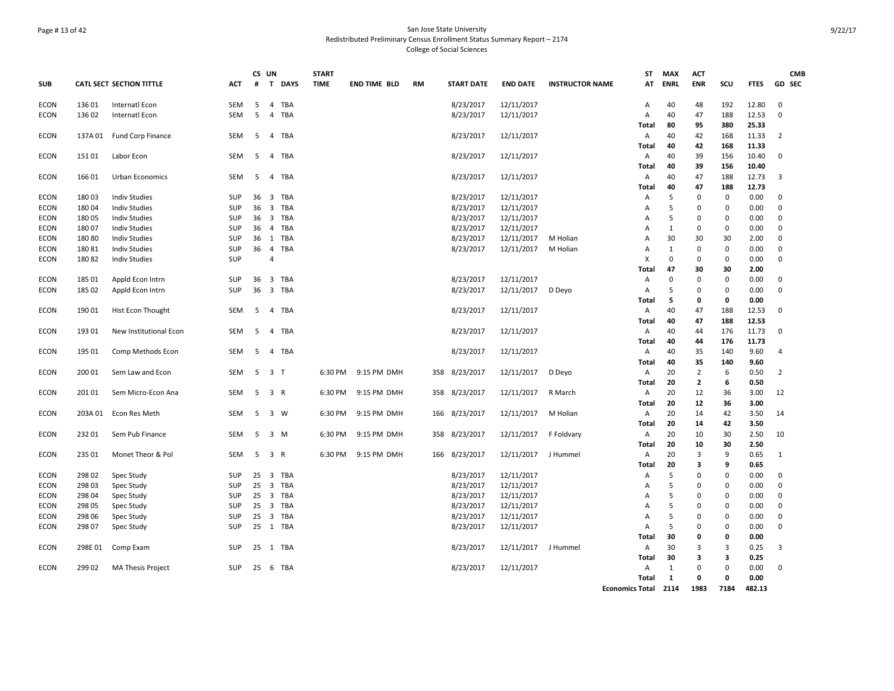# Page # 13 of 42 San Jose State University Redistributed Preliminary Census Enrollment Status Summary Report – 2174 College of Social Sciences

|             |         |                                 |            | CS UN    |                |        | <b>START</b> |                     |    |                   |                     |                        | ST                     | <b>MAX</b>   | ACT            |             |             | <b>CMB</b>    |  |
|-------------|---------|---------------------------------|------------|----------|----------------|--------|--------------|---------------------|----|-------------------|---------------------|------------------------|------------------------|--------------|----------------|-------------|-------------|---------------|--|
| <b>SUB</b>  |         | <b>CATL SECT SECTION TITTLE</b> | <b>ACT</b> | #        |                | T DAYS | <b>TIME</b>  | <b>END TIME BLD</b> | RM | <b>START DATE</b> | <b>END DATE</b>     | <b>INSTRUCTOR NAME</b> | AT                     | <b>ENRL</b>  | <b>ENR</b>     | scu         | <b>FTES</b> | <b>GD SEC</b> |  |
| <b>ECON</b> | 136 01  | Internatl Econ                  | SEM        | 5        | $\overline{4}$ | TBA    |              |                     |    | 8/23/2017         | 12/11/2017          |                        | A                      | 40           | 48             | 192         | 12.80       | $\mathbf 0$   |  |
| <b>ECON</b> | 136 02  | Internatl Econ                  | <b>SEM</b> | 5        | $\overline{4}$ | TBA    |              |                     |    | 8/23/2017         | 12/11/2017          |                        | $\overline{A}$         | 40           | 47             | 188         | 12.53       | $\mathbf 0$   |  |
|             |         |                                 |            |          |                |        |              |                     |    |                   |                     |                        | Total                  | 80           | 95             | 380         | 25.33       |               |  |
| <b>ECON</b> | 137A 01 | Fund Corp Finance               | <b>SEM</b> | - 5      |                | 4 TBA  |              |                     |    | 8/23/2017         | 12/11/2017          |                        | A                      | 40           | 42             | 168         | 11.33       | 2             |  |
|             |         |                                 |            |          |                |        |              |                     |    |                   |                     |                        | Total                  | 40           | 42             | 168         | 11.33       |               |  |
| <b>ECON</b> | 151 01  | Labor Econ                      | SEM        | 5        |                | 4 TBA  |              |                     |    | 8/23/2017         | 12/11/2017          |                        | Α                      | 40           | 39             | 156         | 10.40       | $\mathbf 0$   |  |
|             |         |                                 |            |          |                |        |              |                     |    |                   |                     |                        | Total                  | 40           | 39             | 156         | 10.40       |               |  |
| <b>ECON</b> | 16601   | Urban Economics                 | <b>SEM</b> | - 5      |                | 4 TBA  |              |                     |    | 8/23/2017         | 12/11/2017          |                        | A                      | 40           | 47             | 188         | 12.73       | 3             |  |
|             |         |                                 |            |          |                |        |              |                     |    |                   |                     |                        | Total                  | 40           | 47             | 188         | 12.73       |               |  |
| <b>ECON</b> | 18003   | <b>Indiv Studies</b>            | SUP        | 36       |                | 3 TBA  |              |                     |    | 8/23/2017         | 12/11/2017          |                        | Α                      | 5            | 0              | 0           | 0.00        | $\Omega$      |  |
| <b>ECON</b> | 18004   | <b>Indiv Studies</b>            | SUP        | 36       |                | 3 TBA  |              |                     |    | 8/23/2017         | 12/11/2017          |                        | Α                      | 5            | 0              | 0           | 0.00        | $\mathbf 0$   |  |
| <b>ECON</b> | 180 05  | <b>Indiv Studies</b>            | <b>SUP</b> | 36       | 3 TBA          |        |              |                     |    | 8/23/2017         | 12/11/2017          |                        | Α                      | 5            | 0              | $\mathbf 0$ | 0.00        | 0             |  |
| <b>ECON</b> | 180 07  | <b>Indiv Studies</b>            | SUP        | 36       |                | 4 TBA  |              |                     |    | 8/23/2017         | 12/11/2017          |                        | A                      | $\mathbf{1}$ | 0              | 0           | 0.00        | 0             |  |
| <b>ECON</b> | 180 80  | <b>Indiv Studies</b>            | <b>SUP</b> |          | 36 1 TBA       |        |              |                     |    | 8/23/2017         | 12/11/2017          | M Holian               | $\overline{A}$         | 30           | 30             | 30          | 2.00        | 0             |  |
| <b>ECON</b> | 18081   | <b>Indiv Studies</b>            | <b>SUP</b> | 36       | $\overline{4}$ | TBA    |              |                     |    | 8/23/2017         | 12/11/2017          | M Holian               | Α                      | $\mathbf{1}$ | $\mathbf 0$    | $\mathbf 0$ | 0.00        | $\Omega$      |  |
| <b>ECON</b> | 18082   | <b>Indiv Studies</b>            | <b>SUP</b> |          | $\overline{4}$ |        |              |                     |    |                   |                     |                        | X                      | 0            | $\mathbf 0$    | 0           | 0.00        | $\Omega$      |  |
|             |         |                                 |            |          |                |        |              |                     |    |                   |                     |                        | Total                  | 47           | 30             | 30          | 2.00        |               |  |
| <b>ECON</b> | 185 01  | Appld Econ Intrn                | SUP        | 36       | 3 TBA          |        |              |                     |    | 8/23/2017         | 12/11/2017          |                        | Α                      | 0            | $\mathbf 0$    | $\mathbf 0$ | 0.00        | 0             |  |
| <b>ECON</b> | 185 02  | Appld Econ Intrn                | SUP        | 36       | 3 TBA          |        |              |                     |    | 8/23/2017         | 12/11/2017          | D Deyo                 | $\overline{A}$         | 5            | $\mathbf 0$    | $\mathbf 0$ | 0.00        | $\mathbf 0$   |  |
|             |         |                                 |            |          |                |        |              |                     |    |                   |                     |                        | Total                  | 5            | $\mathbf 0$    | 0           | 0.00        |               |  |
| <b>ECON</b> | 190 01  | Hist Econ Thought               | <b>SEM</b> | - 5      |                | 4 TBA  |              |                     |    | 8/23/2017         | 12/11/2017          |                        | A                      | 40           | 47             | 188         | 12.53       | $\Omega$      |  |
|             |         |                                 |            |          |                |        |              |                     |    |                   |                     |                        | <b>Total</b>           | 40           | 47             | 188         | 12.53       |               |  |
| <b>ECON</b> | 193 01  | New Institutional Econ          | <b>SEM</b> | 5        |                | 4 TBA  |              |                     |    | 8/23/2017         | 12/11/2017          |                        | Α                      | 40           | 44             | 176         | 11.73       | $\Omega$      |  |
|             |         |                                 |            |          |                |        |              |                     |    |                   |                     |                        | Total                  | 40           | 44             | 176         | 11.73       |               |  |
| <b>ECON</b> | 195 01  | Comp Methods Econ               | <b>SEM</b> | -5       |                | 4 TBA  |              |                     |    | 8/23/2017         | 12/11/2017          |                        | A                      | 40           | 35             | 140         | 9.60        | 4             |  |
|             |         |                                 |            |          |                |        |              |                     |    |                   |                     |                        | Total                  | 40           | 35             | 140         | 9.60        |               |  |
| <b>ECON</b> | 200 01  | Sem Law and Econ                | SEM        |          | 5 3 T          |        | 6:30 PM      | 9:15 PM DMH         |    | 358 8/23/2017     | 12/11/2017          | D Deyo                 | A                      | 20           | $\overline{2}$ | 6           | 0.50        | 2             |  |
|             |         |                                 |            |          |                |        |              |                     |    |                   |                     |                        | Total                  | 20           | $\overline{2}$ | 6           | 0.50        |               |  |
| <b>ECON</b> | 201 01  | Sem Micro-Econ Ana              | SEM        | 5        | 3 R            |        | 6:30 PM      | 9:15 PM DMH         |    | 358 8/23/2017     | 12/11/2017          | R March                | Α                      | 20           | 12             | 36          | 3.00        | 12            |  |
|             |         |                                 |            |          |                |        |              |                     |    |                   |                     |                        | Total                  | 20           | 12             | 36          | 3.00        |               |  |
| <b>ECON</b> | 203A 01 | Econ Res Meth                   | <b>SEM</b> | -5       | 3 W            |        | 6:30 PM      | 9:15 PM DMH         |    | 166 8/23/2017     | 12/11/2017          | M Holian               | Α                      | 20           | 14             | 42          | 3.50        | 14            |  |
|             |         |                                 |            |          |                |        |              |                     |    |                   |                     |                        | Total                  | -20          | 14             | 42          | 3.50        |               |  |
| <b>ECON</b> | 232 01  | Sem Pub Finance                 | SEM        | 5        | 3 M            |        | 6:30 PM      | 9:15 PM DMH         |    | 358 8/23/2017     | 12/11/2017          | F Foldvary             | A                      | 20           | 10             | 30          | 2.50        | 10            |  |
|             |         |                                 |            |          |                |        |              |                     |    |                   |                     |                        | Total                  | 20           | 10             | 30          | 2.50        |               |  |
| <b>ECON</b> | 235 01  | Monet Theor & Pol               | SEM        | 5        | 3 R            |        | 6:30 PM      | 9:15 PM DMH         |    | 166 8/23/2017     | 12/11/2017          | J Hummel               | Α                      | 20           | $\overline{3}$ | 9           | 0.65        | 1             |  |
|             |         |                                 |            |          |                |        |              |                     |    |                   |                     |                        | Total                  | 20           | 3              | 9           | 0.65        |               |  |
| ECON        | 298 02  | Spec Study                      | SUP        | 25       |                | 3 TBA  |              |                     |    | 8/23/2017         | 12/11/2017          |                        | Α                      | 5            | $\mathbf 0$    | 0           | 0.00        | $\Omega$      |  |
| <b>ECON</b> | 298 03  | Spec Study                      | <b>SUP</b> | 25 3 TBA |                |        |              |                     |    | 8/23/2017         | 12/11/2017          |                        | Α                      | 5            | 0              | $\Omega$    | 0.00        | 0             |  |
| <b>ECON</b> | 298 04  | Spec Study                      | SUP        | 25       |                | 3 TBA  |              |                     |    | 8/23/2017         | 12/11/2017          |                        | A                      | 5            | $\mathbf 0$    | $\Omega$    | 0.00        | $\mathbf 0$   |  |
| <b>ECON</b> | 298 05  | Spec Study                      | <b>SUP</b> | 25       |                | 3 TBA  |              |                     |    | 8/23/2017         | 12/11/2017          |                        | A                      | 5            | $\mathbf 0$    | $\mathbf 0$ | 0.00        | $\mathbf 0$   |  |
| <b>ECON</b> | 298 06  | Spec Study                      | <b>SUP</b> | 25       |                | 3 TBA  |              |                     |    | 8/23/2017         | 12/11/2017          |                        | Α                      | 5            | $\mathbf 0$    | $\mathbf 0$ | 0.00        | $\mathbf 0$   |  |
| <b>ECON</b> | 298 07  | Spec Study                      | <b>SUP</b> | 25 1 TBA |                |        |              |                     |    | 8/23/2017         | 12/11/2017          |                        | Α                      | 5            | $\mathbf 0$    | $\Omega$    | 0.00        | $\Omega$      |  |
|             |         |                                 |            |          |                |        |              |                     |    |                   |                     |                        | Total                  | 30           | 0              | 0           | 0.00        |               |  |
| <b>ECON</b> | 298E 01 | Comp Exam                       | SUP        | 25 1 TBA |                |        |              |                     |    | 8/23/2017         | 12/11/2017 J Hummel |                        | A                      | 30           | 3              | 3           | 0.25        | 3             |  |
|             |         |                                 |            |          |                |        |              |                     |    |                   |                     |                        | Total                  | 30           | 3              | 3           | 0.25        |               |  |
| <b>ECON</b> | 299 02  | <b>MA Thesis Project</b>        | SUP        | 25 6 TBA |                |        |              |                     |    | 8/23/2017         | 12/11/2017          |                        | Α                      | $\mathbf{1}$ | 0              | $\pmb{0}$   | 0.00        | $\mathbf 0$   |  |
|             |         |                                 |            |          |                |        |              |                     |    |                   |                     |                        | Total                  | 1            | 0              | 0           | 0.00        |               |  |
|             |         |                                 |            |          |                |        |              |                     |    |                   |                     |                        | <b>Economics Total</b> | 2114         | 1983           | 7184        | 482.13      |               |  |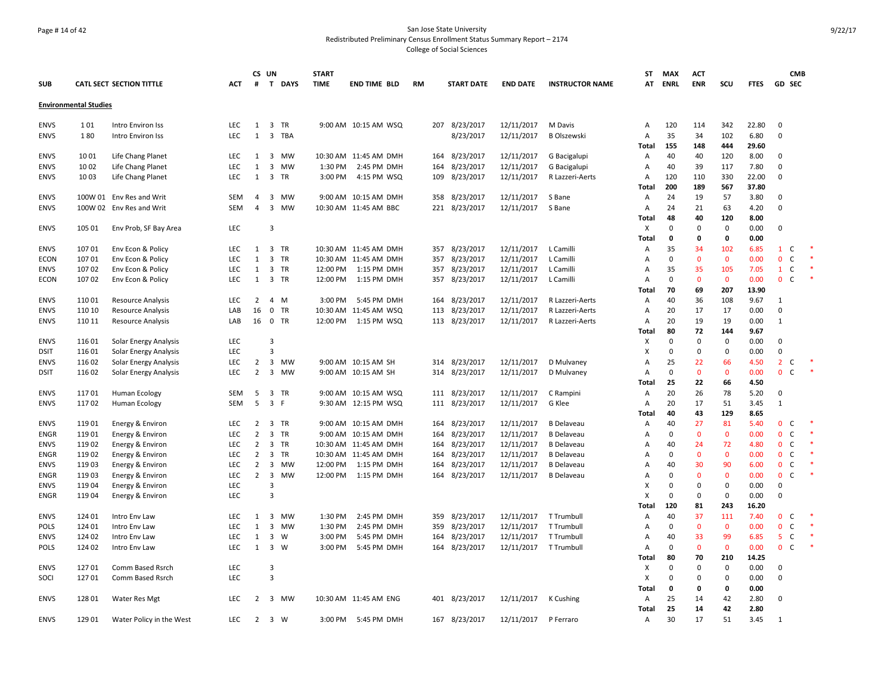# Page # 14 of 42 San Jose State University Redistributed Preliminary Census Enrollment Status Summary Report – 2174 College of Social Sciences

|             |                              |                              |            |                | CS UN                   |           | <b>START</b> |                       |           |                   |                       |                              | ST             | <b>MAX</b>  | <b>ACT</b>     |              |               |                | <b>CMB</b>    |        |
|-------------|------------------------------|------------------------------|------------|----------------|-------------------------|-----------|--------------|-----------------------|-----------|-------------------|-----------------------|------------------------------|----------------|-------------|----------------|--------------|---------------|----------------|---------------|--------|
| <b>SUB</b>  |                              | CATL SECT SECTION TITTLE     | <b>ACT</b> | #              |                         | T DAYS    | <b>TIME</b>  | <b>END TIME BLD</b>   | <b>RM</b> | <b>START DATE</b> | <b>END DATE</b>       | <b>INSTRUCTOR NAME</b>       | AT             | <b>ENRL</b> | <b>ENR</b>     | scu          | <b>FTES</b>   |                | <b>GD SEC</b> |        |
|             | <b>Environmental Studies</b> |                              |            |                |                         |           |              |                       |           |                   |                       |                              |                |             |                |              |               |                |               |        |
| <b>ENVS</b> | 101                          | Intro Environ Iss            | <b>LEC</b> | $\mathbf{1}$   |                         | 3 TR      |              | 9:00 AM 10:15 AM WSQ  |           | 207 8/23/2017     | 12/11/2017            | M Davis                      | $\overline{A}$ | 120         | 114            | 342          | 22.80         | $\mathbf 0$    |               |        |
| <b>ENVS</b> | 180                          | Intro Environ Iss            | LEC        | $\mathbf{1}$   |                         | 3 TBA     |              |                       |           | 8/23/2017         | 12/11/2017            | <b>B Olszewski</b>           | A              | 35          | 34             | 102          | 6.80          | $\mathbf 0$    |               |        |
|             |                              |                              |            |                |                         |           |              |                       |           |                   |                       |                              | Total          | 155         | 148            | 444          | 29.60         |                |               |        |
| <b>ENVS</b> | 1001                         | Life Chang Planet            | LEC        | 1              |                         | 3 MW      |              | 10:30 AM 11:45 AM DMH |           | 164 8/23/2017     | 12/11/2017            |                              | Α              | 40          | 40             | 120          | 8.00          | $\mathbf 0$    |               |        |
| <b>ENVS</b> | 1002                         | Life Chang Planet            | <b>LEC</b> | $\mathbf{1}$   | 3                       | <b>MW</b> | 1:30 PM      | 2:45 PM DMH           |           | 164 8/23/2017     | 12/11/2017            | G Bacigalupi<br>G Bacigalupi | Α              | 40          | 39             | 117          | 7.80          | 0              |               |        |
| <b>ENVS</b> | 1003                         |                              | LEC        | $\mathbf{1}$   | $\overline{3}$          | TR        | 3:00 PM      | 4:15 PM WSQ           | 109       | 8/23/2017         | 12/11/2017            | R Lazzeri-Aerts              | Α              | 120         | 110            | 330          | 22.00         | 0              |               |        |
|             |                              | Life Chang Planet            |            |                |                         |           |              |                       |           |                   |                       |                              |                | 200         |                |              |               |                |               |        |
| <b>ENVS</b> |                              | 100W 01 Env Res and Writ     | SEM        | $\overline{4}$ |                         | 3 MW      |              | 9:00 AM 10:15 AM DMH  |           | 358 8/23/2017     | 12/11/2017            | S Bane                       | Total<br>Α     | 24          | 189<br>19      | 567<br>57    | 37.80<br>3.80 | $\mathbf 0$    |               |        |
| <b>ENVS</b> |                              | 100W 02 Env Res and Writ     | <b>SEM</b> | $\overline{4}$ | 3                       | <b>MW</b> |              | 10:30 AM 11:45 AM BBC |           |                   |                       | S Bane                       | $\overline{A}$ | 24          | 21             | 63           | 4.20          | 0              |               |        |
|             |                              |                              |            |                |                         |           |              |                       |           | 221 8/23/2017     | 12/11/2017            |                              |                | 48          | 40             | 120          | 8.00          |                |               |        |
|             |                              |                              |            |                |                         |           |              |                       |           |                   |                       |                              | <b>Total</b>   |             |                |              |               |                |               |        |
| <b>ENVS</b> | 105 01                       | Env Prob, SF Bay Area        | LEC        |                | 3                       |           |              |                       |           |                   |                       |                              | X              | $\Omega$    | $\mathbf 0$    | 0            | 0.00          | 0              |               |        |
|             |                              |                              |            |                |                         |           |              |                       |           |                   |                       |                              | Total          | $\mathbf 0$ | 0              | 0            | 0.00          |                |               |        |
| <b>ENVS</b> | 107 01                       | Env Econ & Policy            | <b>LEC</b> | 1              |                         | 3 TR      |              | 10:30 AM 11:45 AM DMH |           | 357 8/23/2017     | 12/11/2017            | L Camilli                    | A              | 35          | 34             | 102          | 6.85          | $\mathbf{1}$   | C             | $\ast$ |
| <b>ECON</b> | 107 01                       | Env Econ & Policy            | LEC        | $\mathbf{1}$   |                         | 3 TR      |              | 10:30 AM 11:45 AM DMH | 357       | 8/23/2017         | 12/11/2017            | L Camilli                    | A              | 0           | $\mathbf 0$    | $\mathbf 0$  | 0.00          | $\mathbf 0$    | $\mathsf{C}$  |        |
| <b>ENVS</b> | 107 02                       | Env Econ & Policy            | LEC        | $\mathbf{1}$   |                         | 3 TR      | 12:00 PM     | 1:15 PM DMH           |           | 357 8/23/2017     | 12/11/2017            | L Camilli                    | Α              | 35          | 35             | 105          | 7.05          | $\mathbf{1}$   | C             |        |
| <b>ECON</b> | 107 02                       | Env Econ & Policy            | LEC        | 1              |                         | 3 TR      | 12:00 PM     | 1:15 PM DMH           |           | 357 8/23/2017     | 12/11/2017            | L Camilli                    | Α              | 0           | $\mathbf 0$    | $\mathbf{0}$ | 0.00          | $\mathbf 0$    | C             |        |
|             |                              |                              |            |                |                         |           |              |                       |           |                   |                       |                              | <b>Total</b>   | 70          | 69             | 207          | 13.90         |                |               |        |
| <b>ENVS</b> | 110 01                       | <b>Resource Analysis</b>     | LEC        | $\overline{2}$ |                         | 4 M       | 3:00 PM      | 5:45 PM DMH           |           | 164 8/23/2017     | 12/11/2017            | R Lazzeri-Aerts              | Α              | 40          | 36             | 108          | 9.67          | 1              |               |        |
| <b>ENVS</b> | 110 10                       | <b>Resource Analysis</b>     | LAB        | 16             |                         | $0$ TR    |              | 10:30 AM 11:45 AM WSQ |           | 113 8/23/2017     | 12/11/2017            | R Lazzeri-Aerts              | Α              | 20          | 17             | 17           | 0.00          | 0              |               |        |
| <b>ENVS</b> | 110 11                       | <b>Resource Analysis</b>     | LAB        | 16             |                         | 0 TR      | 12:00 PM     | 1:15 PM WSQ           |           | 113 8/23/2017     | 12/11/2017            | R Lazzeri-Aerts              | Α              | 20          | 19             | 19           | 0.00          | 1              |               |        |
|             |                              |                              |            |                |                         |           |              |                       |           |                   |                       |                              | <b>Total</b>   | 80          | 72             | 144          | 9.67          |                |               |        |
| <b>ENVS</b> | 116 01                       | Solar Energy Analysis        | LEC        |                | $\overline{3}$          |           |              |                       |           |                   |                       |                              | X              | 0           | $\mathbf 0$    | 0            | 0.00          | 0              |               |        |
| <b>DSIT</b> | 11601                        | Solar Energy Analysis        | <b>LEC</b> |                | $\overline{3}$          |           |              |                       |           |                   |                       |                              | X              | 0           | $\mathbf 0$    | 0            | 0.00          | 0              |               |        |
| <b>ENVS</b> | 11602                        | Solar Energy Analysis        | <b>LEC</b> | $\overline{2}$ |                         | 3 MW      |              | 9:00 AM 10:15 AM SH   |           | 314 8/23/2017     | 12/11/2017            | D Mulvaney                   | Α              | 25          | 22             | 66           | 4.50          | $\overline{2}$ | C             |        |
| <b>DSIT</b> | 116 02                       | <b>Solar Energy Analysis</b> | <b>LEC</b> | $\overline{2}$ | $\overline{3}$          | <b>MW</b> |              | 9:00 AM 10:15 AM SH   |           | 314 8/23/2017     | 12/11/2017            | D Mulvaney                   | Α              | $\mathbf 0$ | $\mathbf{0}$   | $\mathbf{0}$ | 0.00          | $\mathbf{0}$   | C             | $\ast$ |
|             |                              |                              |            |                |                         |           |              |                       |           |                   |                       |                              | Total          | 25          | 22             | 66           | 4.50          |                |               |        |
| <b>ENVS</b> | 11701                        | <b>Human Ecology</b>         | SEM        | 5              |                         | 3 TR      |              | 9:00 AM 10:15 AM WSQ  |           | 111 8/23/2017     | 12/11/2017            | C Rampini                    | Α              | 20          | 26             | 78           | 5.20          | 0              |               |        |
| <b>ENVS</b> | 11702                        | Human Ecology                | <b>SEM</b> | 5              | 3 F                     |           |              | 9:30 AM 12:15 PM WSQ  |           | 111 8/23/2017     | 12/11/2017            | G Klee                       | Α              | 20          | 17             | 51           | 3.45          | $\mathbf{1}$   |               |        |
|             |                              |                              |            |                |                         |           |              |                       |           |                   |                       |                              | <b>Total</b>   | 40          | 43             | 129          | 8.65          |                |               |        |
| <b>ENVS</b> | 119 01                       | Energy & Environ             | LEC        | 2              | 3                       | TR        |              | 9:00 AM 10:15 AM DMH  | 164       | 8/23/2017         | 12/11/2017            | <b>B</b> Delaveau            | Α              | 40          | 27             | 81           | 5.40          | $\mathbf{0}$   | C             |        |
| <b>ENGR</b> | 119 01                       | Energy & Environ             | LEC        | $\overline{2}$ |                         | 3 TR      |              | 9:00 AM 10:15 AM DMH  | 164       | 8/23/2017         | 12/11/2017            | <b>B</b> Delaveau            | Α              | 0           | $\mathbf 0$    | $\mathbf 0$  | 0.00          | $\mathbf{0}$   | $\mathsf{C}$  |        |
| <b>ENVS</b> | 119 02                       | Energy & Environ             | LEC        | $\overline{2}$ |                         | 3 TR      |              | 10:30 AM 11:45 AM DMH | 164       | 8/23/2017         | 12/11/2017            | <b>B</b> Delaveau            | Α              | 40          | 24             | 72           | 4.80          | $\mathbf 0$    | $\mathsf{C}$  |        |
| <b>ENGR</b> | 11902                        | Energy & Environ             | LEC        | $\overline{2}$ |                         | 3 TR      |              | 10:30 AM 11:45 AM DMH | 164       | 8/23/2017         | 12/11/2017            | <b>B</b> Delaveau            | Α              | 0           | $\mathbf 0$    | $\mathbf 0$  | 0.00          | $\mathbf 0$    | C             |        |
| <b>ENVS</b> | 119 03                       | Energy & Environ             | LEC        | 2              |                         | 3 MW      | 12:00 PM     | 1:15 PM DMH           | 164       | 8/23/2017         | 12/11/2017            | <b>B</b> Delaveau            | Α              | 40          | 30             | 90           | 6.00          | 0 <sup>o</sup> |               |        |
| <b>ENGR</b> | 119 03                       | Energy & Environ             | LEC        | $\overline{2}$ | 3                       | <b>MW</b> |              | 12:00 PM 1:15 PM DMH  |           | 164 8/23/2017     | 12/11/2017            | <b>B</b> Delaveau            | Α              | 0           | $\mathbf 0$    | $\mathbf{0}$ | 0.00          | $\mathbf{0}$   | C             |        |
| <b>ENVS</b> | 119 04                       | Energy & Environ             | <b>LEC</b> |                | 3                       |           |              |                       |           |                   |                       |                              | $\times$       | $\Omega$    | $\mathbf 0$    | 0            | 0.00          | 0              |               |        |
| <b>ENGR</b> | 119 04                       | Energy & Environ             | LEC        |                | $\overline{3}$          |           |              |                       |           |                   |                       |                              | X              | 0           | $\mathbf 0$    | 0            | 0.00          | $\mathbf 0$    |               |        |
|             |                              |                              |            |                |                         |           |              |                       |           |                   |                       |                              | Total          | 120         | 81             | 243          | 16.20         |                |               |        |
| <b>ENVS</b> | 124 01                       | Intro Env Law                | LEC        | 1              | 3                       | <b>MW</b> | 1:30 PM      | 2:45 PM DMH           | 359       | 8/23/2017         | 12/11/2017            | T Trumbull                   | Α              | 40          | 37             | 111          | 7.40          | $\mathbf 0$    | $\mathsf{C}$  |        |
| <b>POLS</b> | 124 01                       | Intro Env Law                | <b>LEC</b> | $\mathbf{1}$   |                         | 3 MW      | 1:30 PM      | 2:45 PM DMH           | 359       | 8/23/2017         | 12/11/2017            | T Trumbull                   | Α              | $\Omega$    | $\overline{0}$ | $\mathbf{0}$ | 0.00          | $\mathbf{0}$   | C             | $\ast$ |
| <b>ENVS</b> | 124 02                       | Intro Env Law                | LEC        | $\mathbf{1}$   | $\overline{\mathbf{3}}$ | W         | 3:00 PM      | 5:45 PM DMH           |           | 164 8/23/2017     | 12/11/2017            | T Trumbull                   | Α              | 40          | 33             | 99           | 6.85          | 5              | $\mathsf{C}$  |        |
| <b>POLS</b> | 124 02                       | Intro Env Law                | LEC        |                | 1 3 W                   |           | 3:00 PM      | 5:45 PM DMH           |           | 164 8/23/2017     | 12/11/2017 T Trumbull |                              | $\overline{A}$ | $\Omega$    | $\mathbf{0}$   | $\mathbf{0}$ | 0.00          | 0 <sup>o</sup> |               |        |
|             |                              |                              |            |                |                         |           |              |                       |           |                   |                       |                              | Total          | 80          | 70             | 210          | 14.25         |                |               |        |
| <b>ENVS</b> | 12701                        | Comm Based Rsrch             | <b>LEC</b> |                | 3                       |           |              |                       |           |                   |                       |                              | X              | $\Omega$    | $\mathbf 0$    | $\mathbf 0$  | 0.00          | 0              |               |        |
| SOCI        | 127 01                       | Comm Based Rsrch             | LEC        |                | $\overline{3}$          |           |              |                       |           |                   |                       |                              | X              | 0           | $\mathbf 0$    | 0            | 0.00          | 0              |               |        |
|             |                              |                              |            |                |                         |           |              |                       |           |                   |                       |                              | <b>Total</b>   | 0           | 0              | 0            | 0.00          |                |               |        |
| <b>ENVS</b> | 128 01                       | <b>Water Res Mgt</b>         | LEC        | 2              |                         | 3 MW      |              | 10:30 AM 11:45 AM ENG |           | 401 8/23/2017     | 12/11/2017            | K Cushing                    | Α              | 25          | 14             | 42           | 2.80          | 0              |               |        |
|             |                              |                              |            |                |                         |           |              |                       |           |                   |                       |                              | Total          | 25          | 14             | 42           | 2.80          |                |               |        |
| <b>ENVS</b> | 129 01                       | Water Policy in the West     | <b>LEC</b> | $\overline{2}$ |                         | 3 W       |              | 3:00 PM 5:45 PM DMH   |           | 167 8/23/2017     | 12/11/2017            | P Ferraro                    | A              | 30          | 17             | 51           | 3.45          | 1              |               |        |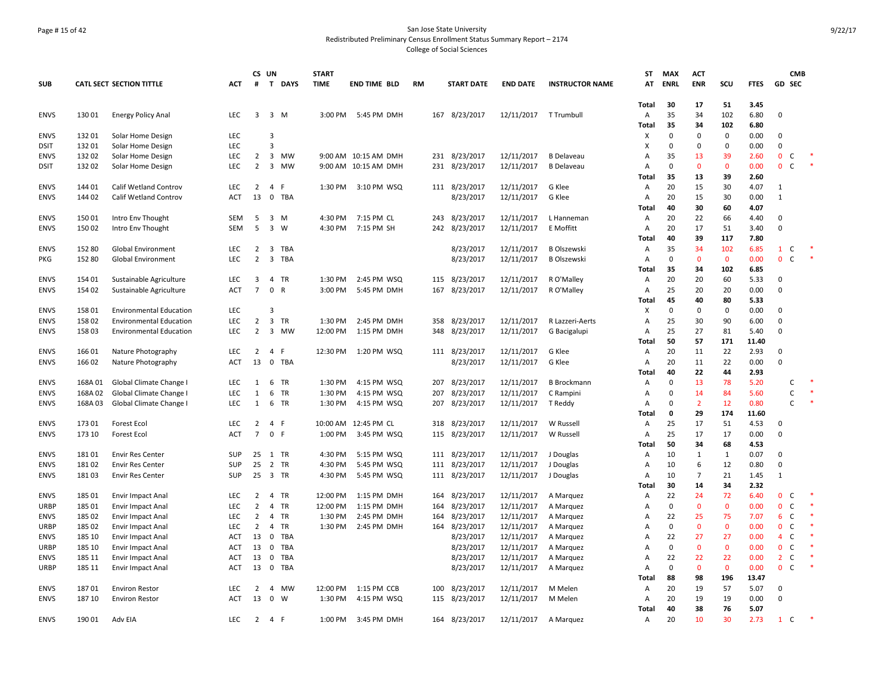# Page # 15 of 42 San Jose State University Redistributed Preliminary Census Enrollment Status Summary Report – 2174 College of Social Sciences

|             |         |                                 |            |                     | CS UN                   |            | <b>START</b> |                      |           |     |                   |                 |                        | ST             | <b>MAX</b>  | <b>ACT</b>     |              |              |                  | <b>CMB</b>   |  |
|-------------|---------|---------------------------------|------------|---------------------|-------------------------|------------|--------------|----------------------|-----------|-----|-------------------|-----------------|------------------------|----------------|-------------|----------------|--------------|--------------|------------------|--------------|--|
| <b>SUB</b>  |         | <b>CATL SECT SECTION TITTLE</b> | <b>ACT</b> | #                   |                         | T DAYS     | <b>TIME</b>  | <b>END TIME BLD</b>  | <b>RM</b> |     | <b>START DATE</b> | <b>END DATE</b> | <b>INSTRUCTOR NAME</b> | AT             | <b>ENRL</b> | <b>ENR</b>     | SCU          | <b>FTES</b>  | GD SEC           |              |  |
|             |         |                                 |            |                     |                         |            |              |                      |           |     |                   |                 |                        | Total          | 30          | 17             | 51           | 3.45         |                  |              |  |
| <b>ENVS</b> | 130 01  | Energy Policy Anal              | LEC        | 3                   |                         | 3 M        | 3:00 PM      | 5:45 PM DMH          |           |     | 167 8/23/2017     | 12/11/2017      | T Trumbull             | Α              | 35          | 34             | 102          | 6.80         | 0                |              |  |
|             |         |                                 |            |                     |                         |            |              |                      |           |     |                   |                 |                        | <b>Total</b>   | 35          | 34             | 102          | 6.80         |                  |              |  |
| <b>ENVS</b> | 132 01  | Solar Home Design               | <b>LEC</b> |                     | 3                       |            |              |                      |           |     |                   |                 |                        | X              | $\mathbf 0$ | $\Omega$       | $\mathbf 0$  | 0.00         | $\mathbf 0$      |              |  |
| <b>DSIT</b> | 132 01  | Solar Home Design               | LEC        |                     | $\overline{3}$          |            |              |                      |           |     |                   |                 |                        | х              | $\mathbf 0$ | 0              | 0            | 0.00         | $\mathbf 0$      |              |  |
| <b>ENVS</b> | 13202   | Solar Home Design               | LEC        | $\overline{2}$      | $\overline{\mathbf{3}}$ | MW         |              | 9:00 AM 10:15 AM DMH |           |     | 231 8/23/2017     | 12/11/2017      | <b>B</b> Delaveau      | A              | 35          | 13             | 39           | 2.60         | $\mathbf 0$      | C            |  |
| <b>DSIT</b> | 13202   | Solar Home Design               | <b>LEC</b> | $\overline{2}$      |                         | 3 MW       |              | 9:00 AM 10:15 AM DMH |           |     | 231 8/23/2017     | 12/11/2017      | <b>B</b> Delaveau      | Α              | $\Omega$    | $\mathbf{0}$   | $\mathbf 0$  | 0.00         | $\mathbf{0}$     | C            |  |
|             |         |                                 |            |                     |                         |            |              |                      |           |     |                   |                 |                        | Total          | 35          | 13             | 39           | 2.60         |                  |              |  |
| <b>ENVS</b> | 144 01  | Calif Wetland Controv           | <b>LEC</b> | 2                   | $\overline{4}$          | F          | 1:30 PM      | 3:10 PM WSQ          |           |     | 111 8/23/2017     | 12/11/2017      | G Klee                 | A              | 20          | 15             | 30           | 4.07         | 1                |              |  |
| <b>ENVS</b> | 144 02  | Calif Wetland Controv           | <b>ACT</b> | 13                  |                         | 0 TBA      |              |                      |           |     | 8/23/2017         | 12/11/2017      | G Klee                 | Α              | 20          | 15             | 30           | 0.00         | $\mathbf{1}$     |              |  |
|             |         |                                 |            |                     |                         |            |              |                      |           |     |                   |                 |                        | Total          | 40          | 30             | 60           | 4.07         |                  |              |  |
| <b>ENVS</b> | 15001   | Intro Env Thought               | SEM        | 5                   |                         | 3 M        | 4:30 PM      | 7:15 PM CL           |           | 243 | 8/23/2017         | 12/11/2017      | L Hanneman             | Α              | 20          | 22             | 66           | 4.40         | 0                |              |  |
| <b>ENVS</b> | 150 02  | Intro Env Thought               | <b>SEM</b> | 5                   |                         | 3 W        | 4:30 PM      | 7:15 PM SH           |           |     | 242 8/23/2017     | 12/11/2017      | E Moffitt              | Α              | 20          | 17             | 51           | 3.40         | $\mathbf 0$      |              |  |
|             |         |                                 |            |                     |                         |            |              |                      |           |     |                   |                 |                        | Total          | 40          | 39             | 117          | 7.80         |                  |              |  |
| <b>ENVS</b> | 152 80  | <b>Global Environment</b>       | <b>LEC</b> | $\overline{2}$      | $\overline{\mathbf{3}}$ | TBA        |              |                      |           |     | 8/23/2017         | 12/11/2017      | <b>B Olszewski</b>     | Α              | 35          | 34             | 102          | 6.85         | $\mathbf{1}$     | C            |  |
| PKG         | 152 80  | <b>Global Environment</b>       | LEC        | $\overline{2}$      | $\overline{3}$          | <b>TBA</b> |              |                      |           |     | 8/23/2017         | 12/11/2017      | <b>B Olszewski</b>     | Α              | $\mathbf 0$ | $\mathbf{0}$   | $\mathbf 0$  | 0.00         | $\mathbf{0}$     | $\mathsf{C}$ |  |
|             |         |                                 |            |                     |                         |            |              |                      |           |     |                   |                 |                        | Total          | 35<br>20    | 34             | 102          | 6.85         |                  |              |  |
| <b>ENVS</b> | 154 01  | Sustainable Agriculture         | LEC        | 3<br>$\overline{7}$ | $\mathbf 0$             | 4 TR       | 1:30 PM      | 2:45 PM WSQ          |           | 115 | 8/23/2017         | 12/11/2017      | R O'Malley             | Α              | 25          | 20<br>20       | 60<br>20     | 5.33<br>0.00 | 0<br>$\mathbf 0$ |              |  |
| <b>ENVS</b> | 154 02  | Sustainable Agriculture         | <b>ACT</b> |                     |                         | R          | 3:00 PM      | 5:45 PM DMH          |           | 167 | 8/23/2017         | 12/11/2017      | R O'Malley             | Α<br>Total     | 45          | 40             | 80           | 5.33         |                  |              |  |
| <b>ENVS</b> | 158 01  | <b>Environmental Education</b>  | <b>LEC</b> |                     | 3                       |            |              |                      |           |     |                   |                 |                        | X              | $\mathbf 0$ | $\Omega$       | $\mathbf 0$  | 0.00         | $\mathbf 0$      |              |  |
| <b>ENVS</b> | 158 02  | <b>Environmental Education</b>  | LEC        | $\overline{2}$      | $\overline{3}$          | <b>TR</b>  | 1:30 PM      | 2:45 PM DMH          |           | 358 | 8/23/2017         | 12/11/2017      | R Lazzeri-Aerts        | A              | 25          | 30             | 90           | 6.00         | $\mathbf 0$      |              |  |
| <b>ENVS</b> | 158 03  | <b>Environmental Education</b>  | <b>LEC</b> | $\overline{2}$      |                         | 3 MW       | 12:00 PM     | 1:15 PM DMH          |           | 348 | 8/23/2017         | 12/11/2017      | G Bacigalupi           | Α              | 25          | 27             | 81           | 5.40         | $\pmb{0}$        |              |  |
|             |         |                                 |            |                     |                         |            |              |                      |           |     |                   |                 |                        | Total          | 50          | 57             | 171          | 11.40        |                  |              |  |
| <b>ENVS</b> | 166 01  | Nature Photography              | <b>LEC</b> | 2                   | 4                       | F.         | 12:30 PM     | 1:20 PM WSQ          |           |     | 111 8/23/2017     | 12/11/2017      | G Klee                 | Α              | 20          | 11             | 22           | 2.93         | $\mathbf 0$      |              |  |
| <b>ENVS</b> | 16602   | Nature Photography              | <b>ACT</b> | 13                  |                         | 0 TBA      |              |                      |           |     | 8/23/2017         | 12/11/2017      | G Klee                 | A              | 20          | 11             | 22           | 0.00         | $\mathbf 0$      |              |  |
|             |         |                                 |            |                     |                         |            |              |                      |           |     |                   |                 |                        | Total          | 40          | 22             | 44           | 2.93         |                  |              |  |
| ENVS        | 168A01  | Global Climate Change I         | LEC        | 1                   | 6                       | TR         | 1:30 PM      | 4:15 PM WSQ          |           | 207 | 8/23/2017         | 12/11/2017      | <b>B</b> Brockmann     | A              | $\mathbf 0$ | 13             | 78           | 5.20         |                  | $\mathsf{C}$ |  |
| <b>ENVS</b> | 168A 02 | Global Climate Change I         | LEC        | 1                   | 6                       | TR         | 1:30 PM      | 4:15 PM WSQ          |           | 207 | 8/23/2017         | 12/11/2017      | C Rampini              | Α              | $\mathbf 0$ | 14             | 84           | 5.60         |                  | $\mathsf{C}$ |  |
| <b>ENVS</b> | 168A03  | Global Climate Change I         | <b>LEC</b> | 1                   |                         | 6 TR       | 1:30 PM      | 4:15 PM WSQ          |           | 207 | 8/23/2017         | 12/11/2017      | T Reddy                | Α              | 0           | $\overline{2}$ | 12           | 0.80         |                  | C            |  |
|             |         |                                 |            |                     |                         |            |              |                      |           |     |                   |                 |                        | Total          | 0           | 29             | 174          | 11.60        |                  |              |  |
| <b>ENVS</b> | 173 01  | Forest Ecol                     | <b>LEC</b> | $\overline{2}$      | 4 F                     |            | 10:00 AM     | 12:45 PM CL          |           | 318 | 8/23/2017         | 12/11/2017      | W Russell              | Α              | 25          | 17             | 51           | 4.53         | 0                |              |  |
| <b>ENVS</b> | 173 10  | <b>Forest Ecol</b>              | <b>ACT</b> | $\overline{7}$      | 0 F                     |            | 1:00 PM      | 3:45 PM WSQ          |           |     | 115 8/23/2017     | 12/11/2017      | W Russell              | Α              | 25          | 17             | 17           | 0.00         | $\pmb{0}$        |              |  |
|             |         |                                 |            |                     |                         |            |              |                      |           |     |                   |                 |                        | Total          | 50          | 34             | 68           | 4.53         |                  |              |  |
| <b>ENVS</b> | 18101   | <b>Envir Res Center</b>         | <b>SUP</b> | 25                  | 1                       | <b>TR</b>  | 4:30 PM      | 5:15 PM WSQ          |           | 111 | 8/23/2017         | 12/11/2017      | J Douglas              | A              | 10          | 1              | 1            | 0.07         | $\mathbf 0$      |              |  |
| <b>ENVS</b> | 181 02  | <b>Envir Res Center</b>         | SUP        | 25                  |                         | 2 TR       | 4:30 PM      | 5:45 PM WSQ          |           | 111 | 8/23/2017         | 12/11/2017      | J Douglas              | $\overline{A}$ | 10          | 6              | 12           | 0.80         | $\mathbf 0$      |              |  |
| <b>ENVS</b> | 18103   | <b>Envir Res Center</b>         | SUP        | 25                  |                         | 3 TR       | 4:30 PM      | 5:45 PM WSQ          |           |     | 111 8/23/2017     | 12/11/2017      | J Douglas              | Α              | 10          | $\overline{7}$ | 21           | 1.45         | $\mathbf{1}$     |              |  |
|             |         |                                 |            |                     |                         |            |              |                      |           |     |                   |                 |                        | Total          | 30          | 14             | 34           | 2.32         |                  |              |  |
| <b>ENVS</b> | 185 01  | <b>Envir Impact Anal</b>        | <b>LEC</b> | 2                   |                         | 4 TR       | 12:00 PM     | 1:15 PM DMH          |           | 164 | 8/23/2017         | 12/11/2017      | A Marquez              | Α              | 22          | 24             | 72           | 6.40         | $\mathbf{0}$     | $\mathsf{C}$ |  |
| <b>URBP</b> | 185 01  | <b>Envir Impact Anal</b>        | <b>LEC</b> | $\overline{2}$      | 4                       | TR         | 12:00 PM     | 1:15 PM DMH          |           | 164 | 8/23/2017         | 12/11/2017      | A Marquez              | A              | $\pmb{0}$   | $\mathbf 0$    | $\mathbf 0$  | 0.00         | $\mathbf 0$      | $\mathsf{C}$ |  |
| <b>ENVS</b> | 185 02  | <b>Envir Impact Anal</b>        | <b>LEC</b> | $\overline{2}$      |                         | 4 TR       | 1:30 PM      | 2:45 PM DMH          |           | 164 | 8/23/2017         | 12/11/2017      | A Marquez              | $\overline{A}$ | 22          | 25             | 75           | 7.07         | 6                | $\mathsf{C}$ |  |
| URBP        | 185 02  | <b>Envir Impact Anal</b>        | <b>LEC</b> | $\overline{2}$      | $\overline{4}$          | <b>TR</b>  | 1:30 PM      | 2:45 PM DMH          |           | 164 | 8/23/2017         | 12/11/2017      | A Marquez              | Α              | $\mathbf 0$ | $\mathbf{0}$   | $\mathbf{0}$ | 0.00         | $\mathbf{0}$     | C            |  |
| <b>ENVS</b> | 185 10  | <b>Envir Impact Anal</b>        | <b>ACT</b> | 13                  | 0                       | TBA        |              |                      |           |     | 8/23/2017         | 12/11/2017      | A Marquez              | A              | 22          | 27             | 27           | 0.00         | $\overline{4}$   | C            |  |
| <b>URBP</b> | 185 10  | <b>Envir Impact Anal</b>        | ACT        | 13                  | 0                       | TBA        |              |                      |           |     | 8/23/2017         | 12/11/2017      | A Marquez              | A              | $\pmb{0}$   | $\mathbf 0$    | $\mathbf 0$  | 0.00         | $\mathbf{0}$     | $\mathsf C$  |  |
| <b>ENVS</b> | 185 11  | <b>Envir Impact Anal</b>        | ACT        | 13                  | $\mathbf 0$             | TBA        |              |                      |           |     | 8/23/2017         | 12/11/2017      | A Marquez              | A              | 22          | 22             | 22           | 0.00         | $\overline{2}$   | $\mathsf{C}$ |  |
| URBP        | 185 11  | <b>Envir Impact Anal</b>        | ACT        | 13                  | $\mathbf 0$             | TBA        |              |                      |           |     | 8/23/2017         | 12/11/2017      | A Marquez              | Α              | 0           | $\mathbf{0}$   | $\mathbf 0$  | 0.00         | $\mathbf{0}$     | $\mathsf{C}$ |  |
|             |         |                                 |            |                     |                         |            |              |                      |           |     |                   |                 |                        | Total          | 88          | 98             | 196          | 13.47        |                  |              |  |
| <b>ENVS</b> | 18701   | <b>Environ Restor</b>           | <b>LEC</b> | $\overline{2}$      | 4                       | MW         | 12:00 PM     | 1:15 PM CCB          |           | 100 | 8/23/2017         | 12/11/2017      | M Melen                | A              | 20          | 19             | 57           | 5.07         | $\mathbf 0$      |              |  |
| <b>ENVS</b> | 187 10  | <b>Environ Restor</b>           | <b>ACT</b> | 13                  | $\mathbf 0$             | W          | 1:30 PM      | 4:15 PM WSQ          |           |     | 115 8/23/2017     | 12/11/2017      | M Melen                | Α              | 20          | 19             | 19           | 0.00         | $\mathbf 0$      |              |  |
|             |         |                                 |            |                     |                         |            |              |                      |           |     |                   |                 |                        | <b>Total</b>   | 40          | 38             | 76           | 5.07         |                  |              |  |
| <b>ENVS</b> | 190 01  | Adv EIA                         | LEC        | $\overline{2}$      | 4 F                     |            | 1:00 PM      | 3:45 PM DMH          |           |     | 164 8/23/2017     | 12/11/2017      | A Marguez              | Α              | 20          | 10             | 30           | 2.73         | $\mathbf{1}$     | C            |  |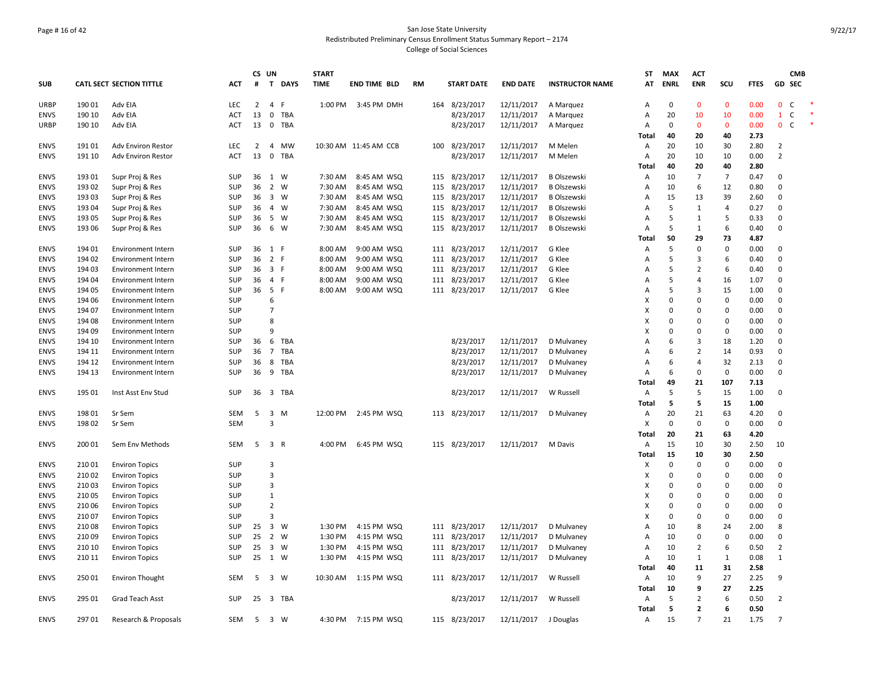# Page # 16 of 42 San Jose State University Redistributed Preliminary Census Enrollment Status Summary Report – 2174 College of Social Sciences

|             |        |                                 |            |                | CS UN                   |          | <b>START</b> |                       |           |     |                   |                 |                        | ST           | <b>MAX</b>  | <b>ACT</b>     |                |             |                              | <b>CMB</b> |  |
|-------------|--------|---------------------------------|------------|----------------|-------------------------|----------|--------------|-----------------------|-----------|-----|-------------------|-----------------|------------------------|--------------|-------------|----------------|----------------|-------------|------------------------------|------------|--|
| <b>SUB</b>  |        | <b>CATL SECT SECTION TITTLE</b> | <b>ACT</b> | #              |                         | T DAYS   | <b>TIME</b>  | <b>END TIME BLD</b>   | <b>RM</b> |     | <b>START DATE</b> | <b>END DATE</b> | <b>INSTRUCTOR NAME</b> | AT           | <b>ENRL</b> | <b>ENR</b>     | SCU            | <b>FTES</b> | <b>GD SEC</b>                |            |  |
| <b>URBP</b> | 190 01 | Adv EIA                         | <b>LEC</b> | $\overline{2}$ | $\overline{4}$          | F        | 1:00 PM      | 3:45 PM DMH           |           | 164 | 8/23/2017         | 12/11/2017      | A Marquez              | Α            | $\mathbf 0$ | $\Omega$       | $\mathbf 0$    | 0.00        | $\mathbf 0$<br>$\mathsf{C}$  |            |  |
| <b>ENVS</b> | 190 10 | Adv EIA                         | ACT        | 13             | 0                       | TBA      |              |                       |           |     | 8/23/2017         | 12/11/2017      | A Marquez              | Α            | 20          | 10             | 10             | 0.00        | $\mathsf C$<br>$\mathbf{1}$  |            |  |
| <b>URBP</b> | 190 10 | Adv EIA                         | <b>ACT</b> | 13             |                         | 0 TBA    |              |                       |           |     | 8/23/2017         | 12/11/2017      | A Marquez              | Α            | $\mathbf 0$ | $\mathbf{0}$   | $\mathbf 0$    | 0.00        | $\mathbf{0}$<br><sub>c</sub> |            |  |
|             |        |                                 |            |                |                         |          |              |                       |           |     |                   |                 |                        | Total        | 40          | 20             | 40             | 2.73        |                              |            |  |
| <b>ENVS</b> | 191 01 | Adv Environ Restor              | <b>LEC</b> | $\overline{2}$ |                         | 4 MW     |              | 10:30 AM 11:45 AM CCB |           |     | 100 8/23/2017     | 12/11/2017      | M Melen                | Α            | 20          | 10             | 30             | 2.80        | $\overline{2}$               |            |  |
| <b>ENVS</b> | 191 10 | Adv Environ Restor              | ACT        | 13             | $\pmb{0}$               | TBA      |              |                       |           |     | 8/23/2017         | 12/11/2017      | M Melen                | Α            | 20          | 10             | 10             | 0.00        | $\overline{2}$               |            |  |
|             |        |                                 |            |                |                         |          |              |                       |           |     |                   |                 |                        | Total        | 40          | 20             | 40             | 2.80        |                              |            |  |
| <b>ENVS</b> | 193 01 | Supr Proj & Res                 | SUP        | 36             |                         | 1 W      | 7:30 AM      | 8:45 AM WSQ           |           |     | 115 8/23/2017     | 12/11/2017      | <b>B</b> Olszewski     | Α            | 10          | $\overline{7}$ | $\overline{7}$ | 0.47        | $\mathbf 0$                  |            |  |
| <b>ENVS</b> | 193 02 | Supr Proj & Res                 | <b>SUP</b> | 36             |                         | 2 W      | 7:30 AM      | 8:45 AM WSQ           |           | 115 | 8/23/2017         | 12/11/2017      | <b>B Olszewski</b>     | Α            | 10          | 6              | 12             | 0.80        | $\mathbf 0$                  |            |  |
| <b>ENVS</b> | 193 03 | Supr Proj & Res                 | <b>SUP</b> | 36             |                         | 3 W      | 7:30 AM      | 8:45 AM WSQ           |           |     | 115 8/23/2017     | 12/11/2017      | <b>B Olszewski</b>     | A            | 15          | 13             | 39             | 2.60        | $\Omega$                     |            |  |
| <b>ENVS</b> | 193 04 | Supr Proj & Res                 | <b>SUP</b> | 36             | $\overline{4}$          | W        | 7:30 AM      | 8:45 AM WSQ           |           |     | 115 8/23/2017     | 12/11/2017      | <b>B Olszewski</b>     | Α            | 5           | $\mathbf{1}$   | $\overline{4}$ | 0.27        | $\mathbf 0$                  |            |  |
| <b>ENVS</b> | 193 05 | Supr Proj & Res                 | <b>SUP</b> | 36             |                         | 5 W      | 7:30 AM      | 8:45 AM WSQ           |           | 115 | 8/23/2017         | 12/11/2017      | <b>B Olszewski</b>     | Α            | 5           | $\mathbf{1}$   | 5              | 0.33        | $\mathbf 0$                  |            |  |
| <b>ENVS</b> | 193 06 | Supr Proj & Res                 | <b>SUP</b> | 36             |                         | 6 W      | 7:30 AM      | 8:45 AM WSQ           |           |     | 115 8/23/2017     | 12/11/2017      | <b>B Olszewski</b>     | Α            | 5           | 1              | 6              | 0.40        | $\mathbf 0$                  |            |  |
|             |        |                                 |            |                |                         |          |              |                       |           |     |                   |                 |                        | Total        | 50          | 29             | 73             | 4.87        |                              |            |  |
| <b>ENVS</b> | 194 01 | <b>Environment Intern</b>       | SUP        | 36             | 1 F                     |          | 8:00 AM      | 9:00 AM WSQ           |           |     | 111 8/23/2017     | 12/11/2017      | G Klee                 | Α            | 5           | $\Omega$       | 0              | 0.00        | $\mathbf 0$                  |            |  |
| <b>ENVS</b> | 194 02 | <b>Environment Intern</b>       | <b>SUP</b> | 36             | 2 F                     |          | 8:00 AM      | 9:00 AM WSQ           |           |     | 111 8/23/2017     | 12/11/2017      | G Klee                 | A            | 5           | 3              | 6              | 0.40        | $\mathbf 0$                  |            |  |
| <b>ENVS</b> | 194 03 | <b>Environment Intern</b>       | <b>SUP</b> | 36             | 3 F                     |          | 8:00 AM      | 9:00 AM WSQ           |           | 111 | 8/23/2017         | 12/11/2017      | G Klee                 | A            | 5           | $\overline{2}$ | 6              | 0.40        | $\mathbf 0$                  |            |  |
| <b>ENVS</b> | 194 04 | <b>Environment Intern</b>       | <b>SUP</b> | 36             | 4 F                     |          | 8:00 AM      | 9:00 AM WSQ           |           |     | 111 8/23/2017     | 12/11/2017      | G Klee                 | Α            | 5           | $\overline{a}$ | 16             | 1.07        | $\mathbf 0$                  |            |  |
| <b>ENVS</b> | 194 05 | <b>Environment Intern</b>       | SUP        | 36             | 5 F                     |          | 8:00 AM      | 9:00 AM WSQ           |           |     | 111 8/23/2017     | 12/11/2017      | G Klee                 | Α            | 5           | 3              | 15             | 1.00        | $\overline{0}$               |            |  |
| <b>ENVS</b> | 194 06 | <b>Environment Intern</b>       | <b>SUP</b> |                | 6                       |          |              |                       |           |     |                   |                 |                        | х            | $\mathbf 0$ | $\Omega$       | 0              | 0.00        | $\mathbf 0$                  |            |  |
| <b>ENVS</b> | 194 07 | <b>Environment Intern</b>       | <b>SUP</b> |                | $\overline{7}$          |          |              |                       |           |     |                   |                 |                        | x            | $\mathbf 0$ | $\Omega$       | 0              | 0.00        | $\mathbf 0$                  |            |  |
| <b>ENVS</b> | 194 08 | <b>Environment Intern</b>       | SUP        |                | 8                       |          |              |                       |           |     |                   |                 |                        | X            | $\mathbf 0$ | $\Omega$       | 0              | 0.00        | $\mathbf 0$                  |            |  |
| <b>ENVS</b> | 194 09 | <b>Environment Intern</b>       | SUP        |                | $\mathbf{q}$            |          |              |                       |           |     |                   |                 |                        | X            | $\Omega$    | $\Omega$       | 0              | 0.00        | $\Omega$                     |            |  |
| <b>ENVS</b> | 194 10 | Environment Intern              | SUP        | 36             | 6                       | TBA      |              |                       |           |     | 8/23/2017         | 12/11/2017      | D Mulvaney             | A            | 6           | 3              | 18             | 1.20        | $\mathbf 0$                  |            |  |
| <b>ENVS</b> | 194 11 | <b>Environment Intern</b>       | <b>SUP</b> | 36             | $\overline{7}$          | TBA      |              |                       |           |     | 8/23/2017         | 12/11/2017      | D Mulvaney             | A            | 6           | $\overline{2}$ | 14             | 0.93        | $\mathbf 0$                  |            |  |
| <b>ENVS</b> | 194 12 | Environment Intern              | <b>SUP</b> | 36             | 8                       | TBA      |              |                       |           |     | 8/23/2017         | 12/11/2017      | D Mulvaney             | Α            | 6           | $\overline{4}$ | 32             | 2.13        | $\mathbf 0$                  |            |  |
| <b>ENVS</b> | 194 13 | <b>Environment Intern</b>       | <b>SUP</b> | 36             | 9                       | TBA      |              |                       |           |     | 8/23/2017         | 12/11/2017      | D Mulvaney             | A            | 6           | $\Omega$       | $\mathbf 0$    | 0.00        | $\overline{0}$               |            |  |
|             |        |                                 |            |                |                         |          |              |                       |           |     |                   |                 |                        | Total        | 49          | 21             | 107            | 7.13        |                              |            |  |
| <b>ENVS</b> | 195 01 | Inst Asst Env Stud              | <b>SUP</b> |                |                         | 36 3 TBA |              |                       |           |     | 8/23/2017         | 12/11/2017      | W Russell              | Α            | 5           | 5              | 15             | 1.00        | $\mathbf 0$                  |            |  |
|             |        |                                 |            |                |                         |          |              |                       |           |     |                   |                 |                        | Total        | 5           | 5              | 15             | 1.00        |                              |            |  |
| <b>ENVS</b> | 198 01 | Sr Sem                          | SEM        | 5              | $\overline{\mathbf{3}}$ | M        | 12:00 PM     | 2:45 PM WSQ           |           |     | 113 8/23/2017     | 12/11/2017      | D Mulvaney             | Α            | 20          | 21             | 63             | 4.20        | $\mathbf 0$                  |            |  |
| <b>ENVS</b> | 19802  | Sr Sem                          | <b>SEM</b> |                | $\overline{3}$          |          |              |                       |           |     |                   |                 |                        | X            | $\mathbf 0$ | $\Omega$       | $\mathbf 0$    | 0.00        | $\mathbf 0$                  |            |  |
|             |        |                                 |            |                |                         |          |              |                       |           |     |                   |                 |                        | <b>Total</b> | 20          | 21             | 63             | 4.20        |                              |            |  |
| <b>ENVS</b> | 200 01 | Sem Env Methods                 | SEM        | 5              | 3 R                     |          | 4:00 PM      | 6:45 PM WSQ           |           |     | 115 8/23/2017     | 12/11/2017      | M Davis                | Α            | 15          | 10             | 30             | 2.50        | 10                           |            |  |
|             |        |                                 |            |                |                         |          |              |                       |           |     |                   |                 |                        | Total        | 15          | 10             | 30             | 2.50        |                              |            |  |
| <b>ENVS</b> | 210 01 | <b>Environ Topics</b>           | SUP        |                | 3                       |          |              |                       |           |     |                   |                 |                        | х            | 0           | $\Omega$       | 0              | 0.00        | $\mathbf 0$                  |            |  |
| <b>ENVS</b> | 210 02 | <b>Environ Topics</b>           | <b>SUP</b> |                | 3                       |          |              |                       |           |     |                   |                 |                        | X            | $\mathbf 0$ | $\Omega$       | 0              | 0.00        | 0                            |            |  |
| <b>ENVS</b> | 21003  | <b>Environ Topics</b>           | <b>SUP</b> |                | $\overline{3}$          |          |              |                       |           |     |                   |                 |                        | X            | $\Omega$    | $\Omega$       | $\mathbf 0$    | 0.00        | $\mathbf 0$                  |            |  |
| <b>ENVS</b> | 21005  | <b>Environ Topics</b>           | SUP        |                | $\mathbf{1}$            |          |              |                       |           |     |                   |                 |                        | X            | $\mathbf 0$ | $\Omega$       | 0              | 0.00        | $\mathbf 0$                  |            |  |
| <b>ENVS</b> | 210 06 | <b>Environ Topics</b>           | <b>SUP</b> |                | $\overline{2}$          |          |              |                       |           |     |                   |                 |                        | X            | $\Omega$    | $\Omega$       | 0              | 0.00        | $\Omega$                     |            |  |
| <b>ENVS</b> | 21007  | <b>Environ Topics</b>           | SUP        |                | $\overline{3}$          |          |              |                       |           |     |                   |                 |                        | X            | $\mathbf 0$ | $\Omega$       | $\pmb{0}$      | 0.00        | $\mathbf 0$                  |            |  |
| <b>ENVS</b> | 210 08 | <b>Environ Topics</b>           | <b>SUP</b> | 25             |                         | 3 W      | 1:30 PM      | 4:15 PM WSQ           |           |     | 111 8/23/2017     | 12/11/2017      | D Mulvaney             | Α            | 10          | 8              | 24             | 2.00        | 8                            |            |  |
| <b>ENVS</b> | 210 09 | <b>Environ Topics</b>           | <b>SUP</b> | 25             | 2 W                     |          | 1:30 PM      | 4:15 PM WSQ           |           |     | 111 8/23/2017     | 12/11/2017      | D Mulvaney             | Α            | 10          | 0              | 0              | 0.00        | $\mathbf 0$                  |            |  |
| <b>ENVS</b> | 210 10 | <b>Environ Topics</b>           | <b>SUP</b> | 25             | 3 W                     |          | 1:30 PM      | 4:15 PM WSQ           |           |     | 111 8/23/2017     | 12/11/2017      | D Mulvaney             | Α            | 10          | $\overline{2}$ | 6              | 0.50        | $\overline{2}$               |            |  |
| <b>ENVS</b> | 210 11 | <b>Environ Topics</b>           | <b>SUP</b> | 25             |                         | 1 W      | 1:30 PM      | 4:15 PM WSQ           |           |     | 111 8/23/2017     | 12/11/2017      | D Mulvaney             | A            | 10          | $\mathbf{1}$   | $\mathbf{1}$   | 0.08        | $\overline{1}$               |            |  |
|             |        |                                 |            |                |                         |          |              |                       |           |     |                   |                 |                        | Total        | 40          | 11             | 31             | 2.58        |                              |            |  |
| <b>ENVS</b> | 25001  | <b>Environ Thought</b>          | <b>SEM</b> | 5              |                         | 3 W      | 10:30 AM     | 1:15 PM WSQ           |           |     | 111 8/23/2017     | 12/11/2017      | W Russell              | Α            | 10          | 9              | 27             | 2.25        | 9                            |            |  |
|             |        |                                 |            |                |                         |          |              |                       |           |     |                   |                 |                        | Total        | 10          | 9              | 27             | 2.25        |                              |            |  |
| <b>ENVS</b> | 295 01 | Grad Teach Asst                 | <b>SUP</b> | 25             |                         | 3 TBA    |              |                       |           |     | 8/23/2017         | 12/11/2017      | W Russell              | Α            | 5           | $\overline{2}$ | 6              | 0.50        | $\overline{2}$               |            |  |
|             |        |                                 |            |                |                         |          |              |                       |           |     |                   |                 |                        | Total        | 5           | $\overline{2}$ | 6              | 0.50        |                              |            |  |
| <b>ENVS</b> | 297 01 | Research & Proposals            | SEM        | - 5            |                         | 3 W      | 4:30 PM      | 7:15 PM WSQ           |           |     | 115 8/23/2017     | 12/11/2017      | J Douglas              | Α            | 15          | $\overline{7}$ | 21             | 1.75        | $\overline{7}$               |            |  |
|             |        |                                 |            |                |                         |          |              |                       |           |     |                   |                 |                        |              |             |                |                |             |                              |            |  |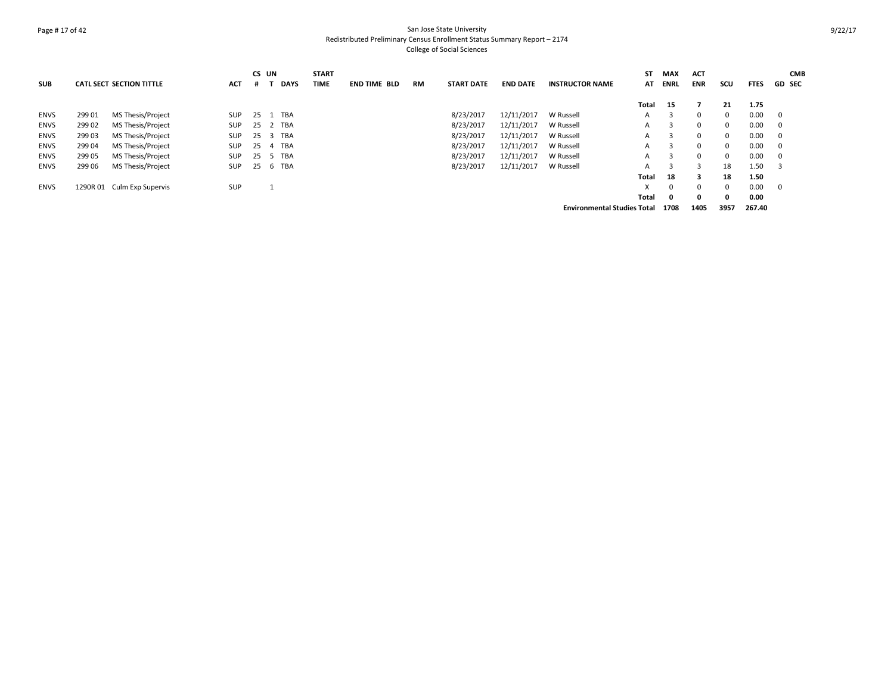# Page # 17 of 42 San Jose State University Redistributed Preliminary Census Enrollment Status Summary Report – 2174 College of Social Sciences

|             |        |                                 |            | CS UN |   |             | <b>START</b> |                     |    |                   |                 |                                    | SΤ    | <b>MAX</b>  | <b>ACT</b>   |          |             | <b>CMB</b>     |
|-------------|--------|---------------------------------|------------|-------|---|-------------|--------------|---------------------|----|-------------------|-----------------|------------------------------------|-------|-------------|--------------|----------|-------------|----------------|
| <b>SUB</b>  |        | <b>CATL SECT SECTION TITTLE</b> | <b>ACT</b> | #     |   | <b>DAYS</b> | <b>TIME</b>  | <b>END TIME BLD</b> | RM | <b>START DATE</b> | <b>END DATE</b> | <b>INSTRUCTOR NAME</b>             | AT    | <b>ENRL</b> | <b>ENR</b>   | scu      | <b>FTES</b> | <b>GD SEC</b>  |
|             |        |                                 |            |       |   |             |              |                     |    |                   |                 |                                    | Total | 15          |              | 21       | 1.75        |                |
| <b>ENVS</b> | 299 01 | MS Thesis/Project               | <b>SUP</b> | 25    |   | TBA         |              |                     |    | 8/23/2017         | 12/11/2017      | W Russell                          | A     |             | $\Omega$     | 0        | 0.00        | $\overline{0}$ |
| <b>ENVS</b> | 299 02 | MS Thesis/Project               | <b>SUP</b> | 25    |   | TBA         |              |                     |    | 8/23/2017         | 12/11/2017      | W Russell                          | A     |             | $\mathbf{0}$ | 0        | 0.00        | $\mathbf 0$    |
| <b>ENVS</b> | 299 03 | MS Thesis/Project               | <b>SUP</b> | 25    | 3 | TBA         |              |                     |    | 8/23/2017         | 12/11/2017      | W Russell                          | A     |             | $\Omega$     | 0        | 0.00        | $\mathbf 0$    |
| <b>ENVS</b> | 299 04 | MS Thesis/Project               | <b>SUP</b> | 25    | 4 | TBA         |              |                     |    | 8/23/2017         | 12/11/2017      | W Russell                          | A     |             | $\Omega$     | $\Omega$ | 0.00        | 0              |
| <b>ENVS</b> | 299 05 | MS Thesis/Project               | <b>SUP</b> | 25    |   | TBA         |              |                     |    | 8/23/2017         | 12/11/2017      | W Russell                          | A     | 3           | $\mathbf{0}$ | 0        | 0.00        | $\mathbf 0$    |
| ENVS        | 299 06 | MS Thesis/Project               | SUP        | 25    | b | TBA         |              |                     |    | 8/23/2017         | 12/11/2017      | W Russell                          | A     |             | з            | 18       | 1.50        | 3              |
|             |        |                                 |            |       |   |             |              |                     |    |                   |                 |                                    | Total | 18          | 3            | 18       | 1.50        |                |
| <b>ENVS</b> |        | 1290R 01 Culm Exp Supervis      | <b>SUP</b> |       | ᆚ |             |              |                     |    |                   |                 |                                    | X     | 0           | $\Omega$     | 0        | 0.00        | $\mathbf 0$    |
|             |        |                                 |            |       |   |             |              |                     |    |                   |                 |                                    | Total | 0           | 0            | 0        | 0.00        |                |
|             |        |                                 |            |       |   |             |              |                     |    |                   |                 | <b>Environmental Studies Total</b> |       | 1708        | 1405         | 3957     | 267.40      |                |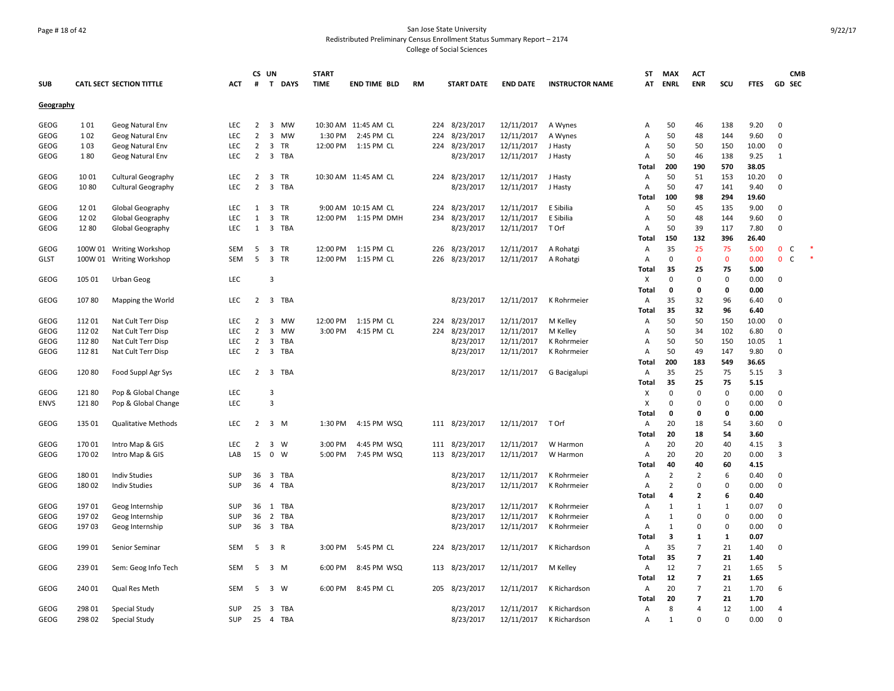# Page # 18 of 42 San Jose State University Redistributed Preliminary Census Enrollment Status Summary Report – 2174 College of Social Sciences

|             |         |                                 |            |                | CS UN                   |            | <b>START</b> |                      |           |                   |                 |                        | ST           | <b>MAX</b>              | <b>ACT</b>              |              |             |                | <b>CMB</b> |  |
|-------------|---------|---------------------------------|------------|----------------|-------------------------|------------|--------------|----------------------|-----------|-------------------|-----------------|------------------------|--------------|-------------------------|-------------------------|--------------|-------------|----------------|------------|--|
| <b>SUB</b>  |         | <b>CATL SECT SECTION TITTLE</b> | <b>ACT</b> | #              |                         | T DAYS     | <b>TIME</b>  | <b>END TIME BLD</b>  | <b>RM</b> | <b>START DATE</b> | <b>END DATE</b> | <b>INSTRUCTOR NAME</b> | AT           | <b>ENRL</b>             | <b>ENR</b>              | SCU          | <b>FTES</b> | <b>GD SEC</b>  |            |  |
| Geography   |         |                                 |            |                |                         |            |              |                      |           |                   |                 |                        |              |                         |                         |              |             |                |            |  |
| GEOG        | 101     | Geog Natural Env                | LEC        | $\overline{2}$ |                         | 3 MW       |              | 10:30 AM 11:45 AM CL |           | 224 8/23/2017     | 12/11/2017      | A Wynes                | Α            | 50                      | 46                      | 138          | 9.20        | $\mathbf 0$    |            |  |
| GEOG        | 102     | Geog Natural Env                | LEC        | $\overline{2}$ | 3                       | MW         | 1:30 PM      | 2:45 PM CL           | 224       | 8/23/2017         | 12/11/2017      | A Wynes                | Α            | 50                      | 48                      | 144          | 9.60        | 0              |            |  |
| GEOG        | 103     | Geog Natural Env                | LEC        | $\overline{2}$ | 3                       | TR         | 12:00 PM     | 1:15 PM CL           |           | 224 8/23/2017     | 12/11/2017      | J Hasty                | Α            | 50                      | 50                      | 150          | 10.00       | 0              |            |  |
| GEOG        | 180     | Geog Natural Env                | <b>LEC</b> | $\overline{2}$ | 3                       | TBA        |              |                      |           | 8/23/2017         | 12/11/2017      | J Hasty                | A            | 50                      | 46                      | 138          | 9.25        | 1              |            |  |
|             |         |                                 |            |                |                         |            |              |                      |           |                   |                 |                        | Total        | 200                     | 190                     | 570          | 38.05       |                |            |  |
| <b>GEOG</b> | 1001    | <b>Cultural Geography</b>       | LEC        | $\overline{2}$ | 3                       | TR         |              | 10:30 AM 11:45 AM CL |           | 224 8/23/2017     | 12/11/2017      | J Hasty                | Α            | 50                      | 51                      | 153          | 10.20       | 0              |            |  |
| GEOG        | 1080    | <b>Cultural Geography</b>       | LEC        | $\overline{2}$ |                         | 3 TBA      |              |                      |           | 8/23/2017         | 12/11/2017      | J Hasty                | Α            | 50                      | 47                      | 141          | 9.40        | $\mathbf 0$    |            |  |
|             |         |                                 |            |                |                         |            |              |                      |           |                   |                 |                        | Total        | 100                     | 98                      | 294          | 19.60       |                |            |  |
| <b>GEOG</b> | 1201    | <b>Global Geography</b>         | LEC        | 1              | $\overline{3}$          | TR         |              | 9:00 AM 10:15 AM CL  | 224       | 8/23/2017         | 12/11/2017      | E Sibilia              | Α            | 50                      | 45                      | 135          | 9.00        | 0              |            |  |
| <b>GEOG</b> | 1202    | Global Geography                | <b>LEC</b> | 1              | 3                       | TR         | 12:00 PM     | 1:15 PM DMH          |           | 234 8/23/2017     | 12/11/2017      | E Sibilia              | A            | 50                      | 48                      | 144          | 9.60        | $\mathbf 0$    |            |  |
| <b>GEOG</b> | 1280    | Global Geography                | LEC        | $\mathbf{1}$   | 3                       | TBA        |              |                      |           | 8/23/2017         | 12/11/2017      | T Orf                  | Α            | 50                      | 39                      | 117          | 7.80        | $\mathbf 0$    |            |  |
|             |         |                                 |            |                |                         |            |              |                      |           |                   |                 |                        | Total        | 150                     | 132                     | 396          | 26.40       |                |            |  |
| GEOG        | 100W 01 | <b>Writing Workshop</b>         | SEM        | 5              | 3                       | TR         | 12:00 PM     | 1:15 PM CL           |           | 226 8/23/2017     | 12/11/2017      | A Rohatgi              | Α            | 35                      | 25                      | 75           | 5.00        | 0 <sup>o</sup> |            |  |
| <b>GLST</b> | 100W 01 | <b>Writing Workshop</b>         | <b>SEM</b> | 5              | 3 TR                    |            | 12:00 PM     | 1:15 PM CL           | 226       | 8/23/2017         | 12/11/2017      | A Rohatgi              | Α            | $\mathbf 0$             | $\mathbf{0}$            | $\mathbf 0$  | 0.00        | $\mathbf{0}$   | C          |  |
|             |         |                                 |            |                |                         |            |              |                      |           |                   |                 |                        | Total        | 35                      | 25                      | 75           | 5.00        |                |            |  |
|             | 105 01  |                                 | LEC        |                | $\overline{3}$          |            |              |                      |           |                   |                 |                        |              | $\Omega$                | $\Omega$                | 0            | 0.00        | $\mathbf 0$    |            |  |
| <b>GEOG</b> |         | <b>Urban Geog</b>               |            |                |                         |            |              |                      |           |                   |                 |                        | X            |                         |                         |              |             |                |            |  |
|             |         |                                 |            |                |                         |            |              |                      |           |                   |                 |                        | Total        | 0                       | 0                       | 0            | 0.00        |                |            |  |
| <b>GEOG</b> | 10780   | Mapping the World               | LEC        | $\overline{2}$ |                         | 3 TBA      |              |                      |           | 8/23/2017         | 12/11/2017      | K Rohrmeier            | Α            | 35                      | 32                      | 96           | 6.40        | 0              |            |  |
|             |         |                                 |            |                |                         |            |              |                      |           |                   |                 |                        | Total        | 35                      | 32                      | 96           | 6.40        |                |            |  |
| <b>GEOG</b> | 112 01  | Nat Cult Terr Disp              | <b>LEC</b> | $\overline{2}$ | 3                       | <b>MW</b>  | 12:00 PM     | 1:15 PM CL           | 224       | 8/23/2017         | 12/11/2017      | M Kelley               | Α            | 50                      | 50                      | 150          | 10.00       | $\mathbf 0$    |            |  |
| <b>GEOG</b> | 112 02  | Nat Cult Terr Disp              | <b>LEC</b> | $\overline{2}$ | 3                       | MW         | 3:00 PM      | 4:15 PM CL           |           | 224 8/23/2017     | 12/11/2017      | M Kelley               | Α            | 50                      | 34                      | 102          | 6.80        | $\mathbf 0$    |            |  |
| GEOG        | 112 80  | Nat Cult Terr Disp              | LEC        | $\overline{2}$ | 3                       | <b>TBA</b> |              |                      |           | 8/23/2017         | 12/11/2017      | K Rohrmeier            | Α            | 50                      | 50                      | 150          | 10.05       | 1              |            |  |
| GEOG        | 112 81  | Nat Cult Terr Disp              | LEC        | $\overline{2}$ | 3                       | TBA        |              |                      |           | 8/23/2017         | 12/11/2017      | K Rohrmeier            | Α            | 50                      | 49                      | 147          | 9.80        | 0              |            |  |
|             |         |                                 |            |                |                         |            |              |                      |           |                   |                 |                        | Total        | 200                     | 183                     | 549          | 36.65       |                |            |  |
| <b>GEOG</b> | 120 80  | Food Suppl Agr Sys              | <b>LEC</b> | 2              | $\overline{3}$          | TBA        |              |                      |           | 8/23/2017         | 12/11/2017      | G Bacigalupi           | Α            | 35                      | 25                      | 75           | 5.15        | 3              |            |  |
|             |         |                                 |            |                |                         |            |              |                      |           |                   |                 |                        | <b>Total</b> | 35                      | 25                      | 75           | 5.15        |                |            |  |
| GEOG        | 12180   | Pop & Global Change             | LEC        |                | 3                       |            |              |                      |           |                   |                 |                        | х            | $\mathbf 0$             | $\mathbf 0$             | $\pmb{0}$    | 0.00        | $\mathbf 0$    |            |  |
| <b>ENVS</b> | 12180   | Pop & Global Change             | <b>LEC</b> |                | $\overline{3}$          |            |              |                      |           |                   |                 |                        | X            | $\mathbf 0$             | $\Omega$                | $\mathbf 0$  | 0.00        | $\mathbf 0$    |            |  |
|             |         |                                 |            |                |                         |            |              |                      |           |                   |                 |                        | Total        | $\mathbf 0$             | 0                       | 0            | 0.00        |                |            |  |
| GEOG        | 135 01  | <b>Qualitative Methods</b>      | <b>LEC</b> | $\overline{2}$ | 3 M                     |            | 1:30 PM      | 4:15 PM WSQ          |           | 111 8/23/2017     | 12/11/2017      | T Orf                  | A            | 20                      | 18                      | 54           | 3.60        | $\mathbf 0$    |            |  |
|             |         |                                 |            |                |                         |            |              |                      |           |                   |                 |                        | <b>Total</b> | 20                      | 18                      | 54           | 3.60        |                |            |  |
| GEOG        | 170 01  | Intro Map & GIS                 | LEC        | $\overline{2}$ | $3 \quad W$             |            | 3:00 PM      | 4:45 PM WSQ          |           | 111 8/23/2017     | 12/11/2017      | W Harmon               | Α            | 20                      | 20                      | 40           | 4.15        | 3              |            |  |
| GEOG        | 170 02  | Intro Map & GIS                 | LAB        | 15             | $\mathbf{0}$            | W          | 5:00 PM      | 7:45 PM WSQ          |           | 113 8/23/2017     | 12/11/2017      | W Harmon               | Α            | 20                      | 20                      | 20           | 0.00        | 3              |            |  |
|             |         |                                 |            |                |                         |            |              |                      |           |                   |                 |                        | Total        | 40                      | 40                      | 60           | 4.15        |                |            |  |
| <b>GEOG</b> | 18001   | <b>Indiv Studies</b>            | SUP        | 36             | 3                       | TBA        |              |                      |           | 8/23/2017         | 12/11/2017      | K Rohrmeier            | Α            | $\overline{2}$          | 2                       | 6            | 0.40        | $\mathbf 0$    |            |  |
| <b>GEOG</b> | 18002   | <b>Indiv Studies</b>            | SUP        | 36             |                         | 4 TBA      |              |                      |           | 8/23/2017         | 12/11/2017      | K Rohrmeier            | A            | $\overline{2}$          | $\mathbf 0$             | $\mathbf 0$  | 0.00        | $\mathbf 0$    |            |  |
|             |         |                                 |            |                |                         |            |              |                      |           |                   |                 |                        | Total        | 4                       | $\overline{\mathbf{2}}$ | 6            | 0.40        |                |            |  |
| GEOG        | 197 01  | Geog Internship                 | SUP        | 36             | 1                       | TBA        |              |                      |           | 8/23/2017         | 12/11/2017      | K Rohrmeier            | A            | 1                       | 1                       | 1            | 0.07        | 0              |            |  |
| GEOG        | 197 02  | Geog Internship                 | SUP        | 36             | $\overline{2}$          | TBA        |              |                      |           | 8/23/2017         | 12/11/2017      | K Rohrmeier            | Α            | $\mathbf{1}$            | 0                       | $\mathbf 0$  | 0.00        | $\mathbf 0$    |            |  |
| <b>GEOG</b> | 19703   | Geog Internship                 | SUP        | 36             | $\overline{3}$          | TBA        |              |                      |           | 8/23/2017         | 12/11/2017      | K Rohrmeier            | Α            | $\mathbf{1}$            | 0                       | $\mathbf 0$  | 0.00        | $\mathbf 0$    |            |  |
|             |         |                                 |            |                |                         |            |              |                      |           |                   |                 |                        | Total        | $\overline{\mathbf{3}}$ | 1                       | $\mathbf{1}$ | 0.07        |                |            |  |
| GEOG        | 19901   | Senior Seminar                  | <b>SEM</b> | 5              | 3 R                     |            | 3:00 PM      | 5:45 PM CL           |           | 224 8/23/2017     | 12/11/2017      | K Richardson           | Α            | 35                      | $\overline{7}$          | 21           | 1.40        | $\mathbf 0$    |            |  |
|             |         |                                 |            |                |                         |            |              |                      |           |                   |                 |                        | Total        | 35                      | $\overline{7}$          | 21           | 1.40        |                |            |  |
| <b>GEOG</b> | 23901   | Sem: Geog Info Tech             | SEM        | 5              | 3 M                     |            | 6:00 PM      | 8:45 PM WSQ          |           | 113 8/23/2017     | 12/11/2017      | M Kelley               | Α            | 12                      | $\overline{7}$          | 21           | 1.65        | 5              |            |  |
|             |         |                                 |            |                |                         |            |              |                      |           |                   |                 |                        | <b>Total</b> | 12                      | $\overline{7}$          | 21           | 1.65        |                |            |  |
| <b>GEOG</b> | 240 01  | Qual Res Meth                   | <b>SEM</b> | -5             | 3 W                     |            | 6:00 PM      | 8:45 PM CL           | 205       | 8/23/2017         | 12/11/2017      | K Richardson           | Α            | 20                      | $\overline{7}$          | 21           | 1.70        | 6              |            |  |
|             |         |                                 |            |                |                         |            |              |                      |           |                   |                 |                        | Total        | 20                      | $\overline{7}$          | 21           | 1.70        |                |            |  |
| GEOG        | 298 01  | Special Study                   | SUP        | 25             | $\overline{\mathbf{3}}$ | TBA        |              |                      |           | 8/23/2017         | 12/11/2017      | K Richardson           | Α            | 8                       | 4                       | 12           | 1.00        | $\overline{4}$ |            |  |
| <b>GEOG</b> | 298 02  | Special Study                   | SUP        | 25             |                         | 4 TBA      |              |                      |           | 8/23/2017         | 12/11/2017      | K Richardson           | A            | $\mathbf{1}$            | $\Omega$                | $\Omega$     | 0.00        | $\Omega$       |            |  |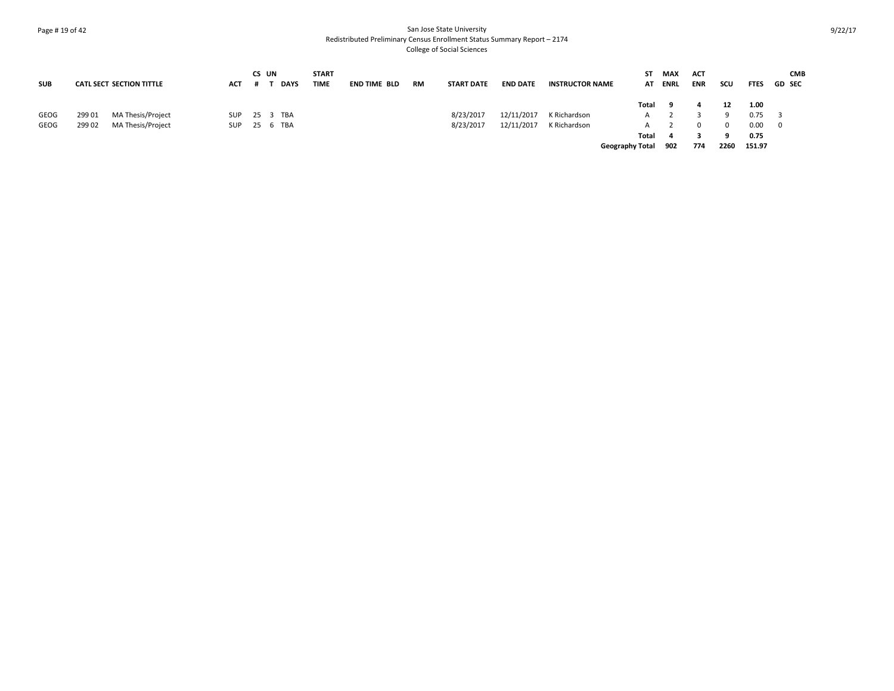# Page # 19 of 42 San Jose State University Redistributed Preliminary Census Enrollment Status Summary Report – 2174 College of Social Sciences

|            |        |                                 |              | CS UN |             | <b>START</b> |                     |    |                   |                 |                        | SΤ                     | MAX  | <b>ACT</b> |      |             | <b>CMB</b>    |
|------------|--------|---------------------------------|--------------|-------|-------------|--------------|---------------------|----|-------------------|-----------------|------------------------|------------------------|------|------------|------|-------------|---------------|
| <b>SUB</b> |        | <b>CATL SECT SECTION TITTLE</b> | АСТ          |       | <b>DAYS</b> | <b>TIME</b>  | <b>END TIME BLD</b> | RM | <b>START DATE</b> | <b>END DATE</b> | <b>INSTRUCTOR NAME</b> | AT                     | ENRL | <b>ENR</b> | scu  | <b>FTES</b> | <b>GD SEC</b> |
|            |        |                                 |              |       |             |              |                     |    |                   |                 |                        | Total                  | - 9  |            | 12   | 1.00        |               |
| GEOG       | 299 01 | MA Thesis/Project               | SUP          |       | 25 3 TBA    |              |                     |    | 8/23/2017         | 12/11/2017      | K Richardson           | A                      |      |            |      | 0.75        | - 3           |
| GEOG       | 299 02 | MA Thesis/Project               | SUP 25 6 TBA |       |             |              |                     |    | 8/23/2017         | 12/11/2017      | K Richardson           | A                      |      |            |      | 0.00        | - 0           |
|            |        |                                 |              |       |             |              |                     |    |                   |                 |                        | Total                  |      |            |      | 0.75        |               |
|            |        |                                 |              |       |             |              |                     |    |                   |                 |                        | <b>Geography Total</b> | 902  | 774        | 2260 | 151.97      |               |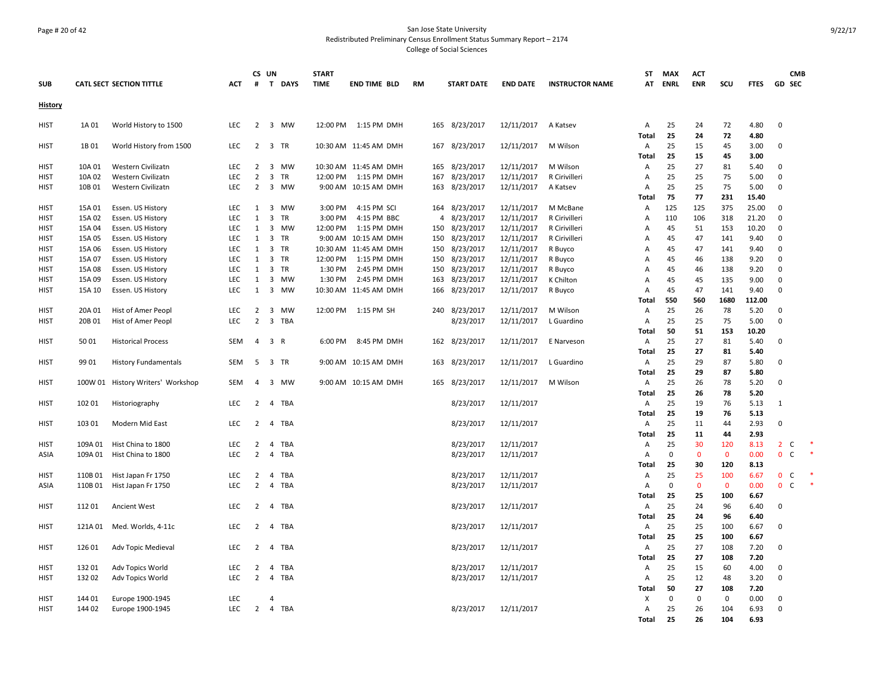# Page # 20 of 42 San Jose State University Redistributed Preliminary Census Enrollment Status Summary Report – 2174 College of Social Sciences

|                |         |                                   |            | CS UN          |                         |            | <b>START</b> |                       |                |                   |                 |                        | ST                | <b>MAX</b>     | <b>ACT</b>         |                    |                |               | <b>CMB</b>   |  |
|----------------|---------|-----------------------------------|------------|----------------|-------------------------|------------|--------------|-----------------------|----------------|-------------------|-----------------|------------------------|-------------------|----------------|--------------------|--------------------|----------------|---------------|--------------|--|
| <b>SUB</b>     |         | <b>CATL SECT SECTION TITTLE</b>   | <b>ACT</b> | #              |                         | T DAYS     | <b>TIME</b>  | <b>END TIME BLD</b>   | <b>RM</b>      | <b>START DATE</b> | <b>END DATE</b> | <b>INSTRUCTOR NAME</b> | АΤ                | <b>ENRL</b>    | <b>ENR</b>         | SCU                | <b>FTES</b>    | <b>GD SEC</b> |              |  |
| <b>History</b> |         |                                   |            |                |                         |            |              |                       |                |                   |                 |                        |                   |                |                    |                    |                |               |              |  |
| <b>HIST</b>    | 1A 01   | World History to 1500             | <b>LEC</b> | $\overline{2}$ |                         | 3 MW       |              | 12:00 PM 1:15 PM DMH  |                | 165 8/23/2017     | 12/11/2017      | A Katsev               | Α                 | 25             | 24                 | 72                 | 4.80           | $\mathbf 0$   |              |  |
|                |         |                                   |            |                |                         |            |              |                       |                |                   |                 |                        | Total             | 25             | 24                 | 72                 | 4.80           |               |              |  |
| <b>HIST</b>    | 1B 01   | World History from 1500           | LEC        | $\overline{2}$ |                         | 3 TR       |              | 10:30 AM 11:45 AM DMH |                | 167 8/23/2017     | 12/11/2017      | M Wilson               | Α<br><b>Total</b> | 25<br>25       | 15<br>15           | 45<br>45           | 3.00<br>3.00   | $\mathbf 0$   |              |  |
| <b>HIST</b>    | 10A 01  | Western Civilizatn                | LEC        | $2^{\circ}$    |                         | 3 MW       |              | 10:30 AM 11:45 AM DMH | 165            | 8/23/2017         | 12/11/2017      | M Wilson               | Α                 | 25             | 27                 | 81                 | 5.40           | $\mathbf 0$   |              |  |
| <b>HIST</b>    | 10A 02  | Western Civilizatn                | <b>LEC</b> | $\overline{2}$ | $\overline{3}$          | TR         | 12:00 PM     | 1:15 PM DMH           | 167            | 8/23/2017         | 12/11/2017      | R Cirivilleri          | Α                 | 25             | 25                 | 75                 | 5.00           | $\Omega$      |              |  |
| HIST           | 10B 01  | Western Civilizatn                | LEC        | $\overline{2}$ |                         | 3 MW       |              | 9:00 AM 10:15 AM DMH  | 163            | 8/23/2017         | 12/11/2017      | A Katsev               | Α                 | 25             | 25                 | 75                 | 5.00           | 0             |              |  |
|                |         |                                   |            |                |                         |            |              |                       |                |                   |                 |                        | <b>Total</b>      | 75             | 77                 | 231                | 15.40          |               |              |  |
| <b>HIST</b>    | 15A 01  | Essen. US History                 | <b>LEC</b> | 1              |                         | 3 MW       | 3:00 PM      | 4:15 PM SCI           |                | 164 8/23/2017     | 12/11/2017      | M McBane               | Α                 | 125            | 125                | 375                | 25.00          | $\mathbf 0$   |              |  |
| <b>HIST</b>    | 15A 02  | Essen. US History                 | <b>LEC</b> | 1              | $\overline{3}$          | <b>TR</b>  | 3:00 PM      | 4:15 PM BBC           | $\overline{4}$ | 8/23/2017         | 12/11/2017      | R Cirivilleri          | Α                 | 110            | 106                | 318                | 21.20          | $\Omega$      |              |  |
| HIST           | 15A 04  | Essen. US History                 | LEC        | 1              | $\overline{\mathbf{3}}$ | MW         | 12:00 PM     | 1:15 PM DMH           | 150            | 8/23/2017         | 12/11/2017      | R Cirivilleri          | А                 | 45             | 51                 | 153                | 10.20          | $\mathbf 0$   |              |  |
| HIST           | 15A 05  | Essen. US History                 | <b>LEC</b> | 1              | $\overline{\mathbf{3}}$ | <b>TR</b>  |              | 9:00 AM 10:15 AM DMH  | 150            | 8/23/2017         | 12/11/2017      | R Cirivilleri          | Α                 | 45             | 47                 | 141                | 9.40           | $\Omega$      |              |  |
| <b>HIST</b>    | 15A 06  | Essen. US History                 | <b>LEC</b> | $\mathbf{1}$   | 3 TR                    |            |              | 10:30 AM 11:45 AM DMH | 150            | 8/23/2017         | 12/11/2017      | R Buyco                | A                 | 45             | 47                 | 141                | 9.40           | $\mathbf 0$   |              |  |
| <b>HIST</b>    | 15A 07  | Essen. US History                 | LEC        | $\mathbf{1}$   | $\overline{3}$          | <b>TR</b>  | 12:00 PM     | 1:15 PM DMH           | 150            | 8/23/2017         | 12/11/2017      | R Buyco                | А                 | 45             | 46                 | 138                | 9.20           | $\Omega$      |              |  |
| HIST           | 15A 08  | Essen. US History                 | LEC        | $\mathbf{1}$   | $\overline{3}$          | TR         | 1:30 PM      | 2:45 PM DMH           | 150            | 8/23/2017         | 12/11/2017      | R Buyco                | А                 | 45             | 46                 | 138                | 9.20           | 0             |              |  |
| HIST           | 15A 09  | Essen. US History                 | <b>LEC</b> | $\mathbf{1}$   |                         | 3 MW       | 1:30 PM      | 2:45 PM DMH           | 163            | 8/23/2017         | 12/11/2017      | K Chilton              | Α                 | 45             | 45                 | 135                | 9.00           | 0             |              |  |
| HIST           | 15A 10  | Essen. US History                 | <b>LEC</b> | $\mathbf{1}$   |                         | 3 MW       |              | 10:30 AM 11:45 AM DMH | 166            | 8/23/2017         | 12/11/2017      | R Buyco                | Α<br><b>Total</b> | 45<br>550      | 47<br>560          | 141<br>1680        | 9.40<br>112.00 | $\mathbf 0$   |              |  |
| <b>HIST</b>    | 20A 01  | Hist of Amer Peopl                | LEC        | $\overline{2}$ | $\overline{3}$          | MW         | 12:00 PM     | 1:15 PM SH            | 240            | 8/23/2017         | 12/11/2017      | M Wilson               | Α                 | 25             | 26                 | 78                 | 5.20           | $\mathbf 0$   |              |  |
| HIST           | 20B 01  | Hist of Amer Peopl                | <b>LEC</b> | $\overline{2}$ |                         | 3 TBA      |              |                       |                | 8/23/2017         | 12/11/2017      | L Guardino             | Α                 | 25             | 25                 | 75                 | 5.00           | $\Omega$      |              |  |
|                |         |                                   |            |                |                         |            |              |                       |                |                   |                 |                        | Total             | 50             | 51                 | 153                | 10.20          |               |              |  |
| <b>HIST</b>    | 5001    | <b>Historical Process</b>         | <b>SEM</b> | $\overline{4}$ | 3 R                     |            | 6:00 PM      | 8:45 PM DMH           |                | 162 8/23/2017     | 12/11/2017      | E Narveson             | Α                 | 25             | 27                 | 81                 | 5.40           | $\mathbf 0$   |              |  |
|                |         |                                   |            |                |                         |            |              |                       |                |                   |                 |                        | Total             | 25             | 27                 | 81                 | 5.40           |               |              |  |
| <b>HIST</b>    | 99 01   | <b>History Fundamentals</b>       | SEM        | 5              |                         | 3 TR       |              | 9:00 AM 10:15 AM DMH  | 163            | 8/23/2017         | 12/11/2017      | L Guardino             | Α                 | 25             | 29                 | 87                 | 5.80           | 0             |              |  |
|                |         |                                   |            |                |                         |            |              |                       |                |                   |                 |                        | Total             | 25             | 29                 | 87                 | 5.80           |               |              |  |
| <b>HIST</b>    |         | 100W 01 History Writers' Workshop | <b>SEM</b> | $\overline{4}$ |                         | 3 MW       |              | 9:00 AM 10:15 AM DMH  |                | 165 8/23/2017     | 12/11/2017      | M Wilson               | Α                 | 25             | 26                 | 78                 | 5.20           | $\mathbf 0$   |              |  |
|                |         |                                   |            |                |                         |            |              |                       |                |                   |                 |                        | Total             | 25             | 26                 | 78                 | 5.20           |               |              |  |
| <b>HIST</b>    | 102 01  | Historiography                    | LEC        | $\overline{2}$ |                         | 4 TBA      |              |                       |                | 8/23/2017         | 12/11/2017      |                        | Α                 | 25             | 19                 | 76                 | 5.13           | $\mathbf{1}$  |              |  |
|                |         |                                   |            |                |                         |            |              |                       |                |                   |                 |                        | Total             | 25             | 19                 | 76                 | 5.13           |               |              |  |
| <b>HIST</b>    | 103 01  | Modern Mid East                   | LEC        | $\overline{2}$ | 4                       | <b>TBA</b> |              |                       |                | 8/23/2017         | 12/11/2017      |                        | Α                 | 25             | 11                 | 44                 | 2.93           | $\mathbf 0$   |              |  |
|                |         |                                   |            |                |                         |            |              |                       |                |                   |                 |                        | Total             | 25             | 11                 | 44                 | 2.93           |               |              |  |
| HIST           | 109A 01 | Hist China to 1800                | LEC        | $\overline{2}$ | 4                       | <b>TBA</b> |              |                       |                | 8/23/2017         | 12/11/2017      |                        | Α                 | 25             | 30                 | 120                | 8.13           | $2^{\circ}$   | C            |  |
| ASIA           | 109A 01 | Hist China to 1800                | <b>LEC</b> | $\overline{2}$ | $\overline{4}$          | <b>TBA</b> |              |                       |                | 8/23/2017         | 12/11/2017      |                        | Α<br>Total        | $\Omega$<br>25 | $\mathbf{0}$<br>30 | $\mathbf 0$<br>120 | 0.00<br>8.13   | $\mathbf{0}$  | $\mathsf{C}$ |  |
| <b>HIST</b>    | 110B 01 | Hist Japan Fr 1750                | LEC        | 2              | 4                       | <b>TBA</b> |              |                       |                | 8/23/2017         | 12/11/2017      |                        | Α                 | 25             | 25                 | 100                | 6.67           | $\mathbf 0$   | C            |  |
| ASIA           | 110B01  | Hist Japan Fr 1750                | <b>LEC</b> | 2              | 4                       | TBA        |              |                       |                | 8/23/2017         | 12/11/2017      |                        | Α                 | $\mathbf 0$    | $\mathbf 0$        | $\mathbf 0$        | 0.00           | $\mathbf 0$   | $\mathsf{C}$ |  |
|                |         |                                   |            |                |                         |            |              |                       |                |                   |                 |                        | Total             | 25             | 25                 | 100                | 6.67           |               |              |  |
| <b>HIST</b>    | 112 01  | <b>Ancient West</b>               | LEC        | $\overline{2}$ |                         | 4 TBA      |              |                       |                | 8/23/2017         | 12/11/2017      |                        | Α                 | 25             | 24                 | 96                 | 6.40           | $\mathbf 0$   |              |  |
|                |         |                                   |            |                |                         |            |              |                       |                |                   |                 |                        | Total             | 25             | 24                 | 96                 | 6.40           |               |              |  |
| HIST           | 121A 01 | Med. Worlds, 4-11c                | <b>LEC</b> | $\overline{2}$ | 4                       | TBA        |              |                       |                | 8/23/2017         | 12/11/2017      |                        | Α                 | 25             | 25                 | 100                | 6.67           | 0             |              |  |
|                |         |                                   |            |                |                         |            |              |                       |                |                   |                 |                        | <b>Total</b>      | 25             | 25                 | 100                | 6.67           |               |              |  |
| HIST           | 126 01  | Adv Topic Medieval                | <b>LEC</b> | $\overline{2}$ | $\overline{4}$          | TBA        |              |                       |                | 8/23/2017         | 12/11/2017      |                        | Α                 | 25             | 27                 | 108                | 7.20           | $\mathbf 0$   |              |  |
|                |         |                                   |            |                |                         |            |              |                       |                |                   |                 |                        | Total             | 25             | 27                 | 108                | 7.20           |               |              |  |
| HIST           | 13201   | Adv Topics World                  | <b>LEC</b> | 2              | 4                       | TBA        |              |                       |                | 8/23/2017         | 12/11/2017      |                        | Α                 | 25             | 15                 | 60                 | 4.00           | $\mathbf 0$   |              |  |
| <b>HIST</b>    | 13202   | Adv Topics World                  | <b>LEC</b> | $\overline{2}$ | $\overline{4}$          | <b>TBA</b> |              |                       |                | 8/23/2017         | 12/11/2017      |                        | Α                 | 25             | 12                 | 48                 | 3.20           | 0             |              |  |
|                |         |                                   |            |                |                         |            |              |                       |                |                   |                 |                        | Total             | 50             | 27                 | 108                | 7.20           |               |              |  |
| <b>HIST</b>    | 144 01  | Europe 1900-1945                  | LEC        |                | 4                       |            |              |                       |                |                   |                 |                        | х                 | 0              | 0                  | $\mathbf 0$        | 0.00           | $\Omega$      |              |  |
| HIST           | 144 02  | Europe 1900-1945                  | LEC        | $\overline{2}$ |                         | 4 TBA      |              |                       |                | 8/23/2017         | 12/11/2017      |                        | Α                 | 25             | 26                 | 104                | 6.93           | $\mathbf 0$   |              |  |
|                |         |                                   |            |                |                         |            |              |                       |                |                   |                 |                        | Total             | 25             | 26                 | 104                | 6.93           |               |              |  |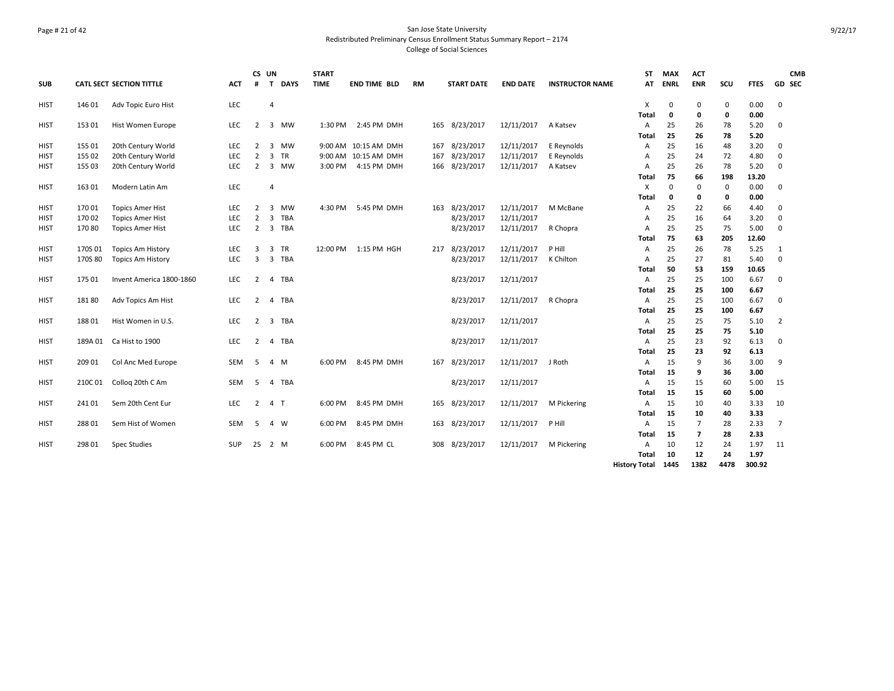# Page # 21 of 42 San Jose State University Redistributed Preliminary Census Enrollment Status Summary Report – 2174 College of Social Sciences

|             |         |                                 |            |                | CS UN          |             | <b>START</b> |                      |           |                   |                 |                        | ST                   | <b>MAX</b>  | <b>ACT</b>              |      |             | <b>CMB</b>     |
|-------------|---------|---------------------------------|------------|----------------|----------------|-------------|--------------|----------------------|-----------|-------------------|-----------------|------------------------|----------------------|-------------|-------------------------|------|-------------|----------------|
| <b>SUB</b>  |         | <b>CATL SECT SECTION TITTLE</b> | <b>ACT</b> | #              | $\mathbf{T}$   | <b>DAYS</b> | <b>TIME</b>  | <b>END TIME BLD</b>  | <b>RM</b> | <b>START DATE</b> | <b>END DATE</b> | <b>INSTRUCTOR NAME</b> | AT                   | <b>ENRL</b> | <b>ENR</b>              | SCU  | <b>FTES</b> | <b>GD SEC</b>  |
| <b>HIST</b> | 146 01  | Adv Topic Euro Hist             | LEC        |                | $\overline{4}$ |             |              |                      |           |                   |                 |                        | X                    | 0           | 0                       | 0    | 0.00        | 0              |
|             |         |                                 |            |                |                |             |              |                      |           |                   |                 |                        | Total                | 0           | 0                       | 0    | 0.00        |                |
| <b>HIST</b> | 153 01  | Hist Women Europe               | LEC        | 2              |                | 3 MW        | 1:30 PM      | 2:45 PM DMH          |           | 165 8/23/2017     | 12/11/2017      | A Katsev               | A                    | 25          | 26                      | 78   | 5.20        | $\Omega$       |
|             |         |                                 |            |                |                |             |              |                      |           |                   |                 |                        | Total                | 25          | 26                      | 78   | 5.20        |                |
| <b>HIST</b> | 155 01  | 20th Century World              | LEC        | $\overline{2}$ |                | 3 MW        |              | 9:00 AM 10:15 AM DMH |           | 167 8/23/2017     | 12/11/2017      | E Reynolds             | Α                    | 25          | 16                      | 48   | 3.20        | $\mathbf 0$    |
| <b>HIST</b> | 155 02  | 20th Century World              | LEC        | $\overline{2}$ |                | 3 TR        |              | 9:00 AM 10:15 AM DMH | 167       | 8/23/2017         | 12/11/2017      | E Reynolds             | A                    | 25          | 24                      | 72   | 4.80        | $\Omega$       |
| <b>HIST</b> | 155 03  | 20th Century World              | LEC        | $\overline{2}$ |                | 3 MW        | 3:00 PM      | 4:15 PM DMH          |           | 166 8/23/2017     | 12/11/2017      | A Katsev               | Α                    | 25          | 26                      | 78   | 5.20        | $\Omega$       |
|             |         |                                 |            |                |                |             |              |                      |           |                   |                 |                        | Total                | 75          | 66                      | 198  | 13.20       |                |
| <b>HIST</b> | 163 01  | Modern Latin Am                 | <b>LEC</b> |                | $\overline{4}$ |             |              |                      |           |                   |                 |                        | X                    | 0           | 0                       | 0    | 0.00        | $\Omega$       |
|             |         |                                 |            |                |                |             |              |                      |           |                   |                 |                        | Total                | 0           | 0                       | 0    | 0.00        |                |
| <b>HIST</b> | 17001   | <b>Topics Amer Hist</b>         | <b>LEC</b> | 2              | $\mathbf{3}$   | <b>MW</b>   | 4:30 PM      | 5:45 PM DMH          |           | 163 8/23/2017     | 12/11/2017      | M McBane               | $\mathsf{A}$         | 25          | 22                      | 66   | 4.40        | $\Omega$       |
| <b>HIST</b> | 170 02  | <b>Topics Amer Hist</b>         | <b>LEC</b> | $\overline{2}$ | $\overline{3}$ | TBA         |              |                      |           | 8/23/2017         | 12/11/2017      |                        | A                    | 25          | 16                      | 64   | 3.20        | $\Omega$       |
| <b>HIST</b> | 17080   | <b>Topics Amer Hist</b>         | <b>LEC</b> | 2              |                | 3 TBA       |              |                      |           | 8/23/2017         | 12/11/2017      | R Chopra               | $\overline{A}$       | 25          | 25                      | 75   | 5.00        | $\Omega$       |
|             |         |                                 |            |                |                |             |              |                      |           |                   |                 |                        | Total                | 75          | 63                      | 205  | 12.60       |                |
| HIST        | 170S 01 | <b>Topics Am History</b>        | <b>LEC</b> | 3              |                | 3 TR        |              | 12:00 PM 1:15 PM HGH |           | 217 8/23/2017     | 12/11/2017      | P Hill                 | Α                    | 25          | 26                      | 78   | 5.25        | 1              |
| <b>HIST</b> | 170S 80 | <b>Topics Am History</b>        | LEC        | 3              |                | 3 TBA       |              |                      |           | 8/23/2017         | 12/11/2017      | K Chilton              | $\overline{A}$       | 25          | 27                      | 81   | 5.40        | $\Omega$       |
|             |         |                                 |            |                |                |             |              |                      |           |                   |                 |                        | Total                | 50          | 53                      | 159  | 10.65       |                |
| <b>HIST</b> | 175 01  | Invent America 1800-1860        | <b>LEC</b> | $\mathbf{2}$   |                | 4 TBA       |              |                      |           | 8/23/2017         | 12/11/2017      |                        | $\mathsf{A}$         | 25          | 25                      | 100  | 6.67        | $\Omega$       |
|             |         |                                 |            |                |                |             |              |                      |           |                   |                 |                        | Total                | 25          | 25                      | 100  | 6.67        |                |
| <b>HIST</b> | 18180   | Adv Topics Am Hist              | <b>LEC</b> | 2              |                | 4 TBA       |              |                      |           | 8/23/2017         | 12/11/2017      | R Chopra               | $\overline{A}$       | 25          | 25                      | 100  | 6.67        | $\Omega$       |
|             |         |                                 |            |                |                |             |              |                      |           |                   |                 |                        | Total                | 25          | 25                      | 100  | 6.67        |                |
| HIST        | 188 01  | Hist Women in U.S.              | LEC        | $\overline{2}$ |                | 3 TBA       |              |                      |           | 8/23/2017         | 12/11/2017      |                        | Α                    | 25          | 25                      | 75   | 5.10        | $\overline{2}$ |
|             |         |                                 |            |                |                |             |              |                      |           |                   |                 |                        | Total                | 25          | 25                      | 75   | 5.10        |                |
| <b>HIST</b> | 189A 01 | Ca Hist to 1900                 | LEC        | 2              | 4              | TBA         |              |                      |           | 8/23/2017         | 12/11/2017      |                        | Α                    | 25          | 23                      | 92   | 6.13        | $\Omega$       |
|             |         |                                 |            |                |                |             |              |                      |           |                   |                 |                        | Total                | 25          | 23                      | 92   | 6.13        |                |
| <b>HIST</b> | 209 01  | Col Anc Med Europe              | SEM        | -5             |                | 4 M         | 6:00 PM      | 8:45 PM DMH          |           | 167 8/23/2017     | 12/11/2017      | J Roth                 | Α                    | 15          | 9                       | 36   | 3.00        | 9              |
|             |         |                                 |            |                |                |             |              |                      |           |                   |                 |                        | Total                | 15          | 9                       | 36   | 3.00        |                |
| <b>HIST</b> | 210C 01 | Collog 20th C Am                | <b>SEM</b> | 5.             | 4              | TBA         |              |                      |           | 8/23/2017         | 12/11/2017      |                        | A                    | 15          | 15                      | 60   | 5.00        | 15             |
|             |         |                                 |            |                |                |             |              |                      |           |                   |                 |                        | Total                | 15          | 15                      | 60   | 5.00        |                |
| <b>HIST</b> | 24101   | Sem 20th Cent Eur               | LEC        | $\overline{2}$ | 4 T            |             | 6:00 PM      | 8:45 PM DMH          |           | 165 8/23/2017     | 12/11/2017      | M Pickering            | A                    | 15          | 10                      | 40   | 3.33        | 10             |
|             |         |                                 |            |                |                |             |              |                      |           |                   |                 |                        | Total                | 15          | 10                      | 40   | 3.33        |                |
| <b>HIST</b> | 28801   | Sem Hist of Women               | SEM        | 5              |                | 4 W         | 6:00 PM      | 8:45 PM DMH          |           | 163 8/23/2017     | 12/11/2017      | P Hill                 | A                    | 15          | $\overline{7}$          | 28   | 2.33        | 7              |
|             |         |                                 |            |                |                |             |              |                      |           |                   |                 |                        | Total                | 15          | $\overline{\mathbf{z}}$ | 28   | 2.33        |                |
| HIST        | 298 01  | <b>Spec Studies</b>             | <b>SUP</b> | 25             |                | 2 M         | 6:00 PM      | 8:45 PM CL           |           | 308 8/23/2017     | 12/11/2017      | M Pickering            | A                    | 10          | 12                      | 24   | 1.97        | 11             |
|             |         |                                 |            |                |                |             |              |                      |           |                   |                 |                        | Total                | 10          | 12                      | 24   | 1.97        |                |
|             |         |                                 |            |                |                |             |              |                      |           |                   |                 |                        | <b>History Total</b> | 1445        | 1382                    | 4478 | 300.92      |                |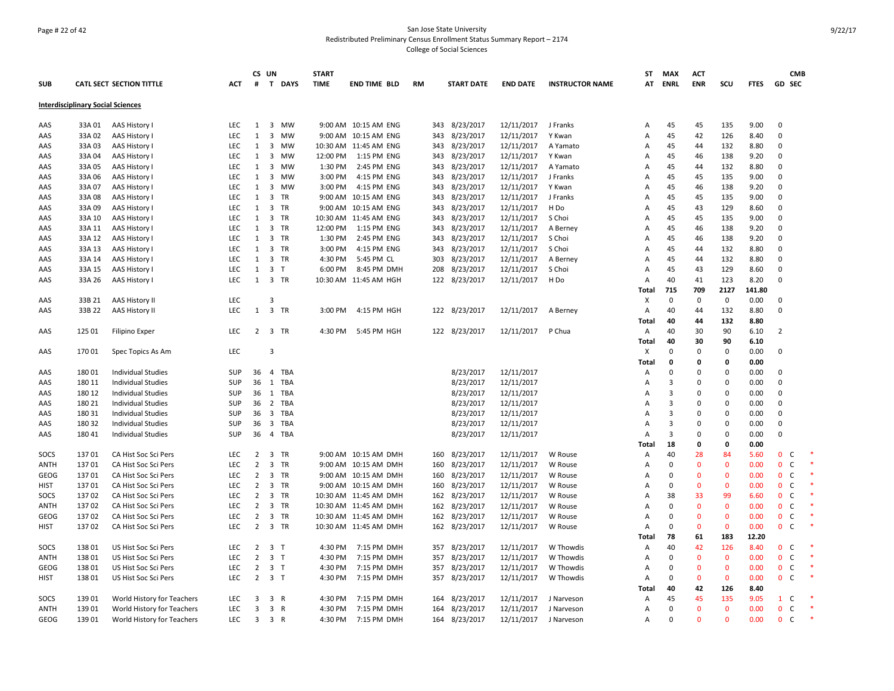# Page # 22 of 42 San Jose State University Redistributed Preliminary Census Enrollment Status Summary Report – 2174 College of Social Sciences

|             |                                          |                                 |            |                | CS UN                   |           | <b>START</b> |                       |           |                   |                 |                        | <b>ST</b>      | <b>MAX</b>     | <b>ACT</b>   |              |             |                | <b>CMB</b> |
|-------------|------------------------------------------|---------------------------------|------------|----------------|-------------------------|-----------|--------------|-----------------------|-----------|-------------------|-----------------|------------------------|----------------|----------------|--------------|--------------|-------------|----------------|------------|
| <b>SUB</b>  |                                          | <b>CATL SECT SECTION TITTLE</b> | ACT        | #              |                         | T DAYS    | <b>TIME</b>  | <b>END TIME BLD</b>   | <b>RM</b> | <b>START DATE</b> | <b>END DATE</b> | <b>INSTRUCTOR NAME</b> | AT             | <b>ENRL</b>    | <b>ENR</b>   | scu          | <b>FTES</b> | GD SEC         |            |
|             | <b>Interdisciplinary Social Sciences</b> |                                 |            |                |                         |           |              |                       |           |                   |                 |                        |                |                |              |              |             |                |            |
| AAS         | 33A 01                                   | AAS History I                   | <b>LEC</b> | $\mathbf{1}$   |                         | 3 MW      |              | 9:00 AM 10:15 AM ENG  | 343       | 8/23/2017         | 12/11/2017      | J Franks               | Α              | 45             | 45           | 135          | 9.00        | $\mathbf 0$    |            |
| AAS         | 33A02                                    | AAS History I                   | LEC        | $\mathbf{1}$   | 3                       | MW        |              | 9:00 AM 10:15 AM ENG  | 343       | 8/23/2017         | 12/11/2017      | Y Kwan                 | Α              | 45             | 42           | 126          | 8.40        | $\mathbf 0$    |            |
| AAS         | 33A 03                                   | AAS History I                   | <b>LEC</b> | 1              | 3                       | MW        |              | 10:30 AM 11:45 AM ENG |           | 343 8/23/2017     | 12/11/2017      | A Yamato               | Α              | 45             | 44           | 132          | 8.80        | $\mathbf 0$    |            |
| AAS         | 33A 04                                   | AAS History I                   | <b>LEC</b> | 1              | 3                       | <b>MW</b> | 12:00 PM     | 1:15 PM ENG           | 343       | 8/23/2017         | 12/11/2017      | Y Kwan                 | A              | 45             | 46           | 138          | 9.20        | $\mathbf 0$    |            |
| AAS         | 33A 05                                   | AAS History I                   | <b>LEC</b> | 1              | $\overline{3}$          | MW        | 1:30 PM      | 2:45 PM ENG           | 343       | 8/23/2017         | 12/11/2017      | A Yamato               | Α              | 45             | 44           | 132          | 8.80        | 0              |            |
| AAS         | 33A 06                                   | AAS History I                   | <b>LEC</b> | 1              |                         | 3 MW      | 3:00 PM      | 4:15 PM ENG           | 343       | 8/23/2017         | 12/11/2017      | J Franks               | A              | 45             | 45           | 135          | 9.00        | $\mathbf 0$    |            |
| AAS         | 33A 07                                   | AAS History I                   | LEC        | $\mathbf{1}$   | $\overline{3}$          | MW        | 3:00 PM      | 4:15 PM ENG           | 343       | 8/23/2017         | 12/11/2017      | Y Kwan                 | A              | 45             | 46           | 138          | 9.20        | $\Omega$       |            |
| AAS         | 33A 08                                   | AAS History I                   | <b>LEC</b> | $\mathbf{1}$   | $\overline{3}$          | <b>TR</b> |              | 9:00 AM 10:15 AM ENG  |           | 343 8/23/2017     | 12/11/2017      | J Franks               | A              | 45             | 45           | 135          | 9.00        | $\mathbf 0$    |            |
| AAS         | 33A 09                                   | AAS History I                   | <b>LEC</b> | 1              | $\overline{3}$          | TR        |              | 9:00 AM 10:15 AM ENG  | 343       | 8/23/2017         | 12/11/2017      | H Do                   | Α              | 45             | 43           | 129          | 8.60        | 0              |            |
| AAS         | 33A 10                                   | AAS History I                   | <b>LEC</b> | 1              |                         | 3 TR      |              | 10:30 AM 11:45 AM ENG |           | 343 8/23/2017     | 12/11/2017      | S Choi                 | A              | 45             | 45           | 135          | 9.00        | $\mathbf 0$    |            |
| AAS         | 33A 11                                   | AAS History I                   | LEC        | 1              |                         | 3 TR      | 12:00 PM     | 1:15 PM ENG           | 343       | 8/23/2017         | 12/11/2017      | A Berney               | Α              | 45             | 46           | 138          | 9.20        | $\Omega$       |            |
| AAS         | 33A 12                                   | AAS History I                   | <b>LEC</b> | 1              | $\overline{3}$          | <b>TR</b> | 1:30 PM      | 2:45 PM ENG           | 343       | 8/23/2017         | 12/11/2017      | S Choi                 | A              | 45             | 46           | 138          | 9.20        | $\Omega$       |            |
| AAS         | 33A 13                                   | AAS History I                   | LEC        | 1              |                         | 3 TR      | 3:00 PM      | 4:15 PM ENG           | 343       | 8/23/2017         | 12/11/2017      | S Choi                 | Α              | 45             | 44           | 132          | 8.80        | $\mathbf 0$    |            |
| AAS         | 33A 14                                   | AAS History I                   | <b>LEC</b> | 1              | $\overline{\mathbf{3}}$ | <b>TR</b> | 4:30 PM      | 5:45 PM CL            | 303       | 8/23/2017         | 12/11/2017      | A Berney               | Α              | 45             | 44           | 132          | 8.80        | $\mathbf 0$    |            |
| AAS         | 33A 15                                   | AAS History I                   | LEC        | $\mathbf{1}$   | 3 <sub>7</sub>          |           | 6:00 PM      | 8:45 PM DMH           |           | 208 8/23/2017     | 12/11/2017      | S Choi                 | Α              | 45             | 43           | 129          | 8.60        | $\mathbf 0$    |            |
| AAS         | 33A 26                                   | AAS History I                   | <b>LEC</b> |                | 1 3 TR                  |           |              | 10:30 AM 11:45 AM HGH |           | 122 8/23/2017     | 12/11/2017      | H Do                   | Α              | 40             | 41           | 123          | 8.20        | $\Omega$       |            |
|             |                                          |                                 |            |                |                         |           |              |                       |           |                   |                 |                        | Total          | 715            | 709          | 2127         | 141.80      |                |            |
| AAS         | 33B 21                                   | AAS History II                  | LEC        |                | $\overline{\mathbf{3}}$ |           |              |                       |           |                   |                 |                        | х              | $\mathbf 0$    | $\mathbf 0$  | $\mathbf 0$  | 0.00        | $\mathbf 0$    |            |
| AAS         | 33B 22                                   | <b>AAS History II</b>           | LEC        | $\mathbf{1}$   | $\overline{3}$          | TR        | 3:00 PM      | 4:15 PM HGH           |           | 122 8/23/2017     | 12/11/2017      | A Berney               | Α              | 40             | 44           | 132          | 8.80        | $\mathbf 0$    |            |
|             |                                          |                                 |            |                |                         |           |              |                       |           |                   |                 |                        | Total          | 40             | 44           | 132          | 8.80        |                |            |
| AAS         | 125 01                                   | Filipino Exper                  | <b>LEC</b> |                | 2 3 TR                  |           | 4:30 PM      | 5:45 PM HGH           |           | 122 8/23/2017     | 12/11/2017      | P Chua                 | Α              | 40             | 30           | 90           | 6.10        | $\overline{2}$ |            |
|             |                                          |                                 |            |                |                         |           |              |                       |           |                   |                 |                        | Total          | 40             | 30           | 90           | 6.10        |                |            |
| AAS         | 17001                                    | Spec Topics As Am               | <b>LEC</b> |                | $\overline{3}$          |           |              |                       |           |                   |                 |                        | X              | $\Omega$       | $\mathbf 0$  | $\mathbf 0$  | 0.00        | $\Omega$       |            |
|             |                                          |                                 |            |                |                         |           |              |                       |           |                   |                 |                        | Total          | $\mathbf 0$    | $\mathbf 0$  | 0            | 0.00        |                |            |
| AAS         | 18001                                    | <b>Individual Studies</b>       | SUP        | 36             | $\overline{4}$          | TBA       |              |                       |           | 8/23/2017         | 12/11/2017      |                        | Α              | $\Omega$       | $\Omega$     | $\mathbf 0$  | 0.00        | 0              |            |
| AAS         | 180 11                                   | <b>Individual Studies</b>       | SUP        | 36             | $\mathbf{1}$            | TBA       |              |                       |           | 8/23/2017         | 12/11/2017      |                        | Α              | $\overline{3}$ | $\Omega$     | $\mathbf 0$  | 0.00        | 0              |            |
| AAS         | 180 12                                   | <b>Individual Studies</b>       | SUP        | 36             | 1                       | TBA       |              |                       |           | 8/23/2017         | 12/11/2017      |                        | Α              | 3              | $\Omega$     | $\mathbf 0$  | 0.00        | $\mathbf 0$    |            |
| AAS         | 180 21                                   | <b>Individual Studies</b>       | SUP        | 36             |                         | 2 TBA     |              |                       |           | 8/23/2017         | 12/11/2017      |                        | Α              | $\overline{3}$ | $\Omega$     | $\mathbf 0$  | 0.00        | 0              |            |
| AAS         | 180 31                                   | <b>Individual Studies</b>       | SUP        | 36             |                         | 3 TBA     |              |                       |           | 8/23/2017         | 12/11/2017      |                        | A              | $\overline{3}$ | $\Omega$     | $\mathbf 0$  | 0.00        | $\mathbf 0$    |            |
| AAS         | 180 32                                   | <b>Individual Studies</b>       | SUP        | 36             | 3                       | TBA       |              |                       |           | 8/23/2017         | 12/11/2017      |                        | $\overline{A}$ | 3              | 0            | $\mathbf 0$  | 0.00        | $\mathbf 0$    |            |
| AAS         | 18041                                    | Individual Studies              | SUP        | 36             |                         | 4 TBA     |              |                       |           | 8/23/2017         | 12/11/2017      |                        | Α              | 3              | 0            | 0            | 0.00        | $\mathbf 0$    |            |
|             |                                          |                                 |            |                |                         |           |              |                       |           |                   |                 |                        | Total          | 18             | 0            | 0            | 0.00        |                |            |
| SOCS        | 13701                                    | CA Hist Soc Sci Pers            | <b>LEC</b> | 2              | $\overline{3}$          | <b>TR</b> |              | 9:00 AM 10:15 AM DMH  |           | 160 8/23/2017     | 12/11/2017      | W Rouse                | Α              | 40             | 28           | 84           | 5.60        | $\mathbf 0$    | <b>C</b>   |
| <b>ANTH</b> | 13701                                    | CA Hist Soc Sci Pers            | <b>LEC</b> | $\overline{2}$ | $\overline{3}$          | <b>TR</b> |              | 9:00 AM 10:15 AM DMH  |           | 160 8/23/2017     | 12/11/2017      | W Rouse                | A              | $\mathbf 0$    | $\Omega$     | $\mathbf{0}$ | 0.00        | $\mathbf 0$    | - C        |
| GEOG        | 13701                                    | CA Hist Soc Sci Pers            | <b>LEC</b> | $\overline{2}$ | $\overline{3}$          | <b>TR</b> |              | 9:00 AM 10:15 AM DMH  | 160       | 8/23/2017         | 12/11/2017      | W Rouse                | A              | $\Omega$       | $\Omega$     | $\mathbf{0}$ | 0.00        | $\mathbf{0}$   | <b>C</b>   |
| HIST        | 13701                                    | CA Hist Soc Sci Pers            | <b>LEC</b> | $\overline{2}$ | $\mathbf{3}$            | <b>TR</b> |              | 9:00 AM 10:15 AM DMH  |           | 160 8/23/2017     | 12/11/2017      | W Rouse                | Α              | $\Omega$       | $\mathbf{0}$ | $\mathbf{0}$ | 0.00        | 0 <sup>o</sup> |            |
| SOCS        | 13702                                    | CA Hist Soc Sci Pers            | <b>LEC</b> | $\overline{2}$ |                         | 3 TR      |              | 10:30 AM 11:45 AM DMH |           | 162 8/23/2017     | 12/11/2017      | W Rouse                | Α              | 38             | 33           | 99           | 6.60        | 0 <sup>o</sup> |            |
| ANTH        | 13702                                    | CA Hist Soc Sci Pers            | <b>LEC</b> | 2              | $\overline{3}$          | <b>TR</b> |              | 10:30 AM 11:45 AM DMH | 162       | 8/23/2017         | 12/11/2017      | W Rouse                | A              | $\mathbf 0$    | $\Omega$     | $\Omega$     | 0.00        | $\mathbf{0}$   | - C        |
| <b>GEOG</b> | 13702                                    | CA Hist Soc Sci Pers            | LEC        | $\overline{2}$ |                         | 3 TR      |              | 10:30 AM 11:45 AM DMH | 162       | 8/23/2017         | 12/11/2017      | W Rouse                | A              | $\mathbf 0$    | $\Omega$     | $\mathbf{0}$ | 0.00        | 0 <sup>o</sup> |            |
| <b>HIST</b> | 13702                                    | CA Hist Soc Sci Pers            | <b>LEC</b> | $\overline{2}$ |                         | 3 TR      |              | 10:30 AM 11:45 AM DMH | 162       | 8/23/2017         | 12/11/2017      | W Rouse                | A              | $\Omega$       | $\mathbf{0}$ | $\mathbf{0}$ | 0.00        | $\mathbf{0}$   | - C        |
|             |                                          |                                 |            |                |                         |           |              |                       |           |                   |                 |                        | Total          | 78             | 61           | 183          | 12.20       |                |            |
| SOCS        | 138 01                                   | US Hist Soc Sci Pers            | LEC        | $\overline{2}$ | 3 <sub>7</sub>          |           | 4:30 PM      | 7:15 PM DMH           | 357       | 8/23/2017         | 12/11/2017      | W Thowdis              | $\overline{A}$ | 40             | 42           | 126          | 8.40        | 0 <sup>o</sup> |            |
| ANTH        | 138 01                                   | US Hist Soc Sci Pers            | LEC        | $\overline{2}$ | 3 <sub>7</sub>          |           | 4:30 PM      | 7:15 PM DMH           | 357       | 8/23/2017         | 12/11/2017      | W Thowdis              | Α              | $\mathbf 0$    | $\Omega$     | $\mathbf{0}$ | 0.00        | $\mathbf 0$    | C          |
| GEOG        | 138 01                                   | US Hist Soc Sci Pers            | LEC        | $\overline{2}$ | 3 <sub>7</sub>          |           | 4:30 PM      | 7:15 PM DMH           |           | 357 8/23/2017     | 12/11/2017      | W Thowdis              | Α              | $\mathbf 0$    | $\mathbf{0}$ | $\mathbf 0$  | 0.00        | 0 <sup>o</sup> |            |
| HIST        | 138 01                                   | US Hist Soc Sci Pers            | <b>LEC</b> | $\overline{2}$ | 3 <sub>T</sub>          |           | 4:30 PM      | 7:15 PM DMH           |           | 357 8/23/2017     | 12/11/2017      | W Thowdis              | A              | $\mathbf 0$    | $\mathbf{0}$ | $\mathbf{0}$ | 0.00        | $\mathbf{0}$   | <b>C</b>   |
|             |                                          |                                 |            |                |                         |           |              |                       |           |                   |                 |                        | Total          | 40             | 42           | 126          | 8.40        |                |            |
| SOCS        | 139 01                                   | World History for Teachers      | LEC        | 3              | 3 R                     |           | 4:30 PM      | 7:15 PM DMH           |           | 164 8/23/2017     | 12/11/2017      | J Narveson             | A              | 45             | 45           | 135          | 9.05        | $1\quad$ C     |            |
| ANTH        | 139 01                                   | World History for Teachers      | <b>LEC</b> | 3              | 3 R                     |           | 4:30 PM      | 7:15 PM DMH           | 164       | 8/23/2017         | 12/11/2017      | J Narveson             | Α              | $\mathbf 0$    | $\Omega$     | $\mathbf 0$  | 0.00        | $\mathbf{0}$   | C          |
| GEOG        | 139 01                                   | World History for Teachers      | <b>LEC</b> | 3              | 3 R                     |           | 4:30 PM      | 7:15 PM DMH           |           | 164 8/23/2017     | 12/11/2017      | J Narveson             | A              | $\Omega$       | $\Omega$     | $\Omega$     | 0.00        | 0 <sup>o</sup> |            |
|             |                                          |                                 |            |                |                         |           |              |                       |           |                   |                 |                        |                |                |              |              |             |                |            |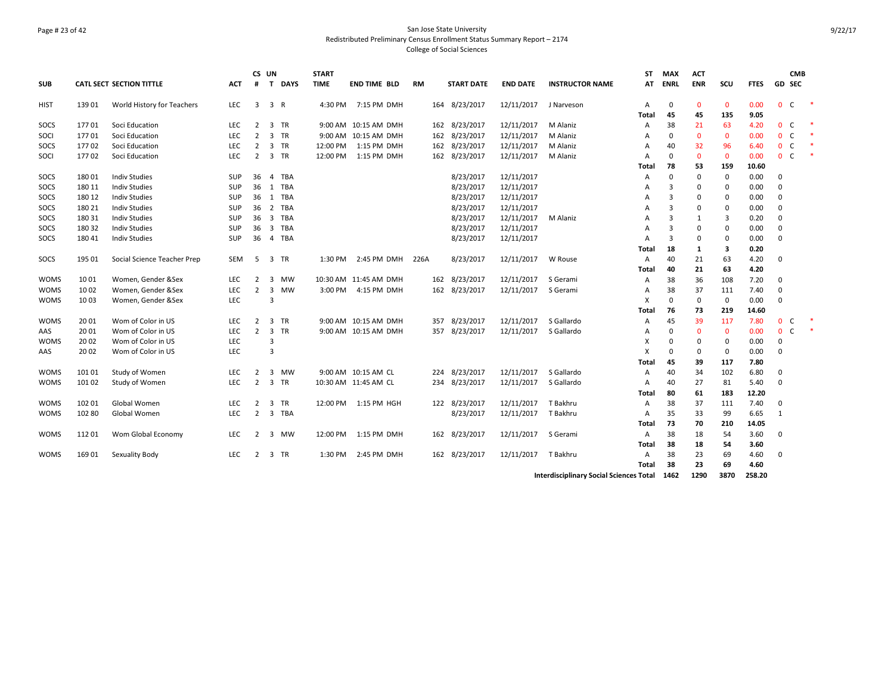# Page # 23 of 42 San Jose State University Redistributed Preliminary Census Enrollment Status Summary Report – 2174 College of Social Sciences

|             |        |                                 |            |                | CS UN                   |             | <b>START</b> |                       |           |                   |                 |                        | ST    | <b>MAX</b>  | <b>ACT</b>   |             |             |              | <b>CMB</b>    |  |
|-------------|--------|---------------------------------|------------|----------------|-------------------------|-------------|--------------|-----------------------|-----------|-------------------|-----------------|------------------------|-------|-------------|--------------|-------------|-------------|--------------|---------------|--|
| <b>SUB</b>  |        | <b>CATL SECT SECTION TITTLE</b> | <b>ACT</b> | #              | $\mathbf{T}$            | <b>DAYS</b> | <b>TIME</b>  | <b>END TIME BLD</b>   | <b>RM</b> | <b>START DATE</b> | <b>END DATE</b> | <b>INSTRUCTOR NAME</b> | AT    | <b>ENRL</b> | <b>ENR</b>   | SCU         | <b>FTES</b> |              | <b>GD SEC</b> |  |
| HIST        | 139 01 | World History for Teachers      | <b>LEC</b> | 3              | 3 R                     |             | 4:30 PM      | 7:15 PM DMH           |           | 164 8/23/2017     | 12/11/2017      | J Narveson             | A     | 0           | $\mathbf{0}$ | $\mathbf 0$ | 0.00        | $\mathbf{0}$ | C             |  |
|             |        |                                 |            |                |                         |             |              |                       |           |                   |                 |                        | Total | 45          | 45           | 135         | 9.05        |              |               |  |
| SOCS        | 17701  | Soci Education                  | LEC        | 2              |                         | 3 TR        |              | 9:00 AM 10:15 AM DMH  |           | 162 8/23/2017     | 12/11/2017      | M Alaniz               | Α     | 38          | 21           | 63          | 4.20        | 0            | C             |  |
| SOCI        | 17701  | Soci Education                  | <b>LEC</b> | $\overline{2}$ |                         | 3 TR        |              | 9:00 AM 10:15 AM DMH  |           | 162 8/23/2017     | 12/11/2017      | M Alaniz               | A     | 0           | $\mathbf{0}$ | $\mathbf 0$ | 0.00        | 0            | C             |  |
| SOCS        | 17702  | Soci Education                  | <b>LEC</b> | $\overline{2}$ |                         | 3 TR        | 12:00 PM     | 1:15 PM DMH           |           | 162 8/23/2017     | 12/11/2017      | M Alaniz               | A     | 40          | 32           | 96          | 6.40        | $\mathbf 0$  | $\mathsf{C}$  |  |
| SOCI        | 17702  | Soci Education                  | <b>LEC</b> | $\overline{2}$ |                         | 3 TR        | 12:00 PM     | 1:15 PM DMH           |           | 162 8/23/2017     | 12/11/2017      | M Alaniz               | А     | $\Omega$    | $\mathbf 0$  | $\mathbf 0$ | 0.00        | $\mathbf{0}$ | $\mathsf{C}$  |  |
|             |        |                                 |            |                |                         |             |              |                       |           |                   |                 |                        | Total | 78          | 53           | 159         | 10.60       |              |               |  |
| SOCS        | 180 01 | <b>Indiv Studies</b>            | <b>SUP</b> | 36             | $\overline{4}$          | <b>TBA</b>  |              |                       |           | 8/23/2017         | 12/11/2017      |                        | Α     | 0           | 0            | 0           | 0.00        | 0            |               |  |
| SOCS        | 180 11 | <b>Indiv Studies</b>            | SUP        | 36             |                         | 1 TBA       |              |                       |           | 8/23/2017         | 12/11/2017      |                        | А     | 3           | 0            | 0           | 0.00        | 0            |               |  |
| SOCS        | 180 12 | <b>Indiv Studies</b>            | SUP        | 36             |                         | 1 TBA       |              |                       |           | 8/23/2017         | 12/11/2017      |                        | А     | 3           | 0            | 0           | 0.00        | 0            |               |  |
| SOCS        | 180 21 | <b>Indiv Studies</b>            | SUP        | 36             |                         | 2 TBA       |              |                       |           | 8/23/2017         | 12/11/2017      |                        | А     | 3           | 0            | $\mathbf 0$ | 0.00        | 0            |               |  |
| SOCS        | 180 31 | <b>Indiv Studies</b>            | <b>SUP</b> | 36             |                         | 3 TBA       |              |                       |           | 8/23/2017         | 12/11/2017      | M Alaniz               | А     | 3           | 1            | 3           | 0.20        | 0            |               |  |
| SOCS        | 180 32 | <b>Indiv Studies</b>            | SUP        | 36             |                         | 3 TBA       |              |                       |           | 8/23/2017         | 12/11/2017      |                        | А     | 3           | $\Omega$     | 0           | 0.00        | 0            |               |  |
| SOCS        | 180 41 | <b>Indiv Studies</b>            | SUP        | 36             | $\overline{4}$          | TBA         |              |                       |           | 8/23/2017         | 12/11/2017      |                        | А     | 3           | 0            | $\mathbf 0$ | 0.00        | 0            |               |  |
|             |        |                                 |            |                |                         |             |              |                       |           |                   |                 |                        | Total | 18          | 1            | 3           | 0.20        |              |               |  |
| SOCS        | 195 01 | Social Science Teacher Prep     | SEM        | 5              |                         | 3 TR        | 1:30 PM      | 2:45 PM DMH 226A      |           | 8/23/2017         | 12/11/2017      | W Rouse                | A     | 40          | 21           | 63          | 4.20        | $\mathbf 0$  |               |  |
|             |        |                                 |            |                |                         |             |              |                       |           |                   |                 |                        | Total | 40          | 21           | 63          | 4.20        |              |               |  |
| <b>WOMS</b> | 1001   | Women, Gender &Sex              | <b>LEC</b> | 2              |                         | 3 MW        |              | 10:30 AM 11:45 AM DMH |           | 162 8/23/2017     | 12/11/2017      | S Gerami               | Α     | 38          | 36           | 108         | 7.20        | 0            |               |  |
| <b>WOMS</b> | 1002   | Women, Gender &Sex              | LEC        | 2              | $\overline{\mathbf{3}}$ | MW          | 3:00 PM      | 4:15 PM DMH           |           | 162 8/23/2017     | 12/11/2017      | S Gerami               | Α     | 38          | 37           | 111         | 7.40        | 0            |               |  |
| <b>WOMS</b> | 1003   | Women, Gender &Sex              | <b>LEC</b> |                | 3                       |             |              |                       |           |                   |                 |                        | X     | 0           | 0            | 0           | 0.00        | 0            |               |  |
|             |        |                                 |            |                |                         |             |              |                       |           |                   |                 |                        | Total | 76          | 73           | 219         | 14.60       |              |               |  |
| <b>WOMS</b> | 2001   | Wom of Color in US              | <b>LEC</b> | $\overline{2}$ | 3                       | <b>TR</b>   |              | 9:00 AM 10:15 AM DMH  |           | 357 8/23/2017     | 12/11/2017      | S Gallardo             | A     | 45          | 39           | 117         | 7.80        | $\mathbf{0}$ | C             |  |
| AAS         | 2001   | Wom of Color in US              | <b>LEC</b> | $\overline{2}$ |                         | 3 TR        |              | 9:00 AM 10:15 AM DMH  |           | 357 8/23/2017     | 12/11/2017      | S Gallardo             | А     | 0           | 0            | $\mathbf 0$ | 0.00        | 0            | C             |  |
| <b>WOMS</b> | 20 02  | Wom of Color in US              | <b>LEC</b> |                | 3                       |             |              |                       |           |                   |                 |                        | X     | $\Omega$    | 0            | 0           | 0.00        | 0            |               |  |
| AAS         | 20 02  | Wom of Color in US              | <b>LEC</b> |                | 3                       |             |              |                       |           |                   |                 |                        | X     | $\Omega$    | 0            | $\mathbf 0$ | 0.00        | 0            |               |  |
|             |        |                                 |            |                |                         |             |              |                       |           |                   |                 |                        | Total | 45          | 39           | 117         | 7.80        |              |               |  |
| <b>WOMS</b> | 101 01 | Study of Women                  | <b>LEC</b> | 2              |                         | 3 MW        |              | 9:00 AM 10:15 AM CL   |           | 224 8/23/2017     | 12/11/2017      | S Gallardo             | А     | 40          | 34           | 102         | 6.80        | 0            |               |  |
| <b>WOMS</b> | 101 02 | Study of Women                  | <b>LEC</b> | $\overline{2}$ |                         | 3 TR        |              | 10:30 AM 11:45 AM CL  |           | 234 8/23/2017     | 12/11/2017      | S Gallardo             | А     | 40          | 27           | 81          | 5.40        | $\Omega$     |               |  |
|             |        |                                 |            |                |                         |             |              |                       |           |                   |                 |                        | Total | 80          | 61           | 183         | 12.20       |              |               |  |
| <b>WOMS</b> | 102 01 | Global Women                    | <b>LEC</b> | $\overline{2}$ | 3                       | <b>TR</b>   | 12:00 PM     | 1:15 PM HGH           |           | 122 8/23/2017     | 12/11/2017      | T Bakhru               | Α     | 38          | 37           | 111         | 7.40        | 0            |               |  |
| <b>WOMS</b> | 102 80 | Global Women                    | LEC        | 2              |                         | 3 TBA       |              |                       |           | 8/23/2017         | 12/11/2017      | T Bakhru               | А     | 35          | 33           | 99          | 6.65        | $\mathbf{1}$ |               |  |
|             |        |                                 |            |                |                         |             |              |                       |           |                   |                 |                        | Total | 73          | 70           | 210         | 14.05       |              |               |  |
| <b>WOMS</b> | 112 01 | Wom Global Economy              | <b>LEC</b> | 2              | 3                       | MW          | 12:00 PM     | 1:15 PM DMH           |           | 162 8/23/2017     | 12/11/2017      | S Gerami               | Α     | 38          | 18           | 54          | 3.60        | 0            |               |  |
|             |        |                                 |            |                |                         |             |              |                       |           |                   |                 |                        | Total | 38          | 18           | 54          | 3.60        |              |               |  |
| <b>WOMS</b> | 169 01 | Sexuality Body                  | <b>LEC</b> | $\overline{2}$ | 3                       | <b>TR</b>   | 1:30 PM      | 2:45 PM DMH           | 162       | 8/23/2017         | 12/11/2017      | T Bakhru               | A     | 38          | 23           | 69          | 4.60        | 0            |               |  |
|             |        |                                 |            |                |                         |             |              |                       |           |                   |                 |                        | Total | 38          | 23           | 69          | 4.60        |              |               |  |

**Interdisciplinary Social Sciences Total 1462 1290 3870 258.20**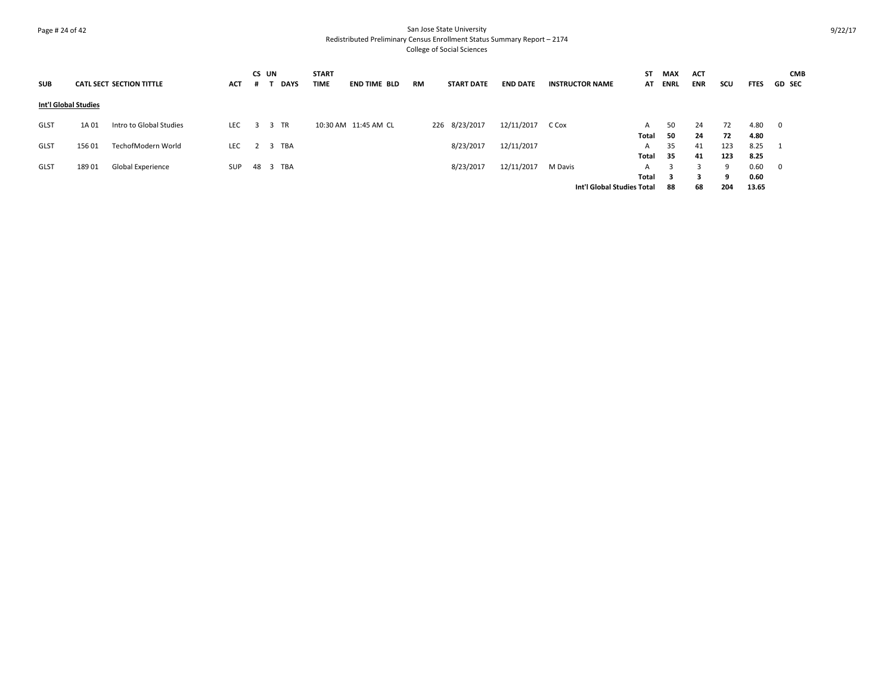# Page # 24 of 42 San Jose State University Redistributed Preliminary Census Enrollment Status Summary Report – 2174 College of Social Sciences

| <b>SUB</b>           |        | <b>CATL SECT SECTION TITTLE</b> | <b>ACT</b> | CS UN    |      | <b>DAYS</b> | <b>START</b><br><b>TIME</b> | <b>END TIME BLD</b>  | RM | <b>START DATE</b> | <b>END DATE</b> | <b>INSTRUCTOR NAME</b>     | SΤ<br>AT   | <b>MAX</b><br><b>ENRL</b> | <b>ACT</b><br><b>ENR</b> | scu      | <b>FTES</b>  | <b>CMB</b><br><b>GD SEC</b> |
|----------------------|--------|---------------------------------|------------|----------|------|-------------|-----------------------------|----------------------|----|-------------------|-----------------|----------------------------|------------|---------------------------|--------------------------|----------|--------------|-----------------------------|
| Int'l Global Studies |        |                                 |            |          |      |             |                             |                      |    |                   |                 |                            |            |                           |                          |          |              |                             |
| <b>GLST</b>          | 1A 01  | Intro to Global Studies         | LEC        | 3        | 3 TR |             |                             | 10:30 AM 11:45 AM CL |    | 226 8/23/2017     | 12/11/2017      | C Cox                      | A<br>Total | 50<br>50                  | 24<br>24                 | 72<br>72 | 4.80<br>4.80 | 0                           |
| <b>GLST</b>          | 156 01 | TechofModern World              | LEC        |          |      | 2 3 TBA     |                             |                      |    | 8/23/2017         | 12/11/2017      |                            | A          | 35                        | 41                       | 123      | 8.25         | 1                           |
|                      |        |                                 |            |          |      |             |                             |                      |    |                   |                 |                            | Total      | 35                        | 41                       | 123      | 8.25         |                             |
| <b>GLST</b>          | 189 01 | Global Experience               | SUP        | 48 3 TBA |      |             |                             |                      |    | 8/23/2017         | 12/11/2017      | M Davis                    | A          | 3                         | 3                        | 9        | 0.60         | $\overline{0}$              |
|                      |        |                                 |            |          |      |             |                             |                      |    |                   |                 |                            | Total      | - 3                       |                          | q        | 0.60         |                             |
|                      |        |                                 |            |          |      |             |                             |                      |    |                   |                 | Int'l Global Studies Total |            | 88                        | 68                       | 204      | 13.65        |                             |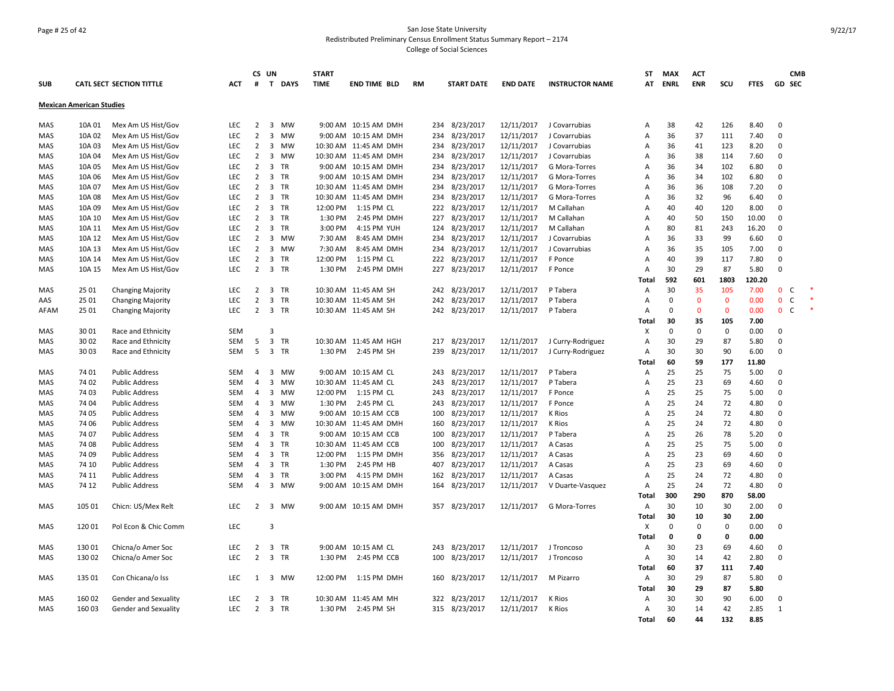# Page # 25 of 42 San Jose State University Redistributed Preliminary Census Enrollment Status Summary Report – 2174 College of Social Sciences

|            |                                 |                                 |            | CS UN          |                |           | <b>START</b> |                       |     |                   |                 |                        | <b>ST</b>      | <b>MAX</b>     | <b>ACT</b>        |                   |              |                          | <b>CMB</b> |
|------------|---------------------------------|---------------------------------|------------|----------------|----------------|-----------|--------------|-----------------------|-----|-------------------|-----------------|------------------------|----------------|----------------|-------------------|-------------------|--------------|--------------------------|------------|
| <b>SUB</b> |                                 | <b>CATL SECT SECTION TITTLE</b> | <b>ACT</b> | #              |                | T DAYS    | <b>TIME</b>  | <b>END TIME BLD</b>   | RM  | <b>START DATE</b> | <b>END DATE</b> | <b>INSTRUCTOR NAME</b> | AT             | <b>ENRL</b>    | <b>ENR</b>        | SCU               | <b>FTES</b>  | <b>GD SEC</b>            |            |
|            | <b>Mexican American Studies</b> |                                 |            |                |                |           |              |                       |     |                   |                 |                        |                |                |                   |                   |              |                          |            |
| MAS        | 10A 01                          | Mex Am US Hist/Gov              | LEC        | $\overline{2}$ | 3              | MW        |              | 9:00 AM 10:15 AM DMH  | 234 | 8/23/2017         | 12/11/2017      | J Covarrubias          | Α              | 38             | 42                | 126               | 8.40         | $\mathbf 0$              |            |
| MAS        | 10A 02                          | Mex Am US Hist/Gov              | <b>LEC</b> | $\overline{2}$ | 3              | <b>MW</b> |              | 9:00 AM 10:15 AM DMH  | 234 | 8/23/2017         | 12/11/2017      | J Covarrubias          | Α              | 36             | 37                | 111               | 7.40         | $\mathbf 0$              |            |
| MAS        | 10A 03                          | Mex Am US Hist/Gov              | LEC        | $\overline{2}$ | 3 MW           |           |              | 10:30 AM 11:45 AM DMH | 234 | 8/23/2017         | 12/11/2017      | J Covarrubias          | Α              | 36             | 41                | 123               | 8.20         | $\mathbf 0$              |            |
| MAS        | 10A 04                          | Mex Am US Hist/Gov              | <b>LEC</b> | $\overline{2}$ | $\overline{3}$ | <b>MW</b> |              | 10:30 AM 11:45 AM DMH | 234 | 8/23/2017         | 12/11/2017      | J Covarrubias          | Α              | 36             | 38                | 114               | 7.60         | $\mathbf 0$              |            |
| MAS        | 10A 05                          | Mex Am US Hist/Gov              | LEC        | $\overline{2}$ | 3              | TR        |              | 9:00 AM 10:15 AM DMH  | 234 | 8/23/2017         | 12/11/2017      | G Mora-Torres          | Α              | 36             | 34                | 102               | 6.80         | 0                        |            |
| MAS        | 10A 06                          | Mex Am US Hist/Gov              | LEC        | $\overline{2}$ | 3              | TR        |              | 9:00 AM 10:15 AM DMH  | 234 | 8/23/2017         | 12/11/2017      | G Mora-Torres          | $\overline{A}$ | 36             | 34                | 102               | 6.80         | $\mathbf 0$              |            |
| MAS        | 10A 07                          | Mex Am US Hist/Gov              | <b>LEC</b> | $\overline{2}$ | 3              | <b>TR</b> |              | 10:30 AM 11:45 AM DMH |     | 234 8/23/2017     | 12/11/2017      | G Mora-Torres          | A              | 36             | 36                | 108               | 7.20         | $\Omega$                 |            |
| MAS        | 10A 08                          | Mex Am US Hist/Gov              | <b>LEC</b> | $\overline{2}$ | $\overline{3}$ | <b>TR</b> |              | 10:30 AM 11:45 AM DMH | 234 | 8/23/2017         | 12/11/2017      | G Mora-Torres          | Α              | 36             | 32                | 96                | 6.40         | $\Omega$                 |            |
| MAS        | 10A 09                          | Mex Am US Hist/Gov              | <b>LEC</b> | $\overline{2}$ | 3              | <b>TR</b> | 12:00 PM     | 1:15 PM CL            |     | 222 8/23/2017     | 12/11/2017      | M Callahan             | A              | 40             | 40                | 120               | 8.00         | $\mathbf 0$              |            |
| MAS        | 10A 10                          | Mex Am US Hist/Gov              | <b>LEC</b> | $\overline{2}$ | $\overline{3}$ | <b>TR</b> | 1:30 PM      | 2:45 PM DMH           |     | 227 8/23/2017     | 12/11/2017      | M Callahan             | Α              | 40             | 50                | 150               | 10.00        | $\mathbf 0$              |            |
| MAS        | 10A 11                          | Mex Am US Hist/Gov              | LEC        | $\overline{2}$ | 3              | <b>TR</b> | 3:00 PM      | 4:15 PM YUH           | 124 | 8/23/2017         | 12/11/2017      | M Callahan             | Α              | 80             | 81                | 243               | 16.20        | $\mathbf 0$              |            |
| MAS        | 10A 12                          | Mex Am US Hist/Gov              | LEC        | $\overline{2}$ | 3              | <b>MW</b> | 7:30 AM      | 8:45 AM DMH           | 234 | 8/23/2017         | 12/11/2017      | J Covarrubias          | Α              | 36             | 33                | 99                | 6.60         | $\mathbf 0$              |            |
| MAS        | 10A 13                          | Mex Am US Hist/Gov              | <b>LEC</b> | $\overline{2}$ | 3              | MW        | 7:30 AM      | 8:45 AM DMH           |     | 234 8/23/2017     | 12/11/2017      | J Covarrubias          | A              | 36             | 35                | 105               | 7.00         | 0                        |            |
| MAS        | 10A 14                          | Mex Am US Hist/Gov              | <b>LEC</b> | $\overline{2}$ | 3              | <b>TR</b> | 12:00 PM     | 1:15 PM CL            | 222 | 8/23/2017         | 12/11/2017      | F Ponce                | A              | 40             | 39                | 117               | 7.80         | $\mathbf 0$              |            |
| MAS        | 10A 15                          | Mex Am US Hist/Gov              | <b>LEC</b> | $\overline{2}$ | 3 TR           |           | 1:30 PM      | 2:45 PM DMH           |     | 227 8/23/2017     | 12/11/2017      | F Ponce                | A              | 30             | 29                | 87                | 5.80         | $\Omega$                 |            |
|            |                                 |                                 |            |                |                |           |              |                       |     |                   |                 |                        | Total          | 592            | 601               | 1803              | 120.20       |                          |            |
| MAS        | 25 01                           | <b>Changing Majority</b>        | <b>LEC</b> | 2              | 3              | <b>TR</b> |              | 10:30 AM 11:45 AM SH  |     | 242 8/23/2017     | 12/11/2017      | P Tabera               | $\overline{A}$ | 30             | 35                | 105               | 7.00         | $\mathbf{0}$<br><b>C</b> |            |
| AAS        | 25 01                           | <b>Changing Majority</b>        | LEC        | $\overline{2}$ | 3              | TR        |              | 10:30 AM 11:45 AM SH  | 242 | 8/23/2017         | 12/11/2017      | P Tabera               | Α              | $\mathbf 0$    | $\mathbf{0}$      | $\mathbf 0$       | 0.00         | $\mathbf{0}$<br>C        |            |
| AFAM       | 25 01                           | <b>Changing Majority</b>        | <b>LEC</b> | 2              | 3              | <b>TR</b> |              | 10:30 AM 11:45 AM SH  |     | 242 8/23/2017     | 12/11/2017      | P Tabera               | Α              | $\mathbf 0$    | $\mathbf{0}$      | $\mathbf{0}$      | 0.00         | $\mathbf 0$<br><b>C</b>  |            |
|            |                                 |                                 |            |                |                |           |              |                       |     |                   |                 |                        | Total          | 30             | 35                | 105               | 7.00         |                          |            |
| <b>MAS</b> | 3001                            | Race and Ethnicity              | <b>SEM</b> |                | $\overline{3}$ |           |              |                       |     |                   |                 |                        | X              | $\mathbf 0$    | $\mathbf 0$       | 0                 | 0.00         | $\mathbf 0$              |            |
| MAS        | 3002                            | Race and Ethnicity              | <b>SEM</b> | 5              | 3              | TR        |              | 10:30 AM 11:45 AM HGH | 217 | 8/23/2017         | 12/11/2017      | J Curry-Rodriguez      | $\overline{A}$ | 30             | 29                | 87                | 5.80         | 0                        |            |
| MAS        | 3003                            | Race and Ethnicity              | SEM        | 5              | 3 TR           |           | 1:30 PM      | 2:45 PM SH            | 239 | 8/23/2017         | 12/11/2017      | J Curry-Rodriguez      | Α              | 30             | 30                | 90                | 6.00         | $\mathbf 0$              |            |
|            |                                 |                                 |            |                |                |           |              |                       |     |                   |                 |                        | Total          | 60             | 59                | 177               | 11.80        |                          |            |
| MAS        | 74 01                           | <b>Public Address</b>           | <b>SEM</b> | $\overline{4}$ | $\overline{3}$ | <b>MW</b> |              | 9:00 AM 10:15 AM CL   | 243 | 8/23/2017         | 12/11/2017      | P Tabera               | Α              | 25             | 25                | 75                | 5.00         | $\mathbf 0$              |            |
| <b>MAS</b> | 74 02                           | <b>Public Address</b>           | <b>SEM</b> | $\overline{4}$ | 3              | MW        |              | 10:30 AM 11:45 AM CL  | 243 | 8/23/2017         | 12/11/2017      | P Tabera               | Α              | 25             | 23                | 69                | 4.60         | $\mathbf 0$              |            |
| MAS        | 74 03                           | <b>Public Address</b>           | <b>SEM</b> | 4              | 3              | MW        | 12:00 PM     | 1:15 PM CL            | 243 | 8/23/2017         | 12/11/2017      | F Ponce                | Α              | 25             | 25                | 75                | 5.00         | 0                        |            |
| MAS        | 74 04                           | <b>Public Address</b>           | <b>SEM</b> | $\overline{4}$ | 3              | <b>MW</b> | 1:30 PM      | 2:45 PM CL            | 243 | 8/23/2017         | 12/11/2017      | F Ponce                | A              | 25             | 24                | 72                | 4.80         | $\mathbf 0$              |            |
| MAS        | 74 05                           | <b>Public Address</b>           | <b>SEM</b> | $\overline{4}$ | $\overline{3}$ | <b>MW</b> |              | 9:00 AM 10:15 AM CCB  | 100 | 8/23/2017         | 12/11/2017      | K Rios                 | A              | 25             | 24                | 72                | 4.80         | $\mathbf 0$              |            |
| MAS        | 74 06                           | <b>Public Address</b>           | <b>SEM</b> | $\overline{4}$ | 3              | <b>MW</b> |              | 10:30 AM 11:45 AM DMH | 160 | 8/23/2017         | 12/11/2017      | K Rios                 | A              | 25             | 24                | 72                | 4.80         | $\Omega$                 |            |
| MAS        | 74 07                           | <b>Public Address</b>           | <b>SEM</b> | $\overline{4}$ | 3              | TR        |              | 9:00 AM 10:15 AM CCB  | 100 | 8/23/2017         | 12/11/2017      | P Tabera               | Α              | 25             | 26                | 78                | 5.20         | $\mathbf 0$              |            |
| MAS        | 74 08                           | <b>Public Address</b>           | <b>SEM</b> | $\overline{4}$ | 3              | TR        |              | 10:30 AM 11:45 AM CCB | 100 | 8/23/2017         | 12/11/2017      | A Casas                | Α              | 25             | 25                | 75                | 5.00         | 0                        |            |
| MAS        | 74 09                           | <b>Public Address</b>           | <b>SEM</b> | $\overline{4}$ | 3              | <b>TR</b> | 12:00 PM     | 1:15 PM DMH           | 356 | 8/23/2017         | 12/11/2017      | A Casas                | Α              | 25             | 23                | 69                | 4.60         | $\mathbf 0$              |            |
| MAS        | 74 10                           | <b>Public Address</b>           | <b>SEM</b> | $\overline{4}$ | 3              | TR        | 1:30 PM      | 2:45 PM HB            | 407 | 8/23/2017         | 12/11/2017      | A Casas                | A              | 25             | 23                | 69                | 4.60         | 0                        |            |
| MAS        | 74 11                           | <b>Public Address</b>           | <b>SEM</b> | $\overline{4}$ | 3              | <b>TR</b> | 3:00 PM      | 4:15 PM DMH           | 162 | 8/23/2017         | 12/11/2017      | A Casas                | A              | 25             | 24                | 72                | 4.80         | $\mathbf 0$              |            |
| MAS        | 74 12                           | <b>Public Address</b>           | <b>SEM</b> | $\overline{4}$ | 3 MW           |           |              | 9:00 AM 10:15 AM DMH  | 164 | 8/23/2017         | 12/11/2017      | V Duarte-Vasquez       | $\overline{A}$ | 25             | 24                | 72                | 4.80         | $\mathbf 0$              |            |
|            |                                 |                                 |            |                |                |           |              |                       |     |                   |                 |                        | Total          | 300            | 290               | 870               | 58.00        |                          |            |
| MAS        | 105 01                          | Chicn: US/Mex Relt              | <b>LEC</b> | $\overline{2}$ | 3              | <b>MW</b> |              | 9:00 AM 10:15 AM DMH  |     | 357 8/23/2017     | 12/11/2017      | G Mora-Torres          | Α              | 30             | 10                | 30                | 2.00         | $\mathbf 0$              |            |
|            | 120 01                          |                                 | LEC        |                | $\overline{3}$ |           |              |                       |     |                   |                 |                        | Total<br>X     | 30<br>$\Omega$ | 10<br>$\mathbf 0$ | 30<br>$\mathbf 0$ | 2.00<br>0.00 | $\mathbf 0$              |            |
| MAS        |                                 | Pol Econ & Chic Comm            |            |                |                |           |              |                       |     |                   |                 |                        | Total          | $\mathbf 0$    | 0                 | 0                 | 0.00         |                          |            |
| MAS        | 130 01                          | Chicna/o Amer Soc               | LEC        | $\overline{2}$ | 3 TR           |           |              | 9:00 AM 10:15 AM CL   | 243 | 8/23/2017         | 12/11/2017      | J Troncoso             | Α              | 30             | 23                | 69                | 4.60         | $\mathbf 0$              |            |
| MAS        | 130 02                          |                                 | <b>LEC</b> | $\overline{2}$ | $\overline{3}$ | TR        | 1:30 PM      | 2:45 PM CCB           |     | 100 8/23/2017     | 12/11/2017      | J Troncoso             | A              | 30             | 14                | 42                | 2.80         | $\mathbf 0$              |            |
|            |                                 | Chicna/o Amer Soc               |            |                |                |           |              |                       |     |                   |                 |                        | Total          | 60             | 37                | 111               | 7.40         |                          |            |
| MAS        | 135 01                          | Con Chicana/o Iss               | <b>LEC</b> | 1              | 3 MW           |           | 12:00 PM     | 1:15 PM DMH           | 160 | 8/23/2017         | 12/11/2017      | M Pizarro              | Α              | 30             | 29                | 87                | 5.80         | $\mathbf 0$              |            |
|            |                                 |                                 |            |                |                |           |              |                       |     |                   |                 |                        | Total          | 30             | 29                | 87                | 5.80         |                          |            |
| MAS        | 160 02                          | Gender and Sexuality            | <b>LEC</b> | $\overline{2}$ | 3              | TR        |              | 10:30 AM 11:45 AM MH  |     | 322 8/23/2017     | 12/11/2017      | K Rios                 | A              | 30             | 30                | 90                | 6.00         | $\mathbf 0$              |            |
| MAS        | 160 03                          | Gender and Sexuality            | <b>LEC</b> | $\overline{2}$ | 3 TR           |           | 1:30 PM      | 2:45 PM SH            |     | 315 8/23/2017     | 12/11/2017      | K Rios                 | Α              | 30             | 14                | 42                | 2.85         | 1                        |            |
|            |                                 |                                 |            |                |                |           |              |                       |     |                   |                 |                        | Total          | 60             | 44                | 132               | 8.85         |                          |            |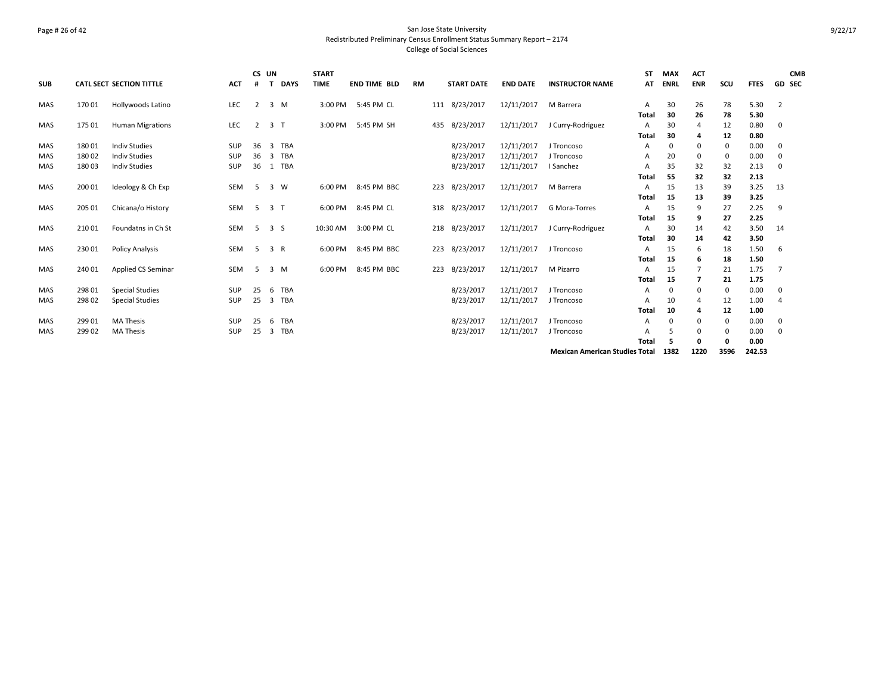# Page # 26 of 42 San Jose State University Redistributed Preliminary Census Enrollment Status Summary Report – 2174 College of Social Sciences

|            |        |                                 |            | CS UN          |                |        | <b>START</b> |                     |           |                   |                 |                        | SΤ           | <b>MAX</b>  | <b>ACT</b>   |     |             | <b>CMB</b>     |
|------------|--------|---------------------------------|------------|----------------|----------------|--------|--------------|---------------------|-----------|-------------------|-----------------|------------------------|--------------|-------------|--------------|-----|-------------|----------------|
| <b>SUB</b> |        | <b>CATL SECT SECTION TITTLE</b> | <b>ACT</b> | #              |                | T DAYS | <b>TIME</b>  | <b>END TIME BLD</b> | <b>RM</b> | <b>START DATE</b> | <b>END DATE</b> | <b>INSTRUCTOR NAME</b> | AT           | <b>ENRL</b> | <b>ENR</b>   | SCU | <b>FTES</b> | <b>GD SEC</b>  |
| MAS        | 170 01 | Hollywoods Latino               | LEC        | $\overline{2}$ | 3 M            |        |              | 3:00 PM 5:45 PM CL  |           | 111 8/23/2017     | 12/11/2017      | M Barrera              | Α            | 30          | 26           | 78  | 5.30        | $\overline{2}$ |
|            |        |                                 |            |                |                |        |              |                     |           |                   |                 |                        | Total        | 30          | 26           | 78  | 5.30        |                |
| <b>MAS</b> | 175 01 | <b>Human Migrations</b>         | LEC        | $\overline{2}$ | 3 <sub>1</sub> |        |              | 3:00 PM 5:45 PM SH  |           | 435 8/23/2017     | 12/11/2017      | J Curry-Rodriguez      | $\mathsf{A}$ | 30          | 4            | 12  | 0.80        | $\mathbf 0$    |
|            |        |                                 |            |                |                |        |              |                     |           |                   |                 |                        | Total        | 30          | 4            | 12  | 0.80        |                |
| <b>MAS</b> | 18001  | <b>Indiv Studies</b>            | <b>SUP</b> | 36             | 3              | TBA    |              |                     |           | 8/23/2017         | 12/11/2017      | J Troncoso             | A            | 0           | $\mathbf{0}$ | 0   | 0.00        | 0              |
| MAS        | 180 02 | <b>Indiv Studies</b>            | SUP        | 36             | 3              | TBA    |              |                     |           | 8/23/2017         | 12/11/2017      | J Troncoso             | A            | 20          | 0            | 0   | 0.00        | 0              |
| MAS        | 18003  | <b>Indiv Studies</b>            | <b>SUP</b> | 36             |                | 1 TBA  |              |                     |           | 8/23/2017         | 12/11/2017      | I Sanchez              | A            | 35          | 32           | 32  | 2.13        | 0              |
|            |        |                                 |            |                |                |        |              |                     |           |                   |                 |                        | Total        | 55          | 32           | 32  | 2.13        |                |
| MAS        | 200 01 | Ideology & Ch Exp               | SEM        | 5 3 W          |                |        |              | 6:00 PM 8:45 PM BBC |           | 223 8/23/2017     | 12/11/2017      | M Barrera              | A            | 15          | 13           | 39  | 3.25        | 13             |
|            |        |                                 |            |                |                |        |              |                     |           |                   |                 |                        | Total        | 15          | 13           | 39  | 3.25        |                |
| MAS        | 205 01 | Chicana/o History               | SEM 5 3 T  |                |                |        |              | 6:00 PM 8:45 PM CL  |           | 318 8/23/2017     | 12/11/2017      | G Mora-Torres          | A            | 15          | 9            | 27  | 2.25        | 9              |
|            |        |                                 |            |                |                |        |              |                     |           |                   |                 |                        | <b>Total</b> | 15          | 9            | 27  | 2.25        |                |
| <b>MAS</b> | 210 01 | Foundatns in Ch St              | SEM        | 5 3 S          |                |        |              | 10:30 AM 3:00 PM CL |           | 218 8/23/2017     | 12/11/2017      | J Curry-Rodriguez      | Α            | 30          | 14           | 42  | 3.50        | 14             |
|            |        |                                 |            |                |                |        |              |                     |           |                   |                 |                        | <b>Total</b> | 30          | 14           | 42  | 3.50        |                |
| MAS        | 230 01 | <b>Policy Analysis</b>          | SEM        | 5 3 R          |                |        |              | 6:00 PM 8:45 PM BBC |           | 223 8/23/2017     | 12/11/2017      | J Troncoso             | A            | 15          | 6            | 18  | 1.50        | 6              |
|            |        |                                 |            |                |                |        |              |                     |           |                   |                 |                        | <b>Total</b> | 15          | 6            | 18  | 1.50        |                |
| MAS        | 240 01 | <b>Applied CS Seminar</b>       | SEM        | 5              | 3 M            |        |              | 6:00 PM 8:45 PM BBC |           | 223 8/23/2017     | 12/11/2017      | M Pizarro              | A            | 15          | 7            | 21  | 1.75        | 7              |
|            |        |                                 |            |                |                |        |              |                     |           |                   |                 |                        | Total        | 15          | 7            | 21  | 1.75        |                |
| MAS        | 298 01 | <b>Special Studies</b>          | SUP        | 25             | 6              | TBA    |              |                     |           | 8/23/2017         | 12/11/2017      | J Troncoso             | A            | 0           | 0            | 0   | 0.00        | 0              |
| MAS        | 298 02 | <b>Special Studies</b>          | SUP        | 25             | 3              | TBA    |              |                     |           | 8/23/2017         | 12/11/2017      | J Troncoso             | A            | 10          | 4            | 12  | 1.00        | $\overline{4}$ |
|            |        |                                 |            |                |                |        |              |                     |           |                   |                 |                        | Total        | 10          | 4            | 12  | 1.00        |                |
| MAS        | 299 01 | <b>MA Thesis</b>                | <b>SUP</b> | 25             | 6              | TBA    |              |                     |           | 8/23/2017         | 12/11/2017      | J Troncoso             | A            | 0           | $\mathbf{0}$ | 0   | 0.00        | 0              |
| MAS        | 299 02 | <b>MA Thesis</b>                | SUP        | 25             | 3              | TBA    |              |                     |           | 8/23/2017         | 12/11/2017      | J Troncoso             | А            | 5           | 0            | 0   | 0.00        | $\mathbf 0$    |
|            |        |                                 |            |                |                |        |              |                     |           |                   |                 |                        | Total        | 5           | 0            | 0   | 0.00        |                |
|            |        |                                 |            |                |                |        |              |                     |           |                   |                 | .                      |              |             |              |     |             |                |

**Mexican American Studies Total 1382 1220 3596 242.53**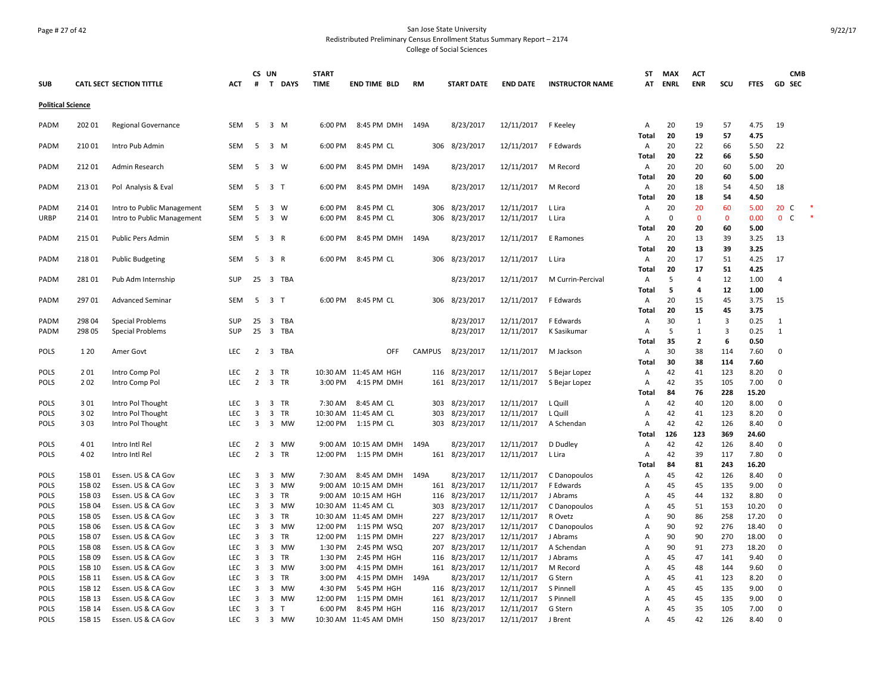# Page # 27 of 42 San Jose State University Redistributed Preliminary Census Enrollment Status Summary Report – 2174 College of Social Sciences

|                          |        |                                 |            | CS UN          |                |           | <b>START</b> |                       |               |                   |                 |                        | ST           | <b>MAX</b>  | <b>ACT</b>     |             |               |                | <b>CMB</b> |
|--------------------------|--------|---------------------------------|------------|----------------|----------------|-----------|--------------|-----------------------|---------------|-------------------|-----------------|------------------------|--------------|-------------|----------------|-------------|---------------|----------------|------------|
| <b>SUB</b>               |        | <b>CATL SECT SECTION TITTLE</b> | <b>ACT</b> | #              |                | T DAYS    | <b>TIME</b>  | <b>END TIME BLD</b>   | <b>RM</b>     | <b>START DATE</b> | <b>END DATE</b> | <b>INSTRUCTOR NAME</b> | AT           | <b>ENRL</b> | <b>ENR</b>     | SCU         | <b>FTES</b>   | <b>GD SEC</b>  |            |
| <b>Political Science</b> |        |                                 |            |                |                |           |              |                       |               |                   |                 |                        |              |             |                |             |               |                |            |
| PADM                     | 202 01 | <b>Regional Governance</b>      | <b>SEM</b> | 5              | $3 \, M$       |           | 6:00 PM      | 8:45 PM DMH           | 149A          | 8/23/2017         | 12/11/2017      | F Keeley               | Α            | 20          | 19             | 57          | 4.75          | 19             |            |
|                          |        |                                 |            |                |                |           |              |                       |               |                   |                 |                        | Total        | 20          | 19             | 57          | 4.75          |                |            |
| PADM                     | 210 01 | Intro Pub Admin                 | <b>SEM</b> | 5              | $3 \, M$       |           | 6:00 PM      | 8:45 PM CL            |               | 306 8/23/2017     | 12/11/2017      | F Edwards              | Α            | 20          | 22             | 66          | 5.50          | 22             |            |
|                          |        |                                 |            |                |                |           |              |                       |               |                   |                 |                        | Total        | 20          | 22             | 66          | 5.50          |                |            |
| PADM                     | 212 01 | Admin Research                  | <b>SEM</b> | 5              | 3 W            |           | 6:00 PM      | 8:45 PM DMH           | 149A          | 8/23/2017         | 12/11/2017      | M Record               | Α            | 20          | 20             | 60          | 5.00          | 20             |            |
|                          |        |                                 |            |                |                |           |              |                       |               |                   |                 |                        | Total        | 20          | 20             | 60          | 5.00          |                |            |
| PADM                     | 21301  | Pol Analysis & Eval             | <b>SEM</b> | 5              | 3 <sub>T</sub> |           | 6:00 PM      | 8:45 PM DMH           | 149A          | 8/23/2017         | 12/11/2017      | M Record               | Α            | 20          | 18             | 54          | 4.50          | 18             |            |
|                          |        |                                 |            |                |                |           |              |                       |               |                   |                 |                        | Total        | 20          | 18             | 54          | 4.50          |                |            |
| PADM                     | 214 01 | Intro to Public Management      | <b>SEM</b> | 5              | $3 \quad W$    |           | 6:00 PM      | 8:45 PM CL            | 306           | 8/23/2017         | 12/11/2017      | L Lira                 | Α            | 20          | 20             | 60          | 5.00          | 20 C           |            |
| <b>URBP</b>              | 214 01 | Intro to Public Management      | <b>SEM</b> | 5              | $3 \quad W$    |           | 6:00 PM      | 8:45 PM CL            | 306           | 8/23/2017         | 12/11/2017      | L Lira                 | Α            | $\mathbf 0$ | 0              | $\mathbf 0$ | 0.00          | 0 <sup>o</sup> |            |
|                          | 215 01 |                                 | <b>SEM</b> | 5              | 3 R            |           | 6:00 PM      | 8:45 PM DMH           | 149A          | 8/23/2017         | 12/11/2017      |                        | Total<br>A   | 20<br>20    | 20<br>13       | 60<br>39    | 5.00<br>3.25  | 13             |            |
| PADM                     |        | Public Pers Admin               |            |                |                |           |              |                       |               |                   |                 | E Ramones              | Total        | 20          | 13             | 39          | 3.25          |                |            |
| PADM                     | 218 01 | <b>Public Budgeting</b>         | <b>SEM</b> | 5              | 3 R            |           | 6:00 PM      | 8:45 PM CL            |               | 306 8/23/2017     | 12/11/2017      | L Lira                 | Α            | 20          | 17             | 51          | 4.25          | 17             |            |
|                          |        |                                 |            |                |                |           |              |                       |               |                   |                 |                        | Total        | 20          | 17             | 51          | 4.25          |                |            |
| PADM                     | 281 01 | Pub Adm Internship              | SUP        |                |                | 25 3 TBA  |              |                       |               | 8/23/2017         | 12/11/2017      | M Currin-Percival      | Α            | 5           | $\overline{4}$ | 12          | 1.00          | $\overline{4}$ |            |
|                          |        |                                 |            |                |                |           |              |                       |               |                   |                 |                        | Total        | 5           | 4              | 12          | 1.00          |                |            |
| PADM                     | 29701  | <b>Advanced Seminar</b>         | <b>SEM</b> | 5              | 3 <sub>7</sub> |           | 6:00 PM      | 8:45 PM CL            |               | 306 8/23/2017     | 12/11/2017      | F Edwards              | Α            | 20          | 15             | 45          | 3.75          | 15             |            |
|                          |        |                                 |            |                |                |           |              |                       |               |                   |                 |                        | Total        | 20          | 15             | 45          | 3.75          |                |            |
| PADM                     | 298 04 | <b>Special Problems</b>         | SUP        | 25             | 3              | TBA       |              |                       |               | 8/23/2017         | 12/11/2017      | F Edwards              | A            | 30          | $\mathbf{1}$   | 3           | 0.25          | 1              |            |
| PADM                     | 298 05 | <b>Special Problems</b>         | <b>SUP</b> | 25             |                | 3 TBA     |              |                       |               | 8/23/2017         | 12/11/2017      | K Sasikumar            | A            | 5           | 1              | 3           | 0.25          | $\mathbf{1}$   |            |
|                          |        |                                 |            |                |                |           |              |                       |               |                   |                 |                        | <b>Total</b> | 35          | $\mathbf{2}$   | 6           | 0.50          |                |            |
| <b>POLS</b>              | 1 2 0  | Amer Govt                       | <b>LEC</b> | 2              |                | 3 TBA     |              | OFF                   | <b>CAMPUS</b> | 8/23/2017         | 12/11/2017      | M Jackson              | Α            | 30          | 38             | 114         | 7.60          | 0              |            |
|                          |        |                                 |            |                |                |           |              |                       |               |                   |                 |                        | Total        | 30          | 38             | 114         | 7.60          |                |            |
| <b>POLS</b>              | 201    | Intro Comp Pol                  | <b>LEC</b> | $\overline{2}$ | $\overline{3}$ | <b>TR</b> |              | 10:30 AM 11:45 AM HGH | 116           | 8/23/2017         | 12/11/2017      | S Bejar Lopez          | A            | 42          | 41             | 123         | 8.20          | $\mathbf 0$    |            |
| <b>POLS</b>              | 202    | Intro Comp Pol                  | LEC        | $\overline{2}$ |                | 3 TR      | 3:00 PM      | 4:15 PM DMH           | 161           | 8/23/2017         | 12/11/2017      | S Bejar Lopez          | Α            | 42          | 35             | 105         | 7.00          | $\mathbf 0$    |            |
|                          |        |                                 |            |                |                |           |              |                       |               |                   |                 |                        | <b>Total</b> | 84          | 76             | 228         | 15.20         |                |            |
| <b>POLS</b>              | 301    | Intro Pol Thought               | LEC        | 3              |                | 3 TR      | 7:30 AM      | 8:45 AM CL            |               | 303 8/23/2017     | 12/11/2017      | L Quill                | Α            | 42          | 40             | 120         | 8.00          | $\mathbf 0$    |            |
| <b>POLS</b>              | 302    | Intro Pol Thought               | <b>LEC</b> | 3              | $\overline{3}$ | TR        |              | 10:30 AM 11:45 AM CL  | 303           | 8/23/2017         | 12/11/2017      | L Quill                | Α            | 42          | 41             | 123         | 8.20          | $\mathbf 0$    |            |
| <b>POLS</b>              | 303    | Intro Pol Thought               | LEC        | 3              | 3              | MW        | 12:00 PM     | 1:15 PM CL            | 303           | 8/23/2017         | 12/11/2017      | A Schendan             | Α<br>Total   | 42<br>126   | 42<br>123      | 126<br>369  | 8.40<br>24.60 | 0              |            |
| <b>POLS</b>              | 401    | Intro Intl Rel                  | <b>LEC</b> | 2              |                | 3 MW      |              | 9:00 AM 10:15 AM DMH  | 149A          | 8/23/2017         | 12/11/2017      | D Dudley               | Α            | 42          | 42             | 126         | 8.40          | $\mathbf 0$    |            |
| <b>POLS</b>              | 402    | Intro Intl Rel                  | <b>LEC</b> | $\overline{2}$ | 3              | <b>TR</b> | 12:00 PM     | 1:15 PM DMH           |               | 161 8/23/2017     | 12/11/2017      | L Lira                 | A            | 42          | 39             | 117         | 7.80          | $\mathbf 0$    |            |
|                          |        |                                 |            |                |                |           |              |                       |               |                   |                 |                        | Total        | 84          | 81             | 243         | 16.20         |                |            |
| POLS                     | 15B01  | Essen. US & CA Gov              | LEC        | 3              | 3              | <b>MW</b> | 7:30 AM      | 8:45 AM DMH           | 149A          | 8/23/2017         | 12/11/2017      | C Danopoulos           | Α            | 45          | 42             | 126         | 8.40          | $\mathbf 0$    |            |
| <b>POLS</b>              | 15B 02 | Essen. US & CA Gov              | <b>LEC</b> | 3              | 3              | <b>MW</b> | 9:00 AM      | 10:15 AM DMH          |               | 161 8/23/2017     | 12/11/2017      | F Edwards              | A            | 45          | 45             | 135         | 9.00          | $\Omega$       |            |
| <b>POLS</b>              | 15B03  | Essen. US & CA Gov              | <b>LEC</b> | $\overline{3}$ | $\overline{3}$ | <b>TR</b> |              | 9:00 AM 10:15 AM HGH  |               | 116 8/23/2017     | 12/11/2017      | J Abrams               | Α            | 45          | 44             | 132         | 8.80          | $\mathbf 0$    |            |
| <b>POLS</b>              | 15B 04 | Essen. US & CA Gov              | <b>LEC</b> | $\overline{3}$ | 3              | <b>MW</b> |              | 10:30 AM 11:45 AM CL  | 303           | 8/23/2017         | 12/11/2017      | C Danopoulos           | A            | 45          | 51             | 153         | 10.20         | 0              |            |
| <b>POLS</b>              | 15B 05 | Essen. US & CA Gov              | <b>LEC</b> | $\overline{3}$ | $\overline{3}$ | <b>TR</b> |              | 10:30 AM 11:45 AM DMH | 227           | 8/23/2017         | 12/11/2017      | R Ovetz                | A            | 90          | 86             | 258         | 17.20         | $\mathbf 0$    |            |
| <b>POLS</b>              | 15B 06 | Essen. US & CA Gov              | <b>LEC</b> | 3              | 3              | <b>MW</b> | 12:00 PM     | 1:15 PM WSQ           | 207           | 8/23/2017         | 12/11/2017      | C Danopoulos           | Α            | 90          | 92             | 276         | 18.40         | $\mathbf 0$    |            |
| <b>POLS</b>              | 15B 07 | Essen. US & CA Gov              | LEC        | 3              | 3              | TR        | 12:00 PM     | 1:15 PM DMH           | 227           | 8/23/2017         | 12/11/2017      | J Abrams               | Α            | 90          | 90             | 270         | 18.00         | $\mathbf 0$    |            |
| <b>POLS</b>              | 15B 08 | Essen. US & CA Gov              | <b>LEC</b> | 3              | 3              | <b>MW</b> | 1:30 PM      | 2:45 PM WSQ           | 207           | 8/23/2017         | 12/11/2017      | A Schendan             | Α            | 90          | 91             | 273         | 18.20         | $\mathbf 0$    |            |
| <b>POLS</b>              | 15B 09 | Essen. US & CA Gov              | LEC        | 3              | 3              | <b>TR</b> | 1:30 PM      | 2:45 PM HGH           | 116           | 8/23/2017         | 12/11/2017      | J Abrams               | A            | 45          | 47             | 141         | 9.40          | 0              |            |
| <b>POLS</b>              | 15B 10 | Essen. US & CA Gov              | <b>LEC</b> | 3              | 3              | MW        | 3:00 PM      | 4:15 PM DMH           |               | 161 8/23/2017     | 12/11/2017      | M Record               | A            | 45          | 48             | 144         | 9.60          | 0              |            |
| <b>POLS</b>              | 15B 11 | Essen. US & CA Gov              | <b>LEC</b> | 3              | 3              | <b>TR</b> | 3:00 PM      | 4:15 PM DMH           | 149A          | 8/23/2017         | 12/11/2017      | G Stern                | A            | 45          | 41             | 123         | 8.20          | $\mathbf 0$    |            |
| <b>POLS</b>              | 15B 12 | Essen. US & CA Gov              | <b>LEC</b> | 3              | 3              | <b>MW</b> | 4:30 PM      | 5:45 PM HGH           |               | 116 8/23/2017     | 12/11/2017      | S Pinnell              | A            | 45          | 45             | 135         | 9.00          | $\mathbf 0$    |            |
| <b>POLS</b>              | 15B 13 | Essen. US & CA Gov              | LEC        | 3              | $\overline{3}$ | MW        | 12:00 PM     | 1:15 PM DMH           | 161           | 8/23/2017         | 12/11/2017      | S Pinnell              | A            | 45          | 45             | 135         | 9.00          | $\mathbf 0$    |            |
| <b>POLS</b>              | 15B 14 | Essen. US & CA Gov              | <b>LEC</b> | 3              | 3              | $\top$    | 6:00 PM      | 8:45 PM HGH           | 116           | 8/23/2017         | 12/11/2017      | G Stern                | Α            | 45          | 35             | 105         | 7.00          | $\mathbf 0$    |            |
| <b>POLS</b>              | 15B 15 | Essen. US & CA Gov              | <b>LEC</b> | 3              |                | 3 MW      |              | 10:30 AM 11:45 AM DMH |               | 150 8/23/2017     | 12/11/2017      | J Brent                | A            | 45          | 42             | 126         | 8.40          | $\Omega$       |            |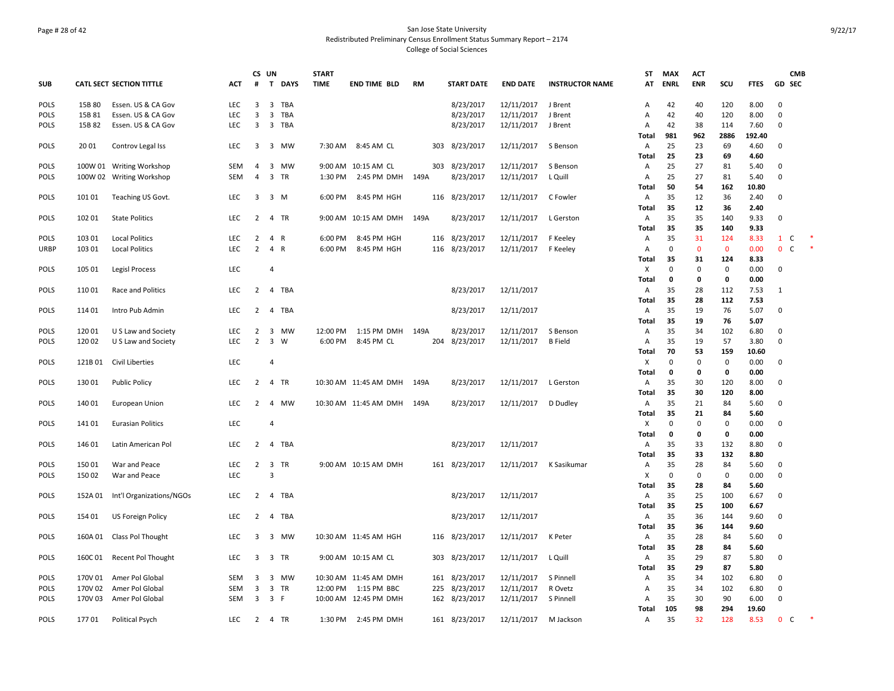# Page # 28 of 42 San Jose State University Redistributed Preliminary Census Enrollment Status Summary Report – 2174 College of Social Sciences

|             |         |                                 |            | CS UN          |                |            | <b>START</b> |                            |           |                   |                 |                        | ST           | <b>MAX</b>  | <b>ACT</b>  |             |             |                | <b>CMB</b>   |  |
|-------------|---------|---------------------------------|------------|----------------|----------------|------------|--------------|----------------------------|-----------|-------------------|-----------------|------------------------|--------------|-------------|-------------|-------------|-------------|----------------|--------------|--|
| <b>SUB</b>  |         | <b>CATL SECT SECTION TITTLE</b> | <b>ACT</b> | #              |                | T DAYS     | <b>TIME</b>  | <b>END TIME BLD</b>        | <b>RM</b> | <b>START DATE</b> | <b>END DATE</b> | <b>INSTRUCTOR NAME</b> | AT           | <b>ENRL</b> | <b>ENR</b>  | scu         | <b>FTES</b> | GD SEC         |              |  |
| POLS        | 15B 80  | Essen. US & CA Gov              | LEC        | 3              | $\overline{3}$ | <b>TBA</b> |              |                            |           | 8/23/2017         | 12/11/2017      | J Brent                | Α            | 42          | 40          | 120         | 8.00        | $\mathbf 0$    |              |  |
| <b>POLS</b> | 15B 81  | Essen. US & CA Gov              | <b>LEC</b> | 3              | 3              | <b>TBA</b> |              |                            |           | 8/23/2017         | 12/11/2017      | J Brent                | Α            | 42          | 40          | 120         | 8.00        | $\mathbf 0$    |              |  |
| <b>POLS</b> | 15B 82  | Essen. US & CA Gov              | <b>LEC</b> | 3              |                | 3 TBA      |              |                            |           | 8/23/2017         | 12/11/2017      | J Brent                | Α            | 42          | 38          | 114         | 7.60        | $\Omega$       |              |  |
|             |         |                                 |            |                |                |            |              |                            |           |                   |                 |                        | Total        | 981         | 962         | 2886        | 192.40      |                |              |  |
| <b>POLS</b> | 2001    | Controv Legal Iss               | <b>LEC</b> | 3              |                | 3 MW       | 7:30 AM      | 8:45 AM CL                 |           | 303 8/23/2017     | 12/11/2017      | S Benson               | Α            | 25          | 23          | 69          | 4.60        | $\mathbf 0$    |              |  |
|             |         |                                 |            |                |                |            |              |                            |           |                   |                 |                        | Total        | 25          | 23          | 69          | 4.60        |                |              |  |
| <b>POLS</b> |         | 100W 01 Writing Workshop        | <b>SEM</b> | 4              |                | 3 MW       |              | 9:00 AM 10:15 AM CL        |           | 303 8/23/2017     | 12/11/2017      | S Benson               | Α            | 25          | 27          | 81          | 5.40        | $\Omega$       |              |  |
| <b>POLS</b> |         | 100W 02 Writing Workshop        | SEM        | $\overline{4}$ |                | 3 TR       | 1:30 PM      | 2:45 PM DMH 149A           |           | 8/23/2017         | 12/11/2017      | L Quill                | Α            | 25          | 27          | 81          | 5.40        | $\mathbf 0$    |              |  |
|             |         |                                 |            |                |                |            |              |                            |           |                   |                 |                        | Total        | 50          | 54          | 162         | 10.80       |                |              |  |
| <b>POLS</b> | 101 01  | Teaching US Govt.               | <b>LEC</b> | 3              | 3 M            |            | 6:00 PM      | 8:45 PM HGH                |           | 116 8/23/2017     | 12/11/2017      | C Fowler               | Α            | 35          | 12          | 36          | 2.40        | $\mathbf 0$    |              |  |
|             |         |                                 |            |                |                |            |              |                            |           |                   |                 |                        | Total        | 35          | 12          | 36          | 2.40        |                |              |  |
| <b>POLS</b> | 102 01  | <b>State Politics</b>           | <b>LEC</b> | 2              |                | 4 TR       | 9:00 AM      | 10:15 AM DMH               | 149A      | 8/23/2017         | 12/11/2017      | L Gerston              | Α            | 35          | 35          | 140         | 9.33        | $\Omega$       |              |  |
|             |         |                                 |            |                |                |            |              |                            |           |                   |                 |                        | Total        | 35          | 35          | 140         | 9.33        |                |              |  |
| POLS        | 103 01  | <b>Local Politics</b>           | <b>LEC</b> | $\overline{2}$ | 4 R            |            | 6:00 PM      | 8:45 PM HGH                | 116       | 8/23/2017         | 12/11/2017      | F Keeley               | Α            | 35          | 31          | 124         | 8.33        | $\mathbf{1}$   | $\mathsf{C}$ |  |
| <b>URBP</b> | 103 01  | <b>Local Politics</b>           | LEC        | $\overline{2}$ | 4 R            |            | 6:00 PM      | 8:45 PM HGH                |           | 116 8/23/2017     | 12/11/2017      | F Keeley               | Α            | $\mathbf 0$ | $\mathbf 0$ | $\mathbf 0$ | 0.00        | $\mathbf{0}$   | $\mathsf{C}$ |  |
|             |         |                                 |            |                |                |            |              |                            |           |                   |                 |                        | Total        | 35          | 31          | 124         | 8.33        |                |              |  |
| <b>POLS</b> | 105 01  | Legisl Process                  | LEC        |                | 4              |            |              |                            |           |                   |                 |                        | Х            | $\mathbf 0$ | 0           | 0           | 0.00        | $\mathbf 0$    |              |  |
|             |         |                                 |            |                |                |            |              |                            |           |                   |                 |                        | Total        | $\mathbf 0$ | 0           | 0           | 0.00        |                |              |  |
| <b>POLS</b> | 11001   | Race and Politics               | <b>LEC</b> | $\overline{2}$ |                | 4 TBA      |              |                            |           | 8/23/2017         | 12/11/2017      |                        | Α            | 35          | 28          | 112         | 7.53        | $\mathbf{1}$   |              |  |
|             |         |                                 |            |                |                |            |              |                            |           |                   |                 |                        | Total        | 35          | 28          | 112         | 7.53        |                |              |  |
| <b>POLS</b> | 11401   | Intro Pub Admin                 | <b>LEC</b> | $\overline{2}$ |                | 4 TBA      |              |                            |           | 8/23/2017         | 12/11/2017      |                        | Α            | 35          | 19          | 76          | 5.07        | $\Omega$       |              |  |
|             |         |                                 |            |                |                |            |              |                            |           |                   |                 |                        | Total        | 35          | 19          | 76          | 5.07        |                |              |  |
| <b>POLS</b> | 120 01  | U S Law and Society             | LEC        | $\overline{2}$ |                | 3 MW       | 12:00 PM     | 1:15 PM DMH                | 149A      | 8/23/2017         | 12/11/2017      | S Benson               | Α            | 35          | 34          | 102         | 6.80        | $\mathbf 0$    |              |  |
| <b>POLS</b> | 120 02  | U S Law and Society             | <b>LEC</b> | $\overline{2}$ | $\overline{3}$ | W          | 6:00 PM      | 8:45 PM CL                 | 204       | 8/23/2017         | 12/11/2017      | <b>B</b> Field         | Α            | 35          | 19          | 57          | 3.80        | 0              |              |  |
|             |         |                                 |            |                |                |            |              |                            |           |                   |                 |                        | Total        | 70          | 53          | 159         | 10.60       |                |              |  |
| <b>POLS</b> | 121B 01 | Civil Liberties                 | <b>LEC</b> |                | $\overline{4}$ |            |              |                            |           |                   |                 |                        | X            | $\mathbf 0$ | 0           | 0           | 0.00        | $\Omega$       |              |  |
|             |         |                                 |            |                |                |            |              |                            |           |                   |                 |                        | Total        | 0           | 0           | 0           | 0.00        |                |              |  |
| <b>POLS</b> | 130 01  | <b>Public Policy</b>            | <b>LEC</b> | $\overline{2}$ |                | 4 TR       |              | 10:30 AM 11:45 AM DMH      | 149A      | 8/23/2017         | 12/11/2017      | L Gerston              | Α            | 35          | 30          | 120         | 8.00        | $\Omega$       |              |  |
|             |         |                                 |            |                |                |            |              |                            |           |                   |                 |                        | <b>Total</b> | 35          | 30          | 120         | 8.00        |                |              |  |
| <b>POLS</b> | 140 01  | European Union                  | <b>LEC</b> | $\overline{2}$ |                | 4 MW       |              | 10:30 AM 11:45 AM DMH 149A |           | 8/23/2017         | 12/11/2017      | D Dudley               | Α            | 35          | 21          | 84          | 5.60        | 0              |              |  |
|             |         |                                 |            |                |                |            |              |                            |           |                   |                 |                        | Total        | 35          | 21          | 84          | 5.60        |                |              |  |
| <b>POLS</b> | 141 01  | <b>Eurasian Politics</b>        | <b>LEC</b> |                | $\overline{4}$ |            |              |                            |           |                   |                 |                        | X            | 0           | 0           | 0           | 0.00        | $\mathbf 0$    |              |  |
|             |         |                                 |            |                |                |            |              |                            |           |                   |                 |                        | Total        | $\mathbf 0$ | 0           | 0           | 0.00        |                |              |  |
| POLS        | 146 01  | Latin American Pol              | <b>LEC</b> | $\overline{2}$ |                | 4 TBA      |              |                            |           | 8/23/2017         | 12/11/2017      |                        | Α            | 35          | 33          | 132         | 8.80        | $\Omega$       |              |  |
|             |         |                                 |            |                |                |            |              |                            |           |                   |                 |                        | Total        | 35          | 33          | 132         | 8.80        |                |              |  |
| POLS        | 150 01  | War and Peace                   | LEC        | $\overline{2}$ |                | 3 TR       |              | 9:00 AM 10:15 AM DMH       |           | 161 8/23/2017     | 12/11/2017      | K Sasikumar            | Α            | 35          | 28          | 84          | 5.60        | 0              |              |  |
| <b>POLS</b> | 150 02  | War and Peace                   | LEC        |                | $\overline{3}$ |            |              |                            |           |                   |                 |                        | х            | 0           | 0           | 0           | 0.00        | $\mathbf 0$    |              |  |
|             |         |                                 |            |                |                |            |              |                            |           |                   |                 |                        | Total        | 35          | 28          | 84          | 5.60        |                |              |  |
| <b>POLS</b> | 152A 01 | Int'l Organizations/NGOs        | <b>LEC</b> | $\overline{2}$ |                | 4 TBA      |              |                            |           | 8/23/2017         | 12/11/2017      |                        | Α            | 35          | 25          | 100         | 6.67        | $\Omega$       |              |  |
|             |         |                                 |            |                |                |            |              |                            |           |                   |                 |                        | Total        | 35          | 25          | 100         | 6.67        |                |              |  |
| <b>POLS</b> | 154 01  | US Foreign Policy               | <b>LEC</b> | 2              |                | 4 TBA      |              |                            |           | 8/23/2017         | 12/11/2017      |                        | Α            | 35          | 36          | 144         | 9.60        | $\Omega$       |              |  |
|             |         |                                 |            |                |                |            |              |                            |           |                   |                 |                        | Total        | 35          | 36          | 144         | 9.60        |                |              |  |
| POLS        | 160A 01 | Class Pol Thought               | LEC        | 3              |                | 3 MW       |              | 10:30 AM 11:45 AM HGH      |           | 116 8/23/2017     | 12/11/2017      | K Peter                | Α            | 35          | 28          | 84          | 5.60        | $\mathbf 0$    |              |  |
|             |         |                                 |            |                |                |            |              |                            |           |                   |                 |                        | Total        | 35          | 28          | 84          | 5.60        |                |              |  |
| <b>POLS</b> | 160C01  | <b>Recent Pol Thought</b>       | <b>LEC</b> | 3              |                | 3 TR       |              | 9:00 AM 10:15 AM CL        | 303       | 8/23/2017         | 12/11/2017      | L Quill                | Α            | 35          | 29          | 87          | 5.80        | $\mathbf 0$    |              |  |
|             |         |                                 |            |                |                |            |              |                            |           |                   |                 |                        | Total        | 35          | 29          | 87          | 5.80        |                |              |  |
| <b>POLS</b> | 170V 01 | Amer Pol Global                 | SEM        | 3              |                | 3 MW       |              | 10:30 AM 11:45 AM DMH      | 161       | 8/23/2017         | 12/11/2017      | S Pinnell              | Α            | 35          | 34          | 102         | 6.80        | $\Omega$       |              |  |
| <b>POLS</b> | 170V 02 | Amer Pol Global                 | <b>SEM</b> | 3              | $\overline{3}$ | <b>TR</b>  | 12:00 PM     | 1:15 PM BBC                | 225       | 8/23/2017         | 12/11/2017      | R Ovetz                | A            | 35          | 34          | 102         | 6.80        | $\Omega$       |              |  |
| POLS        | 170V 03 | Amer Pol Global                 | SEM        | 3              | 3 F            |            |              | 10:00 AM 12:45 PM DMH      |           | 162 8/23/2017     | 12/11/2017      | S Pinnell              | Α            | 35          | 30          | 90          | 6.00        | $\mathbf 0$    |              |  |
|             |         |                                 |            |                |                |            |              |                            |           |                   |                 |                        | Total        | 105         | 98          | 294         | 19.60       |                |              |  |
| <b>POLS</b> | 17701   | Political Psych                 | LEC        | 2              |                | 4 TR       | 1:30 PM      | 2:45 PM DMH                |           | 161 8/23/2017     | 12/11/2017      | M Jackson              | Α            | 35          | 32          | 128         | 8.53        | $\overline{0}$ | C            |  |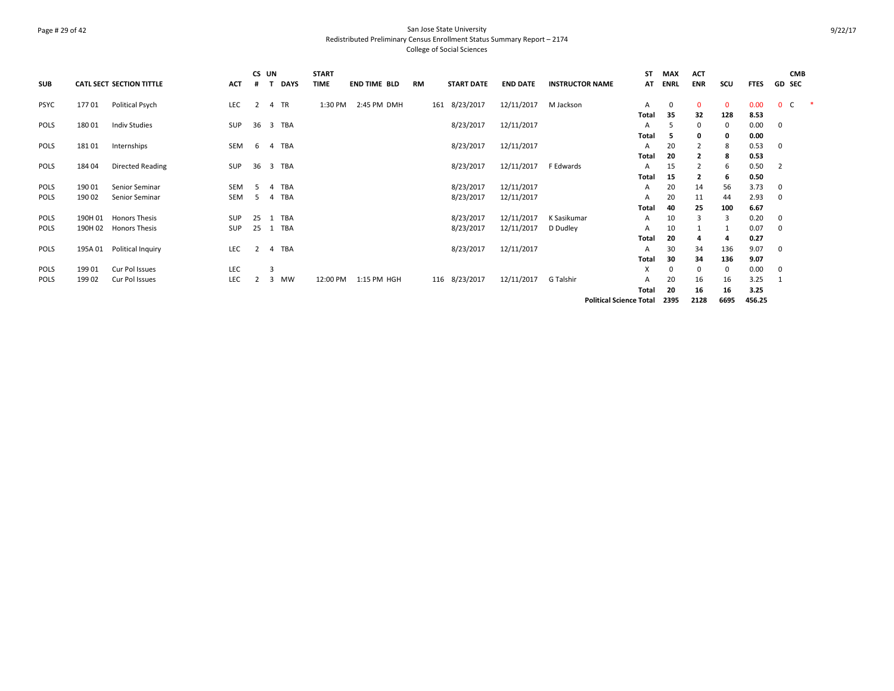# Page # 29 of 42 San Jose State University Redistributed Preliminary Census Enrollment Status Summary Report – 2174 College of Social Sciences

|             |         |                          |            | CS UN          |                |             | <b>START</b> |                     |    |                   |                 |                        | <b>ST</b>                      | <b>MAX</b>  | <b>ACT</b>     |             |             |             | <b>CMB</b>    |  |
|-------------|---------|--------------------------|------------|----------------|----------------|-------------|--------------|---------------------|----|-------------------|-----------------|------------------------|--------------------------------|-------------|----------------|-------------|-------------|-------------|---------------|--|
| <b>SUB</b>  |         | CATL SECT SECTION TITTLE | <b>ACT</b> |                |                | <b>DAYS</b> | <b>TIME</b>  | <b>END TIME BLD</b> | RM | <b>START DATE</b> | <b>END DATE</b> | <b>INSTRUCTOR NAME</b> | AT                             | <b>ENRL</b> | <b>ENR</b>     | scu         | <b>FTES</b> |             | <b>GD SEC</b> |  |
| <b>PSYC</b> | 17701   | Political Psych          | LEC        | 2              |                | 4 TR        | 1:30 PM      | 2:45 PM DMH         |    | 161 8/23/2017     | 12/11/2017      | M Jackson              | A                              | 0           | $\mathbf{0}$   | $\mathbf 0$ | 0.00        | $0\quad C$  |               |  |
|             |         |                          |            |                |                |             |              |                     |    |                   |                 |                        | <b>Total</b>                   | 35          | 32             | 128         | 8.53        |             |               |  |
| <b>POLS</b> | 180 01  | <b>Indiv Studies</b>     | SUP        |                |                | 36 3 TBA    |              |                     |    | 8/23/2017         | 12/11/2017      |                        | A                              | 5           | $\Omega$       | 0           | 0.00        | 0           |               |  |
|             |         |                          |            |                |                |             |              |                     |    |                   |                 |                        | Total                          | 5           | $\Omega$       | 0           | 0.00        |             |               |  |
| <b>POLS</b> | 18101   | Internships              | SEM        | 6              | $\overline{4}$ | TBA         |              |                     |    | 8/23/2017         | 12/11/2017      |                        | A                              | 20          | $\overline{2}$ | 8           | 0.53        | $\mathbf 0$ |               |  |
|             |         |                          |            |                |                |             |              |                     |    |                   |                 |                        | <b>Total</b>                   | 20          | $\overline{2}$ | 8           | 0.53        |             |               |  |
| <b>POLS</b> | 184 04  | <b>Directed Reading</b>  | SUP        | 36             |                | 3 TBA       |              |                     |    | 8/23/2017         | 12/11/2017      | F Edwards              | A                              | 15          | $\overline{2}$ | 6           | 0.50        | 2           |               |  |
|             |         |                          |            |                |                |             |              |                     |    |                   |                 |                        | <b>Total</b>                   | 15          | 2              | 6           | 0.50        |             |               |  |
| <b>POLS</b> | 190 01  | Senior Seminar           | SEM        | -5.            | $\overline{4}$ | TBA         |              |                     |    | 8/23/2017         | 12/11/2017      |                        | A                              | 20          | 14             | 56          | 3.73        | 0           |               |  |
| POLS        | 190 02  | Senior Seminar           | SEM        | -5             |                | 4 TBA       |              |                     |    | 8/23/2017         | 12/11/2017      |                        | A                              | 20          | 11             | 44          | 2.93        | 0           |               |  |
|             |         |                          |            |                |                |             |              |                     |    |                   |                 |                        | <b>Total</b>                   | 40          | 25             | 100         | 6.67        |             |               |  |
| <b>POLS</b> | 190H 01 | <b>Honors Thesis</b>     | SUP        | 25             | 1              | TBA         |              |                     |    | 8/23/2017         | 12/11/2017      | K Sasikumar            | A                              | 10          | 3              | 3           | 0.20        | 0           |               |  |
| POLS        | 190H 02 | <b>Honors Thesis</b>     | <b>SUP</b> | 25             |                | 1 TBA       |              |                     |    | 8/23/2017         | 12/11/2017      | D Dudley               | A                              | 10          |                | 1           | 0.07        | 0           |               |  |
|             |         |                          |            |                |                |             |              |                     |    |                   |                 |                        | <b>Total</b>                   | 20          |                | 4           | 0.27        |             |               |  |
| POLS        | 195A 01 | Political Inquiry        | <b>LEC</b> | $\overline{2}$ |                | 4 TBA       |              |                     |    | 8/23/2017         | 12/11/2017      |                        | A                              | 30          | 34             | 136         | 9.07        | 0           |               |  |
|             |         |                          |            |                |                |             |              |                     |    |                   |                 |                        | Total                          | 30          | 34             | 136         | 9.07        |             |               |  |
| <b>POLS</b> | 199 01  | Cur Pol Issues           | LEC        |                | 3              |             |              |                     |    |                   |                 |                        | х                              | 0           |                | 0           | 0.00        | 0           |               |  |
| <b>POLS</b> | 199 02  | Cur Pol Issues           | LEC        |                |                | 3 MW        | 12:00 PM     | 1:15 PM HGH         |    | 116 8/23/2017     | 12/11/2017      | G Talshir              |                                | 20          | 16             | 16          | 3.25        |             |               |  |
|             |         |                          |            |                |                |             |              |                     |    |                   |                 |                        | <b>Total</b>                   | 20          | 16             | 16          | 3.25        |             |               |  |
|             |         |                          |            |                |                |             |              |                     |    |                   |                 |                        | <b>Political Science Total</b> | 2395        | 2128           | 6695        | 456.25      |             |               |  |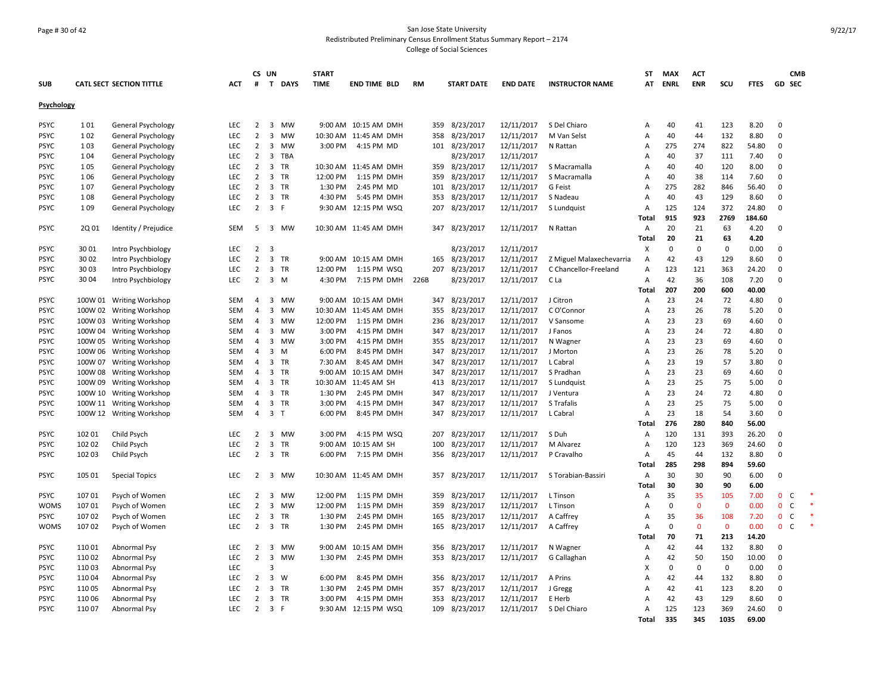# Page # 30 of 42 San Jose State University Redistributed Preliminary Census Enrollment Status Summary Report – 2174 College of Social Sciences

|                            |                  |                                 |                   |                                  | CS UN                            |                | <b>START</b> |                                     |      |                                |                          |                          | ST                | <b>MAX</b>     | <b>ACT</b>   |              |               |                            | <b>CMB</b>   |
|----------------------------|------------------|---------------------------------|-------------------|----------------------------------|----------------------------------|----------------|--------------|-------------------------------------|------|--------------------------------|--------------------------|--------------------------|-------------------|----------------|--------------|--------------|---------------|----------------------------|--------------|
| <b>SUB</b>                 |                  | <b>CATL SECT SECTION TITTLE</b> | <b>ACT</b>        | #                                |                                  | T DAYS         | <b>TIME</b>  | <b>END TIME BLD</b>                 | RM   | <b>START DATE</b>              | <b>END DATE</b>          | <b>INSTRUCTOR NAME</b>   | AT                | <b>ENRL</b>    | <b>ENR</b>   | SCU          | <b>FTES</b>   | <b>GD SEC</b>              |              |
|                            |                  |                                 |                   |                                  |                                  |                |              |                                     |      |                                |                          |                          |                   |                |              |              |               |                            |              |
| Psychology                 |                  |                                 |                   |                                  |                                  |                |              |                                     |      |                                |                          |                          |                   |                |              |              |               |                            |              |
| <b>PSYC</b>                | 101              | General Psychology              | LEC               | $\overline{2}$                   | 3                                | MW             |              | 9:00 AM 10:15 AM DMH                |      | 359 8/23/2017                  | 12/11/2017               | S Del Chiaro             | Α                 | 40             | 41           | 123          | 8.20          | $\mathbf 0$                |              |
| <b>PSYC</b>                | 102              | General Psychology              | LEC               | $\overline{2}$                   | 3                                | MW             |              | 10:30 AM 11:45 AM DMH               | 358  | 8/23/2017                      | 12/11/2017               | M Van Selst              | Α                 | 40             | 44           | 132          | 8.80          | $\mathbf 0$                |              |
| <b>PSYC</b>                | 103              | General Psychology              | <b>LEC</b>        | $\overline{2}$                   | $\overline{3}$                   | <b>MW</b>      | 3:00 PM      | 4:15 PM MD                          |      | 101 8/23/2017                  | 12/11/2017               | N Rattan                 | Α                 | 275            | 274          | 822          | 54.80         | 0                          |              |
| <b>PSYC</b>                | 104              | <b>General Psychology</b>       | <b>LEC</b>        | $\overline{2}$                   | 3                                | TBA            |              |                                     |      | 8/23/2017                      | 12/11/2017               |                          | Α                 | 40             | 37           | 111          | 7.40          | $\mathbf 0$                |              |
| <b>PSYC</b>                | 105              | General Psychology              | <b>LEC</b>        | $\overline{2}$                   | $\overline{3}$                   | <b>TR</b>      |              | 10:30 AM 11:45 AM DMH               |      | 359 8/23/2017                  | 12/11/2017               | S Macramalla             | $\mathsf{A}$      | 40             | 40           | 120          | 8.00          | $\mathbf 0$                |              |
| <b>PSYC</b>                | 1 0 6            | General Psychology              | LEC               | $\overline{2}$                   | 3                                | TR             | 12:00 PM     | 1:15 PM DMH                         | 359  | 8/23/2017                      | 12/11/2017               | S Macramalla             | А                 | 40             | 38           | 114          | 7.60          | $\mathbf 0$                |              |
| <b>PSYC</b>                | 107              | General Psychology              | <b>LEC</b>        | 2                                |                                  | 3 TR           | 1:30 PM      | 2:45 PM MD                          |      | 101 8/23/2017                  | 12/11/2017               | G Feist                  | Α                 | 275            | 282          | 846          | 56.40         | 0                          |              |
| <b>PSYC</b>                | 108              | General Psychology              | LEC               | $\overline{2}$                   | $\overline{3}$                   | <b>TR</b>      | 4:30 PM      | 5:45 PM DMH                         | 353  | 8/23/2017                      | 12/11/2017               | S Nadeau                 | Α                 | 40             | 43           | 129          | 8.60          | $\mathbf 0$                |              |
| <b>PSYC</b>                | 109              | General Psychology              | <b>LEC</b>        | $\overline{2}$                   | 3 F                              |                |              | 9:30 AM 12:15 PM WSQ                | 207  | 8/23/2017                      | 12/11/2017               | S Lundquist              | A                 | 125            | 124          | 372          | 24.80         | $\mathbf 0$                |              |
|                            |                  |                                 |                   |                                  |                                  |                |              |                                     |      |                                |                          |                          | Total             | 915            | 923          | 2769         | 184.60        |                            |              |
| <b>PSYC</b>                | 2Q 01            | Identity / Prejudice            | <b>SEM</b>        | 5                                |                                  | 3 MW           |              | 10:30 AM 11:45 AM DMH               |      | 347 8/23/2017                  | 12/11/2017               | N Rattan                 | Α                 | 20             | 21           | 63           | 4.20          | $\mathbf 0$                |              |
|                            |                  |                                 |                   |                                  |                                  |                |              |                                     |      |                                |                          |                          | Total             | 20             | 21           | 63           | 4.20          |                            |              |
| <b>PSYC</b>                | 3001             | Intro Psychbiology              | <b>LEC</b>        | $\overline{2}$                   | 3                                |                |              |                                     |      | 8/23/2017                      | 12/11/2017               |                          | Х                 | $\Omega$       | 0            | 0            | 0.00          | $\mathbf 0$                |              |
| <b>PSYC</b>                | 30 02            | Intro Psychbiology              | <b>LEC</b>        | $\overline{2}$                   | $\overline{3}$                   | <b>TR</b>      |              | 9:00 AM 10:15 AM DMH                | 165  | 8/23/2017                      | 12/11/2017               | Z Miguel Malaxechevarria | Α                 | 42             | 43           | 129          | 8.60          | $\mathbf 0$                |              |
| <b>PSYC</b>                | 3003             | Intro Psychbiology              | <b>LEC</b>        | $\overline{2}$                   | $\overline{3}$                   | <b>TR</b>      | 12:00 PM     | 1:15 PM WSQ                         | 207  | 8/23/2017                      | 12/11/2017               | C Chancellor-Freeland    | Α                 | 123            | 121          | 363          | 24.20         | $\mathbf 0$                |              |
| <b>PSYC</b>                | 30 04            | Intro Psychbiology              | <b>LEC</b>        | $\overline{2}$                   | $\overline{3}$                   | M              | 4:30 PM      | 7:15 PM DMH                         | 226B | 8/23/2017                      | 12/11/2017               | C La                     | Α                 | 42             | 36           | 108          | 7.20          | $\mathbf 0$                |              |
|                            |                  |                                 |                   |                                  |                                  |                |              |                                     |      |                                |                          |                          | Total             | 207            | 200          | 600          | 40.00         |                            |              |
| <b>PSYC</b>                |                  | 100W 01 Writing Workshop        | SEM               | $\overline{4}$                   | $\overline{3}$                   | <b>MW</b>      |              | 9:00 AM 10:15 AM DMH                |      | 347 8/23/2017                  | 12/11/2017               | J Citron                 | Α                 | 23             | 24           | 72           | 4.80          | $\mathbf 0$                |              |
| <b>PSYC</b>                | 100W 02          | <b>Writing Workshop</b>         | <b>SEM</b>        | 4                                | 3                                | MW             |              | 10:30 AM 11:45 AM DMH               | 355  | 8/23/2017                      | 12/11/2017               | C O'Connor               | Α                 | 23             | 26           | 78           | 5.20          | $\mathbf 0$                |              |
| <b>PSYC</b>                |                  | 100W 03 Writing Workshop        | SEM               | $\overline{4}$                   | 3                                | <b>MW</b>      | 12:00 PM     | 1:15 PM DMH                         |      | 236 8/23/2017                  | 12/11/2017               | V Sansome                | Α                 | 23             | 23           | 69           | 4.60          | $\mathbf 0$                |              |
| <b>PSYC</b>                |                  | 100W 04 Writing Workshop        | <b>SEM</b>        | 4                                | 3                                | <b>MW</b>      | 3:00 PM      | 4:15 PM DMH                         | 347  | 8/23/2017                      | 12/11/2017               | J Fanos                  | А                 | 23             | 24           | 72           | 4.80          | $\mathbf 0$                |              |
| <b>PSYC</b>                |                  | 100W 05 Writing Workshop        | <b>SEM</b>        | $\overline{a}$                   | $\overline{\mathbf{3}}$          | <b>MW</b>      | 3:00 PM      | 4:15 PM DMH                         |      | 355 8/23/2017                  | 12/11/2017               | N Wagner                 | $\overline{A}$    | 23             | 23           | 69           | 4.60          | $\mathbf 0$                |              |
| <b>PSYC</b>                |                  | 100W 06 Writing Workshop        | SEM               | 4                                | 3                                | M              | 6:00 PM      | 8:45 PM DMH                         | 347  | 8/23/2017                      | 12/11/2017               | J Morton                 | Α                 | 23             | 26           | 78           | 5.20          | $\pmb{0}$                  |              |
| <b>PSYC</b>                | 100W 07          | <b>Writing Workshop</b>         | <b>SEM</b>        | 4                                | 3                                | TR             | 7:30 AM      | 8:45 AM DMH                         | 347  | 8/23/2017                      | 12/11/2017               | L Cabral                 | Α                 | 23             | 19           | 57           | 3.80          | 0                          |              |
| <b>PSYC</b>                |                  | 100W 08 Writing Workshop        | <b>SEM</b>        | 4                                | $\overline{3}$                   | <b>TR</b>      |              | 9:00 AM 10:15 AM DMH                | 347  | 8/23/2017                      | 12/11/2017               | S Pradhan                | Α                 | 23             | 23           | 69           | 4.60          | $\mathbf 0$                |              |
| <b>PSYC</b>                |                  | 100W 09 Writing Workshop        | <b>SEM</b>        | 4                                |                                  | 3 TR           |              | 10:30 AM 11:45 AM SH                |      | 413 8/23/2017                  | 12/11/2017               | S Lundquist              | А                 | 23             | 25           | 75           | 5.00          | $\mathbf 0$                |              |
| <b>PSYC</b>                |                  | 100W 10 Writing Workshop        | <b>SEM</b>        | $\overline{4}$                   | $\overline{3}$                   | <b>TR</b>      | 1:30 PM      | 2:45 PM DMH                         | 347  | 8/23/2017                      | 12/11/2017               | J Ventura                | $\overline{A}$    | 23             | 24           | 72           | 4.80          | $\mathbf 0$                |              |
| <b>PSYC</b>                |                  | 100W 11 Writing Workshop        | SEM               | 4                                |                                  | 3 TR           | 3:00 PM      | 4:15 PM DMH                         | 347  | 8/23/2017                      | 12/11/2017               | S Trafalis               | Α                 | 23             | 25           | 75           | 5.00          | $\pmb{0}$                  |              |
| <b>PSYC</b>                |                  | 100W 12 Writing Workshop        | <b>SEM</b>        | $\overline{4}$                   | $\mathbf{3}$                     | $\mathsf{T}$   | 6:00 PM      | 8:45 PM DMH                         | 347  | 8/23/2017                      | 12/11/2017               | L Cabral                 | Α                 | 23             | 18           | 54           | 3.60          | $\mathbf 0$                |              |
|                            |                  |                                 |                   |                                  |                                  |                |              |                                     |      |                                |                          |                          | Total             | 276            | 280          | 840          | 56.00         |                            |              |
| <b>PSYC</b>                | 102 01           | Child Psych                     | <b>LEC</b>        | $\overline{2}$                   |                                  | 3 MW           | 3:00 PM      | 4:15 PM WSQ                         |      | 207 8/23/2017                  | 12/11/2017               | S Duh                    | Α                 | 120            | 131          | 393          | 26.20         | $\mathbf 0$                |              |
| <b>PSYC</b>                | 102 02           | Child Psych                     | LEC               | $\overline{2}$                   | 3                                | <b>TR</b>      |              | 9:00 AM 10:15 AM SH                 | 100  | 8/23/2017                      | 12/11/2017               | M Alvarez                | Α                 | 120            | 123          | 369          | 24.60         | $\mathbf 0$                |              |
| <b>PSYC</b>                | 102 03           | Child Psych                     | <b>LEC</b>        | $\overline{2}$                   |                                  | 3 TR           | 6:00 PM      | 7:15 PM DMH                         |      | 356 8/23/2017                  | 12/11/2017               | P Cravalho               | Α                 | 45             | 44           | 132          | 8.80          | $\mathbf 0$                |              |
|                            |                  |                                 |                   |                                  |                                  |                |              |                                     |      |                                |                          |                          | Total             | 285            | 298          | 894          | 59.60         |                            |              |
| <b>PSYC</b>                | 105 01           | <b>Special Topics</b>           | <b>LEC</b>        | $\overline{2}$                   | $\overline{3}$                   | <b>MW</b>      |              | 10:30 AM 11:45 AM DMH               |      | 357 8/23/2017                  | 12/11/2017               | S Torabian-Bassiri       | A                 | 30             | 30           | 90           | 6.00          | $\mathbf 0$                |              |
|                            |                  |                                 |                   |                                  |                                  |                |              |                                     |      |                                |                          |                          | Total             | 30             | 30           | 90           | 6.00          |                            |              |
| <b>PSYC</b>                | 107 01           | Psych of Women                  | <b>LEC</b>        | $\overline{2}$                   | 3                                | <b>MW</b>      | 12:00 PM     | 1:15 PM DMH                         | 359  | 8/23/2017                      | 12/11/2017               | L Tinson                 | Α                 | 35             | 35           | 105          | 7.00          | $\mathbf 0$                | $\mathsf{C}$ |
| <b>WOMS</b>                | 107 01           | Psych of Women                  | <b>LEC</b>        | $\overline{2}$                   | 3                                | <b>MW</b>      | 12:00 PM     | 1:15 PM DMH                         | 359  | 8/23/2017                      | 12/11/2017               | L Tinson                 | Α                 | $\mathbf 0$    | $\mathbf{0}$ | $\mathbf{0}$ | 0.00          | $\mathbf 0$                | $\mathsf{C}$ |
| <b>PSYC</b>                | 107 02           | Psych of Women                  | <b>LEC</b>        | $\overline{2}$                   | $\overline{\mathbf{3}}$          | TR             | 1:30 PM      | 2:45 PM DMH                         |      | 165 8/23/2017                  | 12/11/2017               | A Caffrey                | А                 | 35             | 36           | 108          | 7.20          | $\mathbf{0}$               | $\mathsf{C}$ |
| <b>WOMS</b>                | 10702            | Psych of Women                  | LEC               | $\overline{2}$                   | 3                                | TR             | 1:30 PM      | 2:45 PM DMH                         | 165  | 8/23/2017                      | 12/11/2017               | A Caffrey                | А                 | $\pmb{0}$      | $\mathbf 0$  | $\mathbf 0$  | 0.00          | $\mathbf 0$                | $\mathsf{C}$ |
|                            |                  |                                 |                   |                                  |                                  |                |              |                                     |      |                                |                          |                          | Total             | 70             | 71           | 213          | 14.20         |                            |              |
| <b>PSYC</b>                | 110 01           | Abnormal Psy                    | <b>LEC</b>        | $\overline{2}$                   | 3                                | <b>MW</b>      |              | 9:00 AM 10:15 AM DMH                | 356  | 8/23/2017                      | 12/11/2017               | N Wagner                 | Α                 | 42             | 44           | 132          | 8.80          | $\mathbf 0$<br>$\mathbf 0$ |              |
| <b>PSYC</b>                | 110 02           | Abnormal Psy                    | <b>LEC</b>        | $\overline{2}$                   | 3<br>$\overline{3}$              | <b>MW</b>      | 1:30 PM      | 2:45 PM DMH                         | 353  | 8/23/2017                      | 12/11/2017               | G Callaghan              | А                 | 42<br>$\Omega$ | 50           | 150          | 10.00         |                            |              |
| <b>PSYC</b>                | 110 03           | Abnormal Psy                    | <b>LEC</b>        |                                  |                                  |                |              |                                     |      |                                |                          |                          | X                 |                | 0            | $\mathbf 0$  | 0.00          | $\mathbf 0$                |              |
| <b>PSYC</b>                | 110 04           | Abnormal Psy                    | LEC               | $\overline{2}$                   | $\overline{3}$                   | W<br><b>TR</b> | 6:00 PM      | 8:45 PM DMH                         | 356  | 8/23/2017                      | 12/11/2017               | A Prins                  | Α                 | 42             | 44           | 132          | 8.80          | $\mathbf 0$                |              |
| <b>PSYC</b>                | 11005            | Abnormal Psy                    | <b>LEC</b>        | $\overline{2}$                   | $\overline{3}$<br>$\overline{3}$ |                | 1:30 PM      | 2:45 PM DMH                         | 357  | 8/23/2017                      | 12/11/2017               | J Gregg                  | Α                 | 42<br>42       | 41           | 123<br>129   | 8.20          | $\mathbf 0$                |              |
| <b>PSYC</b><br><b>PSYC</b> | 110 06<br>110 07 | Abnormal Psy                    | LEC<br><b>LEC</b> | $\overline{2}$<br>$\overline{2}$ | 3 F                              | TR             | 3:00 PM      | 4:15 PM DMH<br>9:30 AM 12:15 PM WSQ |      | 353 8/23/2017<br>109 8/23/2017 | 12/11/2017<br>12/11/2017 | E Herb<br>S Del Chiaro   | A<br>$\mathsf{A}$ | 125            | 43<br>123    | 369          | 8.60<br>24.60 | 0<br>$\Omega$              |              |
|                            |                  | Abnormal Psy                    |                   |                                  |                                  |                |              |                                     |      |                                |                          |                          | Total             | 335            | 345          | 1035         | 69.00         |                            |              |
|                            |                  |                                 |                   |                                  |                                  |                |              |                                     |      |                                |                          |                          |                   |                |              |              |               |                            |              |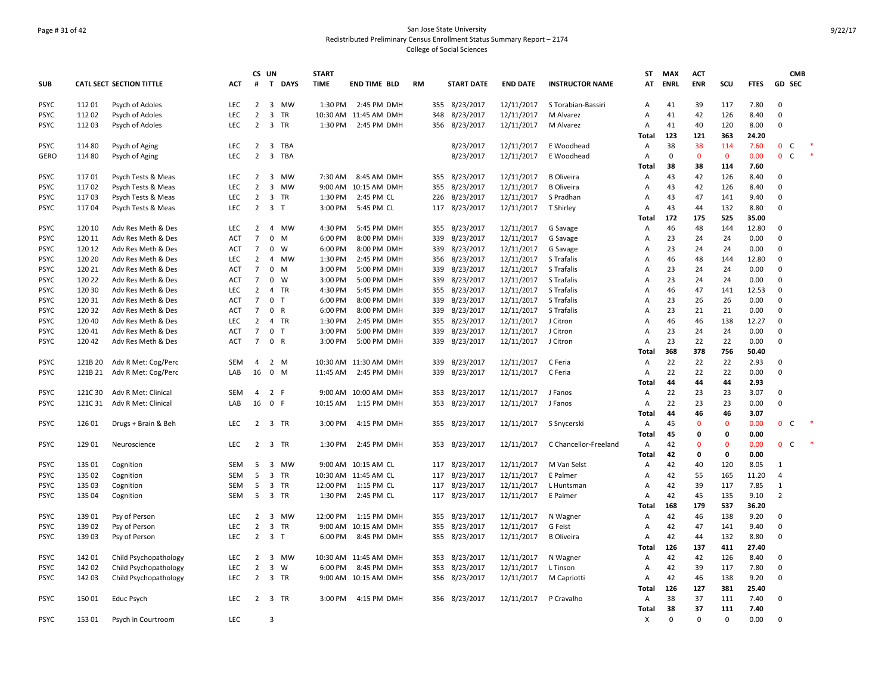# Page # 31 of 42 San Jose State University Redistributed Preliminary Census Enrollment Status Summary Report – 2174 College of Social Sciences

|                            |                  |                                          |                   | CS UN                            |                         |                        | <b>START</b>       |                            |    |            |                        |                          |                          | ST             | <b>MAX</b>  | <b>ACT</b>   |             |               |                            | <b>CMB</b>   |  |
|----------------------------|------------------|------------------------------------------|-------------------|----------------------------------|-------------------------|------------------------|--------------------|----------------------------|----|------------|------------------------|--------------------------|--------------------------|----------------|-------------|--------------|-------------|---------------|----------------------------|--------------|--|
| <b>SUB</b>                 |                  | <b>CATL SECT SECTION TITTLE</b>          | <b>ACT</b>        | #                                | T.                      | <b>DAYS</b>            | <b>TIME</b>        | <b>END TIME BLD</b>        | RM |            | <b>START DATE</b>      | <b>END DATE</b>          | <b>INSTRUCTOR NAME</b>   | AT             | <b>ENRL</b> | <b>ENR</b>   | scu         | <b>FTES</b>   |                            | GD SEC       |  |
| <b>PSYC</b>                | 112 01           | Psych of Adoles                          | <b>LEC</b>        | 2                                | $\overline{\mathbf{3}}$ | MW                     | 1:30 PM            | 2:45 PM DMH                |    |            | 355 8/23/2017          | 12/11/2017               | S Torabian-Bassiri       | Α              | 41          | 39           | 117         | 7.80          | $\mathbf 0$                |              |  |
| <b>PSYC</b>                | 112 02           | Psych of Adoles                          | <b>LEC</b>        | $\overline{2}$                   | $\overline{\mathbf{3}}$ | TR                     |                    | 10:30 AM 11:45 AM DMH      |    | 348        | 8/23/2017              | 12/11/2017               | M Alvarez                | A              | 41          | 42           | 126         | 8.40          | $\mathbf 0$                |              |  |
| <b>PSYC</b>                | 112 03           | Psych of Adoles                          | LEC               | $\overline{2}$                   |                         | 3 TR                   | 1:30 PM            | 2:45 PM DMH                |    | 356        | 8/23/2017              | 12/11/2017               | M Alvarez                | Α              | 41          | 40           | 120         | 8.00          | $\Omega$                   |              |  |
|                            |                  |                                          |                   |                                  |                         |                        |                    |                            |    |            |                        |                          |                          | Total          | 123         | 121          | 363         | 24.20         |                            |              |  |
| <b>PSYC</b>                | 114 80           | Psych of Aging                           | LEC               | $\overline{2}$                   | 3                       | TBA                    |                    |                            |    |            | 8/23/2017              | 12/11/2017               | E Woodhead               | $\overline{A}$ | 38          | 38           | 114         | 7.60          | 0 <sub>c</sub>             |              |  |
| <b>GERO</b>                | 114 80           | Psych of Aging                           | LEC               | $\overline{2}$                   | $\overline{\mathbf{3}}$ | TBA                    |                    |                            |    |            | 8/23/2017              | 12/11/2017               | E Woodhead               | Α              | 0           | $\mathbf{0}$ | $\mathbf 0$ | 0.00          | $\mathbf{0}$               | C            |  |
|                            |                  |                                          |                   |                                  |                         |                        |                    |                            |    |            |                        |                          |                          | Total          | 38          | 38           | 114         | 7.60          |                            |              |  |
| <b>PSYC</b>                | 11701            | Psych Tests & Meas                       | LEC               | $\overline{2}$                   | $\overline{\mathbf{3}}$ | <b>MW</b>              | 7:30 AM            | 8:45 AM DMH                |    | 355        | 8/23/2017              | 12/11/2017               | <b>B</b> Oliveira        | Α              | 43          | 42           | 126         | 8.40          | $\Omega$                   |              |  |
| <b>PSYC</b>                | 11702            | Psych Tests & Meas                       | LEC               | $\overline{2}$                   | $\overline{3}$          | MW                     | 9:00 AM            | 10:15 AM DMH               |    | 355        | 8/23/2017              | 12/11/2017               | <b>B</b> Oliveira        | Α              | 43          | 42           | 126         | 8.40          | $\mathbf 0$                |              |  |
| <b>PSYC</b>                | 11703            | Psych Tests & Meas                       | <b>LEC</b>        | $\overline{2}$                   | $\overline{\mathbf{3}}$ | TR                     | 1:30 PM            | 2:45 PM CL                 |    | 226        | 8/23/2017              | 12/11/2017               | S Pradhan                | Α              | 43          | 47           | 141         | 9.40          | $\mathbf 0$                |              |  |
| <b>PSYC</b>                | 11704            | Psych Tests & Meas                       | <b>LEC</b>        | $\overline{2}$                   | $\overline{\mathbf{3}}$ | T                      | 3:00 PM            | 5:45 PM CL                 |    | 117        | 8/23/2017              | 12/11/2017               | T Shirley                | Α              | 43          | 44           | 132         | 8.80          | $\Omega$                   |              |  |
|                            |                  |                                          |                   |                                  |                         |                        |                    |                            |    |            |                        |                          |                          | Total          | 172         | 175          | 525         | 35.00         |                            |              |  |
| <b>PSYC</b>                | 120 10           | Adv Res Meth & Des                       | LEC               | $\overline{2}$                   | $\overline{4}$          | MW                     | 4:30 PM            | 5:45 PM DMH                |    | 355        | 8/23/2017              | 12/11/2017               | G Savage                 | Α              | 46          | 48           | 144         | 12.80         | $\Omega$                   |              |  |
| <b>PSYC</b>                | 120 11           | Adv Res Meth & Des                       | <b>ACT</b>        | $\overline{7}$                   | $\mathbf 0$             | M                      | 6:00 PM            | 8:00 PM DMH                |    | 339        | 8/23/2017              | 12/11/2017               | G Savage                 | Α              | 23          | 24           | 24          | 0.00          | $\mathbf 0$                |              |  |
| <b>PSYC</b>                | 120 12           | Adv Res Meth & Des                       | <b>ACT</b>        | $\overline{7}$                   | $\mathbf 0$             | <b>W</b>               | 6:00 PM            | 8:00 PM DMH                |    | 339        | 8/23/2017              | 12/11/2017               | G Savage                 | Α              | 23          | 24           | 24          | 0.00          | $\Omega$                   |              |  |
| <b>PSYC</b>                | 120 20           | Adv Res Meth & Des                       | <b>LEC</b>        | $\overline{2}$                   | $\overline{4}$          | MW                     | 1:30 PM            | 2:45 PM DMH                |    | 356        | 8/23/2017              | 12/11/2017               | S Trafalis               | A              | 46          | 48           | 144         | 12.80         | $\mathbf 0$                |              |  |
| <b>PSYC</b>                | 120 21           | Adv Res Meth & Des                       | <b>ACT</b>        | $7\overline{ }$                  | $\mathbf 0$             | M                      | 3:00 PM            | 5:00 PM DMH                |    | 339        | 8/23/2017              | 12/11/2017               | S Trafalis               | A              | 23          | 24           | 24          | 0.00          | $\Omega$                   |              |  |
| <b>PSYC</b>                | 120 22           | Adv Res Meth & Des                       | <b>ACT</b>        | $\overline{7}$                   |                         | $0 \quad W$            | 3:00 PM            | 5:00 PM DMH                |    | 339        | 8/23/2017              | 12/11/2017               | S Trafalis               | Α              | 23          | 24           | 24          | 0.00          | $\mathbf 0$                |              |  |
| <b>PSYC</b>                | 120 30           | Adv Res Meth & Des                       | <b>LEC</b>        | $\overline{2}$                   |                         | 4 TR                   | 4:30 PM            | 5:45 PM DMH                |    | 355        | 8/23/2017              | 12/11/2017               | S Trafalis               | $\overline{A}$ | 46          | 47           | 141         | 12.53         | $\mathbf 0$<br>$\mathbf 0$ |              |  |
| <b>PSYC</b><br><b>PSYC</b> | 120 31<br>120 32 | Adv Res Meth & Des<br>Adv Res Meth & Des | ACT<br><b>ACT</b> | $\overline{7}$<br>$\overline{7}$ | 0 <sub>T</sub>          | 0 R                    | 6:00 PM<br>6:00 PM | 8:00 PM DMH<br>8:00 PM DMH |    | 339<br>339 | 8/23/2017<br>8/23/2017 | 12/11/2017               | S Trafalis<br>S Trafalis | Α<br>A         | 23<br>23    | 26<br>21     | 26<br>21    | 0.00<br>0.00  | $\Omega$                   |              |  |
|                            |                  | Adv Res Meth & Des                       |                   | $\overline{2}$                   |                         |                        |                    |                            |    |            |                        | 12/11/2017               |                          |                | 46          | 46           |             |               | $\Omega$                   |              |  |
| <b>PSYC</b><br><b>PSYC</b> | 120 40<br>120 41 |                                          | <b>LEC</b><br>ACT | $\overline{7}$                   |                         | 4 TR<br>0 <sub>T</sub> | 1:30 PM<br>3:00 PM | 2:45 PM DMH                |    | 355<br>339 | 8/23/2017<br>8/23/2017 | 12/11/2017<br>12/11/2017 | J Citron<br>J Citron     | Α              | 23          | 24           | 138<br>24   | 12.27<br>0.00 | $\mathbf 0$                |              |  |
| <b>PSYC</b>                | 12042            | Adv Res Meth & Des<br>Adv Res Meth & Des | ACT               | $\overline{7}$                   |                         | 0 R                    | 3:00 PM            | 5:00 PM DMH<br>5:00 PM DMH |    | 339        | 8/23/2017              | 12/11/2017               | J Citron                 | Α<br>Α         | 23          | 22           | 22          | 0.00          | $\mathbf 0$                |              |  |
|                            |                  |                                          |                   |                                  |                         |                        |                    |                            |    |            |                        |                          |                          |                | 368         | 378          | 756         | 50.40         |                            |              |  |
| <b>PSYC</b>                | 121B 20          | Adv R Met: Cog/Perc                      | <b>SEM</b>        | $\overline{4}$                   |                         | 2 M                    |                    | 10:30 AM 11:30 AM DMH      |    | 339        | 8/23/2017              | 12/11/2017               | C Feria                  | Total          | 22          | 22           | 22          | 2.93          | $\Omega$                   |              |  |
| <b>PSYC</b>                | 121B 21          |                                          | LAB               | 16                               |                         | $0$ M                  | 11:45 AM           | 2:45 PM DMH                |    | 339        | 8/23/2017              | 12/11/2017               | C Feria                  | Α<br>Α         | 22          | 22           | 22          | 0.00          | $\Omega$                   |              |  |
|                            |                  | Adv R Met: Cog/Perc                      |                   |                                  |                         |                        |                    |                            |    |            |                        |                          |                          | Total          | 44          | 44           | 44          | 2.93          |                            |              |  |
| <b>PSYC</b>                | 121C 30          | Adv R Met: Clinical                      | <b>SEM</b>        | 4                                | 2 F                     |                        |                    | 9:00 AM 10:00 AM DMH       |    | 353        | 8/23/2017              | 12/11/2017               | J Fanos                  | Α              | 22          | 23           | 23          | 3.07          | $\mathbf 0$                |              |  |
| <b>PSYC</b>                | 121C 31          | Adv R Met: Clinical                      | LAB               | 16                               | 0 F                     |                        | 10:15 AM           | 1:15 PM DMH                |    | 353        | 8/23/2017              | 12/11/2017               | J Fanos                  | Α              | 22          | 23           | 23          | 0.00          | $\Omega$                   |              |  |
|                            |                  |                                          |                   |                                  |                         |                        |                    |                            |    |            |                        |                          |                          | Total          | 44          | 46           | 46          | 3.07          |                            |              |  |
| <b>PSYC</b>                | 126 01           | Drugs + Brain & Beh                      | <b>LEC</b>        | $\overline{2}$                   |                         | 3 TR                   | 3:00 PM            | 4:15 PM DMH                |    | 355        | 8/23/2017              | 12/11/2017               | S Snycerski              | Α              | 45          | $\mathbf{0}$ | $\mathbf 0$ | 0.00          | $\mathbf{0}$               | $\mathsf{C}$ |  |
|                            |                  |                                          |                   |                                  |                         |                        |                    |                            |    |            |                        |                          |                          | Total          | 45          | 0            | 0           | 0.00          |                            |              |  |
| <b>PSYC</b>                | 129 01           | Neuroscience                             | <b>LEC</b>        |                                  |                         | 2 3 TR                 | 1:30 PM            | 2:45 PM DMH                |    |            | 353 8/23/2017          | 12/11/2017               | C Chancellor-Freeland    | Α              | 42          | $\Omega$     | $\mathbf 0$ | 0.00          | $\mathbf{0}$               | C            |  |
|                            |                  |                                          |                   |                                  |                         |                        |                    |                            |    |            |                        |                          |                          | Total          | 42          | 0            | 0           | 0.00          |                            |              |  |
| <b>PSYC</b>                | 135 01           | Cognition                                | <b>SEM</b>        | 5                                |                         | 3 MW                   |                    | 9:00 AM 10:15 AM CL        |    |            | 117 8/23/2017          | 12/11/2017               | M Van Selst              | Α              | 42          | 40           | 120         | 8.05          | $\mathbf{1}$               |              |  |
| <b>PSYC</b>                | 135 02           | Cognition                                | <b>SEM</b>        | 5                                | $\overline{\mathbf{3}}$ | TR                     |                    | 10:30 AM 11:45 AM CL       |    | 117        | 8/23/2017              | 12/11/2017               | E Palmer                 | Α              | 42          | 55           | 165         | 11.20         | $\overline{4}$             |              |  |
| <b>PSYC</b>                | 135 03           | Cognition                                | <b>SEM</b>        | 5                                |                         | 3 TR                   | 12:00 PM           | 1:15 PM CL                 |    | 117        | 8/23/2017              | 12/11/2017               | L Huntsman               | Α              | 42          | 39           | 117         | 7.85          | $\mathbf{1}$               |              |  |
| <b>PSYC</b>                | 135 04           | Cognition                                | <b>SEM</b>        | 5                                |                         | 3 TR                   | 1:30 PM            | 2:45 PM CL                 |    |            | 117 8/23/2017          | 12/11/2017               | E Palmer                 | Α              | 42          | 45           | 135         | 9.10          | $\overline{2}$             |              |  |
|                            |                  |                                          |                   |                                  |                         |                        |                    |                            |    |            |                        |                          |                          | Total          | 168         | 179          | 537         | 36.20         |                            |              |  |
| <b>PSYC</b>                | 13901            | Psy of Person                            | LEC               | $\overline{2}$                   | $\overline{\mathbf{3}}$ | MW                     | 12:00 PM           | 1:15 PM DMH                |    | 355        | 8/23/2017              | 12/11/2017               | N Wagner                 | Α              | 42          | 46           | 138         | 9.20          | $\Omega$                   |              |  |
| <b>PSYC</b>                | 139 02           | Psy of Person                            | LEC               | $\overline{2}$                   |                         | 3 TR                   |                    | 9:00 AM 10:15 AM DMH       |    | 355        | 8/23/2017              | 12/11/2017               | G Feist                  | Α              | 42          | 47           | 141         | 9.40          | $\mathbf 0$                |              |  |
| <b>PSYC</b>                | 139 03           | Psy of Person                            | <b>LEC</b>        | $\overline{2}$                   | 3 <sub>T</sub>          |                        | 6:00 PM            | 8:45 PM DMH                |    | 355        | 8/23/2017              | 12/11/2017               | <b>B</b> Oliveira        | Α              | 42          | 44           | 132         | 8.80          | $\mathbf 0$                |              |  |
|                            |                  |                                          |                   |                                  |                         |                        |                    |                            |    |            |                        |                          |                          | Total          | 126         | 137          | 411         | 27.40         |                            |              |  |
| <b>PSYC</b>                | 142 01           | Child Psychopathology                    | <b>LEC</b>        | $\overline{2}$                   | $\overline{\mathbf{3}}$ | MW                     |                    | 10:30 AM 11:45 AM DMH      |    | 353        | 8/23/2017              | 12/11/2017               | N Wagner                 | Α              | 42          | 42           | 126         | 8.40          | $\Omega$                   |              |  |
| <b>PSYC</b>                | 142 02           | Child Psychopathology                    | LEC               | $\overline{2}$                   | $\overline{3}$          | W                      | 6:00 PM            | 8:45 PM DMH                |    | 353        | 8/23/2017              | 12/11/2017               | L Tinson                 | Α              | 42          | 39           | 117         | 7.80          | $\Omega$                   |              |  |
| <b>PSYC</b>                | 142 03           | Child Psychopathology                    | <b>LEC</b>        | $\overline{2}$                   |                         | 3 TR                   |                    | 9:00 AM 10:15 AM DMH       |    |            | 356 8/23/2017          | 12/11/2017               | M Capriotti              | Α              | 42          | 46           | 138         | 9.20          | $\Omega$                   |              |  |
|                            |                  |                                          |                   |                                  |                         |                        |                    |                            |    |            |                        |                          |                          | Total          | 126         | 127          | 381         | 25.40         |                            |              |  |
| <b>PSYC</b>                | 150 01           | <b>Educ Psych</b>                        | <b>LEC</b>        | $\overline{2}$                   |                         | 3 TR                   | 3:00 PM            | 4:15 PM DMH                |    |            | 356 8/23/2017          | 12/11/2017               | P Cravalho               | Α              | 38          | 37           | 111         | 7.40          | $\Omega$                   |              |  |
|                            |                  |                                          |                   |                                  |                         |                        |                    |                            |    |            |                        |                          |                          | Total          | 38          | 37           | 111         | 7.40          |                            |              |  |
| <b>PSYC</b>                | 153 01           | Psych in Courtroom                       | <b>LEC</b>        |                                  | $\overline{3}$          |                        |                    |                            |    |            |                        |                          |                          | X              | $\mathbf 0$ | $\Omega$     | 0           | 0.00          | $\Omega$                   |              |  |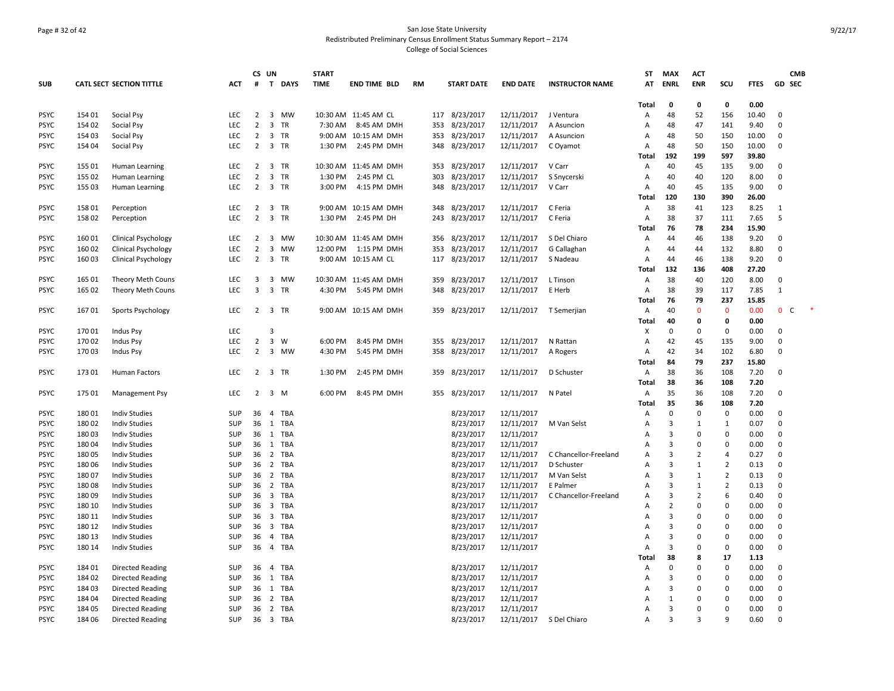# Page # 32 of 42 San Jose State University Redistributed Preliminary Census Enrollment Status Summary Report – 2174 College of Social Sciences

|             |        |                                 |            | CS UN          |                         |             | <b>START</b> |                       |           |                   |                 |                         | ST             | <b>MAX</b>     | <b>ACT</b>     |                |             |                  | <b>CMB</b> |
|-------------|--------|---------------------------------|------------|----------------|-------------------------|-------------|--------------|-----------------------|-----------|-------------------|-----------------|-------------------------|----------------|----------------|----------------|----------------|-------------|------------------|------------|
| <b>SUB</b>  |        | <b>CATL SECT SECTION TITTLE</b> | <b>ACT</b> | #              | $\mathbf{T}$            | <b>DAYS</b> | <b>TIME</b>  | <b>END TIME BLD</b>   | <b>RM</b> | <b>START DATE</b> | <b>END DATE</b> | <b>INSTRUCTOR NAME</b>  | AT             | <b>ENRL</b>    | <b>ENR</b>     | SCU            | <b>FTES</b> | GD SEC           |            |
|             |        |                                 |            |                |                         |             |              |                       |           |                   |                 |                         | Total          | 0              | 0              | 0              | 0.00        |                  |            |
| <b>PSYC</b> | 154 01 | Social Psy                      | <b>LEC</b> | $\overline{2}$ |                         | 3 MW        |              | 10:30 AM 11:45 AM CL  |           | 117 8/23/2017     | 12/11/2017      | J Ventura               | Α              | 48             | 52             | 156            | 10.40       | $\Omega$         |            |
| <b>PSYC</b> | 154 02 | Social Psy                      | <b>LEC</b> | $\overline{2}$ |                         | 3 TR        | 7:30 AM      | 8:45 AM DMH           | 353       | 8/23/2017         | 12/11/2017      | A Asuncion              | A              | 48             | 47             | 141            | 9.40        | $\Omega$         |            |
| <b>PSYC</b> | 154 03 | Social Psy                      | <b>LEC</b> | $\overline{2}$ |                         | 3 TR        |              | 9:00 AM 10:15 AM DMH  |           | 353 8/23/2017     | 12/11/2017      | A Asuncion              | A              | 48             | 50             | 150            | 10.00       | $\Omega$         |            |
| <b>PSYC</b> | 154 04 | Social Psy                      | LEC        | $\overline{2}$ |                         | 3 TR        | 1:30 PM      | 2:45 PM DMH           |           | 348 8/23/2017     | 12/11/2017      | C Oyamot                | A              | 48             | 50             | 150            | 10.00       | $\Omega$         |            |
|             |        |                                 |            |                |                         |             |              |                       |           |                   |                 |                         | Total          | 192            | 199            | 597            | 39.80       |                  |            |
| <b>PSYC</b> | 155 01 | Human Learning                  | LEC        | $\overline{2}$ |                         | 3 TR        |              | 10:30 AM 11:45 AM DMH | 353       | 8/23/2017         | 12/11/2017      | V Carr                  | Α              | 40             | 45             | 135            | 9.00        | $\Omega$         |            |
| <b>PSYC</b> | 155 02 | Human Learning                  | <b>LEC</b> | $\overline{2}$ |                         | 3 TR        | 1:30 PM      | 2:45 PM CL            | 303       | 8/23/2017         | 12/11/2017      | S Snycerski             | A              | 40             | 40             | 120            | 8.00        | $\Omega$         |            |
| <b>PSYC</b> | 155 03 | Human Learning                  | <b>LEC</b> | $\overline{2}$ |                         | 3 TR        | 3:00 PM      | 4:15 PM DMH           | 348       | 8/23/2017         | 12/11/2017      | V Carr                  | A              | 40             | 45             | 135            | 9.00        | $\Omega$         |            |
|             |        |                                 |            |                |                         |             |              |                       |           |                   |                 |                         | <b>Total</b>   | 120            | 130            | 390            | 26.00       |                  |            |
| <b>PSYC</b> | 158 01 | Perception                      | LEC        | $\overline{2}$ |                         | 3 TR        |              | 9:00 AM 10:15 AM DMH  | 348       | 8/23/2017         | 12/11/2017      | C Feria                 | A              | 38             | 41             | 123            | 8.25        | $\mathbf{1}$     |            |
| <b>PSYC</b> | 158 02 | Perception                      | LEC        | $\overline{2}$ |                         | 3 TR        | 1:30 PM      | 2:45 PM DH            | 243       | 8/23/2017         | 12/11/2017      | C Feria                 | A              | 38             | 37             | 111            | 7.65        | 5                |            |
|             |        |                                 |            |                |                         |             |              |                       |           |                   |                 |                         | Total          | 76             | 78             | 234            | 15.90       |                  |            |
| <b>PSYC</b> | 160 01 | <b>Clinical Psychology</b>      | LEC        | $\overline{2}$ |                         | 3 MW        |              | 10:30 AM 11:45 AM DMH | 356       | 8/23/2017         | 12/11/2017      | S Del Chiaro            | Α              | 44             | 46             | 138            | 9.20        | $\Omega$         |            |
| <b>PSYC</b> | 160 02 | <b>Clinical Psychology</b>      | <b>LEC</b> | $\overline{2}$ |                         | 3 MW        | 12:00 PM     | 1:15 PM DMH           | 353       | 8/23/2017         | 12/11/2017      | G Callaghan             | A              | 44             | 44             | 132            | 8.80        | $\Omega$         |            |
| <b>PSYC</b> | 160 03 | <b>Clinical Psychology</b>      | LEC        | $\overline{2}$ |                         | 3 TR        |              | 9:00 AM 10:15 AM CL   |           | 117 8/23/2017     | 12/11/2017      | S Nadeau                | $\overline{A}$ | 44             | 46             | 138            | 9.20        | $\Omega$         |            |
|             |        |                                 |            |                |                         |             |              |                       |           |                   |                 |                         | <b>Total</b>   | 132            | 136            | 408            | 27.20       |                  |            |
| <b>PSYC</b> | 165 01 | Theory Meth Couns               | LEC        | 3              |                         | 3 MW        |              | 10:30 AM 11:45 AM DMH | 359       | 8/23/2017         | 12/11/2017      | L Tinson                | A              | 38             | 40             | 120            | 8.00        | 0                |            |
| <b>PSYC</b> | 165 02 | Theory Meth Couns               | <b>LEC</b> | 3              |                         | 3 TR        | 4:30 PM      | 5:45 PM DMH           |           | 348 8/23/2017     | 12/11/2017      | E Herb                  | Α              | 38             | 39             | 117            | 7.85        | $\mathbf{1}$     |            |
|             |        |                                 |            |                |                         |             |              |                       |           |                   |                 |                         | Total          | 76             | 79             | 237            | 15.85       |                  |            |
| <b>PSYC</b> | 16701  | Sports Psychology               | <b>LEC</b> |                |                         | 2 3 TR      |              | 9:00 AM 10:15 AM DMH  |           | 359 8/23/2017     | 12/11/2017      | T Semerjian             | А              | 40             | $\mathbf{0}$   | $\mathbf{0}$   | 0.00        | $\mathbf 0$<br>C |            |
|             |        |                                 |            |                |                         |             |              |                       |           |                   |                 |                         | <b>Total</b>   | 40             | 0              | 0              | 0.00        |                  |            |
| <b>PSYC</b> | 170 01 | Indus Psy                       | LEC        |                | 3                       |             |              |                       |           |                   |                 |                         | X              | $\mathbf 0$    | $\mathbf 0$    | $\mathbf 0$    | 0.00        | $\mathbf 0$      |            |
| <b>PSYC</b> | 170 02 | Indus Psy                       | LEC        | $\overline{2}$ | $\overline{3}$          | W           | 6:00 PM      | 8:45 PM DMH           | 355       | 8/23/2017         | 12/11/2017      | N Rattan                | A              | 42             | 45             | 135            | 9.00        | $\Omega$         |            |
| <b>PSYC</b> | 17003  | Indus Psy                       | <b>LEC</b> | $\overline{2}$ |                         | 3 MW        | 4:30 PM      | 5:45 PM DMH           | 358       | 8/23/2017         | 12/11/2017      | A Rogers                | A              | 42             | 34             | 102            | 6.80        | $\Omega$         |            |
|             |        |                                 |            |                |                         |             |              |                       |           |                   |                 |                         | <b>Total</b>   | 84             | 79             | 237            | 15.80       |                  |            |
| <b>PSYC</b> | 17301  | <b>Human Factors</b>            | LEC        | $\overline{2}$ |                         | 3 TR        | 1:30 PM      | 2:45 PM DMH           | 359       | 8/23/2017         | 12/11/2017      | D Schuster              | Α              | 38             | 36             | 108            | 7.20        | $\Omega$         |            |
|             |        |                                 |            |                |                         |             |              |                       |           |                   |                 |                         | <b>Total</b>   | 38             | 36             | 108            | 7.20        |                  |            |
| <b>PSYC</b> | 175 01 | <b>Management Psy</b>           | <b>LEC</b> | $\overline{2}$ |                         | 3 M         | 6:00 PM      | 8:45 PM DMH           |           | 355 8/23/2017     | 12/11/2017      | N Patel                 | А              | 35             | 36             | 108            | 7.20        | 0                |            |
|             |        |                                 |            |                |                         |             |              |                       |           |                   |                 |                         | Total          | 35             | 36             | 108            | 7.20        |                  |            |
| <b>PSYC</b> | 180 01 | <b>Indiv Studies</b>            | SUP        | 36             |                         | 4 TBA       |              |                       |           | 8/23/2017         | 12/11/2017      |                         | A              | $\mathbf 0$    | $\Omega$       | $\mathbf 0$    | 0.00        | $\Omega$         |            |
| <b>PSYC</b> | 180 02 | <b>Indiv Studies</b>            | SUP        | 36             |                         | 1 TBA       |              |                       |           | 8/23/2017         | 12/11/2017      | M Van Selst             | A              | 3              | $\mathbf{1}$   | 1              | 0.07        | $\Omega$         |            |
| <b>PSYC</b> | 18003  | <b>Indiv Studies</b>            | SUP        | 36             |                         | 1 TBA       |              |                       |           | 8/23/2017         | 12/11/2017      |                         | A              | 3              | $\Omega$       | $\mathbf 0$    | 0.00        | $\Omega$         |            |
| <b>PSYC</b> | 18004  | <b>Indiv Studies</b>            | SUP        |                |                         | 36 1 TBA    |              |                       |           | 8/23/2017         | 12/11/2017      |                         | A              | $\mathbf{a}$   | $\Omega$       | 0              | 0.00        | $\Omega$         |            |
| <b>PSYC</b> | 18005  | <b>Indiv Studies</b>            | SUP        | 36             | $\overline{2}$          | TBA         |              |                       |           | 8/23/2017         | 12/11/2017      | C Chancellor-Freeland   | А              | 3              | $\overline{2}$ | 4              | 0.27        | $\Omega$         |            |
| <b>PSYC</b> | 180 06 | <b>Indiv Studies</b>            | SUP        | 36             |                         | 2 TBA       |              |                       |           | 8/23/2017         | 12/11/2017      | D Schuster              | A              | 3              | $\mathbf{1}$   | $\overline{2}$ | 0.13        | 0                |            |
| <b>PSYC</b> | 180 07 | <b>Indiv Studies</b>            | SUP        | 36             |                         | 2 TBA       |              |                       |           | 8/23/2017         | 12/11/2017      | M Van Selst             | A              | 3              | $\mathbf{1}$   | $\overline{2}$ | 0.13        | $\Omega$         |            |
| <b>PSYC</b> | 18008  | <b>Indiv Studies</b>            | SUP        | 36             |                         | 2 TBA       |              |                       |           | 8/23/2017         | 12/11/2017      | E Palmer                | A              | 3              | $\mathbf{1}$   | $\overline{2}$ | 0.13        | $\Omega$         |            |
| <b>PSYC</b> | 18009  | <b>Indiv Studies</b>            | SUP        | 36             | $\overline{\mathbf{3}}$ | TBA         |              |                       |           | 8/23/2017         | 12/11/2017      | C Chancellor-Freeland   | А              | 3              | $\overline{2}$ | 6              | 0.40        | $\Omega$         |            |
| <b>PSYC</b> | 180 10 | <b>Indiv Studies</b>            | SUP        | 36             |                         | 3 TBA       |              |                       |           | 8/23/2017         | 12/11/2017      |                         | Α              | $\overline{2}$ | $\Omega$       | $\mathbf 0$    | 0.00        | $\mathbf 0$      |            |
| <b>PSYC</b> | 180 11 | <b>Indiv Studies</b>            | SUP        | 36             |                         | 3 TBA       |              |                       |           | 8/23/2017         | 12/11/2017      |                         | A              | 3              | $\Omega$       | 0              | 0.00        | $\Omega$         |            |
| <b>PSYC</b> | 180 12 | <b>Indiv Studies</b>            | SUP        | 36             |                         | 3 TBA       |              |                       |           | 8/23/2017         | 12/11/2017      |                         | A              | 3              | $\Omega$       | 0              | 0.00        | $\Omega$         |            |
| <b>PSYC</b> | 180 13 | <b>Indiv Studies</b>            | <b>SUP</b> | 36             |                         | 4 TBA       |              |                       |           | 8/23/2017         | 12/11/2017      |                         | $\overline{A}$ | 3              | $\Omega$       | $\mathbf 0$    | 0.00        | $\Omega$         |            |
| <b>PSYC</b> | 180 14 | <b>Indiv Studies</b>            | SUP        | 36             |                         | 4 TBA       |              |                       |           | 8/23/2017         | 12/11/2017      |                         | $\overline{A}$ | 3              | $\Omega$       | $\mathbf 0$    | 0.00        | $\Omega$         |            |
|             |        |                                 |            |                |                         |             |              |                       |           |                   |                 |                         | Total          | 38             | 8              | 17             | 1.13        |                  |            |
| <b>PSYC</b> | 184 01 | <b>Directed Reading</b>         | SUP        | 36             |                         | 4 TBA       |              |                       |           | 8/23/2017         | 12/11/2017      |                         | Α              | 0              | 0              | 0              | 0.00        | 0                |            |
| <b>PSYC</b> | 184 02 | <b>Directed Reading</b>         | SUP        | 36             |                         | 1 TBA       |              |                       |           | 8/23/2017         | 12/11/2017      |                         | A              | 3              | $\Omega$       | 0              | 0.00        | 0                |            |
| <b>PSYC</b> | 18403  | Directed Reading                | SUP        | 36             |                         | 1 TBA       |              |                       |           | 8/23/2017         | 12/11/2017      |                         | A              | 3              | $\Omega$       | 0              | 0.00        | $\Omega$         |            |
| <b>PSYC</b> | 184 04 | <b>Directed Reading</b>         | SUP        | 36             |                         | 2 TBA       |              |                       |           | 8/23/2017         | 12/11/2017      |                         | A              | $\mathbf{1}$   | $\Omega$       | $\mathbf 0$    | 0.00        | $\Omega$         |            |
| <b>PSYC</b> | 184 05 | <b>Directed Reading</b>         | SUP        | 36             |                         | 2 TBA       |              |                       |           | 8/23/2017         | 12/11/2017      |                         | A              | 3              | $\Omega$       | $\Omega$       | 0.00        | $\Omega$         |            |
| <b>PSYC</b> | 184 06 | <b>Directed Reading</b>         | SUP        | 36             |                         | 3 TBA       |              |                       |           | 8/23/2017         |                 | 12/11/2017 S Del Chiaro | А              | 3              | 3              | 9              | 0.60        | $\Omega$         |            |
|             |        |                                 |            |                |                         |             |              |                       |           |                   |                 |                         |                |                |                |                |             |                  |            |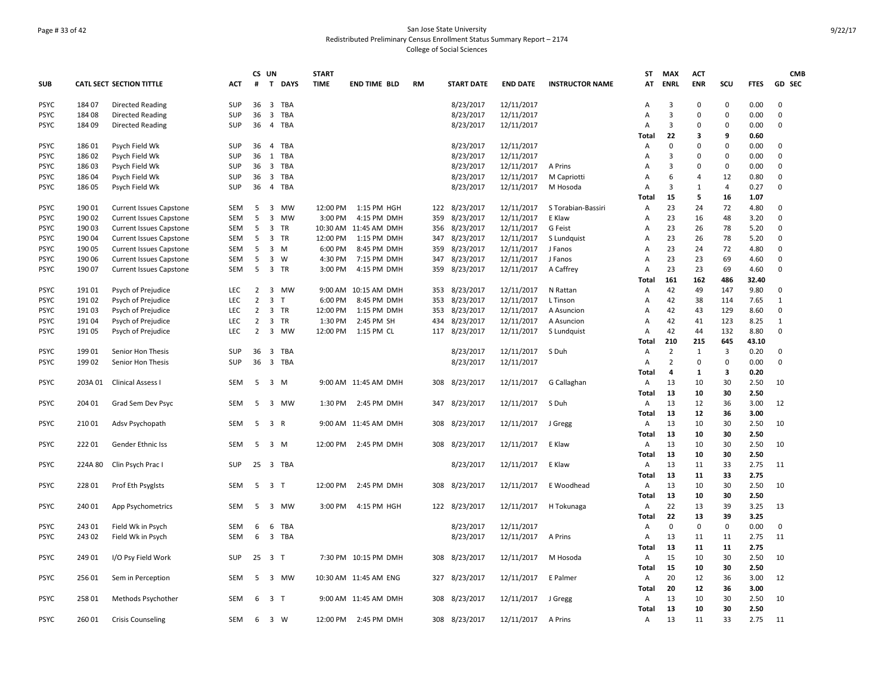# Page # 33 of 42 San Jose State University Redistributed Preliminary Census Enrollment Status Summary Report – 2174 College of Social Sciences

|             |         |                                 |            | CS UN          |                         |             | <b>START</b> |                       |           |                   |                 |                        | ST             | <b>MAX</b>     | <b>ACT</b>     |                |             |              | <b>CMB</b> |
|-------------|---------|---------------------------------|------------|----------------|-------------------------|-------------|--------------|-----------------------|-----------|-------------------|-----------------|------------------------|----------------|----------------|----------------|----------------|-------------|--------------|------------|
| <b>SUB</b>  |         | <b>CATL SECT SECTION TITTLE</b> | <b>ACT</b> | #              | T                       | <b>DAYS</b> | <b>TIME</b>  | <b>END TIME BLD</b>   | <b>RM</b> | <b>START DATE</b> | <b>END DATE</b> | <b>INSTRUCTOR NAME</b> | AT             | <b>ENRL</b>    | <b>ENR</b>     | SCU            | <b>FTES</b> | GD SEC       |            |
| <b>PSYC</b> | 184 07  | <b>Directed Reading</b>         | SUP        | 36             | $\overline{\mathbf{3}}$ | TBA         |              |                       |           | 8/23/2017         | 12/11/2017      |                        | Α              | 3              | $\Omega$       | 0              | 0.00        | $\Omega$     |            |
| <b>PSYC</b> | 184 08  | <b>Directed Reading</b>         | SUP        | 36             | $\overline{\mathbf{3}}$ | TBA         |              |                       |           | 8/23/2017         | 12/11/2017      |                        | A              | 3              | 0              | 0              | 0.00        | $\mathbf 0$  |            |
| <b>PSYC</b> | 184 09  | <b>Directed Reading</b>         | <b>SUP</b> | 36             | $\overline{4}$          | TBA         |              |                       |           | 8/23/2017         | 12/11/2017      |                        | $\overline{A}$ | 3              | $\Omega$       | $\Omega$       | 0.00        | $\Omega$     |            |
|             |         |                                 |            |                |                         |             |              |                       |           |                   |                 |                        | Total          | 22             | 3              | 9              | 0.60        |              |            |
| <b>PSYC</b> | 186 01  | Psych Field Wk                  | SUP        | 36             | 4                       | TBA         |              |                       |           | 8/23/2017         | 12/11/2017      |                        | A              | 0              | 0              | $\mathbf 0$    | 0.00        | $\mathbf 0$  |            |
| <b>PSYC</b> | 186 02  | Psych Field Wk                  | SUP        | 36             |                         | 1 TBA       |              |                       |           | 8/23/2017         | 12/11/2017      |                        | Α              | 3              | 0              | $\mathbf 0$    | 0.00        | $\mathbf 0$  |            |
| <b>PSYC</b> | 18603   | Psych Field Wk                  | <b>SUP</b> | 36             | $\overline{\mathbf{3}}$ | TBA         |              |                       |           | 8/23/2017         | 12/11/2017      | A Prins                | $\overline{A}$ | 3              | $\Omega$       | $\mathbf 0$    | 0.00        | $\Omega$     |            |
| <b>PSYC</b> | 186 04  | Psych Field Wk                  | SUP        | 36             |                         | 3 TBA       |              |                       |           | 8/23/2017         | 12/11/2017      | M Capriotti            | Α              | 6              | $\overline{4}$ | 12             | 0.80        | $\Omega$     |            |
| <b>PSYC</b> | 18605   | Psych Field Wk                  | <b>SUP</b> | 36             | $\overline{4}$          | TBA         |              |                       |           | 8/23/2017         | 12/11/2017      | M Hosoda               | $\mathsf{A}$   | 3              | 1              | $\overline{4}$ | 0.27        | $\Omega$     |            |
|             |         |                                 |            |                |                         |             |              |                       |           |                   |                 |                        | Total          | 15             | 5              | 16             | 1.07        |              |            |
| <b>PSYC</b> | 190 01  | <b>Current Issues Capstone</b>  | SEM        | 5              | $\overline{\mathbf{3}}$ | <b>MW</b>   | 12:00 PM     | 1:15 PM HGH           |           | 122 8/23/2017     | 12/11/2017      | S Torabian-Bassiri     | A              | 23             | 24             | 72             | 4.80        | 0            |            |
| <b>PSYC</b> | 190 02  | <b>Current Issues Capstone</b>  | SEM        | 5              | 3                       | MW          | 3:00 PM      | 4:15 PM DMH           | 359       | 8/23/2017         | 12/11/2017      | E Klaw                 | Α              | 23             | 16             | 48             | 3.20        | $\Omega$     |            |
| <b>PSYC</b> | 190 03  | <b>Current Issues Capstone</b>  | <b>SEM</b> | 5              |                         | 3 TR        |              | 10:30 AM 11:45 AM DMH |           | 356 8/23/2017     | 12/11/2017      | G Feist                | Α              | 23             | 26             | 78             | 5.20        | $\Omega$     |            |
| <b>PSYC</b> | 190 04  | <b>Current Issues Capstone</b>  | SEM        | 5              | 3                       | <b>TR</b>   | 12:00 PM     | 1:15 PM DMH           | 347       | 8/23/2017         | 12/11/2017      | S Lundquist            | Α              | 23             | 26             | 78             | 5.20        | $\Omega$     |            |
| <b>PSYC</b> | 190 05  | <b>Current Issues Capstone</b>  | <b>SEM</b> | 5              | 3                       | M           | 6:00 PM      | 8:45 PM DMH           | 359       | 8/23/2017         | 12/11/2017      | J Fanos                | $\overline{A}$ | 23             | 24             | 72             | 4.80        | $\Omega$     |            |
| <b>PSYC</b> | 190 06  | <b>Current Issues Capstone</b>  | SEM        | 5              | 3                       | W           | 4:30 PM      | 7:15 PM DMH           | 347       | 8/23/2017         | 12/11/2017      | J Fanos                | A              | 23             | 23             | 69             | 4.60        | $\mathbf 0$  |            |
| <b>PSYC</b> | 190 07  | <b>Current Issues Capstone</b>  | SEM        | 5              |                         | 3 TR        | 3:00 PM      | 4:15 PM DMH           | 359       | 8/23/2017         | 12/11/2017      | A Caffrey              | A              | 23             | 23             | 69             | 4.60        | $\Omega$     |            |
|             |         |                                 |            |                |                         |             |              |                       |           |                   |                 |                        | Total          | 161            | 162            | 486            | 32.40       |              |            |
| <b>PSYC</b> | 191 01  | Psych of Prejudice              | <b>LEC</b> | 2              | 3                       | MW          |              | 9:00 AM 10:15 AM DMH  | 353       | 8/23/2017         | 12/11/2017      | N Rattan               | Α              | 42             | 49             | 147            | 9.80        | $\mathbf 0$  |            |
| <b>PSYC</b> | 191 02  | Psych of Prejudice              | <b>LEC</b> | $\overline{2}$ | 3                       | T           | 6:00 PM      | 8:45 PM DMH           | 353       | 8/23/2017         | 12/11/2017      | L Tinson               | $\overline{A}$ | 42             | 38             | 114            | 7.65        | $\mathbf{1}$ |            |
| <b>PSYC</b> | 191 03  | Psych of Prejudice              | <b>LEC</b> | $\overline{2}$ |                         | 3 TR        | 12:00 PM     | 1:15 PM DMH           | 353       | 8/23/2017         | 12/11/2017      | A Asuncion             | A              | 42             | 43             | 129            | 8.60        | $\mathbf 0$  |            |
| PSYC        | 191 04  | Psych of Prejudice              | LEC        | $\overline{2}$ | 3                       | <b>TR</b>   | 1:30 PM      | 2:45 PM SH            | 434       | 8/23/2017         | 12/11/2017      | A Asuncion             | A              | 42             | 41             | 123            | 8.25        | 1            |            |
| <b>PSYC</b> | 19105   | Psych of Prejudice              | LEC        | $\overline{2}$ |                         | 3 MW        | 12:00 PM     | 1:15 PM CL            | 117       | 8/23/2017         | 12/11/2017      | S Lundquist            | Α              | 42             | 44             | 132            | 8.80        | $\mathbf 0$  |            |
|             |         |                                 |            |                |                         |             |              |                       |           |                   |                 |                        | Total          | 210            | 215            | 645            | 43.10       |              |            |
| PSYC        | 19901   | Senior Hon Thesis               | <b>SUP</b> | 36             | 3                       | TBA         |              |                       |           | 8/23/2017         | 12/11/2017      | S Duh                  | Α              | $\overline{2}$ | 1              | 3              | 0.20        | $\Omega$     |            |
| <b>PSYC</b> | 199 02  | Senior Hon Thesis               | SUP        | 36             |                         | 3 TBA       |              |                       |           | 8/23/2017         | 12/11/2017      |                        | $\overline{A}$ | $\overline{2}$ | 0              | 0              | 0.00        | $\mathbf 0$  |            |
|             |         |                                 |            |                |                         |             |              |                       |           |                   |                 |                        | Total          | 4              | 1              | 3              | 0.20        |              |            |
| <b>PSYC</b> | 203A 01 | <b>Clinical Assess I</b>        | SEM        | 5              | $3 \, M$                |             |              | 9:00 AM 11:45 AM DMH  | 308       | 8/23/2017         | 12/11/2017      | G Callaghan            | A              | 13             | 10             | 30             | 2.50        | 10           |            |
|             |         |                                 |            |                |                         |             |              |                       |           |                   |                 |                        | Total          | 13             | 10             | 30             | 2.50        |              |            |
| <b>PSYC</b> | 204 01  | Grad Sem Dev Psyc               | <b>SEM</b> | 5              |                         | 3 MW        |              | 1:30 PM 2:45 PM DMH   |           | 347 8/23/2017     | 12/11/2017      | S Duh                  | A              | 13             | 12             | 36             | 3.00        | 12           |            |
|             |         |                                 |            |                |                         |             |              |                       |           |                   |                 |                        | Total          | 13             | 12             | 36             | 3.00        |              |            |
| <b>PSYC</b> | 210 01  | Adsv Psychopath                 | <b>SEM</b> | 5              | 3 R                     |             |              | 9:00 AM 11:45 AM DMH  | 308       | 8/23/2017         | 12/11/2017      | J Gregg                | Α              | 13             | 10             | 30             | 2.50        | 10           |            |
|             |         |                                 |            |                |                         |             |              |                       |           |                   |                 |                        | Total          | 13             | 10             | 30             | 2.50        |              |            |
| <b>PSYC</b> | 22201   | Gender Ethnic Iss               | SEM        | 5              | 3 M                     |             |              | 12:00 PM 2:45 PM DMH  |           | 308 8/23/2017     | 12/11/2017      | E Klaw                 | Α              | 13             | 10             | 30             | 2.50        | 10           |            |
|             |         |                                 |            |                |                         |             |              |                       |           |                   |                 |                        | Total          | 13             | 10             | 30             | 2.50        |              |            |
| <b>PSYC</b> | 224A 80 | Clin Psych Prac I               | SUP        |                |                         | 25 3 TBA    |              |                       |           | 8/23/2017         | 12/11/2017      | E Klaw                 | Α              | 13             | 11             | 33             | 2.75        | 11           |            |
|             |         |                                 |            |                |                         |             |              |                       |           |                   |                 |                        | Total          | 13             | 11             | 33             | 2.75        |              |            |
| <b>PSYC</b> | 228 01  | Prof Eth Psyglsts               | <b>SEM</b> | 5              | 3 <sub>T</sub>          |             | 12:00 PM     | 2:45 PM DMH           | 308       | 8/23/2017         | 12/11/2017      | E Woodhead             | $\overline{A}$ | 13             | 10             | 30             | 2.50        | 10           |            |
|             |         |                                 |            |                |                         |             |              |                       |           |                   |                 |                        | Total          | 13             | 10             | 30             | 2.50        |              |            |
| <b>PSYC</b> | 240 01  | App Psychometrics               | SEM        | 5              | 3                       | MW          | 3:00 PM      | 4:15 PM HGH           |           | 122 8/23/2017     | 12/11/2017      | H Tokunaga             | Α              | 22             | 13             | 39             | 3.25        | 13           |            |
|             |         |                                 |            |                |                         |             |              |                       |           |                   |                 |                        | Total          | 22             | 13             | 39             | 3.25        |              |            |
| <b>PSYC</b> | 243 01  | Field Wk in Psych               | SEM        | 6              | 6                       | TBA         |              |                       |           | 8/23/2017         | 12/11/2017      |                        | Α              | $\mathbf 0$    | 0              | $\mathbf 0$    | 0.00        | 0            |            |
| <b>PSYC</b> | 24302   | Field Wk in Psych               | <b>SEM</b> | 6              |                         | 3 TBA       |              |                       |           | 8/23/2017         | 12/11/2017      | A Prins                | Α              | 13             | 11             | 11             | 2.75        | 11           |            |
|             |         |                                 |            |                |                         |             |              |                       |           |                   |                 |                        | Total          | 13             | 11             | 11             | 2.75        |              |            |
| <b>PSYC</b> | 249 01  | I/O Psy Field Work              | SUP        | 25             | 3 <sub>7</sub>          |             |              | 7:30 PM 10:15 PM DMH  | 308       | 8/23/2017         | 12/11/2017      | M Hosoda               | Α              | 15             | 10             | 30             | 2.50        | 10           |            |
|             |         |                                 |            |                |                         |             |              |                       |           |                   |                 |                        | Total          | 15             | 10             | 30             | 2.50        |              |            |
| <b>PSYC</b> | 25601   | Sem in Perception               | SEM        | 5              |                         | 3 MW        |              | 10:30 AM 11:45 AM ENG |           | 327 8/23/2017     | 12/11/2017      | E Palmer               | Α              | 20             | 12             | 36             | 3.00        | 12           |            |
|             |         |                                 |            |                |                         |             |              |                       |           |                   |                 |                        | Total          | 20             | 12             | 36             | 3.00        |              |            |
| PSYC        | 258 01  | Methods Psychother              | SEM        | 6              | 3 T                     |             |              | 9:00 AM 11:45 AM DMH  |           | 308 8/23/2017     | 12/11/2017      | J Gregg                | Α              | 13             | 10             | 30             | 2.50        | 10           |            |
|             |         |                                 |            |                |                         |             |              |                       |           |                   |                 |                        | Total          | 13             | 10             | 30             | 2.50        |              |            |
| <b>PSYC</b> | 260 01  | <b>Crisis Counseling</b>        | SEM        | 6              | 3 W                     |             |              | 12:00 PM 2:45 PM DMH  |           | 308 8/23/2017     | 12/11/2017      | A Prins                | Α              | 13             | 11             | 33             | 2.75        | 11           |            |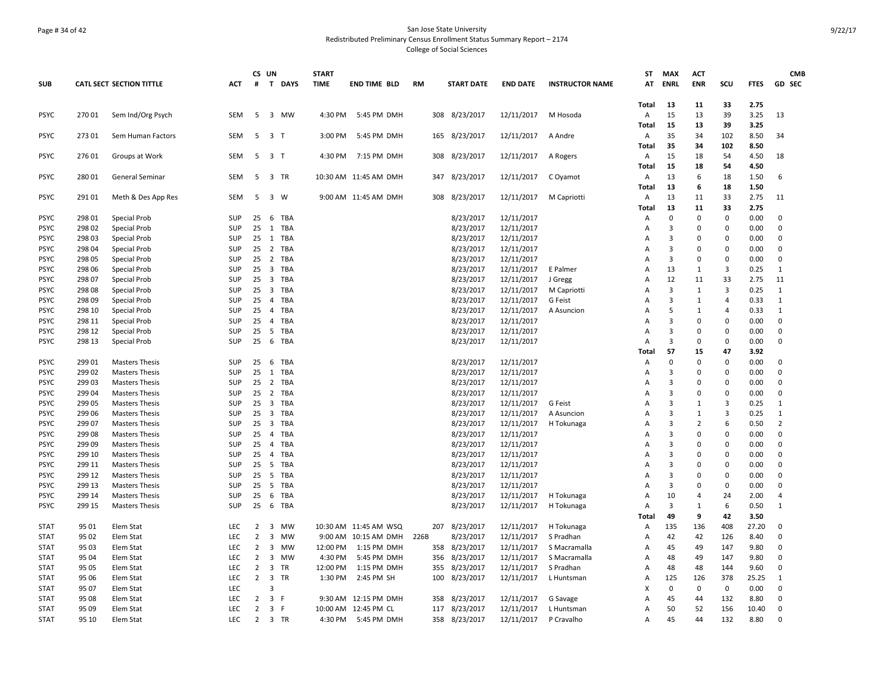# Page # 34 of 42 San Jose State University Redistributed Preliminary Census Enrollment Status Summary Report – 2174 College of Social Sciences

|             |                  |                                 |            |                | CS UN                   |            | <b>START</b> |                       |           |     |                   |                 |                        | ST                  | <b>MAX</b>  | <b>ACT</b>                     |                |               | <b>CMB</b>                    |
|-------------|------------------|---------------------------------|------------|----------------|-------------------------|------------|--------------|-----------------------|-----------|-----|-------------------|-----------------|------------------------|---------------------|-------------|--------------------------------|----------------|---------------|-------------------------------|
| <b>SUB</b>  |                  | <b>CATL SECT SECTION TITTLE</b> | <b>ACT</b> | #              |                         | T DAYS     | <b>TIME</b>  | <b>END TIME BLD</b>   | <b>RM</b> |     | <b>START DATE</b> | <b>END DATE</b> | <b>INSTRUCTOR NAME</b> | AT                  | <b>ENRL</b> | <b>ENR</b>                     | SCU            | <b>FTES</b>   | GD SEC                        |
|             |                  |                                 |            |                |                         |            |              |                       |           |     |                   |                 |                        |                     |             |                                |                |               |                               |
|             |                  |                                 |            |                |                         |            |              |                       |           |     |                   |                 |                        | Total               | 13          | 11                             | 33             | 2.75          |                               |
| <b>PSYC</b> | 270 01           | Sem Ind/Org Psych               | <b>SEM</b> | 5              |                         | 3 MW       | 4:30 PM      | 5:45 PM DMH           |           |     | 308 8/23/2017     | 12/11/2017      | M Hosoda               | Α                   | 15          | 13                             | 39             | 3.25          | 13                            |
|             |                  |                                 |            |                |                         |            |              |                       |           |     |                   |                 |                        | Total               | 15          | 13                             | 39             | 3.25          |                               |
| <b>PSYC</b> | 273 01           | Sem Human Factors               | <b>SEM</b> | 5              | 3 <sub>1</sub>          |            | 3:00 PM      | 5:45 PM DMH           |           |     | 165 8/23/2017     | 12/11/2017      | A Andre                | $\overline{A}$      | 35<br>35    | 34<br>34                       | 102<br>102     | 8.50<br>8.50  | 34                            |
|             | 276 01           |                                 | SEM        | 5              | 3 T                     |            |              | 4:30 PM 7:15 PM DMH   |           |     |                   |                 |                        | Total               | 15          | 18                             | 54             |               | 18                            |
| <b>PSYC</b> |                  | Groups at Work                  |            |                |                         |            |              |                       |           | 308 | 8/23/2017         | 12/11/2017      | A Rogers               | Α<br>Total          | 15          | 18                             | 54             | 4.50<br>4.50  |                               |
| <b>PSYC</b> | 28001            | General Seminar                 | <b>SEM</b> |                | 5 3 TR                  |            |              | 10:30 AM 11:45 AM DMH |           |     | 347 8/23/2017     | 12/11/2017      | C Oyamot               | Α                   | 13          | 6                              | 18             | 1.50          | 6                             |
|             |                  |                                 |            |                |                         |            |              |                       |           |     |                   |                 |                        | Total               | 13          | 6                              | 18             | 1.50          |                               |
| <b>PSYC</b> | 29101            | Meth & Des App Res              | SEM        | 5              | 3 W                     |            |              | 9:00 AM 11:45 AM DMH  |           |     | 308 8/23/2017     | 12/11/2017      | M Capriotti            | Α                   | 13          | 11                             | 33             | 2.75          | 11                            |
|             |                  |                                 |            |                |                         |            |              |                       |           |     |                   |                 |                        | Total               | 13          | 11                             | 33             | 2.75          |                               |
| <b>PSYC</b> | 298 01           | Special Prob                    | SUP        | 25             | 6                       | TBA        |              |                       |           |     | 8/23/2017         | 12/11/2017      |                        | A                   | 0           | 0                              | $\mathbf 0$    | 0.00          | $\Omega$                      |
| <b>PSYC</b> | 298 02           | Special Prob                    | SUP        |                |                         | 25 1 TBA   |              |                       |           |     | 8/23/2017         | 12/11/2017      |                        | $\overline{A}$      | 3           | 0                              | $\Omega$       | 0.00          | $\Omega$                      |
| <b>PSYC</b> | 298 03           | Special Prob                    | SUP        | 25             |                         | 1 TBA      |              |                       |           |     | 8/23/2017         | 12/11/2017      |                        | A                   | 3           | 0                              | $\mathbf 0$    | 0.00          | $\Omega$                      |
| <b>PSYC</b> | 298 04           | <b>Special Prob</b>             | SUP        |                |                         | 25 2 TBA   |              |                       |           |     | 8/23/2017         | 12/11/2017      |                        | A                   | 3           | $\Omega$                       | $\Omega$       | 0.00          | $\Omega$                      |
| <b>PSYC</b> | 298 05           | Special Prob                    | SUP        |                |                         | 25 2 TBA   |              |                       |           |     | 8/23/2017         | 12/11/2017      |                        | $\overline{A}$      | 3           | 0                              | $\mathbf 0$    | 0.00          | $\mathbf 0$                   |
| <b>PSYC</b> | 298 06           | <b>Special Prob</b>             | SUP        | 25             | $\overline{\mathbf{3}}$ | TBA        |              |                       |           |     | 8/23/2017         | 12/11/2017      | E Palmer               | A                   | 13          | 1                              | 3              | 0.25          | 1                             |
| <b>PSYC</b> | 298 07           | Special Prob                    | SUP        | 25             |                         | 3 TBA      |              |                       |           |     | 8/23/2017         | 12/11/2017      | J Gregg                | A                   | 12          | 11                             | 33             | 2.75          | 11                            |
| <b>PSYC</b> | 298 08           | <b>Special Prob</b>             | <b>SUP</b> | 25             | $\overline{\mathbf{3}}$ | TBA        |              |                       |           |     | 8/23/2017         | 12/11/2017      | M Capriotti            | $\overline{A}$      | 3           | 1                              | $\overline{3}$ | 0.25          | 1                             |
| <b>PSYC</b> | 298 09           | <b>Special Prob</b>             | SUP        | 25             | $\overline{4}$          | <b>TBA</b> |              |                       |           |     | 8/23/2017         | 12/11/2017      | G Feist                | A                   | 3           | $\mathbf{1}$                   | $\overline{4}$ | 0.33          | $\mathbf{1}$                  |
| <b>PSYC</b> | 298 10           | Special Prob                    | SUP        | 25             |                         | 4 TBA      |              |                       |           |     | 8/23/2017         | 12/11/2017      | A Asuncion             | A                   | 5           | 1                              | $\overline{4}$ | 0.33          | 1                             |
| PSYC        | 298 11           | Special Prob                    | SUP        | 25             | 4                       | <b>TBA</b> |              |                       |           |     | 8/23/2017         | 12/11/2017      |                        | Α                   | 3           | 0                              | 0              | 0.00          | $\Omega$                      |
| <b>PSYC</b> | 298 12           | <b>Special Prob</b>             | SUP        | 25             | 5                       | TBA        |              |                       |           |     | 8/23/2017         | 12/11/2017      |                        | $\overline{A}$      | 3           | 0                              | 0              | 0.00          | 0                             |
| <b>PSYC</b> | 298 13           | Special Prob                    | <b>SUP</b> | 25             |                         | 6 TBA      |              |                       |           |     | 8/23/2017         | 12/11/2017      |                        | A                   | 3           | 0                              | $\mathbf 0$    | 0.00          | $\Omega$                      |
|             |                  |                                 |            |                |                         |            |              |                       |           |     |                   |                 |                        | Total               | 57          | 15                             | 47             | 3.92          |                               |
| <b>PSYC</b> | 299 01           | <b>Masters Thesis</b>           | SUP        | 25             |                         | 6 TBA      |              |                       |           |     | 8/23/2017         | 12/11/2017      |                        | A                   | 0           | 0                              | $\mathbf 0$    | 0.00          | $\Omega$                      |
| <b>PSYC</b> | 299 02           | <b>Masters Thesis</b>           | SUP        |                |                         | 25 1 TBA   |              |                       |           |     | 8/23/2017         | 12/11/2017      |                        | Α                   | 3           | 0                              | 0              | 0.00          | 0                             |
| <b>PSYC</b> | 299 03           | <b>Masters Thesis</b>           | <b>SUP</b> |                |                         | 25 2 TBA   |              |                       |           |     | 8/23/2017         | 12/11/2017      |                        | $\overline{A}$      | 3           | $\Omega$                       | $\Omega$       | 0.00          | $\Omega$                      |
| <b>PSYC</b> | 299 04           | <b>Masters Thesis</b>           | SUP        |                |                         | 25 2 TBA   |              |                       |           |     | 8/23/2017         | 12/11/2017      |                        | $\overline{A}$      | 3           | 0                              | $\mathbf 0$    | 0.00          | $\mathbf 0$                   |
| <b>PSYC</b> | 299 05           | <b>Masters Thesis</b>           | <b>SUP</b> | $25 \quad 3$   |                         | TBA        |              |                       |           |     | 8/23/2017         | 12/11/2017      | G Feist                | $\overline{A}$      | 3           | 1                              | $\overline{3}$ | 0.25          | 1                             |
| <b>PSYC</b> | 299 06           | <b>Masters Thesis</b>           | SUP        | 25             | $\overline{\mathbf{3}}$ | <b>TBA</b> |              |                       |           |     | 8/23/2017         | 12/11/2017      | A Asuncion             | A                   | 3           | $\mathbf{1}$                   | 3              | 0.25          | 1                             |
| <b>PSYC</b> | 299 07           | <b>Masters Thesis</b>           | <b>SUP</b> | $25 \quad 3$   |                         | TBA        |              |                       |           |     | 8/23/2017         | 12/11/2017      | H Tokunaga             | A                   | 3           | $\overline{2}$                 | 6              | 0.50          | $\overline{2}$                |
| <b>PSYC</b> | 299 08           | <b>Masters Thesis</b>           | SUP        | 25             | $\overline{4}$          | TBA        |              |                       |           |     | 8/23/2017         | 12/11/2017      |                        | Α                   | 3           | 0                              | $\mathbf 0$    | 0.00          | $\mathbf 0$                   |
| <b>PSYC</b> | 29909            | <b>Masters Thesis</b>           | <b>SUP</b> |                |                         | 25 4 TBA   |              |                       |           |     | 8/23/2017         | 12/11/2017      |                        | A                   | 3           | 0                              | $\Omega$       | 0.00          | $\Omega$                      |
| <b>PSYC</b> | 299 10           | <b>Masters Thesis</b>           | SUP        | 25             | $\overline{4}$          | <b>TBA</b> |              |                       |           |     | 8/23/2017         | 12/11/2017      |                        | Α                   | 3           | $\Omega$                       | $\Omega$       | 0.00          | $\Omega$                      |
| <b>PSYC</b> | 299 11           | <b>Masters Thesis</b>           | SUP        | 25             | $5^{\circ}$             | <b>TBA</b> |              |                       |           |     | 8/23/2017         | 12/11/2017      |                        | A                   | 3           | 0                              | $\mathbf 0$    | 0.00          | $\mathbf 0$                   |
| <b>PSYC</b> | 299 12           | <b>Masters Thesis</b>           | SUP        | 25             |                         | 5 TBA      |              |                       |           |     | 8/23/2017         | 12/11/2017      |                        | $\overline{A}$      | 3           | 0                              | $\mathbf 0$    | 0.00          | $\mathbf 0$                   |
| <b>PSYC</b> | 299 13           | <b>Masters Thesis</b>           | SUP        | 25             | 5                       | TBA        |              |                       |           |     | 8/23/2017         | 12/11/2017      |                        | Α                   | 3           | 0                              | $\mathbf 0$    | 0.00          | $\mathbf 0$<br>$\overline{4}$ |
| <b>PSYC</b> | 299 14<br>299 15 | <b>Masters Thesis</b>           | SUP<br>SUP | 25<br>25       | 6                       | TBA        |              |                       |           |     | 8/23/2017         | 12/11/2017      | H Tokunaga             | A<br>$\overline{A}$ | 10<br>3     | $\overline{4}$<br>$\mathbf{1}$ | 24             | 2.00<br>0.50  | 1                             |
| <b>PSYC</b> |                  | <b>Masters Thesis</b>           |            |                |                         | 6 TBA      |              |                       |           |     | 8/23/2017         | 12/11/2017      | H Tokunaga             |                     |             | 9                              | 6<br>42        |               |                               |
| <b>STAT</b> | 95 01            | Elem Stat                       | <b>LEC</b> | $\overline{2}$ |                         | 3 MW       |              | 10:30 AM 11:45 AM WSQ |           |     | 207 8/23/2017     | 12/11/2017      | H Tokunaga             | Total<br>Α          | 49<br>135   | 136                            | 408            | 3.50<br>27.20 | $\Omega$                      |
| <b>STAT</b> | 95 02            | Elem Stat                       | <b>LEC</b> | 2              | 3                       | MW         |              | 9:00 AM 10:15 AM DMH  | 226B      |     | 8/23/2017         | 12/11/2017      | S Pradhan              | A                   | 42          | 42                             | 126            | 8.40          | $\Omega$                      |
| <b>STAT</b> | 95 03            | Elem Stat                       | LEC        | $\overline{2}$ | 3                       | MW         | 12:00 PM     | 1:15 PM DMH           |           |     | 358 8/23/2017     | 12/11/2017      | S Macramalla           | A                   | 45          | 49                             | 147            | 9.80          | $\Omega$                      |
| <b>STAT</b> | 95 04            | Elem Stat                       | <b>LEC</b> | $\overline{2}$ |                         | 3 MW       | 4:30 PM      | 5:45 PM DMH           |           | 356 | 8/23/2017         | 12/11/2017      | S Macramalla           | $\overline{A}$      | 48          | 49                             | 147            | 9.80          | $\Omega$                      |
| <b>STAT</b> | 95 05            | Elem Stat                       | LEC        | $\overline{2}$ |                         | 3 TR       |              | 12:00 PM 1:15 PM DMH  |           | 355 | 8/23/2017         | 12/11/2017      | S Pradhan              | A                   | 48          | 48                             | 144            | 9.60          | 0                             |
| <b>STAT</b> | 95 06            | Elem Stat                       | <b>LEC</b> | $\overline{2}$ |                         | 3 TR       |              | 1:30 PM 2:45 PM SH    |           |     | 100 8/23/2017     | 12/11/2017      | L Huntsman             | $\overline{A}$      | 125         | 126                            | 378            | 25.25         | 1                             |
| <b>STAT</b> | 95 07            | Elem Stat                       | <b>LEC</b> |                | 3                       |            |              |                       |           |     |                   |                 |                        | X                   | 0           | 0                              | 0              | 0.00          | 0                             |
| <b>STAT</b> | 95 08            | Elem Stat                       | <b>LEC</b> | $\overline{2}$ | 3 F                     |            |              | 9:30 AM 12:15 PM DMH  |           |     | 358 8/23/2017     | 12/11/2017      | G Savage               | $\overline{A}$      | 45          | 44                             | 132            | 8.80          | $\Omega$                      |
| <b>STAT</b> | 95 09            | Elem Stat                       | LEC        | $\overline{2}$ | 3 F                     |            |              | 10:00 AM 12:45 PM CL  |           | 117 | 8/23/2017         | 12/11/2017      | L Huntsman             | $\overline{A}$      | 50          | 52                             | 156            | 10.40         | $\mathbf 0$                   |
| <b>STAT</b> | 95 10            | Elem Stat                       | <b>LEC</b> |                | 2 3 TR                  |            |              | 4:30 PM 5:45 PM DMH   |           |     | 358 8/23/2017     | 12/11/2017      | P Cravalho             | Α                   | 45          | 44                             | 132            | 8.80          | $\mathbf 0$                   |
|             |                  |                                 |            |                |                         |            |              |                       |           |     |                   |                 |                        |                     |             |                                |                |               |                               |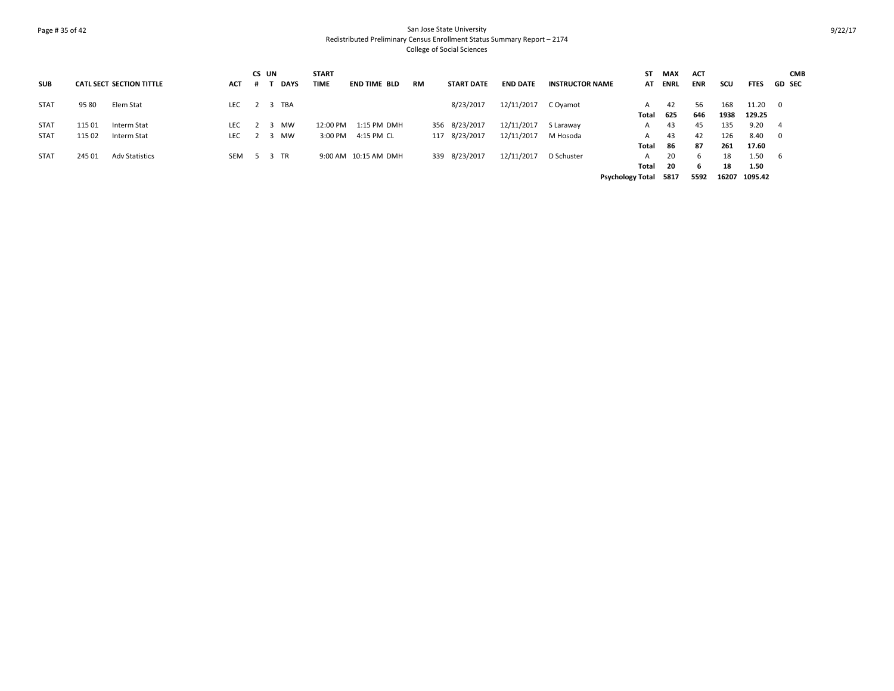# Page # 35 of 42 San Jose State University Redistributed Preliminary Census Enrollment Status Summary Report – 2174 College of Social Sciences

|             |        |                                 |            | <b>CS</b> | UN |             | <b>START</b> |                      |           |                   |                 |                        | SΤ                      | MAX  | <b>ACT</b> |       |             | <b>CMB</b>              |
|-------------|--------|---------------------------------|------------|-----------|----|-------------|--------------|----------------------|-----------|-------------------|-----------------|------------------------|-------------------------|------|------------|-------|-------------|-------------------------|
| <b>SUB</b>  |        | <b>CATL SECT SECTION TITTLE</b> | <b>ACT</b> | .#        |    | <b>DAYS</b> | <b>TIME</b>  | <b>END TIME BLD</b>  | <b>RM</b> | <b>START DATE</b> | <b>END DATE</b> | <b>INSTRUCTOR NAME</b> | AT                      | ENRL | <b>ENR</b> | scu   | <b>FTES</b> | <b>GD SEC</b>           |
| <b>STAT</b> | 95 80  | Elem Stat                       | LEC        |           |    | 2 3 TBA     |              |                      |           | 8/23/2017         | 12/11/2017      | C Oyamot               | A                       | 42   | 56         | 168   | 11.20       | $\mathbf{0}$            |
|             |        |                                 |            |           |    |             |              |                      |           |                   |                 |                        | Total                   | 625  | 646        | 1938  | 129.25      |                         |
| <b>STAT</b> | 115 01 | Interm Stat                     | LEC.       |           |    | MW          | 12:00 PM     | 1:15 PM DMH          |           | 356 8/23/2017     | 12/11/2017      | S Laraway              | A                       | 43   | 45         | 135   | 9.20        | -4                      |
| <b>STAT</b> | 115 02 | Interm Stat                     | LEC        |           |    | <b>MW</b>   | 3:00 PM      | 4:15 PM CL           |           | 117 8/23/2017     | 12/11/2017      | M Hosoda               | $\mathsf{A}$            | 43   | 42         | 126   | 8.40        | $\overline{\mathbf{0}}$ |
|             |        |                                 |            |           |    |             |              |                      |           |                   |                 |                        | Total                   | -86  | -87        | 261   | 17.60       |                         |
| <b>STAT</b> | 245 01 | <b>Adv Statistics</b>           | SEM        |           |    | 5 3 TR      |              | 9:00 AM 10:15 AM DMH |           | 339 8/23/2017     | 12/11/2017      | D Schuster             | $\mathsf{A}$            | 20   | 6          | 18    | 1.50        | - 6                     |
|             |        |                                 |            |           |    |             |              |                      |           |                   |                 |                        | Total                   | - 20 | 6          | 18    | 1.50        |                         |
|             |        |                                 |            |           |    |             |              |                      |           |                   |                 |                        | <b>Psychology Total</b> | 5817 | 5592       | 16207 | 1095.42     |                         |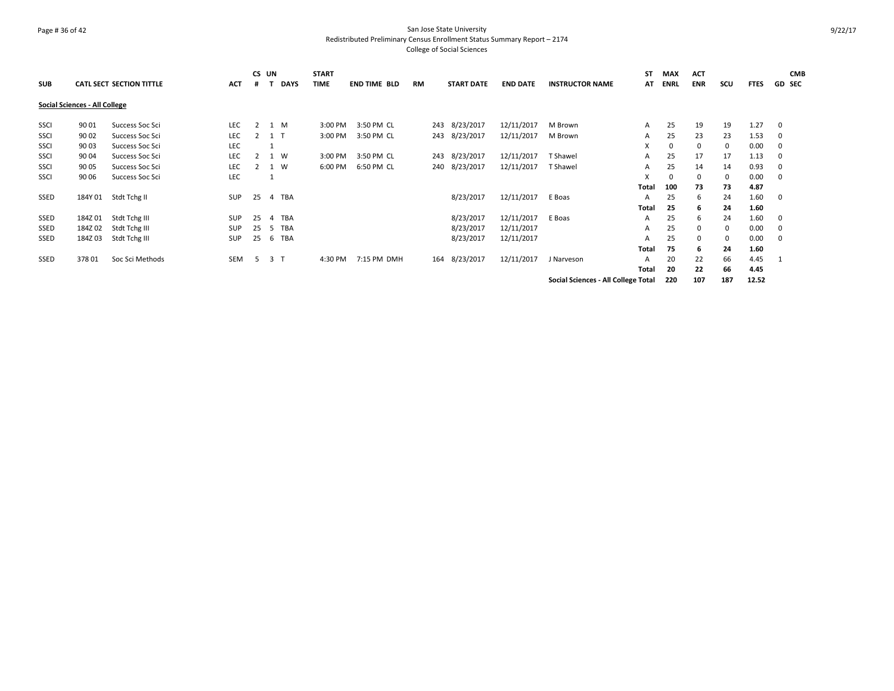# Page # 36 of 42 San Jose State University Redistributed Preliminary Census Enrollment Status Summary Report – 2174 College of Social Sciences

|             |                               |                          |            |    | CS UN |                | <b>START</b> |                     |    |                   |                 |                                     | ST    | MAX         | <b>ACT</b> |     |             |               | <b>CMB</b> |
|-------------|-------------------------------|--------------------------|------------|----|-------|----------------|--------------|---------------------|----|-------------------|-----------------|-------------------------------------|-------|-------------|------------|-----|-------------|---------------|------------|
| <b>SUB</b>  |                               | CATL SECT SECTION TITTLE | <b>ACT</b> | #  |       | <b>DAYS</b>    | <b>TIME</b>  | <b>END TIME BLD</b> | RM | <b>START DATE</b> | <b>END DATE</b> | <b>INSTRUCTOR NAME</b>              | AT    | <b>ENRL</b> | <b>ENR</b> | scu | <b>FTES</b> | <b>GD SEC</b> |            |
|             | Social Sciences - All College |                          |            |    |       |                |              |                     |    |                   |                 |                                     |       |             |            |     |             |               |            |
| <b>SSCI</b> | 90 01                         | Success Soc Sci          | LEC.       | 2  |       | 1 M            | 3:00 PM      | 3:50 PM CL          |    | 243 8/23/2017     | 12/11/2017      | M Brown                             | A     | 25          | 19         | 19  | 1.27        | $\mathbf 0$   |            |
| SSCI        | 90 02                         | Success Soc Sci          | <b>LEC</b> |    | 2 1 T |                | 3:00 PM      | 3:50 PM CL          |    | 243 8/23/2017     | 12/11/2017      | M Brown                             | A     | 25          | 23         | 23  | 1.53        | 0             |            |
| SSCI        | 90 03                         | Success Soc Sci          | <b>LEC</b> |    |       |                |              |                     |    |                   |                 |                                     | X     | 0           | 0          | 0   | 0.00        | 0             |            |
| SSCI        | 90 04                         | Success Soc Sci          | <b>LEC</b> |    |       | 1 W            | 3:00 PM      | 3:50 PM CL          |    | 243 8/23/2017     | 12/11/2017      | <b>T</b> Shawel                     | A     | 25          | 17         | 17  | 1.13        | 0             |            |
| SSCI        | 90 05                         | Success Soc Sci          | LEC        |    |       | 1 W            | 6:00 PM      | 6:50 PM CL          |    | 240 8/23/2017     | 12/11/2017      | <b>T</b> Shawel                     | A     | 25          | 14         | 14  | 0.93        | 0             |            |
| <b>SSCI</b> | 90 06                         | Success Soc Sci          | <b>LEC</b> |    |       |                |              |                     |    |                   |                 |                                     | X     | 0           | 0          | 0   | 0.00        | 0             |            |
|             |                               |                          |            |    |       |                |              |                     |    |                   |                 |                                     | Total | 100         | 73         | 73  | 4.87        |               |            |
| SSED        | 184Y 01                       | Stdt Tchg II             | SUP        | 25 |       | 4 TBA          |              |                     |    | 8/23/2017         | 12/11/2017      | E Boas                              | A     | 25          | 6          | 24  | 1.60        | 0             |            |
|             |                               |                          |            |    |       |                |              |                     |    |                   |                 |                                     | Total | 25          | 6          | 24  | 1.60        |               |            |
| SSED        | 184Z 01                       | Stdt Tchg III            | <b>SUP</b> | 25 | 4     | TBA            |              |                     |    | 8/23/2017         | 12/11/2017      | E Boas                              | A     | 25          | 6          | 24  | 1.60        | $\mathbf 0$   |            |
| SSED        | 184Z 02                       | Stdt Tchg III            | <b>SUP</b> | 25 | -5    | TBA            |              |                     |    | 8/23/2017         | 12/11/2017      |                                     | A     | 25          | 0          | 0   | 0.00        | 0             |            |
| SSED        | 184Z03                        | Stdt Tchg III            | SUP        | 25 |       | 6 TBA          |              |                     |    | 8/23/2017         | 12/11/2017      |                                     | A     | 25          | 0          | 0   | 0.00        | 0             |            |
|             |                               |                          |            |    |       |                |              |                     |    |                   |                 |                                     | Total | 75          | 6          | 24  | 1.60        |               |            |
| SSED        | 37801                         | Soc Sci Methods          | <b>SEM</b> | -5 |       | 3 <sub>T</sub> | 4:30 PM      | 7:15 PM DMH         |    | 164 8/23/2017     | 12/11/2017      | J Narveson                          | A     | 20          | 22         | 66  | 4.45        |               |            |
|             |                               |                          |            |    |       |                |              |                     |    |                   |                 |                                     | Total | 20          | 22         | 66  | 4.45        |               |            |
|             |                               |                          |            |    |       |                |              |                     |    |                   |                 | Social Sciences - All College Total |       | 220         | 107        | 187 | 12.52       |               |            |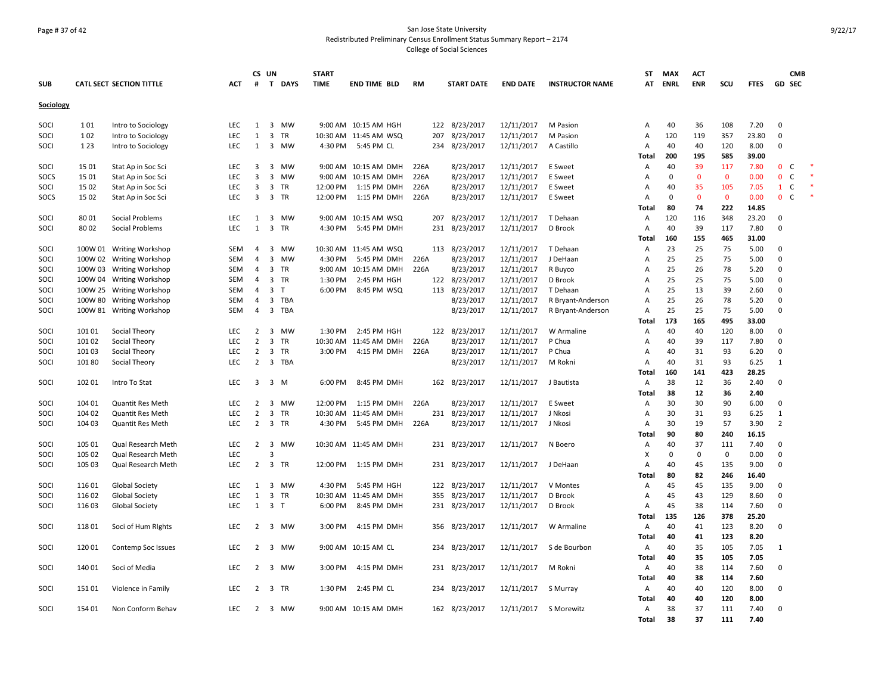# Page # 37 of 42 San Jose State University Redistributed Preliminary Census Enrollment Status Summary Report – 2174 College of Social Sciences

|            |         |                                 |            |                | CS UN                   |           | <b>START</b> |                       |      |                   |                 |                        | ST             | <b>MAX</b>  | <b>ACT</b>     |              |             |                | <b>CMB</b>    |        |
|------------|---------|---------------------------------|------------|----------------|-------------------------|-----------|--------------|-----------------------|------|-------------------|-----------------|------------------------|----------------|-------------|----------------|--------------|-------------|----------------|---------------|--------|
| <b>SUB</b> |         | <b>CATL SECT SECTION TITTLE</b> | <b>ACT</b> | #              |                         | T DAYS    | <b>TIME</b>  | <b>END TIME BLD</b>   | RM   | <b>START DATE</b> | <b>END DATE</b> | <b>INSTRUCTOR NAME</b> | AT             | <b>ENRL</b> | <b>ENR</b>     | scu          | <b>FTES</b> |                | <b>GD SEC</b> |        |
| Sociology  |         |                                 |            |                |                         |           |              |                       |      |                   |                 |                        |                |             |                |              |             |                |               |        |
|            |         |                                 |            |                |                         |           |              |                       |      |                   |                 |                        |                |             |                |              |             |                |               |        |
| SOCI       | 101     | Intro to Sociology              | LEC        | $\mathbf{1}$   |                         | 3 MW      |              | 9:00 AM 10:15 AM HGH  |      | 122 8/23/2017     | 12/11/2017      | M Pasion               | Α              | 40          | 36             | 108          | 7.20        | 0              |               |        |
| SOCI       | 102     | Intro to Sociology              | LEC        | $\mathbf{1}$   | $\overline{\mathbf{3}}$ | <b>TR</b> |              | 10:30 AM 11:45 AM WSQ | 207  | 8/23/2017         | 12/11/2017      | M Pasion               | $\overline{A}$ | 120         | 119            | 357          | 23.80       | $\mathbf 0$    |               |        |
| SOCI       | 1 2 3   | Intro to Sociology              | LEC        | $\mathbf{1}$   | 3                       | MW        | 4:30 PM      | 5:45 PM CL            |      | 234 8/23/2017     | 12/11/2017      | A Castillo             | Α              | 40          | 40             | 120          | 8.00        | 0              |               |        |
|            |         |                                 |            |                |                         |           |              |                       |      |                   |                 |                        | Total          | 200         | 195            | 585          | 39.00       |                |               |        |
| SOCI       | 15 01   | Stat Ap in Soc Sci              | <b>LEC</b> | $\overline{3}$ |                         | 3 MW      |              | 9:00 AM 10:15 AM DMH  | 226A | 8/23/2017         | 12/11/2017      | E Sweet                | Α              | 40          | 39             | 117          | 7.80        | $0-$           |               |        |
| SOCS       | 15 01   | Stat Ap in Soc Sci              | <b>LEC</b> | $\overline{3}$ |                         | 3 MW      |              | 9:00 AM 10:15 AM DMH  | 226A | 8/23/2017         | 12/11/2017      | E Sweet                | Α              | $\mathbf 0$ | $\overline{0}$ | $\mathbf{0}$ | 0.00        | $\mathbf{0}$   | $\mathsf{C}$  | $\ast$ |
| SOCI       | 15 02   | Stat Ap in Soc Sci              | LEC        | 3              |                         | 3 TR      | 12:00 PM     | 1:15 PM DMH           | 226A | 8/23/2017         | 12/11/2017      | E Sweet                | A              | 40          | 35             | 105          | 7.05        | $\mathbf{1}$   | $\mathsf{C}$  |        |
| SOCS       | 15 02   | Stat Ap in Soc Sci              | <b>LEC</b> | $\overline{3}$ |                         | 3 TR      | 12:00 PM     | 1:15 PM DMH           | 226A | 8/23/2017         | 12/11/2017      | E Sweet                | Α              | 0           | $\mathbf{0}$   | $\mathbf 0$  | 0.00        | 0 <sup>o</sup> |               | $\ast$ |
|            |         |                                 |            |                |                         |           |              |                       |      |                   |                 |                        | Total          | 80          | 74             | 222          | 14.85       |                |               |        |
| SOCI       | 8001    | Social Problems                 | <b>LEC</b> | 1              |                         | 3 MW      |              | 9:00 AM 10:15 AM WSQ  |      | 207 8/23/2017     | 12/11/2017      | T Dehaan               | Α              | 120         | 116            | 348          | 23.20       | $\mathbf{0}$   |               |        |
| SOCI       | 8002    | Social Problems                 | <b>LEC</b> | $\mathbf{1}$   | $\overline{3}$          | <b>TR</b> | 4:30 PM      | 5:45 PM DMH           |      | 231 8/23/2017     | 12/11/2017      | D Brook                | $\overline{A}$ | 40          | 39             | 117          | 7.80        | $\mathbf 0$    |               |        |
|            |         |                                 |            |                |                         |           |              |                       |      |                   |                 |                        | Total          | 160         | 155            | 465          | 31.00       |                |               |        |
| SOCI       |         | 100W 01 Writing Workshop        | SEM        | $\overline{4}$ | 3                       | MW        |              | 10:30 AM 11:45 AM WSQ |      | 113 8/23/2017     | 12/11/2017      | T Dehaan               | Α              | 23          | 25             | 75           | 5.00        | 0              |               |        |
| SOCI       | 100W 02 | <b>Writing Workshop</b>         | <b>SEM</b> | $\overline{4}$ | 3                       | MW        | 4:30 PM      | 5:45 PM DMH           | 226A | 8/23/2017         | 12/11/2017      | J DeHaan               | Α              | 25          | 25             | 75           | 5.00        | 0              |               |        |
| SOCI       | 100W 03 | <b>Writing Workshop</b>         | <b>SEM</b> | $\overline{4}$ |                         | 3 TR      |              | 9:00 AM 10:15 AM DMH  | 226A | 8/23/2017         | 12/11/2017      | R Buyco                | Α              | 25          | 26             | 78           | 5.20        | 0              |               |        |
| SOCI       | 100W 04 | <b>Writing Workshop</b>         | <b>SEM</b> | $\overline{4}$ |                         | 3 TR      | 1:30 PM      | 2:45 PM HGH           |      | 122 8/23/2017     | 12/11/2017      | D Brook                | Α              | 25          | 25             | 75           | 5.00        | $\mathbf 0$    |               |        |
| SOCI       | 100W 25 | <b>Writing Workshop</b>         | <b>SEM</b> | $\overline{4}$ | $\overline{3}$          | T         | 6:00 PM      | 8:45 PM WSQ           |      | 113 8/23/2017     | 12/11/2017      | T Dehaan               | $\overline{A}$ | 25          | 13             | 39           | 2.60        | $\mathbf 0$    |               |        |
| SOCI       | 100W 80 | <b>Writing Workshop</b>         | <b>SEM</b> | $\overline{4}$ | $\overline{3}$          | TBA       |              |                       |      | 8/23/2017         | 12/11/2017      | R Bryant-Anderson      | A              | 25          | 26             | 78           | 5.20        | 0              |               |        |
| SOCI       | 100W 81 | <b>Writing Workshop</b>         | <b>SEM</b> | $\overline{4}$ |                         | 3 TBA     |              |                       |      | 8/23/2017         | 12/11/2017      | R Bryant-Anderson      | A              | 25          | 25             | 75           | 5.00        | 0              |               |        |
|            |         |                                 |            |                |                         |           |              |                       |      |                   |                 |                        | Total          | 173         | 165            | 495          | 33.00       |                |               |        |
| SOCI       | 101 01  | Social Theory                   | <b>LEC</b> | $\overline{2}$ |                         | 3 MW      | 1:30 PM      | 2:45 PM HGH           |      | 122 8/23/2017     | 12/11/2017      | W Armaline             | Α              | 40          | 40             | 120          | 8.00        | $\mathbf{0}$   |               |        |
| SOCI       | 101 02  | Social Theory                   | <b>LEC</b> | $\overline{2}$ | 3                       | <b>TR</b> |              | 10:30 AM 11:45 AM DMH | 226A | 8/23/2017         | 12/11/2017      | P Chua                 | Α              | 40          | 39             | 117          | 7.80        | $\mathbf 0$    |               |        |
| SOCI       | 10103   | Social Theory                   | <b>LEC</b> | $\overline{2}$ |                         | 3 TR      | 3:00 PM      | 4:15 PM DMH           | 226A | 8/23/2017         | 12/11/2017      | P Chua                 | A              | 40          | 31             | 93           | 6.20        | $\mathbf 0$    |               |        |
| SOCI       | 101 80  | Social Theory                   | LEC        | $\overline{2}$ |                         | 3 TBA     |              |                       |      | 8/23/2017         | 12/11/2017      | M Rokni                | Α              | 40          | 31             | 93           | 6.25        | $\mathbf{1}$   |               |        |
|            |         |                                 |            |                |                         |           |              |                       |      |                   |                 |                        | Total          | 160         | 141            | 423          | 28.25       |                |               |        |
| SOCI       | 102 01  | Intro To Stat                   | <b>LEC</b> | $\overline{3}$ | 3 M                     |           | 6:00 PM      | 8:45 PM DMH           |      | 162 8/23/2017     | 12/11/2017      | J Bautista             | Α              | 38          | 12             | 36           | 2.40        | 0              |               |        |
|            |         |                                 |            |                |                         |           |              |                       |      |                   |                 |                        | Total          | 38          | 12             | 36           | 2.40        |                |               |        |
| SOCI       | 104 01  | <b>Quantit Res Meth</b>         | <b>LEC</b> | $\overline{2}$ |                         | 3 MW      | 12:00 PM     | 1:15 PM DMH           | 226A | 8/23/2017         | 12/11/2017      | E Sweet                | Α              | 30          | 30             | 90           | 6.00        | 0              |               |        |
| SOCI       | 104 02  | Quantit Res Meth                | LEC        | $\overline{2}$ |                         | 3 TR      |              | 10:30 AM 11:45 AM DMH |      | 231 8/23/2017     | 12/11/2017      | J Nkosi                | Α              | 30          | 31             | 93           | 6.25        | $\mathbf{1}$   |               |        |
| SOCI       | 104 03  | <b>Quantit Res Meth</b>         | LEC        | $\overline{2}$ |                         | 3 TR      | 4:30 PM      | 5:45 PM DMH           | 226A | 8/23/2017         | 12/11/2017      | J Nkosi                | Α              | 30          | 19             | 57           | 3.90        | $\overline{2}$ |               |        |
|            |         |                                 |            |                |                         |           |              |                       |      |                   |                 |                        | Total          | 90          | 80             | 240          | 16.15       |                |               |        |
| SOCI       | 105 01  | Qual Research Meth              | <b>LEC</b> |                |                         | 2 3 MW    |              | 10:30 AM 11:45 AM DMH |      | 231 8/23/2017     | 12/11/2017      | N Boero                | Α              | 40          | 37             | 111          | 7.40        | 0              |               |        |
| SOCI       | 105 02  | Qual Research Meth              | <b>LEC</b> |                | $\overline{3}$          |           |              |                       |      |                   |                 |                        | X              | 0           | $\mathbf 0$    | $\mathbf 0$  | 0.00        | $\mathbf 0$    |               |        |
| SOCI       | 105 03  | Qual Research Meth              | <b>LEC</b> |                | 2 3 TR                  |           |              | 12:00 PM 1:15 PM DMH  |      | 231 8/23/2017     | 12/11/2017      | J DeHaan               | $\overline{A}$ | 40          | 45             | 135          | 9.00        | $\mathbf 0$    |               |        |
|            |         |                                 |            |                |                         |           |              |                       |      |                   |                 |                        | Total          | 80          | 82             | 246          | 16.40       |                |               |        |
| SOCI       | 116 01  | <b>Global Society</b>           | LEC        | 1              |                         | 3 MW      | 4:30 PM      | 5:45 PM HGH           |      | 122 8/23/2017     | 12/11/2017      | V Montes               | Α              | 45          | 45             | 135          | 9.00        | $\mathbf 0$    |               |        |
| SOCI       | 116 02  | <b>Global Society</b>           | LEC        | $\mathbf{1}$   |                         | 3 TR      |              | 10:30 AM 11:45 AM DMH | 355  | 8/23/2017         | 12/11/2017      | D Brook                | Α              | 45          | 43             | 129          | 8.60        | 0              |               |        |
| SOCI       | 11603   | <b>Global Society</b>           | <b>LEC</b> | $\mathbf{1}$   | 3 <sub>T</sub>          |           | 6:00 PM      | 8:45 PM DMH           |      | 231 8/23/2017     | 12/11/2017      | D Brook                | Α              | 45          | 38             | 114          | 7.60        | 0              |               |        |
|            |         |                                 |            |                |                         |           |              |                       |      |                   |                 |                        | Total          | 135         | 126            | 378          | 25.20       |                |               |        |
| SOCI       | 11801   | Soci of Hum Rights              | <b>LEC</b> | $\overline{2}$ |                         | 3 MW      | 3:00 PM      | 4:15 PM DMH           | 356  | 8/23/2017         | 12/11/2017      | W Armaline             | Α              | 40          | 41             | 123          | 8.20        | $\mathbf 0$    |               |        |
|            |         |                                 |            |                |                         |           |              |                       |      |                   |                 |                        | Total          | 40          | 41             | 123          | 8.20        |                |               |        |
| SOCI       | 120 01  | Contemp Soc Issues              | LEC        | $\overline{2}$ |                         | 3 MW      |              | 9:00 AM 10:15 AM CL   |      | 234 8/23/2017     | 12/11/2017      | S de Bourbon           | Α              | 40          | 35             | 105          | 7.05        | 1              |               |        |
|            |         |                                 |            |                |                         |           |              |                       |      |                   |                 |                        | Total          | 40          | 35             | 105          | 7.05        |                |               |        |
| SOCI       | 140 01  | Soci of Media                   | <b>LEC</b> | 2              |                         | 3 MW      | 3:00 PM      | 4:15 PM DMH           |      | 231 8/23/2017     | 12/11/2017      | M Rokni                | Α              | 40          | 38             | 114          | 7.60        | 0              |               |        |
|            |         |                                 |            |                |                         |           |              |                       |      |                   |                 |                        | <b>Total</b>   | 40          | 38             | 114          | 7.60        |                |               |        |
| SOCI       | 151 01  | Violence in Family              | LEC        | $\overline{2}$ |                         | 3 TR      | 1:30 PM      | 2:45 PM CL            |      | 234 8/23/2017     | 12/11/2017      | S Murray               | Α              | 40          | 40             | 120          | 8.00        | $\mathbf 0$    |               |        |
|            |         |                                 |            |                |                         |           |              |                       |      |                   |                 |                        | Total          | 40          | 40             | 120          | 8.00        |                |               |        |
| SOCI       | 154 01  | Non Conform Behav               | <b>LEC</b> | 2              |                         | 3 MW      |              | 9:00 AM 10:15 AM DMH  |      | 162 8/23/2017     | 12/11/2017      | S Morewitz             | A              | 38          | 37             | 111          | 7.40        | 0              |               |        |
|            |         |                                 |            |                |                         |           |              |                       |      |                   |                 |                        | Total          | 38          | 37             | 111          | 7.40        |                |               |        |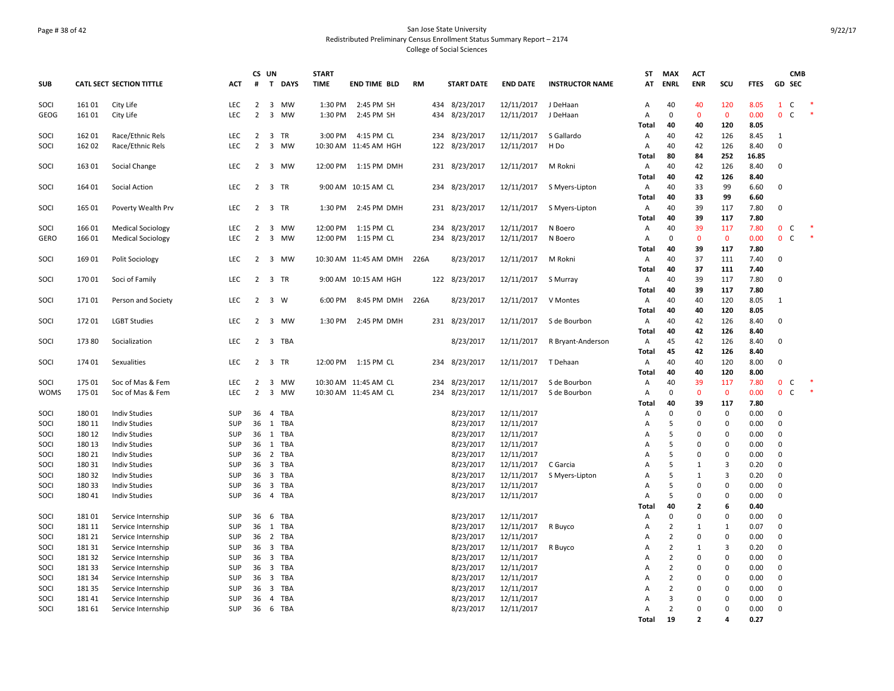# Page # 38 of 42 San Jose State University Redistributed Preliminary Census Enrollment Status Summary Report – 2174 College of Social Sciences

|             |        |                                 |            |                | CS UN                   |             | <b>START</b> |                       |           |     |                   |                 |                        | ST             | <b>MAX</b>     | <b>ACT</b>               |                |             |                              | <b>CMB</b> |        |
|-------------|--------|---------------------------------|------------|----------------|-------------------------|-------------|--------------|-----------------------|-----------|-----|-------------------|-----------------|------------------------|----------------|----------------|--------------------------|----------------|-------------|------------------------------|------------|--------|
| <b>SUB</b>  |        | <b>CATL SECT SECTION TITTLE</b> | <b>ACT</b> | #              | $\mathbf{T}$            | <b>DAYS</b> | <b>TIME</b>  | <b>END TIME BLD</b>   | <b>RM</b> |     | <b>START DATE</b> | <b>END DATE</b> | <b>INSTRUCTOR NAME</b> | AT             | <b>ENRL</b>    | <b>ENR</b>               | SCU            | <b>FTES</b> | GD SEC                       |            |        |
| SOCI        | 161 01 | City Life                       | LEC        | $\overline{2}$ | $\overline{\mathbf{3}}$ | MW          | 1:30 PM      | 2:45 PM SH            |           |     | 434 8/23/2017     | 12/11/2017      | J DeHaan               | A              | 40             | 40                       | 120            | 8.05        | C<br>$\mathbf{1}$            |            |        |
| <b>GEOG</b> | 161 01 | City Life                       | <b>LEC</b> | $\overline{2}$ |                         | 3 MW        | 1:30 PM      | 2:45 PM SH            |           |     | 434 8/23/2017     | 12/11/2017      | J DeHaan               | A              | $\Omega$       | $\Omega$                 | $\mathbf{0}$   | 0.00        | $\mathbf{0}$<br>$\mathsf{C}$ |            |        |
|             |        |                                 |            |                |                         |             |              |                       |           |     |                   |                 |                        | Total          | 40             | 40                       | 120            | 8.05        |                              |            |        |
| SOCI        | 162 01 | Race/Ethnic Rels                | LEC        | $\overline{2}$ |                         | 3 TR        | 3:00 PM      | 4:15 PM CL            |           |     | 234 8/23/2017     | 12/11/2017      | S Gallardo             | Α              | 40             | 42                       | 126            | 8.45        | 1                            |            |        |
| SOCI        | 162 02 | Race/Ethnic Rels                | LEC        | $\overline{2}$ | 3                       | MW          |              | 10:30 AM 11:45 AM HGH |           |     | 122 8/23/2017     | 12/11/2017      | H Do                   | Α              | 40             | 42                       | 126            | 8.40        | $\pmb{0}$                    |            |        |
|             |        |                                 |            |                |                         |             |              |                       |           |     |                   |                 |                        | Total          | 80             | 84                       | 252            | 16.85       |                              |            |        |
| SOCI        | 163 01 | Social Change                   | <b>LEC</b> |                |                         | 2 3 MW      |              | 12:00 PM 1:15 PM DMH  |           |     | 231 8/23/2017     | 12/11/2017      | M Rokni                | Α              | 40             | 42                       | 126            | 8.40        | $\mathbf 0$                  |            |        |
|             |        |                                 |            |                |                         |             |              |                       |           |     |                   |                 |                        | Total          | 40             | 42                       | 126            | 8.40        |                              |            |        |
| SOCI        | 164 01 | <b>Social Action</b>            | <b>LEC</b> | 2              |                         | 3 TR        |              | 9:00 AM 10:15 AM CL   |           |     | 234 8/23/2017     | 12/11/2017      | S Myers-Lipton         | Α              | 40             | 33                       | 99             | 6.60        | $\mathbf 0$                  |            |        |
|             |        |                                 |            |                |                         |             |              |                       |           |     |                   |                 |                        | Total          | 40             | 33                       | 99             | 6.60        |                              |            |        |
| SOCI        | 165 01 | Poverty Wealth Prv              | <b>LEC</b> | $2^{\circ}$    |                         | 3 TR        | 1:30 PM      | 2:45 PM DMH           |           |     | 231 8/23/2017     | 12/11/2017      | S Myers-Lipton         | Α              | 40             | 39                       | 117            | 7.80        | 0                            |            |        |
|             |        |                                 |            |                |                         |             |              |                       |           |     |                   |                 |                        | Total          | 40             | 39                       | 117            | 7.80        |                              |            |        |
| SOCI        | 166 01 | <b>Medical Sociology</b>        | <b>LEC</b> | $\overline{2}$ | $\overline{\mathbf{3}}$ | <b>MW</b>   | 12:00 PM     | 1:15 PM CL            |           |     | 234 8/23/2017     | 12/11/2017      | N Boero                | Α              | 40             | 39                       | 117            | 7.80        | $\mathbf{0}$<br>C            |            |        |
| <b>GERO</b> | 166 01 | <b>Medical Sociology</b>        | <b>LEC</b> | $\overline{2}$ | 3                       | MW          | 12:00 PM     | 1:15 PM CL            |           | 234 | 8/23/2017         | 12/11/2017      | N Boero                | A              | $\Omega$       | $\mathbf{0}$             | $\mathbf{0}$   | 0.00        | $\overline{0}$<br>C          |            |        |
|             |        |                                 |            |                |                         |             |              |                       |           |     |                   |                 |                        | Total          | 40             | 39                       | 117            | 7.80        |                              |            |        |
| SOCI        | 169 01 | Polit Sociology                 | <b>LEC</b> | $\overline{2}$ |                         | 3 MW        |              | 10:30 AM 11:45 AM DMH | 226A      |     | 8/23/2017         | 12/11/2017      | M Rokni                | Α              | 40             | 37                       | 111            | 7.40        | $\mathbf 0$                  |            |        |
|             |        |                                 |            |                |                         |             |              |                       |           |     |                   |                 |                        | Total          | 40             | 37                       | 111            | 7.40        |                              |            |        |
| SOCI        | 170 01 | Soci of Family                  | LEC        |                |                         | 2 3 TR      |              | 9:00 AM 10:15 AM HGH  |           |     | 122 8/23/2017     | 12/11/2017      | S Murray               | Α              | 40             | 39                       | 117            | 7.80        | $\mathbf 0$                  |            |        |
|             |        |                                 |            |                |                         |             |              |                       |           |     |                   |                 |                        | Total          | 40             | 39                       | 117            | 7.80        |                              |            |        |
| SOCI        | 17101  | Person and Society              | <b>LEC</b> | 2              |                         | 3 W         | 6:00 PM      | 8:45 PM DMH           | 226A      |     | 8/23/2017         | 12/11/2017      | V Montes               | Α              | 40             | 40                       | 120            | 8.05        | $\mathbf{1}$                 |            |        |
|             |        |                                 |            |                |                         |             |              |                       |           |     |                   |                 |                        | Total          | 40             | 40                       | 120            | 8.05        |                              |            |        |
| SOCI        | 172 01 | <b>LGBT Studies</b>             | <b>LEC</b> | $\overline{2}$ | $\overline{3}$          | MW          | 1:30 PM      | 2:45 PM DMH           |           |     | 231 8/23/2017     | 12/11/2017      | S de Bourbon           | Α              | 40             | 42                       | 126            | 8.40        | $\mathbf 0$                  |            |        |
|             |        |                                 |            |                |                         |             |              |                       |           |     |                   |                 |                        | <b>Total</b>   | 40             | 42                       | 126            | 8.40        |                              |            |        |
| SOCI        | 173 80 | Socialization                   | LEC        | $\overline{2}$ |                         | 3 TBA       |              |                       |           |     | 8/23/2017         | 12/11/2017      | R Bryant-Anderson      | Α              | 45             | 42                       | 126            | 8.40        | 0                            |            |        |
|             |        |                                 |            |                |                         |             |              |                       |           |     |                   |                 |                        | Total          | 45             | 42                       | 126            | 8.40        |                              |            |        |
| SOCI        | 174 01 | Sexualities                     | <b>LEC</b> |                |                         | 2 3 TR      |              | 12:00 PM 1:15 PM CL   |           |     | 234 8/23/2017     | 12/11/2017      | T Dehaan               | Α              | 40             | 40                       | 120            | 8.00        | $\mathbf 0$                  |            |        |
|             |        |                                 |            |                |                         |             |              |                       |           |     |                   |                 |                        | <b>Total</b>   | 40             | 40                       | 120            | 8.00        |                              |            |        |
| SOCI        | 175 01 | Soc of Mas & Fem                | <b>LEC</b> | $\overline{2}$ | 3                       | MW          |              | 10:30 AM 11:45 AM CL  |           | 234 | 8/23/2017         | 12/11/2017      | S de Bourbon           | Α              | 40             | 39                       | 117            | 7.80        | $\mathbf{0}$<br>C            |            |        |
| <b>WOMS</b> | 175 01 | Soc of Mas & Fem                | LEC        | $\overline{2}$ | $\overline{3}$          | <b>MW</b>   |              | 10:30 AM 11:45 AM CL  |           | 234 | 8/23/2017         | 12/11/2017      | S de Bourbon           | Α              | $\Omega$       | $\Omega$                 | $\mathbf 0$    | 0.00        | 0 <sup>o</sup>               |            | $\ast$ |
|             |        |                                 |            |                |                         |             |              |                       |           |     |                   |                 |                        | Total          | 40             | 39                       | 117            | 7.80        |                              |            |        |
| SOCI        | 18001  | <b>Indiv Studies</b>            | <b>SUP</b> | 36             |                         | 4 TBA       |              |                       |           |     | 8/23/2017         | 12/11/2017      |                        | $\overline{A}$ | $\Omega$       | $\mathbf 0$              | 0              | 0.00        | $\pmb{0}$                    |            |        |
| SOCI        | 180 11 | <b>Indiv Studies</b>            | SUP        | 36             |                         | 1 TBA       |              |                       |           |     | 8/23/2017         | 12/11/2017      |                        | A              | 5              | $\Omega$                 | 0              | 0.00        | $\mathbf 0$                  |            |        |
| SOCI        | 180 12 | <b>Indiv Studies</b>            | <b>SUP</b> | 36             |                         | 1 TBA       |              |                       |           |     | 8/23/2017         | 12/11/2017      |                        | A              | 5              | $\Omega$                 | $\mathbf 0$    | 0.00        | $\mathbf 0$                  |            |        |
| SOCI        | 180 13 | <b>Indiv Studies</b>            | SUP        | 36             |                         | 1 TBA       |              |                       |           |     | 8/23/2017         | 12/11/2017      |                        | $\overline{A}$ | 5              | 0                        | $\mathbf 0$    | 0.00        | $\mathbf 0$                  |            |        |
| SOCI        | 180 21 | <b>Indiv Studies</b>            | <b>SUP</b> | 36             |                         | 2 TBA       |              |                       |           |     | 8/23/2017         | 12/11/2017      |                        | A              | 5              | $\mathbf 0$              | $\mathbf 0$    | 0.00        | $\mathbf 0$                  |            |        |
| SOCI        | 180 31 | <b>Indiv Studies</b>            | <b>SUP</b> | 36             |                         | 3 TBA       |              |                       |           |     | 8/23/2017         | 12/11/2017      | C Garcia               | A              | 5              | $\mathbf{1}$             | $\overline{3}$ | 0.20        | $\mathbf 0$                  |            |        |
| SOCI        | 180 32 | <b>Indiv Studies</b>            | <b>SUP</b> | 36             |                         | 3 TBA       |              |                       |           |     | 8/23/2017         | 12/11/2017      | S Myers-Lipton         | A              | 5              | $\mathbf{1}$             | $\overline{3}$ | 0.20        | $\mathbf 0$                  |            |        |
| SOCI        | 180 33 | <b>Indiv Studies</b>            | <b>SUP</b> | 36             |                         | 3 TBA       |              |                       |           |     | 8/23/2017         | 12/11/2017      |                        | A              | 5              | $\mathbf 0$              | 0              | 0.00        | $\mathbf 0$                  |            |        |
| SOCI        | 18041  | <b>Indiv Studies</b>            | <b>SUP</b> | 36             | $\overline{4}$          | TBA         |              |                       |           |     | 8/23/2017         | 12/11/2017      |                        | A              | 5              | $\Omega$                 | $\mathbf 0$    | 0.00        | $\mathbf 0$                  |            |        |
|             |        |                                 |            |                |                         |             |              |                       |           |     |                   |                 |                        | Total          | 40             | $\overline{2}$           | 6              | 0.40        |                              |            |        |
| SOCI        | 181 01 | Service Internship              | SUP        | 36             |                         | 6 TBA       |              |                       |           |     | 8/23/2017         | 12/11/2017      |                        | $\overline{A}$ | 0              | $\Omega$                 | $\pmb{0}$      | 0.00        | $\mathbf 0$                  |            |        |
| SOCI        | 181 11 | Service Internship              | SUP        | 36             |                         | 1 TBA       |              |                       |           |     | 8/23/2017         | 12/11/2017      | R Buyco                | A              | $\overline{2}$ | $\mathbf{1}$             | $\mathbf{1}$   | 0.07        | $\pmb{0}$                    |            |        |
| SOCI        | 181 21 | Service Internship              | SUP        | 36             |                         | 2 TBA       |              |                       |           |     | 8/23/2017         | 12/11/2017      |                        | A              | $\overline{2}$ | 0                        | $\mathbf 0$    | 0.00        | $\mathbf 0$                  |            |        |
| SOCI        | 18131  | Service Internship              | SUP        | 36             |                         | 3 TBA       |              |                       |           |     | 8/23/2017         | 12/11/2017      | R Buyco                | A              | $\overline{2}$ | $\mathbf{1}$             | $\overline{3}$ | 0.20        | $\pmb{0}$                    |            |        |
| SOCI        | 18132  | Service Internship              | SUP        | 36             |                         | 3 TBA       |              |                       |           |     | 8/23/2017         | 12/11/2017      |                        | $\overline{A}$ | $\overline{2}$ | 0                        | 0              | 0.00        | $\mathbf 0$                  |            |        |
| SOCI        | 18133  | Service Internship              | <b>SUP</b> | 36             |                         | 3 TBA       |              |                       |           |     | 8/23/2017         | 12/11/2017      |                        | A              | $\overline{2}$ | 0                        | $\mathbf 0$    | 0.00        | $\mathbf 0$                  |            |        |
| SOCI        | 181 34 | Service Internship              | SUP        | 36             | $\overline{\mathbf{3}}$ | TBA         |              |                       |           |     | 8/23/2017         | 12/11/2017      |                        | A              | $\overline{2}$ | $\Omega$                 | $\mathbf 0$    | 0.00        | $\mathbf 0$                  |            |        |
| SOCI        | 181 35 | Service Internship              | SUP        | 36             | $\overline{\mathbf{3}}$ | TBA         |              |                       |           |     | 8/23/2017         | 12/11/2017      |                        | A              | $\overline{2}$ | $\Omega$                 | $\Omega$       | 0.00        | $\mathbf 0$                  |            |        |
| SOCI        | 181 41 | Service Internship              | SUP        | 36             | $\overline{4}$          | TBA         |              |                       |           |     | 8/23/2017         | 12/11/2017      |                        | $\overline{A}$ | $\overline{3}$ | $\Omega$                 | $\mathbf 0$    | 0.00        | $\mathbf 0$                  |            |        |
| SOCI        | 181 61 | Service Internship              | <b>SUP</b> | 36             |                         | 6 TBA       |              |                       |           |     | 8/23/2017         | 12/11/2017      |                        | A              | $\overline{2}$ | $\Omega$                 | $\Omega$       | 0.00        | $\Omega$                     |            |        |
|             |        |                                 |            |                |                         |             |              |                       |           |     |                   |                 |                        | Total          | 19             | $\overline{\phantom{a}}$ | 4              | 0.27        |                              |            |        |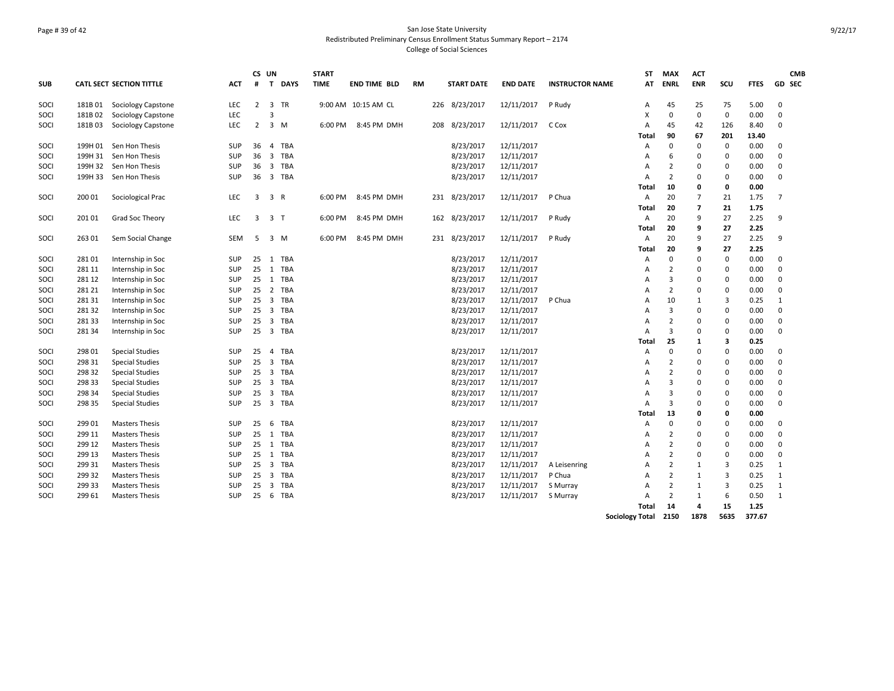# Page # 39 of 42 San Jose State University Redistributed Preliminary Census Enrollment Status Summary Report – 2174 College of Social Sciences

|            |         |                                 |            |                | CS UN                   |            | <b>START</b> |                     |    |                        |                 |                        | ST                     | <b>MAX</b>     | <b>ACT</b>       |                |             | <b>CMB</b>     |
|------------|---------|---------------------------------|------------|----------------|-------------------------|------------|--------------|---------------------|----|------------------------|-----------------|------------------------|------------------------|----------------|------------------|----------------|-------------|----------------|
| <b>SUB</b> |         | <b>CATL SECT SECTION TITTLE</b> | ACT        | #              |                         | T DAYS     | <b>TIME</b>  | <b>END TIME BLD</b> | RM | <b>START DATE</b>      | <b>END DATE</b> | <b>INSTRUCTOR NAME</b> | AT                     | <b>ENRL</b>    | <b>ENR</b>       | SCU            | <b>FTES</b> | GD SEC         |
| SOCI       | 181B 01 | Sociology Capstone              | <b>LEC</b> | $\overline{2}$ |                         | 3 TR       |              | 9:00 AM 10:15 AM CL |    | 226 8/23/2017          | 12/11/2017      | P Rudy                 | Α                      | 45             | 25               | 75             | 5.00        | $\mathbf 0$    |
| SOCI       | 181B02  | Sociology Capstone              | LEC        |                | 3                       |            |              |                     |    |                        |                 |                        | $\times$               | 0              | $\mathbf 0$      | $\mathbf 0$    | 0.00        | $\Omega$       |
| SOCI       | 181B03  | Sociology Capstone              | <b>LEC</b> | $\overline{2}$ |                         | 3 M        | 6:00 PM      | 8:45 PM DMH         |    | 208 8/23/2017          | 12/11/2017      | C Cox                  | $\overline{A}$         | 45             | 42               | 126            | 8.40        | $\Omega$       |
|            |         |                                 |            |                |                         |            |              |                     |    |                        |                 |                        | Total                  | 90             | 67               | 201            | 13.40       |                |
| SOCI       | 199H 01 | Sen Hon Thesis                  | SUP        | 36             | 4                       | <b>TBA</b> |              |                     |    | 8/23/2017              | 12/11/2017      |                        | $\overline{A}$         | 0              | $\mathbf 0$      | $\mathbf 0$    | 0.00        | $\Omega$       |
| SOCI       | 199H 31 | Sen Hon Thesis                  | <b>SUP</b> |                |                         | 36 3 TBA   |              |                     |    | 8/23/2017              | 12/11/2017      |                        | $\overline{A}$         | 6              | $\mathbf 0$      | $\Omega$       | 0.00        | $\Omega$       |
| SOCI       | 199H 32 | Sen Hon Thesis                  | SUP        | 36             |                         | 3 TBA      |              |                     |    | 8/23/2017              | 12/11/2017      |                        | $\overline{A}$         | $\overline{2}$ | $\mathbf 0$      | 0              | 0.00        | $\Omega$       |
| SOCI       | 199H 33 | Sen Hon Thesis                  | <b>SUP</b> | 36             |                         | 3 TBA      |              |                     |    | 8/23/2017              | 12/11/2017      |                        | $\overline{A}$         | $\overline{2}$ | $\mathbf 0$      | $\mathbf 0$    | 0.00        | $\mathbf 0$    |
|            |         |                                 |            |                |                         |            |              |                     |    |                        |                 |                        | Total                  | 10             | 0                | 0              | 0.00        |                |
| SOCI       | 200 01  | Sociological Prac               | LEC        | 3              | 3 R                     |            | 6:00 PM      | 8:45 PM DMH         |    | 231 8/23/2017          | 12/11/2017      | P Chua                 | Α                      | 20             | $\overline{7}$   | 21             | 1.75        | $\overline{7}$ |
|            |         |                                 |            |                |                         |            |              |                     |    |                        |                 |                        | Total                  | 20             | $\overline{7}$   | 21             | 1.75        |                |
| SOCI       | 201 01  | Grad Soc Theory                 | LEC        | 3              | 3 <sub>7</sub>          |            | 6:00 PM      | 8:45 PM DMH         |    | 162 8/23/2017          | 12/11/2017      | P Rudy                 | Α                      | 20             | 9                | 27             | 2.25        | 9              |
|            |         |                                 |            |                |                         |            |              |                     |    |                        |                 |                        | Total                  | 20             | 9                | 27             | 2.25        |                |
| SOCI       | 263 01  | Sem Social Change               | SEM        | 5              |                         | $3 \, M$   | 6:00 PM      | 8:45 PM DMH         |    | 231 8/23/2017          | 12/11/2017      | P Rudy                 | Α                      | 20             | 9                | 27             | 2.25        | 9              |
|            |         |                                 |            |                |                         |            |              |                     |    |                        |                 |                        | Total                  | 20             | 9                | 27             | 2.25        |                |
| SOCI       | 281 01  | Internship in Soc               | <b>SUP</b> |                |                         | 25 1 TBA   |              |                     |    | 8/23/2017              | 12/11/2017      |                        | $\overline{A}$         | 0              | $\mathbf 0$      | $\mathbf 0$    | 0.00        | $\mathbf 0$    |
| SOCI       | 281 11  | Internship in Soc               | SUP        | 25             |                         | 1 TBA      |              |                     |    | 8/23/2017              | 12/11/2017      |                        | A                      | $\overline{2}$ | $\mathbf 0$      | $\pmb{0}$      | 0.00        | $\mathbf 0$    |
| SOCI       | 281 12  | Internship in Soc               | SUP        | 25             |                         | 1 TBA      |              |                     |    | 8/23/2017              | 12/11/2017      |                        | A                      | 3              | $\mathbf 0$      | $\pmb{0}$      | 0.00        | $\Omega$       |
| SOCI       | 281 21  | Internship in Soc               | SUP        | 25             |                         | 2 TBA      |              |                     |    | 8/23/2017              | 12/11/2017      |                        | $\overline{A}$         | $\overline{2}$ | $\mathbf 0$      | $\pmb{0}$      | 0.00        | $\mathbf 0$    |
| SOCI       | 281 31  | Internship in Soc               | SUP        | 25             |                         | 3 TBA      |              |                     |    | 8/23/2017              | 12/11/2017      | P Chua                 | A                      | 10             | 1                | $\overline{3}$ | 0.25        | $\mathbf{1}$   |
| SOCI       | 281 32  | Internship in Soc               | SUP        | 25             |                         | 3 TBA      |              |                     |    | 8/23/2017              | 12/11/2017      |                        | A                      | 3              | 0                | $\Omega$       | 0.00        | $\Omega$       |
| SOCI       | 281 33  | Internship in Soc               | SUP        | 25             | $\overline{\mathbf{3}}$ | <b>TBA</b> |              |                     |    | 8/23/2017              | 12/11/2017      |                        | A                      | $\overline{2}$ | $\mathbf 0$      | 0              | 0.00        | $\mathbf 0$    |
| SOCI       | 28134   | Internship in Soc               | SUP        |                |                         | 25 3 TBA   |              |                     |    | 8/23/2017              | 12/11/2017      |                        | A                      | 3              | $\mathbf 0$      | $\mathbf 0$    | 0.00        | $\Omega$       |
|            |         |                                 |            |                |                         |            |              |                     |    |                        |                 |                        | <b>Total</b>           | 25             | 1                | 3              | 0.25        |                |
| SOCI       | 298 01  | <b>Special Studies</b>          | SUP        | 25             | $\overline{4}$          | <b>TBA</b> |              |                     |    | 8/23/2017              | 12/11/2017      |                        | $\overline{A}$         | 0              | $\mathbf 0$      | $\pmb{0}$      | 0.00        | $\mathbf 0$    |
| SOCI       | 298 31  | <b>Special Studies</b>          | SUP        | 25             |                         | 3 TBA      |              |                     |    | 8/23/2017              | 12/11/2017      |                        | A                      | $\overline{2}$ | $\mathbf 0$      | $\pmb{0}$      | 0.00        | $\mathbf 0$    |
| SOCI       | 298 32  | <b>Special Studies</b>          | SUP        | 25             |                         | 3 TBA      |              |                     |    | 8/23/2017              | 12/11/2017      |                        | Α                      | $\overline{2}$ | 0                | $\mathbf 0$    | 0.00        | $\Omega$       |
|            |         |                                 |            |                |                         |            |              |                     |    |                        |                 |                        |                        | 3              |                  | $\mathbf 0$    |             | $\Omega$       |
| SOCI       | 298 33  | <b>Special Studies</b>          | SUP        | 25             | $\overline{\mathbf{3}}$ | <b>TBA</b> |              |                     |    | 8/23/2017              | 12/11/2017      |                        | A<br>$\overline{A}$    | 3              | 0                |                | 0.00        | $\mathbf 0$    |
| SOCI       | 298 34  | <b>Special Studies</b>          | SUP        | 25             |                         | 3 TBA      |              |                     |    | 8/23/2017              | 12/11/2017      |                        |                        |                | 0                | $\pmb{0}$      | 0.00        | $\Omega$       |
| SOCI       | 298 35  | <b>Special Studies</b>          | <b>SUP</b> |                |                         | 25 3 TBA   |              |                     |    | 8/23/2017              | 12/11/2017      |                        | $\overline{A}$         | 3              | 0                | $\mathbf 0$    | 0.00        |                |
|            |         |                                 |            |                |                         |            |              |                     |    |                        |                 |                        | Total                  | 13<br>0        | 0<br>$\mathbf 0$ | 0              | 0.00        | $\Omega$       |
| SOCI       | 299 01  | <b>Masters Thesis</b>           | <b>SUP</b> | 25             | 6                       | TBA        |              |                     |    | 8/23/2017<br>8/23/2017 | 12/11/2017      |                        | A                      | $\overline{2}$ |                  | 0<br>$\Omega$  | 0.00        | $\Omega$       |
| SOCI       | 299 11  | <b>Masters Thesis</b>           | SUP        |                |                         | 25 1 TBA   |              |                     |    |                        | 12/11/2017      |                        | A                      |                | 0                |                | 0.00        |                |
| SOCI       | 299 12  | <b>Masters Thesis</b>           | SUP        |                |                         | 25 1 TBA   |              |                     |    | 8/23/2017              | 12/11/2017      |                        | A                      | 2              | 0                | $\Omega$       | 0.00        | $\Omega$       |
| SOCI       | 299 13  | <b>Masters Thesis</b>           | SUP        |                |                         | 25 1 TBA   |              |                     |    | 8/23/2017              | 12/11/2017      |                        | $\overline{A}$         | $\overline{2}$ | $\Omega$         | 0              | 0.00        | $\Omega$       |
| SOCI       | 299 31  | <b>Masters Thesis</b>           | SUP        |                |                         | 25 3 TBA   |              |                     |    | 8/23/2017              | 12/11/2017      | A Leisenring           | Α                      | 2              | 1                | 3              | 0.25        | 1              |
| SOCI       | 299 32  | <b>Masters Thesis</b>           | SUP        | 25             |                         | 3 TBA      |              |                     |    | 8/23/2017              | 12/11/2017      | P Chua                 | $\overline{A}$         | 2              | 1                | 3              | 0.25        | 1              |
| SOCI       | 299 33  | <b>Masters Thesis</b>           | SUP        | 25             | $\overline{\mathbf{3}}$ | TBA        |              |                     |    | 8/23/2017              | 12/11/2017      | S Murray               | Α                      | 2              | 1                | 3              | 0.25        | 1              |
| SOCI       | 299 61  | <b>Masters Thesis</b>           | <b>SUP</b> | 25             | 6                       | TBA        |              |                     |    | 8/23/2017              | 12/11/2017      | S Murray               | $\mathsf{A}$           | $\overline{2}$ | $\mathbf{1}$     | 6              | 0.50        | 1              |
|            |         |                                 |            |                |                         |            |              |                     |    |                        |                 |                        | Total                  | 14             | 4                | 15             | 1.25        |                |
|            |         |                                 |            |                |                         |            |              |                     |    |                        |                 |                        | <b>Sociology Total</b> | 2150           | 1878             | 5635           | 377.67      |                |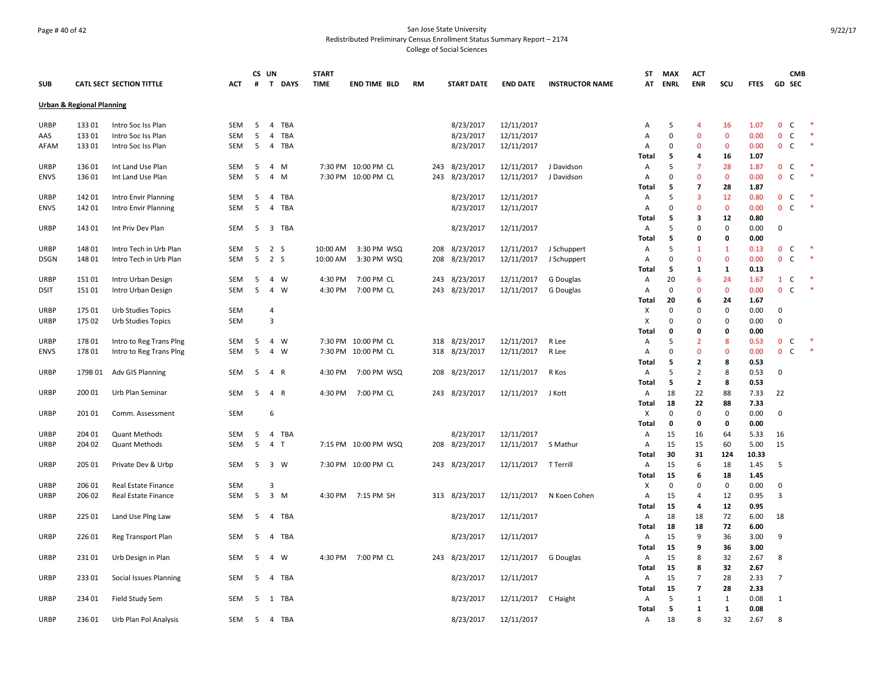# Page # 40 of 42 San Jose State University Redistributed Preliminary Census Enrollment Status Summary Report – 2174 College of Social Sciences

|             |                                      |                                 |            |                | CS UN          |             | <b>START</b> |                      |     |                   |                      |                        | ST                    | <b>MAX</b>  | <b>ACT</b>                       |                    |              |                              | <b>CMB</b> |        |
|-------------|--------------------------------------|---------------------------------|------------|----------------|----------------|-------------|--------------|----------------------|-----|-------------------|----------------------|------------------------|-----------------------|-------------|----------------------------------|--------------------|--------------|------------------------------|------------|--------|
| <b>SUB</b>  |                                      | <b>CATL SECT SECTION TITTLE</b> | ACT        | #              | $\mathbf{T}$   | <b>DAYS</b> | <b>TIME</b>  | <b>END TIME BLD</b>  | RM  | <b>START DATE</b> | <b>END DATE</b>      | <b>INSTRUCTOR NAME</b> | AT                    | <b>ENRL</b> | <b>ENR</b>                       | scu                | <b>FTES</b>  | <b>GD SEC</b>                |            |        |
|             | <b>Urban &amp; Regional Planning</b> |                                 |            |                |                |             |              |                      |     |                   |                      |                        |                       |             |                                  |                    |              |                              |            |        |
| <b>URBP</b> | 133 01                               | Intro Soc Iss Plan              | <b>SEM</b> | 5              | $\overline{4}$ | TBA         |              |                      |     | 8/23/2017         | 12/11/2017           |                        | A                     | 5           | $\overline{4}$                   | 16                 | 1.07         | $\mathbf 0$<br>C             |            |        |
| AAS         | 133 01                               | Intro Soc Iss Plan              | <b>SEM</b> | 5              | 4              | <b>TBA</b>  |              |                      |     | 8/23/2017         | 12/11/2017           |                        | Α                     | $\mathbf 0$ | $\mathbf{0}$                     | $\mathbf 0$        | 0.00         | $\mathbf 0$<br>C             |            |        |
| AFAM        | 133 01                               | Intro Soc Iss Plan              | SEM        | 5              | $\overline{4}$ | TBA         |              |                      |     | 8/23/2017         | 12/11/2017           |                        | Α                     | 0           | 0                                | $\mathbf 0$        | 0.00         | $\mathbf{0}$<br><sub>c</sub> |            |        |
|             |                                      |                                 |            |                |                |             |              |                      |     |                   |                      |                        | Total                 | 5           | 4                                | 16                 | 1.07         |                              |            |        |
| <b>URBP</b> | 136 01                               | Int Land Use Plan               | SEM        | 5              | $\overline{4}$ | M           |              | 7:30 PM 10:00 PM CL  | 243 | 8/23/2017         | 12/11/2017           | J Davidson             | Α                     | 5           | $\overline{7}$                   | 28                 | 1.87         | $\mathbf{0}$<br><sub>c</sub> |            |        |
| <b>ENVS</b> | 136 01                               | Int Land Use Plan               | <b>SEM</b> | 5              | $\overline{4}$ | M           |              | 7:30 PM 10:00 PM CL  | 243 | 8/23/2017         | 12/11/2017           | J Davidson             | $\overline{A}$        | $\mathbf 0$ | $\Omega$                         | $\mathbf{0}$       | 0.00         | $\mathbf{0}$<br>C            |            |        |
|             |                                      |                                 |            |                |                |             |              |                      |     |                   |                      |                        | Total                 | 5           | $\overline{7}$                   | 28                 | 1.87         |                              |            |        |
| <b>URBP</b> | 142 01                               | Intro Envir Planning            | SEM        | 5              | 4              | TBA         |              |                      |     | 8/23/2017         | 12/11/2017           |                        | Α                     | 5           | 3                                | 12                 | 0.80         | $\mathbf{0}$<br>C            |            |        |
| <b>ENVS</b> | 142 01                               | Intro Envir Planning            | <b>SEM</b> | 5              | 4              | TBA         |              |                      |     | 8/23/2017         | 12/11/2017           |                        | Α                     | $\mathbf 0$ | $\mathbf{0}$                     | $\mathbf 0$        | 0.00         | $\mathbf{0}$<br>C            |            | $\ast$ |
|             |                                      |                                 |            |                |                |             |              |                      |     |                   |                      |                        | Total                 | 5           | 3                                | 12                 | 0.80         |                              |            |        |
| <b>URBP</b> | 143 01                               | Int Priv Dev Plan               | <b>SEM</b> |                |                | 5 3 TBA     |              |                      |     | 8/23/2017         | 12/11/2017           |                        | Α                     | 5           | $\Omega$                         | $\mathbf 0$        | 0.00         | $\mathbf 0$                  |            |        |
|             |                                      |                                 |            |                |                |             |              |                      |     |                   |                      |                        | Total                 | 5           | 0                                | 0                  | 0.00         |                              |            |        |
| <b>URBP</b> | 148 01                               | Intro Tech in Urb Plan          | SEM        | 5              | 2 <sub>5</sub> |             | 10:00 AM     | 3:30 PM WSQ          | 208 | 8/23/2017         | 12/11/2017           | J Schuppert            | Α                     | 5           | $\mathbf{1}$                     | $\mathbf{1}$       | 0.13         | $\mathbf{0}$<br>C            |            |        |
| <b>DSGN</b> | 148 01                               | Intro Tech in Urb Plan          | <b>SEM</b> | 5              | 2 S            |             | 10:00 AM     | 3:30 PM WSQ          | 208 | 8/23/2017         | 12/11/2017           | J Schuppert            | Α                     | $\mathbf 0$ | $\Omega$                         | $\mathbf 0$        | 0.00         | $\mathbf{0}$<br>C            |            |        |
|             |                                      |                                 |            |                |                |             |              |                      |     |                   |                      |                        | Total                 | 5           | 1                                | 1                  | 0.13         |                              |            |        |
| <b>URBP</b> | 151 01                               | Intro Urban Design              | <b>SEM</b> | 5              | 4 W            |             | 4:30 PM      | 7:00 PM CL           | 243 | 8/23/2017         | 12/11/2017           | G Douglas              | Α                     | 20          | 6                                | 24                 | 1.67         | $\mathbf{1}$<br>C            |            |        |
| <b>DSIT</b> | 151 01                               | Intro Urban Design              | <b>SEM</b> | 5              | $\overline{4}$ | <b>W</b>    | 4:30 PM      | 7:00 PM CL           | 243 | 8/23/2017         | 12/11/2017           | G Douglas              | A                     | $\mathbf 0$ | $\Omega$                         | $\mathbf{0}$       | 0.00         | $\mathbf{0}$<br>C            |            |        |
|             |                                      |                                 |            |                |                |             |              |                      |     |                   |                      |                        | Total                 | 20          | 6                                | 24                 | 1.67         |                              |            |        |
| <b>URBP</b> | 175 01                               | Urb Studies Topics              | <b>SEM</b> |                | $\overline{4}$ |             |              |                      |     |                   |                      |                        | х                     | $\mathbf 0$ | $\Omega$                         | 0                  | 0.00         | $\mathbf 0$                  |            |        |
| <b>URBP</b> | 175 02                               | Urb Studies Topics              | <b>SEM</b> |                | $\overline{3}$ |             |              |                      |     |                   |                      |                        | х                     | 0           | 0                                | 0                  | 0.00         | $\mathbf 0$                  |            |        |
|             |                                      |                                 |            |                |                |             |              |                      |     |                   |                      |                        | Total                 | 0           | 0                                | 0                  | 0.00         |                              |            |        |
| <b>URBP</b> | 178 01                               | Intro to Reg Trans Ping         | <b>SEM</b> | 5              | $\overline{4}$ | W           |              | 7:30 PM 10:00 PM CL  | 318 | 8/23/2017         | 12/11/2017           | R Lee                  | Α                     | 5           | $\overline{2}$                   | 8                  | 0.53         | $\mathbf{0}$<br><sub>c</sub> |            |        |
| <b>ENVS</b> | 178 01                               | Intro to Reg Trans Ping         | <b>SEM</b> | 5              | $\overline{4}$ | W           |              | 7:30 PM 10:00 PM CL  |     | 318 8/23/2017     | 12/11/2017           | R Lee                  | Α                     | $\mathbf 0$ | $\Omega$                         | $\mathbf 0$        | 0.00         | $\mathbf{0}$<br>C            |            |        |
|             |                                      |                                 |            |                |                |             |              |                      |     |                   |                      |                        | Total                 | 5           | 2                                | 8                  | 0.53         |                              |            |        |
| <b>URBP</b> |                                      | 179B 01 Adv GIS Planning        | SEM        | 5              | $\overline{4}$ | R           | 4:30 PM      | 7:00 PM WSQ          |     | 208 8/23/2017     | 12/11/2017           | R Kos                  | Α                     | 5           | $\overline{2}$                   | 8                  | 0.53         | 0                            |            |        |
|             |                                      |                                 |            |                |                |             |              |                      |     |                   |                      |                        | Total                 | 5           | $\mathbf{z}$                     | 8                  | 0.53         |                              |            |        |
| <b>URBP</b> | 200 01                               | Urb Plan Seminar                | <b>SEM</b> | 5              | $\overline{4}$ | R           | 4:30 PM      | 7:00 PM CL           |     | 243 8/23/2017     | 12/11/2017           | J Kott                 | Α                     | 18          | 22                               | 88                 | 7.33         | 22                           |            |        |
|             |                                      |                                 |            |                |                |             |              |                      |     |                   |                      |                        | Total                 | 18          | 22                               | 88                 | 7.33         |                              |            |        |
| <b>URBP</b> | 201 01                               | Comm. Assessment                | <b>SEM</b> |                | 6              |             |              |                      |     |                   |                      |                        | х                     | $\mathbf 0$ | $\Omega$                         | $\pmb{0}$          | 0.00         | $\mathbf 0$                  |            |        |
|             |                                      |                                 |            |                |                |             |              |                      |     |                   |                      |                        | Total                 | $\mathbf 0$ | 0                                | 0                  | 0.00         |                              |            |        |
| <b>URBP</b> | 204 01                               | <b>Quant Methods</b>            | SEM        | 5              |                | 4 TBA       |              |                      |     | 8/23/2017         | 12/11/2017           |                        | Α                     | 15          | 16                               | 64                 | 5.33         | 16                           |            |        |
| <b>URBP</b> | 204 02                               | <b>Quant Methods</b>            | <b>SEM</b> | 5              | $\overline{4}$ | T           |              | 7:15 PM 10:00 PM WSQ |     | 208 8/23/2017     | 12/11/2017           | S Mathur               | A                     | 15          | 15                               | 60                 | 5.00         | 15                           |            |        |
|             |                                      |                                 |            |                |                |             |              |                      |     |                   |                      |                        | Total                 | 30          | 31                               | 124                | 10.33        |                              |            |        |
| <b>URBP</b> | 205 01                               | Private Dev & Urbp              | <b>SEM</b> | 5              | 3 W            |             |              | 7:30 PM 10:00 PM CL  |     | 243 8/23/2017     | 12/11/2017 T Terrill |                        | A                     | 15          | 6                                | 18                 | 1.45         | .5                           |            |        |
|             |                                      |                                 |            |                |                |             |              |                      |     |                   |                      |                        | Total                 | 15          | 6                                | 18                 | 1.45         |                              |            |        |
| <b>URBP</b> | 206 01                               | Real Estate Finance             | SEM        |                | 3              |             |              |                      |     |                   |                      |                        | х                     | $\mathbf 0$ | $\Omega$                         | $\pmb{0}$          | 0.00         | 0                            |            |        |
| <b>URBP</b> | 206 02                               | Real Estate Finance             | SEM        | 5 <sup>5</sup> | $3 \, M$       |             |              | 4:30 PM 7:15 PM SH   |     | 313 8/23/2017     | 12/11/2017           | N Koen Cohen           | Α                     | 15          | 4                                | 12                 | 0.95         | 3                            |            |        |
|             |                                      |                                 |            |                |                |             |              |                      |     |                   |                      |                        | Total                 | 15          | 4                                | 12                 | 0.95         |                              |            |        |
| <b>URBP</b> | 225 01                               | Land Use Ping Law               | <b>SEM</b> | 5              | 4              | TBA         |              |                      |     | 8/23/2017         | 12/11/2017           |                        | Α                     | 18          | 18                               | 72                 | 6.00         | 18                           |            |        |
|             |                                      |                                 |            |                |                |             |              |                      |     |                   |                      |                        | Total                 | 18          | 18                               | 72                 | 6.00         |                              |            |        |
| <b>URBP</b> | 226 01                               | Reg Transport Plan              | <b>SEM</b> | 5              | 4              | TBA         |              |                      |     | 8/23/2017         | 12/11/2017           |                        | Α                     | 15          | 9                                | 36                 | 3.00         | 9                            |            |        |
|             |                                      |                                 |            |                |                |             |              |                      |     |                   |                      |                        | Total                 | 15          | 9                                | 36                 | 3.00         |                              |            |        |
| URBP        | 23101                                | Urb Design in Plan              | SEM        | 5              | 4              | w           | 4:30 PM      | 7:00 PM CL           | 243 | 8/23/2017         | 12/11/2017           | G Douglas              | Α                     | 15          | 8                                | 32                 | 2.67         | 8                            |            |        |
|             |                                      |                                 |            |                |                |             |              |                      |     |                   |                      |                        | Total                 | 15          | 8                                | 32                 | 2.67         |                              |            |        |
| <b>URBP</b> | 23301                                | Social Issues Planning          | SEM        | -5             |                | 4 TBA       |              |                      |     | 8/23/2017         | 12/11/2017           |                        | $\mathsf{A}$          | 15<br>15    | $\overline{7}$<br>$\overline{7}$ | 28                 | 2.33<br>2.33 | $\overline{7}$               |            |        |
| <b>URBP</b> | 234 01                               |                                 | SEM        | 5              |                | 1 TBA       |              |                      |     | 8/23/2017         | 12/11/2017           | C Haight               | <b>Total</b><br>Α     | 5           | $\mathbf{1}$                     | 28<br>$\mathbf{1}$ | 0.08         |                              |            |        |
|             |                                      | Field Study Sem                 |            |                |                |             |              |                      |     |                   |                      |                        |                       | 5           | 1                                | 1                  | 0.08         | 1                            |            |        |
| <b>URBP</b> | 236 01                               | Urb Plan Pol Analysis           | SEM        | -5             |                | 4 TBA       |              |                      |     | 8/23/2017         | 12/11/2017           |                        | Total<br>$\mathsf{A}$ | 18          | 8                                | 32                 | 2.67         | 8                            |            |        |
|             |                                      |                                 |            |                |                |             |              |                      |     |                   |                      |                        |                       |             |                                  |                    |              |                              |            |        |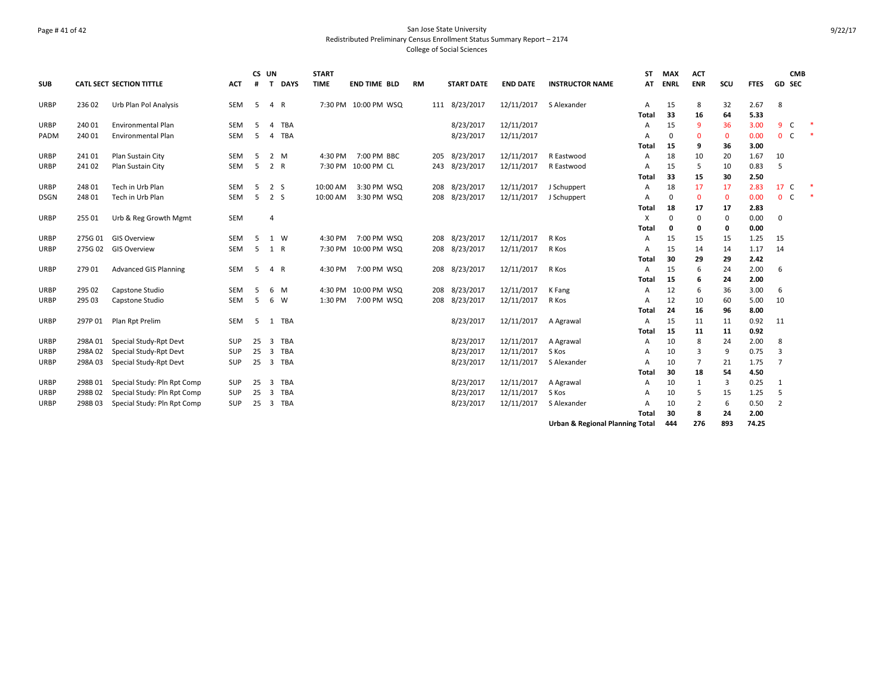# Page # 41 of 42 San Jose State University Redistributed Preliminary Census Enrollment Status Summary Report – 2174 College of Social Sciences

|                            |         |                                 |            | CS UN |                |             | <b>START</b> |                      |           |                   |                 |                                            | <b>ST</b> | <b>MAX</b>  | <b>ACT</b>     |             |              |                | <b>CMB</b>    |  |
|----------------------------|---------|---------------------------------|------------|-------|----------------|-------------|--------------|----------------------|-----------|-------------------|-----------------|--------------------------------------------|-----------|-------------|----------------|-------------|--------------|----------------|---------------|--|
| <b>SUB</b>                 |         | <b>CATL SECT SECTION TITTLE</b> | <b>ACT</b> | #     | $\mathbf{T}$   | <b>DAYS</b> | <b>TIME</b>  | <b>END TIME BLD</b>  | <b>RM</b> | <b>START DATE</b> | <b>END DATE</b> | <b>INSTRUCTOR NAME</b>                     | AT        | <b>ENRL</b> | <b>ENR</b>     | scu         | <b>FTES</b>  |                | <b>GD SEC</b> |  |
| <b>URBP</b>                | 236 02  | Urb Plan Pol Analysis           | SEM        | 5     | 4 R            |             |              | 7:30 PM 10:00 PM WSQ |           | 111 8/23/2017     | 12/11/2017      | S Alexander                                | Α         | 15          | 8              | 32          | 2.67         | 8              |               |  |
|                            |         |                                 |            |       |                |             |              |                      |           |                   |                 |                                            | Total     | 33          | 16             | 64          | 5.33         |                |               |  |
| <b>URBP</b>                | 240 01  | <b>Environmental Plan</b>       | <b>SEM</b> | .5    | $\overline{a}$ | TBA         |              |                      |           | 8/23/2017         | 12/11/2017      |                                            | A         | 15          | 9              | 36          | 3.00         | 9              | C             |  |
| PADM                       | 240 01  | <b>Environmental Plan</b>       | <b>SEM</b> | 5     | 4              | <b>TBA</b>  |              |                      |           | 8/23/2017         | 12/11/2017      |                                            | A         | $\mathbf 0$ | $\mathbf{0}$   | $\mathbf 0$ | 0.00         | $\mathbf 0$    | C             |  |
|                            |         |                                 |            |       |                |             |              |                      |           |                   |                 |                                            | Total     | 15          | 9              | 36          | 3.00         |                |               |  |
| <b>URBP</b>                | 241 01  | Plan Sustain City               | <b>SEM</b> | 5     |                | 2 M         | 4:30 PM      | 7:00 PM BBC          |           | 205 8/23/2017     | 12/11/2017      | R Eastwood                                 | Α         | 18          | 10             | 20          | 1.67         | 10             |               |  |
| <b>URBP</b>                | 241 02  | Plan Sustain City               | <b>SEM</b> | 5     | 2 R            |             |              | 7:30 PM 10:00 PM CL  |           | 243 8/23/2017     | 12/11/2017      | R Eastwood                                 | A         | 15          | 5              | 10          | 0.83         | 5              |               |  |
|                            |         |                                 |            |       |                |             |              |                      |           |                   |                 |                                            | Total     | 33          | 15             | 30          | 2.50         |                |               |  |
| <b>URBP</b>                | 248 01  | Tech in Urb Plan                | SEM        | 5     | 2 S            |             | 10:00 AM     | 3:30 PM WSQ          |           | 208 8/23/2017     | 12/11/2017      | J Schuppert                                | Α         | 18          | 17             | 17          | 2.83         | 17             | <sub>c</sub>  |  |
| <b>DSGN</b>                | 248 01  | Tech in Urb Plan                | <b>SEM</b> | .5    | 2 S            |             | 10:00 AM     | 3:30 PM WSQ          |           | 208 8/23/2017     | 12/11/2017      | J Schuppert                                | A         | 0           | $\mathbf{0}$   | $\mathbf 0$ | 0.00         | $\mathbf{0}$   | C             |  |
|                            |         |                                 |            |       |                |             |              |                      |           |                   |                 |                                            | Total     | 18          | 17             | 17          | 2.83         |                |               |  |
| <b>URBP</b>                | 255 01  | Urb & Reg Growth Mgmt           | <b>SEM</b> |       | $\overline{4}$ |             |              |                      |           |                   |                 |                                            | X         | $\Omega$    | 0              | $\mathbf 0$ | 0.00         | $\mathbf 0$    |               |  |
|                            | 275G 01 | <b>GIS Overview</b>             | <b>SEM</b> | 5     |                | 1 W         | 4:30 PM      | 7:00 PM WSQ          |           | 208 8/23/2017     | 12/11/2017      | R Kos                                      | Total     | 0<br>15     | 0              | 0           | 0.00<br>1.25 | 15             |               |  |
| <b>URBP</b><br><b>URBP</b> | 275G 02 | <b>GIS Overview</b>             | <b>SEM</b> | 5     | 1 R            |             |              | 7:30 PM 10:00 PM WSQ |           | 208 8/23/2017     | 12/11/2017      | R Kos                                      | A<br>A    | 15          | 15<br>14       | 15<br>14    | 1.17         | 14             |               |  |
|                            |         |                                 |            |       |                |             |              |                      |           |                   |                 |                                            | Total     | 30          | 29             | 29          | 2.42         |                |               |  |
| <b>URBP</b>                | 279 01  | <b>Advanced GIS Planning</b>    | SEM        | 5     |                | 4 R         | 4:30 PM      | 7:00 PM WSQ          |           | 208 8/23/2017     | 12/11/2017      | R Kos                                      | Α         | 15          | 6              | 24          | 2.00         | 6              |               |  |
|                            |         |                                 |            |       |                |             |              |                      |           |                   |                 |                                            | Total     | 15          | 6              | 24          | 2.00         |                |               |  |
| URBP                       | 295 02  | Capstone Studio                 | <b>SEM</b> | 5     |                | 6 M         |              | 4:30 PM 10:00 PM WSQ |           | 208 8/23/2017     | 12/11/2017      | K Fang                                     | Α         | 12          | 6              | 36          | 3.00         | 6              |               |  |
| <b>URBP</b>                | 295 03  | Capstone Studio                 | <b>SEM</b> | 5     |                | 6 W         | 1:30 PM      | 7:00 PM WSQ          |           | 208 8/23/2017     | 12/11/2017      | R Kos                                      | Α         | 12          | 10             | 60          | 5.00         | 10             |               |  |
|                            |         |                                 |            |       |                |             |              |                      |           |                   |                 |                                            | Total     | 24          | 16             | 96          | 8.00         |                |               |  |
| <b>URBP</b>                | 297P 01 | Plan Rpt Prelim                 | SEM        | 5     |                | 1 TBA       |              |                      |           | 8/23/2017         | 12/11/2017      | A Agrawal                                  | Α         | 15          | 11             | 11          | 0.92         | 11             |               |  |
|                            |         |                                 |            |       |                |             |              |                      |           |                   |                 |                                            | Total     | 15          | 11             | 11          | 0.92         |                |               |  |
| <b>URBP</b>                | 298A 01 | Special Study-Rpt Devt          | <b>SUP</b> | 25    | 3              | TBA         |              |                      |           | 8/23/2017         | 12/11/2017      | A Agrawal                                  | A         | 10          | 8              | 24          | 2.00         | 8              |               |  |
| <b>URBP</b>                | 298A 02 | Special Study-Rpt Devt          | SUP        | 25    | 3              | TBA         |              |                      |           | 8/23/2017         | 12/11/2017      | S Kos                                      | Α         | 10          | 3              | 9           | 0.75         | 3              |               |  |
| <b>URBP</b>                | 298A 03 | Special Study-Rpt Devt          | SUP        | 25    |                | 3 TBA       |              |                      |           | 8/23/2017         | 12/11/2017      | S Alexander                                | Α         | 10          | 7              | 21          | 1.75         | $\overline{7}$ |               |  |
|                            |         |                                 |            |       |                |             |              |                      |           |                   |                 |                                            | Total     | 30          | 18             | 54          | 4.50         |                |               |  |
| <b>URBP</b>                | 298B 01 | Special Study: Pln Rpt Comp     | SUP        | 25    |                | 3 TBA       |              |                      |           | 8/23/2017         | 12/11/2017      | A Agrawal                                  | Α         | 10          | 1              | 3           | 0.25         | 1              |               |  |
| <b>URBP</b>                | 298B02  | Special Study: Pln Rpt Comp     | SUP        | 25    | 3              | TBA         |              |                      |           | 8/23/2017         | 12/11/2017      | S Kos                                      | A         | 10          | 5              | 15          | 1.25         | 5              |               |  |
| <b>URBP</b>                | 298B03  | Special Study: Pln Rpt Comp     | <b>SUP</b> | 25    |                | 3 TBA       |              |                      |           | 8/23/2017         | 12/11/2017      | S Alexander                                | А         | 10          | $\overline{2}$ | 6           | 0.50         | $\overline{2}$ |               |  |
|                            |         |                                 |            |       |                |             |              |                      |           |                   |                 |                                            | Total     | 30          | 8              | 24          | 2.00         |                |               |  |
|                            |         |                                 |            |       |                |             |              |                      |           |                   |                 | <b>Urban &amp; Regional Planning Total</b> |           | 444         | 276            | 893         | 74.25        |                |               |  |